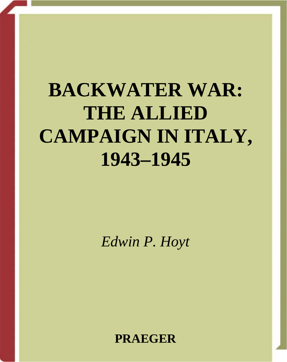## **BACKWATER WAR: THE ALLIED CAMPAIGN IN ITALY, 1943–1945**

*Edwin P. Hoyt*

**PRAEGER**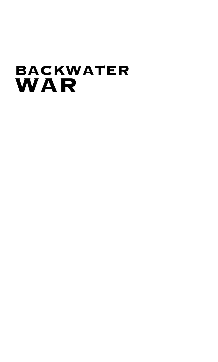# BACKWATER WAR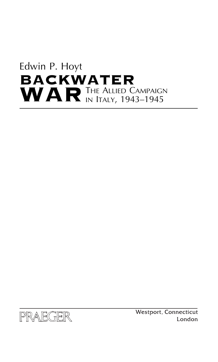# Edwin P. Hoyt BACKWATER BACKWATER<br>WAR<sup>THE ALLIED CAMPAIGN</sup>



**Westport, Connecticut** London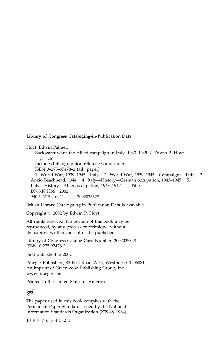#### **Library of Congress Cataloging-in-Publication Data**

Hoyt, Edwin Palmer.

Backwater war : the Allied campaign in Italy, 1943–1945 / Edwin P. Hoyt. p. cm. Includes bibliographical references and index. ISBN 0–275–97478–2 (alk. paper) 1. World War, 1939–1945—Italy. 2. World War, 1939–1945—Campaigns—Italy. 3. Anzio Beachhead, 1944. 4. Italy—History—German occupation, 1943–1945. 5. Italy—History—Allied occupation, 1943–1947. I. Title. D763.I8 H66 2002 940.54'215—dc21 2002025328

British Library Cataloguing in Publication Data is available.

Copyright  $©$  2002 by Edwin P. Hoyt

All rights reserved. No portion of this book may be reproduced, by any process or technique, without the express written consent of the publisher.

Library of Congress Catalog Card Number: 2002025328 ISBN: 0-275-97478-2

First published in 2002

Praeger Publishers, 88 Post Road West, Westport, CT 06881 An imprint of Greenwood Publishing Group, Inc. www.praeger.com

Printed in the United States of America



The paper used in this book complies with the Permanent Paper Standard issued by the National Information Standards Organization (Z39.48–1984).

10 9 8 7 6 5 4 3 2 1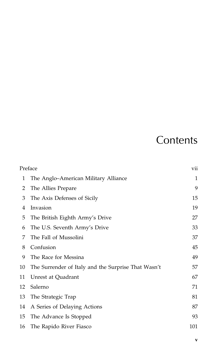## **Contents**

| Preface |                                                     | vii |
|---------|-----------------------------------------------------|-----|
| 1       | The Anglo-American Military Alliance                | 1   |
| 2       | The Allies Prepare                                  | 9   |
| 3       | The Axis Defenses of Sicily                         | 15  |
| 4       | Invasion                                            | 19  |
| 5       | The British Eighth Army's Drive                     | 27  |
| 6       | The U.S. Seventh Army's Drive                       | 33  |
| 7       | The Fall of Mussolini                               | 37  |
| 8       | Confusion                                           | 45  |
| 9       | The Race for Messina                                | 49  |
| 10      | The Surrender of Italy and the Surprise That Wasn't | 57  |
| 11      | Unrest at Quadrant                                  | 67  |
| 12      | Salerno                                             | 71  |
| 13      | The Strategic Trap                                  | 81  |
| 14      | A Series of Delaying Actions                        | 87  |
| 15      | The Advance Is Stopped                              | 93  |
| 16      | The Rapido River Fiasco                             | 101 |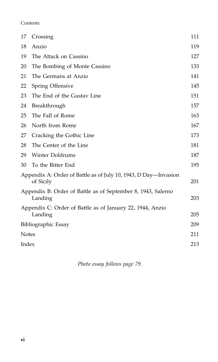#### Contents

| 17                                                                           | Crossing                                                                | 111 |
|------------------------------------------------------------------------------|-------------------------------------------------------------------------|-----|
| 18                                                                           | Anzio                                                                   | 119 |
| 19                                                                           | The Attack on Cassino                                                   | 127 |
| 20                                                                           | The Bombing of Monte Cassino                                            | 133 |
| 21                                                                           | The Germans at Anzio                                                    | 141 |
| 22                                                                           | Spring Offensive                                                        | 145 |
| 23                                                                           | The End of the Gustav Line                                              | 151 |
| 24                                                                           | Breakthrough                                                            | 157 |
| 25                                                                           | The Fall of Rome                                                        | 163 |
| 26                                                                           | North from Rome                                                         | 167 |
| 27                                                                           | Cracking the Gothic Line                                                | 173 |
| 28                                                                           | The Center of the Line                                                  | 181 |
| 29                                                                           | Winter Doldrums                                                         | 187 |
| 30                                                                           | To the Bitter End                                                       | 195 |
| Appendix A: Order of Battle as of July 10, 1943, D Day—Invasion<br>of Sicily |                                                                         | 201 |
|                                                                              | Appendix B: Order of Battle as of September 8, 1943, Salerno<br>Landing | 203 |
|                                                                              | Appendix C: Order of Battle as of January 22, 1944, Anzio<br>Landing    | 205 |
| Bibliographic Essay                                                          |                                                                         | 209 |
| <b>Notes</b>                                                                 |                                                                         | 211 |
| Index                                                                        |                                                                         | 213 |
|                                                                              |                                                                         |     |

*Photo essay follows page 79.*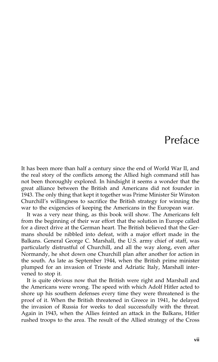### Preface

It has been more than half a century since the end of World War II, and the real story of the conflicts among the Allied high command still has not been thoroughly explored. In hindsight it seems a wonder that the great alliance between the British and Americans did not founder in 1943. The only thing that kept it together was Prime Minister Sir Winston Churchill's willingness to sacrifice the British strategy for winning the war to the exigencies of keeping the Americans in the European war.

It was a very near thing, as this book will show. The Americans felt from the beginning of their war effort that the solution in Europe called for a direct drive at the German heart. The British believed that the Germans should be nibbled into defeat, with a major effort made in the Balkans. General George C. Marshall, the U.S. army chief of staff, was particularly distrustful of Churchill, and all the way along, even after Normandy, he shot down one Churchill plan after another for action in the south. As late as September 1944, when the British prime minister plumped for an invasion of Trieste and Adriatic Italy, Marshall intervened to stop it.

It is quite obvious now that the British were right and Marshall and the Americans were wrong. The speed with which Adolf Hitler acted to shore up his southern defenses every time they were threatened is the proof of it. When the British threatened in Greece in 1941, he delayed the invasion of Russia for weeks to deal successfully with the threat. Again in 1943, when the Allies feinted an attack in the Balkans, Hitler rushed troops to the area. The result of the Allied strategy of the Cross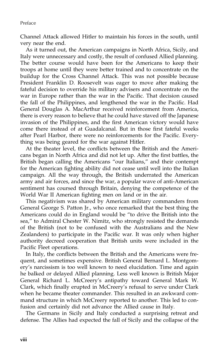Preface

Channel Attack allowed Hitler to maintain his forces in the south, until very near the end.

As it turned out, the American campaigns in North Africa, Sicily, and Italy were unnecessary and costly, the result of confused Allied planning. The better course would have been for the Americans to keep their troops at home until they were better trained and to concentrate on the buildup for the Cross Channel Attack. This was not possible because President Franklin D. Roosevelt was eager to move after making the fateful decision to override his military advisers and concentrate on the war in Europe rather than the war in the Pacific. That decision caused the fall of the Philippines, and lengthened the war in the Pacific. Had General Douglas A. MacArthur received reinforcement from America, there is every reason to believe that he could have staved off the Japanese invasion of the Philippines, and the first American victory would have come there instead of at Guadalcanal. But in those first fateful weeks after Pearl Harbor, there were no reinforcements for the Pacific. Everything was being geared for the war against Hitler.

At the theater level, the conflicts between the British and the Americans began in North Africa and did not let up. After the first battles, the British began calling the Americans "our Italians," and their contempt for the American fighting ability did not cease until well into the Italian campaign. All the way through, the British underrated the American army and air forces, and since the war, a popular wave of anti-American sentiment has coursed through Britain, denying the competence of the World War II American fighting men on land or in the air.

This negativism was shared by American military commanders from General George S. Patton Jr., who once remarked that the best thing the Americans could do in England would be "to drive the British into the sea," to Admiral Chester W. Nimitz, who strongly resisted the demands of the British (not to be confused with the Australians and the New Zealanders) to participate in the Pacific war. It was only when higher authority decreed cooperation that British units were included in the Pacific Fleet operations.

In Italy, the conflicts between the British and the Americans were frequent, and sometimes expensive. British General Bernard L. Montgomery's narcissism is too well known to need elucidation. Time and again he balked or delayed Allied planning. Less well known is British Major General Richard L. McCreery's antipathy toward General Mark W. Clark, which finally erupted in McCreery's refusal to serve under Clark when he became theater commander. This resulted in an awkward command structure in which McCreery reported to another. This led to confusion and certainly did not advance the Allied cause in Italy.

The Germans in Sicily and Italy conducted a surprising retreat and defense. The Allies had expected the fall of Sicily and the collapse of the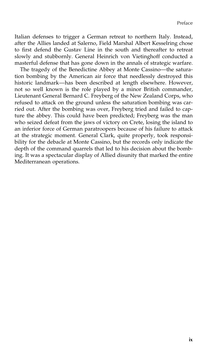Italian defenses to trigger a German retreat to northern Italy. Instead, after the Allies landed at Salerno, Field Marshal Albert Kesselring chose to first defend the Gustav Line in the south and thereafter to retreat slowly and stubbornly. General Heinrich von Vietinghoff conducted a masterful defense that has gone down in the annals of strategic warfare.

The tragedy of the Benedictine Abbey at Monte Cassino—the saturation bombing by the American air force that needlessly destroyed this historic landmark—has been described at length elsewhere. However, not so well known is the role played by a minor British commander, Lieutenant General Bernard C. Freyberg of the New Zealand Corps, who refused to attack on the ground unless the saturation bombing was carried out. After the bombing was over, Freyberg tried and failed to capture the abbey. This could have been predicted; Freyberg was the man who seized defeat from the jaws of victory on Crete, losing the island to an inferior force of German paratroopers because of his failure to attack at the strategic moment. General Clark, quite properly, took responsibility for the debacle at Monte Cassino, but the records only indicate the depth of the command quarrels that led to his decision about the bombing. It was a spectacular display of Allied disunity that marked the entire Mediterranean operations.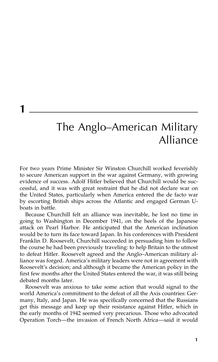**1**

## The Anglo–American Military Alliance

For two years Prime Minister Sir Winston Churchill worked feverishly to secure American support in the war against Germany, with growing evidence of success. Adolf Hitler believed that Churchill would be successful, and it was with great restraint that he did not declare war on the United States, particularly when America entered the de facto war by escorting British ships across the Atlantic and engaged German Uboats in battle.

Because Churchill felt an alliance was inevitable, he lost no time in going to Washington in December 1941, on the heels of the Japanese attack on Pearl Harbor. He anticipated that the American inclination would be to turn its face toward Japan. In his conferences with President Franklin D. Roosevelt, Churchill succeeded in persuading him to follow the course he had been previously traveling: to help Britain to the utmost to defeat Hitler. Roosevelt agreed and the Anglo–American military alliance was forged. America's military leaders were not in agreement with Roosevelt's decision; and although it became the American policy in the first few months after the United States entered the war, it was still being debated months later.

Roosevelt was anxious to take some action that would signal to the world America's commitment to the defeat of all the Axis countries: Germany, Italy, and Japan. He was specifically concerned that the Russians get this message and keep up their resistance against Hitler, which in the early months of 1942 seemed very precarious. Those who advocated Operation Torch—the invasion of French North Africa—said it would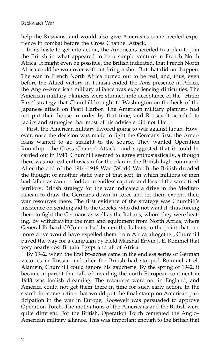help the Russians, and would also give Americans some needed experience in combat before the Cross Channel Attack.

In its haste to get into action, the Americans acceded to a plan to join the British in what appeared to be a simple venture in French North Africa. It might even be possible, the British indicated, that French North Africa could be won over without firing a shot. But that did not happen. The war in French North Africa turned out to be real, and, thus, even before the Allied victory in Tunisia ended the Axis presence in Africa, the Anglo–American military alliance was experiencing difficulties. The American military planners were stunned into acceptance of the "Hitler First" strategy that Churchill brought to Washington on the heels of the Japanese attack on Pearl Harbor. The American military planners had not put their house in order by that time, and Roosevelt acceded to tactics and strategies that most of his advisers did not like.

First, the American military favored going to war against Japan. However, once the decision was made to fight the Germans first, the Americans wanted to go straight to the source. They wanted Operation Roundup—the Cross Channel Attack—and suggested that it could be carried out in 1943. Churchill seemed to agree enthusiastically, although there was no real enthusiasm for the plan in the British high command. After the end of the 1914–1918 War (World War I) the British dreaded the thought of another static war of that sort, in which millions of men had fallen as cannon fodder in endless capture and loss of the same tired territory. British strategy for the war indicated a drive in the Mediterranean to draw the Germans down in force and let them expend their war resources there. The first evidence of the strategy was Churchill's insistence on sending aid to the Greeks, who did not want it, thus forcing them to fight the Germans as well as the Italians, whom they were beating. By withdrawing the men and equipment from North Africa, where General Richard O'Connor had beaten the Italians to the point that one more drive would have expelled them from Africa altogether, Churchill paved the way for a campaign by Field Marshal Erwin J. E. Rommel that very nearly cost Britain Egypt and all of Africa.

By 1942, when the first breaches came in the endless series of German victories in Russia, and after the British had stopped Rommel at el-Alamein, Churchill could ignore his gaucherie. By the spring of 1942, it became apparent that talk of invading the north European continent in 1943 was foolish dreaming. The resources were not in England, and America could not get them there in time for such early action. In the search for some action that would put the final stamp on American participation in the war in Europe, Roosevelt was persuaded to approve Operation Torch. The motivations of the Americans and the British were quite different. For the British, Operation Torch cemented the Anglo– American military alliance. This was important enough to the British that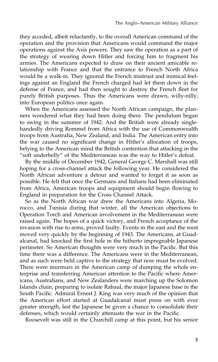they acceded, albeit reluctantly, to the overall American command of the operation and the provision that Americans would command the major operations against the Axis powers. They saw the operation as a part of the strategy of wearing down Hitler and forcing him to fragment his armies. The Americans expected to draw on their ancient amicable relationship with France and that the entrance to French North Africa would be a walk-in. They ignored the French mistrust and inimical feelings against an England the French charged had let them down in the defense of France, and had then sought to destroy the French fleet for purely British purposes. Thus the Americans were drawn, willy-nilly, into European politics once again.

When the Americans assessed the North African campaign, the planners wondered what they had been doing there. The pendulum began to swing in the summer of 1942. And the British were already singlehandedly driving Rommel from Africa with the use of Commonwealth troops from Australia, New Zealand, and India. The American entry into the war caused no significant change in Hitler's allocation of troops, belying to the American mind the British contention that attacking in the "soft underbelly" of the Mediterranean was the way to Hitler's defeat.

By the middle of December 1942, General George C. Marshall was still hoping for a cross-channel attack the following year. He considered the North African adventure a detour and wanted to forget it as soon as possible. He felt that once the Germans and Italians had been eliminated from Africa, American troops and equipment should begin flowing to England in preparation for the Cross Channel Attack.

So as the North African war drew the Americans into Algeria, Morocco, and Tunisia during that winter, all the American objections to Operation Torch and American involvement in the Mediterranean were raised again. The hopes of a quick victory, and French acceptance of the invasion with rise to arms, proved faulty. Events in the east and the west moved very quickly by the beginning of 1943. The Americans, at Guadalcanal, had knocked the first hole in the hitherto impregnable Japanese perimeter. So American thoughts were very much in the Pacific. But this time there was a difference. The Americans were in the Mediterranean, and as such were held captive to the strategy that now must be evolved. There were murmurs in the American camp of dumping the whole enterprise and transferring American attention to the Pacific where Americans, Australians, and New Zealanders were marching up the Solomon Islands chain, preparing to isolate Rabaul, the major Japanese base in the South Pacific. Admiral Ernest J. King was very much of the opinion that the American effort started at Guadalcanal must press on with ever greater strength, lest the Japanese be given a chance to consolidate their defenses, which would certainly attenuate the war in the Pacific.

Roosevelt was still in the Churchill camp at this point, but his senior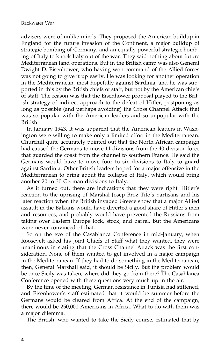advisers were of unlike minds. They proposed the American buildup in England for the future invasion of the Continent, a major buildup of strategic bombing of Germany, and an equally powerful strategic bombing of Italy to knock Italy out of the war. They said nothing about future Mediterranean land operations. But in the British camp was also General Dwight D. Eisenhower, who having won command of the Allied forces was not going to give it up easily. He was looking for another operation in the Mediterranean, most hopefully against Sardinia, and he was supported in this by the British chiefs of staff, but not by the American chiefs of staff. The reason was that the Eisenhower proposal played to the British strategy of indirect approach to the defeat of Hitler, postponing as long as possible (and perhaps avoiding) the Cross Channel Attack that was so popular with the American leaders and so unpopular with the British.

In January 1943, it was apparent that the American leaders in Washington were willing to make only a limited effort in the Mediterranean. Churchill quite accurately pointed out that the North African campaign had caused the Germans to move 11 divisions from the 40-division force that guarded the coast from the channel to southern France. He said the Germans would have to move four to six divisions to Italy to guard against Sardinia. Other British leaders hoped for a major offensive in the Mediterranean to bring about the collapse of Italy, which would bring another 20 to 30 German divisions to Italy.

As it turned out, there are indications that they were right. Hitler's reaction to the uprising of Marshal Josep Broz Tito's partisans and his later reaction when the British invaded Greece show that a major Allied assault in the Balkans would have diverted a good share of Hitler's men and resources, and probably would have prevented the Russians from taking over Eastern Europe lock, stock, and barrel. But the Americans were never convinced of that.

So on the eve of the Casablanca Conference in mid-January, when Roosevelt asked his Joint Chiefs of Staff what they wanted, they were unanimous in stating that the Cross Channel Attack was the first consideration. None of them wanted to get involved in a major campaign in the Mediterranean. If they had to do something in the Mediterranean, then, General Marshall said, it should be Sicily. But the problem would be once Sicily was taken, where did they go from there? The Casablanca Conference opened with these questions very much up in the air.

By the time of the meeting, German resistance in Tunisia had stiffened, and Eisenhower's staff estimated that it would be summer before the Germans would be cleared from Africa. At the end of the campaign, there would be 250,000 Americans in Africa. What to do with them was a major dilemma.

The British, who wanted to take the Sicily course, estimated that by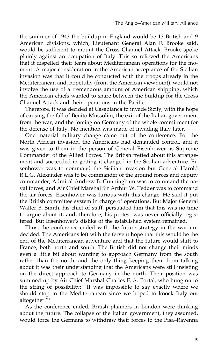the summer of 1943 the buildup in England would be 13 British and 9 American divisions, which, Lieutenant General Alan F. Brooke said, would be sufficient to mount the Cross Channel Attack. Brooke spoke plainly against an occupation of Italy. This so relieved the Americans that it dispelled their fears about Mediterranean operations for the moment. A major consideration in the American acceptance of the Sicilian invasion was that it could be conducted with the troops already in the Mediterranean and, hopefully (from the American viewpoint), would not involve the use of a tremendous amount of American shipping, which the American chiefs wanted to share between the buildup for the Cross Channel Attack and their operations in the Pacific.

Therefore, it was decided at Casablanca to invade Sicily, with the hope of causing the fall of Benito Mussolini, the exit of the Italian government from the war, and the forcing on Germany of the whole commitment for the defense of Italy. No mention was made of invading Italy later.

One material military change came out of the conference. For the North African invasion, the Americans had demanded control, and it was given to them in the person of General Eisenhower as Supreme Commander of the Allied Forces. The British fretted about this arrangement and succeeded in getting it changed in the Sicilian adventure. Eisenhower was to command the Sicilian invasion but General Harold R.L.G. Alexander was to be commander of the ground forces and deputy commander; Admiral Andrew B. Cunningham was to command the naval forces; and Air Chief Marshal Sir Arthur W. Tedder was to command the air forces. Eisenhower was furious with this change. He said it put the British committee system in charge of operations. But Major General Walter B. Smith, his chief of staff, persuaded him that this was no time to argue about it, and, therefore, his protest was never officially registered. But Eisenhower's dislike of the established system remained.

Thus, the conference ended with the future strategy in the war undecided. The Americans left with the fervent hope that this would be the end of the Mediterranean adventure and that the future would shift to France, both north and south. The British did not change their minds even a little bit about wanting to approach Germany from the south rather than the north, and the only thing keeping them from talking about it was their understanding that the Americans were still insisting on the direct approach to Germany in the north. Their position was summed up by Air Chief Marshal Charles F. A. Portal, who hung on to the string of possibility: "It was impossible to say exactly where we should stop in the Mediterranean since we hoped to knock Italy out altogether."1

As the conference ended, British planners in London were thinking about the future. The collapse of the Italian government, they assumed, would force the Germans to withdraw their forces to the Pisa–Ravenna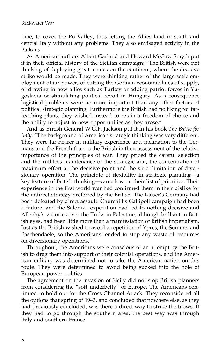Line, to cover the Po Valley, thus letting the Allies land in south and central Italy without any problems. They also envisaged activity in the Balkans.

As American authors Albert Garland and Howard McGaw Smyth put it in their official history of the Sicilian campaign: "The British were not thinking of deploying great armies on the continent, where the decisive strike would be made. They were thinking rather of the large scale employment of air power, of cutting the German economic lines of supply, of drawing in new allies such as Turkey or adding patriot forces in Yugoslavia or stimulating political revolt in Hungary. As a consequence logistical problems were no more important than any other factors of political strategic planning. Furthermore the British had no liking for farreaching plans, they wished instead to retain a freedom of choice and the ability to adjust to new opportunities as they arose."

And as British General W.G.F. Jackson put it in his book *The Battle for Italy*: "The background of American strategic thinking was very different. They were far nearer in military experience and inclination to the Germans and the French than to the British in their assessment of the relative importance of the principles of war. They prized the careful selection and the ruthless maintenance of the strategic aim, the concentration of maximum effort at the decisive point and the strict limitation of diversionary operation. The principle of flexibility in strategic planning—a key feature of British thinking—came low on their list of priorities. Their experience in the first world war had confirmed them in their dislike for the indirect strategy preferred by the British. The Kaiser's Germany had been defeated by direct assault. Churchill's Gallipoli campaign had been a failure, and the Salonika expedition had led to nothing decisive and Allenby's victories over the Turks in Palestine, although brilliant in British eyes, had been little more than a manifestation of British imperialism. Just as the British wished to avoid a repetition of Ypres, the Somme, and Paschendaele, so the Americans tended to stop any waste of resources on diversionary operations."

Throughout, the Americans were conscious of an attempt by the British to drag them into support of their colonial operations, and the American military was determined not to take the American nation on this route. They were determined to avoid being sucked into the hole of European power politics.

The agreement on the invasion of Sicily did not stop British planners from considering the "soft underbelly" of Europe. The Americans continued to hold out for the Cross Channel Attack. They reconsidered all the options that spring of 1943, and concluded that nowhere else, as they had previously concluded, was there a direct way to strike the blows. If they had to go through the southern area, the best way was through Italy and southern France.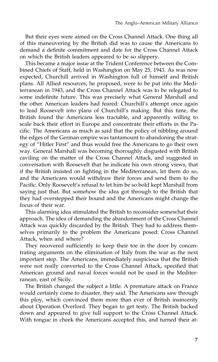But their eyes were aimed on the Cross Channel Attack. One thing all of this maneuvering by the British did was to cause the Americans to demand a definite commitment and date for the Cross Channel Attack on which the British leaders appeared to be so slippery.

This became a major issue at the Trident Conference between the Combined Chiefs of Staff, held in Washington on May 25, 1943. As was now expected, Churchill arrived in Washington full of himself and British plans. All Allied resources, he proposed, were to be put into the Mediterranean in 1943, and the Cross Channel Attack was to be relegated to some indefinite future. This was precisely what General Marshall and the other American leaders had feared: Churchill's attempt once again to lead Roosevelt into plans of Churchill's making. But this time, the British found the Americans less tractable, and apparently willing to scale back their effort in Europe and concentrate their efforts in the Pacific. The Americans as much as said that the policy of nibbling around the edges of the German empire was tantamount to abandoning the strategy of "Hitler First" and thus would free the Americans to go their own way. General Marshall was becoming thoroughly disgusted with British caviling on the matter of the Cross Channel Attack, and suggested in conversation with Roosevelt that he indicate his own strong views, that if the British insisted on fighting in the Mediterranean, let them do so, and the Americans would withdraw their forces and send them to the Pacific. Only Roosevelt's refusal to let him be so bold kept Marshall from saying just that. But somehow the idea got through to the British that they had overstepped their bound and the Americans might change the focus of their war.

This alarming idea stimulated the British to reconsider somewhat their approach. The idea of demanding the abandonment of the Cross Channel Attack was quickly discarded by the British. They had to address themselves primarily to the problem the Americans posed: Cross Channel Attack, when and where?

They recovered sufficiently to keep their toe in the door by concentrating arguments on the elimination of Italy from the war as the next important step. The Americans, immediately suspicious that the British were not really converted to the Cross Channel Attack, specified that American ground and naval forces would not be used in the Mediterranean, east of Sicily.

The British changed the subject a little. A premature attack on France would certainly come to disaster, they said. The Americans saw through this ploy, which convinced them more than ever of British insincerity about Operation Overlord. They began to get testy. The British backed down and appeared to give full support to the Cross Channel Attack. With tongue in cheek the Americans accepted this, and turned their at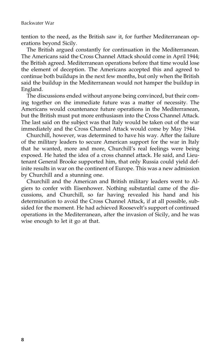tention to the need, as the British saw it, for further Mediterranean operations beyond Sicily.

The British argued constantly for continuation in the Mediterranean. The Americans said the Cross Channel Attack should come in April 1944; the British agreed. Mediterranean operations before that time would lose the element of deception. The Americans accepted this and agreed to continue both buildups in the next few months, but only when the British said the buildup in the Mediterranean would not hamper the buildup in England.

The discussions ended without anyone being convinced, but their coming together on the immediate future was a matter of necessity. The Americans would countenance future operations in the Mediterranean, but the British must put more enthusiasm into the Cross Channel Attack. The last said on the subject was that Italy would be taken out of the war immediately and the Cross Channel Attack would come by May 1944.

Churchill, however, was determined to have his way. After the failure of the military leaders to secure American support for the war in Italy that he wanted, more and more, Churchill's real feelings were being exposed. He hated the idea of a cross channel attack. He said, and Lieutenant General Brooke supported him, that only Russia could yield definite results in war on the continent of Europe. This was a new admission by Churchill and a stunning one.

Churchill and the American and British military leaders went to Algiers to confer with Eisenhower. Nothing substantial came of the discussions, and Churchill, so far having revealed his hand and his determination to avoid the Cross Channel Attack, if at all possible, subsided for the moment. He had achieved Roosevelt's support of continued operations in the Mediterranean, after the invasion of Sicily, and he was wise enough to let it go at that.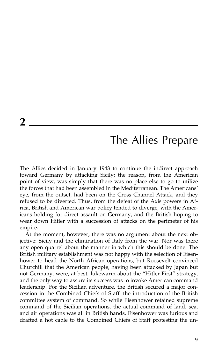### The Allies Prepare

The Allies decided in January 1943 to continue the indirect approach toward Germany by attacking Sicily; the reason, from the American point of view, was simply that there was no place else to go to utilize the forces that had been assembled in the Mediterranean. The Americans' eye, from the outset, had been on the Cross Channel Attack, and they refused to be diverted. Thus, from the defeat of the Axis powers in Africa, British and American war policy tended to diverge, with the Americans holding for direct assault on Germany, and the British hoping to wear down Hitler with a succession of attacks on the perimeter of his empire.

At the moment, however, there was no argument about the next objective: Sicily and the elimination of Italy from the war. Nor was there any open quarrel about the manner in which this should be done. The British military establishment was not happy with the selection of Eisenhower to head the North African operations, but Roosevelt convinced Churchill that the American people, having been attacked by Japan but not Germany, were, at best, lukewarm about the "Hitler First" strategy, and the only way to assure its success was to invoke American command leadership. For the Sicilian adventure, the British secured a major concession in the Combined Chiefs of Staff: the introduction of the British committee system of command. So while Eisenhower retained supreme command of the Sicilian operations, the actual command of land, sea, and air operations was all in British hands. Eisenhower was furious and drafted a hot cable to the Combined Chiefs of Staff protesting the un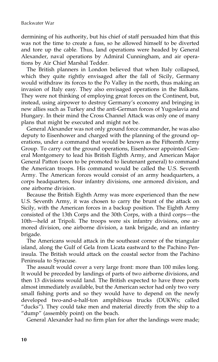dermining of his authority, but his chief of staff persuaded him that this was not the time to create a fuss, so he allowed himself to be diverted and tore up the cable. Thus, land operations were headed by General Alexander, naval operations by Admiral Cunningham, and air operations by Air Chief Marshal Tedder.

The British planners in London believed that when Italy collapsed, which they quite rightly envisaged after the fall of Sicily, Germany would withdraw its forces to the Po Valley in the north, thus making an invasion of Italy easy. They also envisaged operations in the Balkans. They were not thinking of employing great forces on the Continent, but, instead, using airpower to destroy Germany's economy and bringing in new allies such as Turkey and the anti-German forces of Yugoslavia and Hungary. In their mind the Cross Channel Attack was only one of many plans that might be executed and might not be.

General Alexander was not only ground force commander, he was also deputy to Eisenhower and charged with the planning of the ground operations, under a command that would be known as the Fifteenth Army Group. To carry out the ground operations, Eisenhower appointed General Montgomery to lead his British Eighth Army, and American Major General Patton (soon to be promoted to lieutenant general) to command the American troops. His command would be called the U.S. Seventh Army. The American forces would consist of an army headquarters, a corps headquarters, four infantry divisions, one armored division, and one airborne division.

Because the British Eighth Army was more experienced than the new U.S. Seventh Army, it was chosen to carry the brunt of the attack on Sicily, with the American forces in a backup position. The Eighth Army consisted of the 13th Corps and the 30th Corps, with a third corps—the 10th—held at Tripoli. The troops were six infantry divisions, one armored division, one airborne division, a tank brigade, and an infantry brigade.

The Americans would attack in the southeast corner of the triangular island, along the Gulf of Gela from Licata eastward to the Pachino Peninsula. The British would attack on the coastal sector from the Pachino Peninsula to Syracuse.

The assault would cover a very large front: more than 100 miles long. It would be preceded by landings of parts of two airborne divisions, and then 13 divisions would land. The British expected to have three ports almost immediately available, but the American sector had only two very small fishing ports and so they would have to depend on the newly developed two-and-a-half-ton amphibious trucks (DUKWs; called "ducks"). They could take men and material directly from the ship to a "dump" (assembly point) on the beach.

General Alexander had no firm plan for after the landings were made;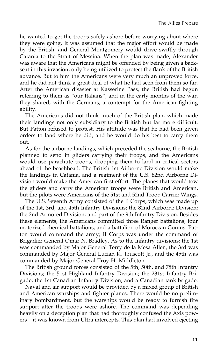he wanted to get the troops safely ashore before worrying about where they were going. It was assumed that the major effort would be made by the British, and General Montgomery would drive swiftly through Catania to the Strait of Messina. When the plan was made, Alexander was aware that the Americans might be offended by being given a backseat in this invasion, only being utilized to protect the flank of the British advance. But to him the Americans were very much an unproved force, and he did not think a great deal of what he had seen from them so far. After the American disaster at Kasserine Pass, the British had begun referring to them as "our Italians"; and in the early months of the war, they shared, with the Germans, a contempt for the American fighting ability.

The Americans did not think much of the British plan, which made their landings not only subsidiary to the British but far more difficult. But Patton refused to protest. His attitude was that he had been given orders to land where he did, and he would do his best to carry them out.

As for the airborne landings, which preceded the seaborne, the British planned to send in gliders carrying their troops, and the Americans would use parachute troops, dropping them to land in critical sectors ahead of the beachhead. The British 1st Airborne Division would make the landings in Catania, and a regiment of the U.S. 82nd Airborne Division would make the American first effort. The planes that would tow the gliders and carry the American troops were British and American, but the pilots were Americans of the 51st and 52nd Troop Carrier Wings.

The U.S. Seventh Army consisted of the II Corps, which was made up of the 1st, 3rd, and 45th Infantry Divisions; the 82nd Airborne Division; the 2nd Armored Division; and part of the 9th Infantry Division. Besides these elements, the Americans committed three Ranger battalions, four motorized chemical battalions, and a battalion of Moroccan Goums. Patton would command the army; II Corps was under the command of Brigadier General Omar N. Bradley. As to the infantry divisions: the 1st was commanded by Major General Terry de la Mesa Allen, the 3rd was commanded by Major General Lucian K. Truscott Jr., and the 45th was commanded by Major General Troy H. Middleton.

The British ground forces consisted of the 5th, 50th, and 78th Infantry Divisions; the 51st Highland Infantry Division; the 231st Infantry Brigade; the 1st Canadian Infantry Division; and a Canadian tank brigade.

Naval and air support would be provided by a mixed group of British and American warships and fighter planes. There would be no preliminary bombardment, but the warships would be ready to furnish fire support after the troops were ashore. The command was depending heavily on a deception plan that had thoroughly confused the Axis powers—it was known from Ultra intercepts. This plan had involved ejecting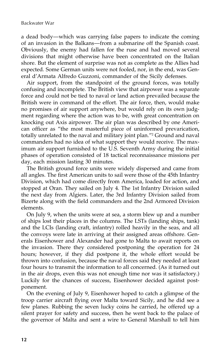a dead body—which was carrying false papers to indicate the coming of an invasion in the Balkans—from a submarine off the Spanish coast. Obviously, the enemy had fallen for the ruse and had moved several divisions that might otherwise have been concentrated on the Italian shore. But the element of surprise was not as complete as the Allies had expected. Some German units were not fooled, nor, in the end, was General d'Armata Alfredo Guzzoni, commander of the Sicily defenses.

Air support, from the standpoint of the ground forces, was totally confusing and incomplete. The British view that airpower was a separate force and could not be tied to naval or land action prevailed because the British were in command of the effort. The air force, then, would make no promises of air support anywhere, but would rely on its own judgment regarding where the action was to be, with great concentration on knocking out Axis airpower. The air plan was described by one American officer as "the most masterful piece of uninformed prevarication, totally unrelated to the naval and military joint plan."<sup>2</sup> Ground and naval commanders had no idea of what support they would receive. The maximum air support furnished to the  $\overline{U}$ . Seventh Army during the initial phases of operation consisted of 18 tactical reconnaissance missions per day, each mission lasting 30 minutes.

The British ground force units were widely dispersed and came from all angles. The first American units to sail were those of the 45th Infantry Division, which had come directly from America, loaded for action, and stopped at Oran. They sailed on July 4. The 1st Infantry Division sailed the next day from Algiers. Later, the 3rd Infantry Division sailed from Bizerte along with the field commanders and the 2nd Armored Division elements.

On July 9, when the units were at sea, a storm blew up and a number of ships lost their places in the columns. The LSTs (landing ships, tank) and the LCIs (landing craft, infantry) rolled heavily in the seas, and all the convoys were late in arriving at their assigned areas offshore. Generals Eisenhower and Alexander had gone to Malta to await reports on the invasion. There they considered postponing the operation for 24 hours; however, if they did postpone it, the whole effort would be thrown into confusion, because the naval forces said they needed at least four hours to transmit the information to all concerned. (As it turned out in the air drops, even this was not enough time nor was it satisfactory.) Luckily for the chances of success, Eisenhower decided against postponement.

On the evening of July 9, Eisenhower hoped to catch a glimpse of the troop carrier aircraft flying over Malta toward Sicily, and he did see a few planes. Rubbing the seven lucky coins he carried, he offered up a silent prayer for safety and success, then he went back to the palace of the governor of Malta and sent a wire to General Marshall to tell him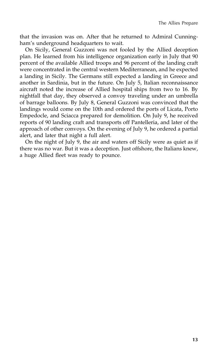that the invasion was on. After that he returned to Admiral Cunningham's underground headquarters to wait.

On Sicily, General Guzzoni was not fooled by the Allied deception plan. He learned from his intelligence organization early in July that 90 percent of the available Allied troops and 96 percent of the landing craft were concentrated in the central western Mediterranean, and he expected a landing in Sicily. The Germans still expected a landing in Greece and another in Sardinia, but in the future. On July 5, Italian reconnaissance aircraft noted the increase of Allied hospital ships from two to 16. By nightfall that day, they observed a convoy traveling under an umbrella of barrage balloons. By July 8, General Guzzoni was convinced that the landings would come on the 10th and ordered the ports of Licata, Porto Empedocle, and Sciacca prepared for demolition. On July 9, he received reports of 90 landing craft and transports off Pantelleria, and later of the approach of other convoys. On the evening of July 9, he ordered a partial alert, and later that night a full alert.

On the night of July 9, the air and waters off Sicily were as quiet as if there was no war. But it was a deception. Just offshore, the Italians knew, a huge Allied fleet was ready to pounce.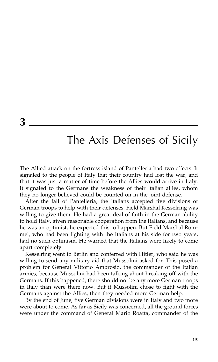**3**

#### The Axis Defenses of Sicily

The Allied attack on the fortress island of Pantelleria had two effects. It signaled to the people of Italy that their country had lost the war, and that it was just a matter of time before the Allies would arrive in Italy. It signaled to the Germans the weakness of their Italian allies, whom they no longer believed could be counted on in the joint defense.

After the fall of Pantelleria, the Italians accepted five divisions of German troops to help with their defenses. Field Marshal Kesselring was willing to give them. He had a great deal of faith in the German ability to hold Italy, given reasonable cooperation from the Italians, and because he was an optimist, he expected this to happen. But Field Marshal Rommel, who had been fighting with the Italians at his side for two years, had no such optimism. He warned that the Italians were likely to come apart completely.

Kesselring went to Berlin and conferred with Hitler, who said he was willing to send any military aid that Mussolini asked for. This posed a problem for General Vittorio Ambrosio, the commander of the Italian armies, because Mussolini had been talking about breaking off with the Germans. If this happened, there should not be any more German troops in Italy than were there now. But if Mussolini chose to fight with the Germans against the Allies, then they needed more German help.

By the end of June, five German divisions were in Italy and two more were about to come. As far as Sicily was concerned, all the ground forces were under the command of General Mario Roatta, commander of the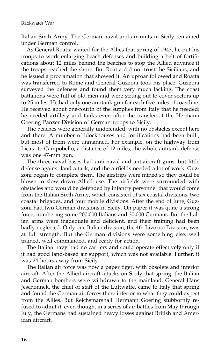Italian Sixth Army. The German naval and air units in Sicily remained under German control.

As General Roatta waited for the Allies that spring of 1943, he put his troops to work enlarging beach defenses and building a belt of fortifications about 12 miles behind the beaches to stop the Allied advance if the troops reached the shore. But Roatta did not trust the Sicilians, and he issued a proclamation that showed it. An uproar followed and Roatta was transferred to Rome and General Guzzoni took his place. Guzzoni surveyed the defenses and found them very much lacking. The coast battalions were full of old men and were strung out to cover sectors up to 25 miles. He had only one antitank gun for each five miles of coastline. He received about one-fourth of the supplies from Italy that he needed; he needed artillery and tanks even after the transfer of the Hermann Goering Panzer Division of German troops to Sicily.

The beaches were generally undefended, with no obstacles except here and there. A number of blockhouses and fortifications had been built, but most of them were unmanned. For example, on the highway from Licata to Campobello, a distance of 12 miles, the whole antitank defense was one 47-mm gun.

The three naval bases had anti-naval and antiaircraft guns, but little defense against land attack; and the airfields needed a lot of work. Guzzoni began to complete them. The airstrips were mined so they could be blown to slow down Allied use. The airfields were surrounded with obstacles and would be defended by infantry personnel that would come from the Italian Sixth Army, which consisted of six coastal divisions, two coastal brigades, and four mobile divisions. After the end of June, Guzzoni had two German divisions in Sicily. On paper it was quite a strong force, numbering some 200,000 Italians and 30,000 Germans. But the Italian arms were inadequate and deficient, and their training had been badly neglected. Only one Italian division, the 4th Livorno Division, was at full strength. But the German divisions were something else: well trained, well commanded, and ready for action.

The Italian navy had no carriers and could operate effectively only if it had good land-based air support, which was not available. Further, it was 24 hours away from Sicily.

The Italian air force was now a paper tiger, with obsolete and inferior aircraft. After the Allied aircraft attacks on Sicily that spring, the Italian and German bombers were withdrawn to the mainland. General Hans Jeschonnek, the chief of staff of the Luftwaffe, came to Italy that spring and found the German air forces there inferior to what they could expect from the Allies. But Reichsmarshall Hermann Goering stubbornly refused to admit it, even though, in a series of air battles from May through July, the Germans had sustained heavy losses against British and American aircraft.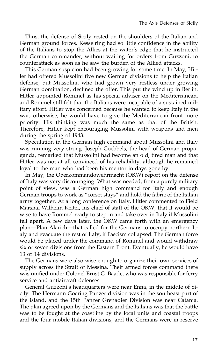Thus, the defense of Sicily rested on the shoulders of the Italian and German ground forces. Kesselring had so little confidence in the ability of the Italians to stop the Allies at the water's edge that he instructed the German commander, without waiting for orders from Guzzoni, to counterattack as soon as he saw the burden of the Allied attacks.

This German suspicion had been growing for some time. In May, Hitler had offered Mussolini five new German divisions to help the Italian defense, but Mussolini, who had grown very restless under growing German domination, declined the offer. This put the wind up in Berlin. Hitler appointed Rommel as his special adviser on the Mediterranean, and Rommel still felt that the Italians were incapable of a sustained military effort. Hitler was concerned because he wanted to keep Italy in the war; otherwise, he would have to give the Mediterranean front more priority. His thinking was much the same as that of the British. Therefore, Hitler kept encouraging Mussolini with weapons and men during the spring of 1943.

Speculation in the German high command about Mussolini and Italy was running very strong. Joseph Goebbels, the head of German propaganda, remarked that Mussolini had become an old, tired man and that Hitler was not at all convinced of his reliability, although he remained loyal to the man who had been his mentor in days gone by.

In May, the Oberkommandowehrmacht (OKW) report on the defense of Italy was very discouraging. What was needed, from a purely military point of view, was a German high command for Italy and enough German troops to work as "corset stays" and hold the fabric of the Italian army together. At a long conference on Italy, Hitler commented to Field Marshal Wilhelm Keitel, his chief of staff of the OKW, that it would be wise to have Rommel ready to step in and take over in Italy if Mussolini fell apart. A few days later, the OKW came forth with an emergency plan—Plan Alarich—that called for the Germans to occupy northern Italy and evacuate the rest of Italy, if Fascism collapsed. The German force would be placed under the command of Rommel and would withdraw six or seven divisions from the Eastern Front. Eventually, he would have 13 or 14 divisions.

The Germans were also wise enough to organize their own services of supply across the Strait of Messina. Their armed forces command there was unified under Colonel Ernst G. Baade, who was responsible for ferry service and antiaircraft defenses.

General Guzzoni's headquarters were near Enna, in the middle of Sicily. The Hermann Goering Panzer division was in the southeast part of the island, and the 15th Panzer Grenadier Division was near Catania. The plan agreed upon by the Germans and the Italians was that the battle was to be fought at the coastline by the local units and coastal troops and the four mobile Italian divisions, and the Germans were in reserve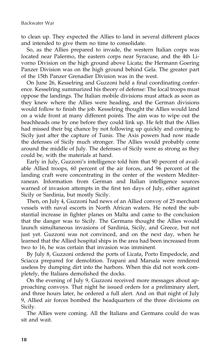to clean up. They expected the Allies to land in several different places and intended to give them no time to consolidate.

So, as the Allies prepared to invade, the western Italian corps was located near Palermo, the eastern corps near Syracuse, and the 4th Livorno Division on the high ground above Licata; the Hermann Goering Panzer Division was on the high ground behind Gela. The greater part of the 15th Panzer Grenadier Division was in the west.

On June 26, Kesselring and Guzzoni held a final coordinating conference. Kesselring summarized his theory of defense: The local troops must oppose the landings. The Italian mobile divisions must attack as soon as they knew where the Allies were heading, and the German divisions would follow to finish the job. Kesselring thought the Allies would land on a wide front at many different points. The aim was to wipe out the beachheads one by one before they could link up. He felt that the Allies had missed their big chance by not following up quickly and coming to Sicily just after the capture of Tunis. The Axis powers had now made the defenses of Sicily much stronger. The Allies would probably come around the middle of July. The defenses of Sicily were as strong as they could be, with the materials at hand.

Early in July, Guzzoni's intelligence told him that 90 percent of available Allied troops, 60 percent of the air forces, and 96 percent of the landing craft were concentrating in the center of the western Mediterranean. Information from German and Italian intelligence sources warned of invasion attempts in the first ten days of July, either against Sicily or Sardinia, but mostly Sicily.

Then, on July 4, Guzzoni had news of an Allied convoy of 25 merchant vessels with naval escorts in North African waters. He noted the substantial increase in fighter planes on Malta and came to the conclusion that the danger was to Sicily. The Germans thought the Allies would launch simultaneous invasions of Sardinia, Sicily, and Greece, but not just yet. Guzzoni was not convinced, and on the next day, when he learned that the Allied hospital ships in the area had been increased from two to 16, he was certain that invasion was imminent.

By July 8, Guzzoni ordered the ports of Licata, Porto Empedocle, and Sciacca prepared for demolition. Trapani and Marsala were rendered useless by dumping dirt into the harbors. When this did not work completely, the Italians demolished the docks.

On the evening of July 9, Guzzoni received more messages about approaching convoys. That night he issued orders for a preliminary alert, and three hours later, he ordered a full alert. And on that night of July 9, Allied air forces bombed the headquarters of the three divisions on Sicily.

The Allies were coming. All the Italians and Germans could do was sit and wait.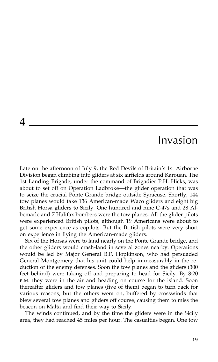#### Invasion

Late on the afternoon of July 9, the Red Devils of Britain's 1st Airborne Division began climbing into gliders at six airfields around Karouan. The 1st Landing Brigade, under the command of Brigadier P.H. Hicks, was about to set off on Operation Ladbroke—the glider operation that was to seize the crucial Ponte Grande bridge outside Syracuse. Shortly, 144 tow planes would take 136 American-made Waco gliders and eight big British Horsa gliders to Sicily. One hundred and nine C-47s and 28 Albemarle and 7 Halifax bombers were the tow planes. All the glider pilots were experienced British pilots, although 19 Americans were about to get some experience as copilots. But the British pilots were very short on experience in flying the American-made gliders.

Six of the Horsas were to land nearly on the Ponte Grande bridge, and the other gliders would crash-land in several zones nearby. Operations would be led by Major General B.F. Hopkinson, who had persuaded General Montgomery that his unit could help immeasurably in the reduction of the enemy defenses. Soon the tow planes and the gliders (300 feet behind) were taking off and preparing to head for Sicily. By 8:20 p.m. they were in the air and heading on course for the island. Soon thereafter gliders and tow planes (five of them) began to turn back for various reasons, but the others went on, buffered by crosswinds that blew several tow planes and gliders off course, causing them to miss the beacon on Malta and find their way to Sicily.

The winds continued, and by the time the gliders were in the Sicily area, they had reached 45 miles per hour. The casualties began. One tow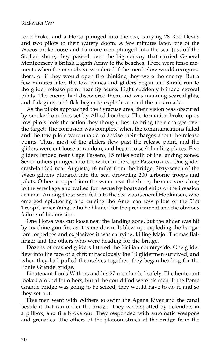rope broke, and a Horsa plunged into the sea, carrying 28 Red Devils and two pilots to their watery doom. A few minutes later, one of the Wacos broke loose and 15 more men plunged into the sea. Just off the Sicilian shore, they passed over the big convoy that carried General Montgomery's British Eighth Army to the beaches. There were tense moments when the men above wondered if the men below would recognize them, or if they would open fire thinking they were the enemy. But a few minutes later, the tow planes and gliders began an 18-mile run to the glider release point near Syracuse. Light suddenly blinded several pilots. The enemy had discovered them and was manning searchlights, and flak guns, and flak began to explode around the air armada.

As the pilots approached the Syracuse area, their vision was obscured by smoke from fires set by Allied bombers. The formation broke up as tow pilots took the action they thought best to bring their charges over the target. The confusion was complete when the communications failed and the tow pilots were unable to advise their charges about the release points. Thus, most of the gliders flew past the release point, and the gliders were cut loose at random, and began to seek landing places. Five gliders landed near Cape Passero, 15 miles south of the landing zones. Seven others plunged into the water in the Cape Passero area. One glider crash-landed near Augusta, 18 miles from the bridge. Sixty-seven of the Waco gliders plunged into the sea, drowning 200 airborne troops and pilots. Others dropped into the water near the shore; the survivors clung to the wreckage and waited for rescue by boats and ships of the invasion armada. Among those who fell into the sea was General Hopkinson, who emerged spluttering and cursing the American tow pilots of the 51st Troop Carrier Wing, who he blamed for the predicament and the obvious failure of his mission.

One Horsa was cut loose near the landing zone, but the glider was hit by machine-gun fire as it came down. It blew up, exploding the bangalore torpedoes and explosives it was carrying, killing Major Thomas Ballinger and the others who were heading for the bridge.

Dozens of crashed gliders littered the Sicilian countryside. One glider flew into the face of a cliff; miraculously the 13 glidermen survived, and when they had pulled themselves together, they began heading for the Ponte Grande bridge.

Lieutenant Louis Withers and his 27 men landed safely. The lieutenant looked around for others, but all he could find were his men. If the Ponte Grande bridge was going to be seized, they would have to do it, and so they set out.

Five men went with Withers to swim the Apana River and the canal beside it that ran under the bridge. They were spotted by defenders in a pillbox, and fire broke out. They responded with automatic weapons and grenades. The others of the platoon struck at the bridge from the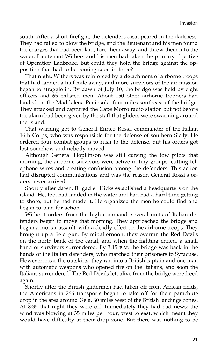south. After a short firefight, the defenders disappeared in the darkness. They had failed to blow the bridge, and the lieutenant and his men found the charges that had been laid, tore them away, and threw them into the water. Lieutenant Withers and his men had taken the primary objective of Operation Ladbroke. But could they hold the bridge against the opposition that had to be coming soon in force?

That night, Withers was reinforced by a detachment of airborne troops that had landed a half mile away, and more survivors of the air mission began to straggle in. By dawn of July 10, the bridge was held by eight officers and 65 enlisted men. About 150 other airborne troopers had landed on the Maddalena Peninsula, four miles southeast of the bridge. They attacked and captured the Cape Morro radio station but not before the alarm had been given by the staff that gliders were swarming around the island.

That warning got to General Enrico Rossi, commander of the Italian 16th Corps, who was responsible for the defense of southern Sicily. He ordered four combat groups to rush to the defense, but his orders got lost somehow and nobody moved.

Although General Hopkinson was still cursing the tow pilots that morning, the airborne survivors were active in tiny groups, cutting telephone wires and creating confusion among the defenders. This action had disrupted communications and was the reason General Rossi's orders never arrived.

Shortly after dawn, Brigadier Hicks established a headquarters on the island. He, too, had landed in the water and had had a hard time getting to shore, but he had made it. He organized the men he could find and began to plan for action.

Without orders from the high command, several units of Italian defenders began to move that morning. They approached the bridge and began a mortar assault, with a deadly effect on the airborne troops. They brought up a field gun. By midafternoon, they overran the Red Devils on the north bank of the canal, and when the fighting ended, a small band of survivors surrendered. By 3:15 p.m. the bridge was back in the hands of the Italian defenders, who marched their prisoners to Syracuse. However, near the outskirts, they ran into a British captain and one man with automatic weapons who opened fire on the Italians, and soon the Italians surrendered. The Red Devils left alive from the bridge were freed again.

Shortly after the British glidermen had taken off from African fields, the Americans in 266 transports began to take off for their parachute drop in the area around Gela, 60 miles west of the British landings zones. At 8:35 that night they were off. Immediately they had bad news: the wind was blowing at 35 miles per hour, west to east, which meant they would have difficulty at their drop zone. But there was nothing to be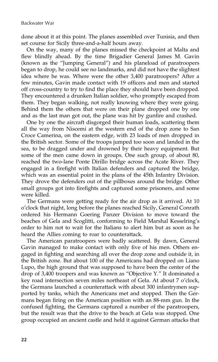done about it at this point. The planes assembled over Tunisia, and then set course for Sicily three-and-a-half hours away.

On the way, many of the planes missed the checkpoint at Malta and flew blindly ahead. By the time Brigadier General James M. Gavin (known as the "Jumping General") and his planeload of paratroopers began to drop, he could see no landmarks, and did not have the slightest idea where he was. Where were the other 3,400 paratroopers? After a few minutes, Gavin made contact with 19 officers and men and started off cross-country to try to find the place they should have been dropped. They encountered a drunken Italian soldier, who promptly escaped from them. They began walking, not really knowing where they were going. Behind them the others that were on their plane dropped one by one and as the last man got out, the plane was hit by gunfire and crashed.

One by one the aircraft disgorged their human loads, scattering them all the way from Niscemi at the western end of the drop zone to San Croce Camerina, on the eastern edge, with 23 loads of men dropped in the British sector. Some of the troops jumped too soon and landed in the sea, to be dragged under and drowned by their heavy equipment. But some of the men came down in groups. One such group, of about 80, reached the two-lane Ponte Dirillo bridge across the Acate River. They engaged in a firefight with Italian defenders and captured the bridge, which was an essential point in the plans of the 45th Infantry Division. They drove the defenders out of the pillboxes around the bridge. Other small groups got into firefights and captured some prisoners, and some were killed.

The Germans were getting ready for the air drop as it arrived. At 10 o'clock that night, long before the planes reached Sicily, General Conrath ordered his Hermann Goering Panzer Division to move toward the beaches of Gela and Scoglitti, conforming to Field Marshal Kesselring's order to him not to wait for the Italians to alert him but as soon as he heard the Allies coming to roar to counterattack.

The American paratroopers were badly scattered. By dawn, General Gavin managed to make contact with only five of his men. Others engaged in fighting and searching all over the drop zone and outside it, in the British zone. But about 100 of the Americans had dropped on Liano Lupo, the high ground that was supposed to have been the center of the drop of 3,400 troopers and was known as "Objective Y." It dominated a key road intersection seven miles northeast of Gela. At about 7 o'clock, the Germans launched a counterattack with about 300 infantrymen supported by tanks, which the Americans met and stopped. Then the Germans began firing on the American position with an 88-mm gun. In the confused fighting, the Germans captured a number of the paratroopers, but the result was that the drive to the beach at Gela was stopped. One group occupied an ancient castle and held it against German attacks that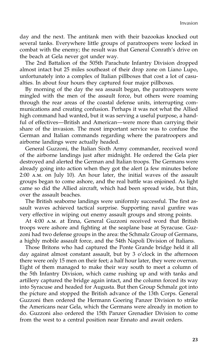day and the next. The antitank men with their bazookas knocked out several tanks. Everywhere little groups of paratroopers were locked in combat with the enemy; the result was that General Conrath's drive on the beach at Gela never got under way.

The 2nd Battalion of the 505th Parachute Infantry Division dropped almost intact but 25 miles southeast of their drop zone on Liano Lupo, unfortunately into a complex of Italian pillboxes that cost a lot of casualties. In about four hours they captured four major pillboxes.

By morning of the day the sea assault began, the paratroopers were mingled with the men of the assault force, but others were roaming through the rear areas of the coastal defense units, interrupting communications and creating confusion. Perhaps it was not what the Allied high command had wanted, but it was serving a useful purpose, a handful of effectives—British and American—were more than carrying their share of the invasion. The most important service was to confuse the German and Italian commands regarding where the paratroopers and airborne landings were actually headed.

General Guzzoni, the Italian Sixth Army commander, received word of the airborne landings just after midnight. He ordered the Gela pier destroyed and alerted the German and Italian troops. The Germans were already going into action when they got the alert (a few minutes before 2:00 a.m. on July 10). An hour later, the initial waves of the assault groups began to come ashore, and the real battle was enjoined. As light came so did the Allied aircraft, which had been spread wide, but thin, over the assault beaches.

The British seaborne landings were uniformly successful. The first assault waves achieved tactical surprise. Supporting naval gunfire was very effective in wiping out enemy assault groups and strong points.

At 4:00 a.m. at Enna, General Guzzoni received word that British troops were ashore and fighting at the seaplane base at Syracuse. Guzzoni had two defense groups in the area: the Schmalz Group of Germans, a highly mobile assault force, and the 54th Napoli Division of Italians.

Those Britons who had captured the Ponte Grande bridge held it all day against almost constant assault, but by 3 o'clock in the afternoon there were only 15 men on their feet; a half hour later, they were overrun. Eight of them managed to make their way south to meet a column of the 5th Infantry Division, which came rushing up and with tanks and artillery captured the bridge again intact, and the column forced its way into Syracuse and headed for Augusta. But then Group Schmalz got into the picture and stopped the British advance of the 13th Corps. General Guzzoni then ordered the Hermann Goering Panzer Division to strike the Americans near Gela, which the Germans were already in motion to do. Guzzoni also ordered the 15th Panzer Grenadier Division to come from the west to a central position near Ennato and await orders.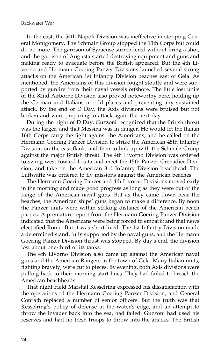In the east, the 54th Napoli Division was ineffective in stopping General Montgomery. The Schmalz Group stopped the 13th Corps but could do no more. The garrison of Syracuse surrendered without firing a shot, and the garrison of Augusta started destroying equipment and guns and making ready to evacuate before the British appeared. But the 4th Livorno and Hermann Goering Panzer Divisions launched several strong attacks on the American 1st Infantry Division beaches east of Gela. As mentioned, the Americans of this division fought stoutly and were supported by gunfire from their naval vessels offshore. The little lost units of the 82nd Airborne Division also proved noteworthy here, holding up the German and Italians in odd places and preventing any sustained attack. By the end of D Day, the Axis divisions were bruised but not broken and were preparing to attack again the next day.

During the night of D Day, Guzzoni recognized that the British threat was the larger, and that Messina was in danger. He would let the Italian 16th Corps carry the fight against the Americans, and he called on the Hermann Goering Panzer Division to strike the American 45th Infantry Division on the east flank, and then to link up with the Schmalz Group against the major British threat. The 4th Livorno Division was ordered to swing west toward Licata and meet the 15th Panzer Grenadier Division, and take on the American 3rd Infantry Division beachhead. The Luftwaffe was ordered to fly missions against the American beaches.

The Hermann Goering Panzer and 4th Livorno Divisions moved early in the morning and made good progress as long as they were out of the range of the American naval guns. But as they came down near the beaches, the American ships' guns began to make a difference. By noon the Panzer units were within striking distance of the American beach parties. A premature report from the Hermann Goering Panzer Division indicated that the Americans were being forced to embark; and that news electrified Rome. But it was short-lived. The 1st Infantry Division made a determined stand, fully supported by the naval guns, and the Hermann Goering Panzer Division thrust was stopped. By day's end, the division lost about one-third of its tanks.

The 4th Livorno Division also came up against the American naval guns and the American Rangers in the town of Gela. Many Italian units, fighting bravely, were cut to pieces. By evening, both Axis divisions were pulling back to their morning start lines. They had failed to breach the American beachheads.

That night Field Marshal Kesselring expressed his dissatisfaction with the operations of the Hermann Goering Panzer Division, and General Conrath replaced a number of senior officers. But the truth was that Kesselring's policy of defense at the water's edge, and an attempt to throw the invader back into the sea, had failed. Guzzoni had used his reserves and had no fresh troops to throw into the attacks. The British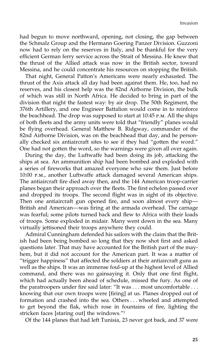had begun to move northward, opening, not closing, the gap between the Schmalz Group and the Hermann Goering Panzer Division. Guzzoni now had to rely on the reserves in Italy, and be thankful for the very efficient German ferry service across the Strait of Messina. He knew that the thrust of the Allied attack was now in the British sector, toward Messina, and he could concentrate his resources on stopping the British.

That night, General Patton's Americans were nearly exhausted. The thrust of the Axis attack all day had been against them. He, too, had no reserves, and his closest help was the 82nd Airborne Division, the bulk of which was still in North Africa. He decided to bring in part of the division that night the fastest way: by air drop. The 50th Regiment, the 376th Artillery, and one Engineer Battalion would come in to reinforce the beachhead. The drop was supposed to start at 10:45 p.m. All the ships of both fleets and the army units were told that "friendly" planes would be flying overhead. General Matthew B. Ridgway, commander of the 82nd Airborne Division, was on the beachhead that day, and he personally checked six antiaircraft sites to see if they had "gotten the word." One had not gotten the word, so the warnings were given all over again.

During the day, the Luftwaffe had been doing its job, attacking the ships at sea. An ammunition ship had been bombed and exploded with a series of fireworks that amazed everyone who saw them. Just before 10:00 p.m., another Luftwaffe attack damaged several American ships. The antiaircraft fire died away then, and the 144 American troop-carrier planes began their approach over the fleets. The first echelon passed over and dropped its troops. The second flight was in sight of its objective. Then one antiaircraft gun opened fire, and soon almost every ship— British and American—was firing at the armada overhead. The carnage was fearful; some pilots turned back and flew to Africa with their loads of troops. Some exploded in midair. Many went down in the sea. Many virtually jettisoned their troops anywhere they could.

Admiral Cunningham defended his sailors with the claim that the British had been being bombed so long that they now shot first and asked questions later. That may have accounted for the British part of the mayhem, but it did not account for the American part. It was a matter of "trigger happiness" that affected the soldiers at their antiaircraft guns as well as the ships. It was an immense foul-up at the highest level of Allied command, and there was no gainsaying it. Only that one first flight, which had actually been ahead of schedule, missed the fury. As one of the paratroopers under fire said later: "It was... most uncomfortable... knowing that our own troops were [firing] at us. Planes dropped out of formation and crashed into the sea. Others... wheeled and attempted to get beyond the flak, which rose in fountains of fire, lighting the stricken faces [staring out] the windows."3

Of the 144 planes that had left Tunisia, 23 never got back, and 37 were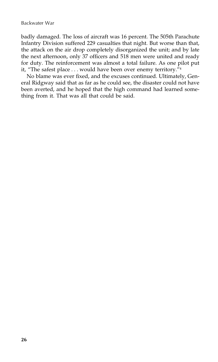badly damaged. The loss of aircraft was 16 percent. The 505th Parachute Infantry Division suffered 229 casualties that night. But worse than that, the attack on the air drop completely disorganized the unit; and by late the next afternoon, only 37 officers and 518 men were united and ready for duty. The reinforcement was almost a total failure. As one pilot put it, "The safest place  $\dots$  would have been over enemy territory. $^{n_4}$ 

No blame was ever fixed, and the excuses continued. Ultimately, General Ridgway said that as far as he could see, the disaster could not have been averted, and he hoped that the high command had learned something from it. That was all that could be said.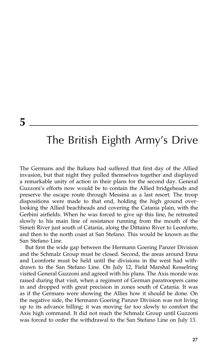**5**

### The British Eighth Army's Drive

The Germans and the Italians had suffered that first day of the Allied invasion, but that night they pulled themselves together and displayed a remarkable unity of action in their plans for the second day. General Guzzoni's efforts now would be to contain the Allied bridgeheads and preserve the escape route through Messina as a last resort. The troop dispositions were made to that end, holding the high ground overlooking the Allied beachheads and covering the Catania plain, with the Gerbini airfields. When he was forced to give up this line, he retreated slowly to his main line of resistance running from the mouth of the Simeti River just south of Catania, along the Dittaino River to Leonforte, and then to the north coast at San Stefano. This would be known as the San Stefano Line.

But first the wide gap between the Hermann Goering Panzer Division and the Schmalz Group must be closed. Second, the areas around Enna and Leonforte must be held until the divisions in the west had withdrawn to the San Stefano Line. On July 12, Field Marshal Kesselring visited General Guzzoni and agreed with his plans. The Axis morale was raised during that visit, when a regiment of German paratroopers came in and dropped with great precision in zones south of Catania. It was as if the Germans were showing the Allies how it should be done. On the negative side, the Hermann Goering Panzer Division was not living up to its advance billing; it was moving far too slowly to comfort the Axis high command. It did not reach the Schmalz Group until Guzzoni was forced to order the withdrawal to the San Stefano Line on July 13.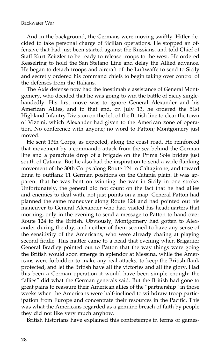And in the background, the Germans were moving swiftly. Hitler decided to take personal charge of Sicilian operations. He stopped an offensive that had just been started against the Russians, and told Chief of Staff Kurt Zeitzler to be ready to release troops to the west. He ordered Kesselring to hold the San Stefano Line and delay the Allied advance. He began to detach troops and aircraft of the Luftwaffe to send to Sicily and secretly ordered his command chiefs to begin taking over control of the defenses from the Italians.

The Axis defense now had the inestimable assistance of General Montgomery, who decided that he was going to win the battle of Sicily singlehandedly. His first move was to ignore General Alexander and his American Allies, and to that end, on July 13, he ordered the 51st Highland Infantry Division on the left of the British line to clear the town of Vizzini, which Alexander had given to the American zone of operation. No conference with anyone; no word to Patton; Montgomery just moved.

He sent 13th Corps, as expected, along the coast road. He reinforced that movement by a commando attack from the sea behind the German line and a parachute drop of a brigade on the Prima Sole bridge just south of Catania. But he also had the inspiration to send a wide flanking movement of the 30th Corps along Route 124 to Caltagirone, and toward Enna to outflank 11 German positions on the Catania plain. It was apparent that he was bent on winning the war in Sicily in one stroke. Unfortunately, the general did not count on the fact that he had allies and enemies to deal with, not just points on a map. General Patton had planned the same maneuver along Route 124 and had pointed out his maneuver to General Alexander who had visited his headquarters that morning, only in the evening to send a message to Patton to hand over Route 124 to the British. Obviously, Montgomery had gotten to Alexander during the day, and neither of them seemed to have any sense of the sensitivity of the Americans, who were already chafing at playing second fiddle. This matter came to a head that evening when Brigadier General Bradley pointed out to Patton that the way things were going the British would soon emerge in splendor at Messina, while the Americans were forbidden to make any real attacks, to keep the British flank protected, and let the British have all the victories and all the glory. Had this been a German operation it would have been simple enough: the "allies" did what the German generals said. But the British had gone to great pains to reassure their American allies of the "partnership" in those weeks when the Americans were half-inclined to withdraw troop participation from Europe and concentrate their resources in the Pacific. This was what the Americans regarded as a genuine breach of faith by people they did not like very much anyhow.

British historians have explained this contretemps in terms of games-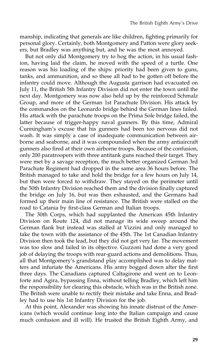manship, indicating that generals are like children, fighting primarily for personal glory. Certainly, both Montgomery and Patton were glory seekers, but Bradley was anything but, and he was the most annoyed.

But not only did Montgomery try to hog the action, in his usual fashion, having laid the claim, he moved with the speed of a turtle. One reason was his loading of the ships: priority had been given to guns, tanks, and ammunition, and so these all had to be gotten off before the infantry could move. Although the Augusta garrison had evacuated on July 11, the British 5th Infantry Division did not enter the town until the next day. Montgomery was now also held up by the reinforced Schmalz Group, and more of the German 1st Parachute Division. His attack by the commandos on the Leonardo bridge behind the German lines failed. His attack with the parachute troops on the Prima Sole bridge failed, the latter because of trigger-happy naval gunners. By this time, Admiral Cunningham's excuse that his gunners had been too nervous did not wash. It was simply a case of inadequate communication between airborne and seaborne, and it was compounded when the army antiaircraft gunners also fired at their own airborne troops. Because of the confusion, only 200 paratroopers with three antitank guns reached their target. They were met by a savage reception, the much better organized German 3rd Parachute Regiment had dropped in the same area 36 hours before. The British managed to take and hold the bridge for a few hours on July 14, but then were forced to withdraw. They stayed on the perimeter until the 50th Infantry Division reached them and the division finally captured the bridge on July 16, but was then exhausted, and the Germans had formed up their main line of resistance. The British were stalled on the road to Catania by first-class German and Italian troops.

The 30th Corps, which had supplanted the American 45th Infantry Division on Route 124, did not manage its wide sweep around the German flank but instead was stalled at Vizzini and only managed to take the town with the assistance of the 45th. The 1st Canadian Infantry Division then took the lead, but they did not get very far. The movement was too slow and failed in its objective. Guzzoni had done a very good job of delaying the troops with rear-guard actions and demolitions. Thus, all that Montgomery's grandstand play accomplished was to delay matters and infuriate the Americans. His army bogged down after the first three days. The Canadians captured Caltagirone and went on to Leonforte and Agira, bypassing Enna, without telling Bradley, which left him the responsibility for clearing this obstacle, which was in the British zone. The British were unable to rectify their mistake and take Enna, and Bradley had to use his 1st Infantry Division for the job.

At this point, Alexander was showing his innate distrust of the Americans (which would continue long into the Italian campaign and cause much confusion and ill will). He trusted the British Eighth Army, and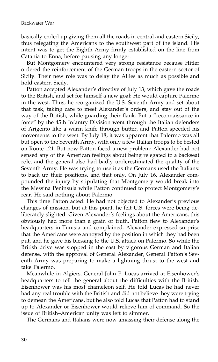basically ended up giving them all the roads in central and eastern Sicily, thus relegating the Americans to the southwest part of the island. His intent was to get the Eighth Army firmly established on the line from Catania to Enna, before pausing any longer.

But Montgomery encountered very strong resistance because Hitler ordered the reinforcement of the German troops in the eastern sector of Sicily. Their new role was to delay the Allies as much as possible and hold eastern Sicily.

Patton accepted Alexander's directive of July 13, which gave the roads to the British, and set for himself a new goal: He would capture Palermo in the west. Thus, he reorganized the U.S. Seventh Army and set about that task, taking care to meet Alexander's orders, and stay out of the way of the British, while guarding their flank. But a "reconnaissance in force" by the 45th Infantry Division went through the Italian defenders of Arigento like a warm knife through butter, and Patton speeded his movements to the west. By July 18, it was apparent that Palermo was all but open to the Seventh Army, with only a few Italian troops to be bested on Route 121. But now Patton faced a new problem: Alexander had not sensed any of the American feelings about being relegated to a backseat role, and the general also had badly underestimated the quality of the Seventh Army. He was trying to use it as the Germans used the Italians: to back up their positions, and that only. On July 16, Alexander compounded the injury by stipulating that Montgomery would break into the Messina Peninsula while Patton continued to protect Montgomery's rear. He said nothing about Palermo.

This time Patton acted. He had not objected to Alexander's previous changes of mission, but at this point, he felt U.S. forces were being deliberately slighted. Given Alexander's feelings about the Americans, this obviously had more than a grain of truth. Patton flew to Alexander's headquarters in Tunisia and complained. Alexander expressed surprise that the Americans were annoyed by the position in which they had been put, and he gave his blessing to the U.S. attack on Palermo. So while the British drive was stopped in the east by vigorous German and Italian defense, with the approval of General Alexander, General Patton's Seventh Army was preparing to make a lightning thrust to the west and take Palermo.

Meanwhile in Algiers, General John P. Lucas arrived at Eisenhower's headquarters to tell the general about the difficulties with the British. Eisenhower was his most chameleon self. He told Lucas he had never had any real trouble with the British and did not believe they were trying to demean the Americans, but he also told Lucas that Patton had to stand up to Alexander or Eisenhower would relieve him of command. So the issue of British–American unity was left to simmer.

The Germans and Italians were now amassing their defense along the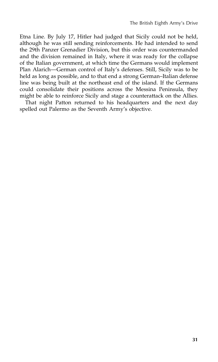Etna Line. By July 17, Hitler had judged that Sicily could not be held, although he was still sending reinforcements. He had intended to send the 29th Panzer Grenadier Division, but this order was countermanded and the division remained in Italy, where it was ready for the collapse of the Italian government, at which time the Germans would implement Plan Alarich—German control of Italy's defenses. Still, Sicily was to be held as long as possible, and to that end a strong German–Italian defense line was being built at the northeast end of the island. If the Germans could consolidate their positions across the Messina Peninsula, they might be able to reinforce Sicily and stage a counterattack on the Allies.

That night Patton returned to his headquarters and the next day spelled out Palermo as the Seventh Army's objective.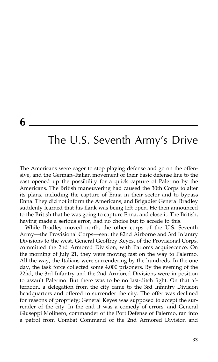**6**

#### The U.S. Seventh Army's Drive

The Americans were eager to stop playing defense and go on the offensive, and the German–Italian movement of their basic defense line to the east opened up the possibility for a quick capture of Palermo by the Americans. The British maneuvering had caused the 30th Corps to alter its plans, including the capture of Enna in their sector and to bypass Enna. They did not inform the Americans, and Brigadier General Bradley suddenly learned that his flank was being left open. He then announced to the British that he was going to capture Enna, and close it. The British, having made a serious error, had no choice but to accede to this.

While Bradley moved north, the other corps of the U.S. Seventh Army—the Provisional Corps—sent the 82nd Airborne and 3rd Infantry Divisions to the west. General Geoffrey Keyes, of the Provisional Corps, committed the 2nd Armored Division, with Patton's acquiescence. On the morning of July 21, they were moving fast on the way to Palermo. All the way, the Italians were surrendering by the hundreds. In the one day, the task force collected some 4,000 prisoners. By the evening of the 22nd, the 3rd Infantry and the 2nd Armored Divisions were in position to assault Palermo. But there was to be no last-ditch fight. On that afternoon, a delegation from the city came to the 3rd Infantry Division headquarters and offered to surrender the city. The offer was declined for reasons of propriety; General Keyes was supposed to accept the surrender of the city. In the end it was a comedy of errors, and General Giuseppi Molinero, commander of the Port Defense of Palermo, ran into a patrol from Combat Command of the 2nd Armored Division and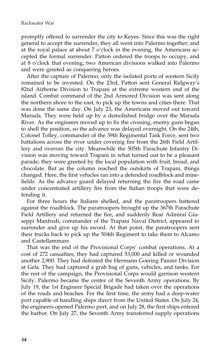promptly offered to surrender the city to Keyes. Since this was the right general to accept the surrender, they all went into Palermo together; and at the royal palace at about 7 o'clock in the evening, the Americans accepted the formal surrender. Patton ordered the troops to occupy, and at 8 o'clock that evening, two American divisions walked into Palermo and were greeted as conquering heroes.

After the capture of Palermo, only the isolated ports of western Sicily remained to be invested. On the 23rd, Patton sent General Ridgway's 82nd Airborne Division to Trapani at the extreme western end of the island. Combat command of the 2nd Armored Division was sent along the northern shore to the east, to pick up the towns and cities there. That was done the same day. On July 23, the Americans moved out toward Marsala. They were held up by a demolished bridge over the Marsala River. As the engineers moved up to fix the crossing, enemy guns began to shell the position, so the advance was delayed overnight. On the 24th, Colonel Tolley, commander of the 39th Regimental Task Force, sent two battalions across the river under covering fire from the 26th Field Artillery and overran the city. Meanwhile the 505th Parachute Infantry Division was moving toward Trapani in what turned out to be a pleasant parade; they were greeted by the local population with fruit, bread, and chocolate. But as the column reached the outskirts of Trapani, things changed. Here, the first vehicles ran into a defended roadblock and minefields. As the advance guard delayed returning the fire the road came under concentrated artillery fire from the Italian troops that were defending it.

For three hours the Italians shelled, and the paratroopers battered against the roadblock. The paratroopers brought up the 367th Parachute Field Artillery and returned the fire, and suddenly Rear Admiral Giuseppi Manfredi, commander of the Trapani Naval District, appeared to surrender and give up his sword. At that point, the paratroopers sent their trucks back to pick up the 504th Regiment to take them to Alcamo and Castellammare.

That was the end of the Provisional Corps' combat operations. At a cost of 272 casualties, they had captured 53,000 and killed or wounded another 2,900. They had defeated the Hermann Goering Panzer Division at Gela. They had captured a grab bag of guns, vehicles, and tanks. For the rest of the campaign, the Provisional Corps would garrison western Sicily. Palermo became the center of the Seventh Army operations. By July 19, the 1st Engineer Special Brigade had taken over the operations of the roads and beaches. For the first time, the army had a deep-water port capable of handling ships direct from the United States. On July 24, the engineers opened Palermo port, and on July 28, the first ships entered the harbor. On July 27, the Seventh Army transferred supply operations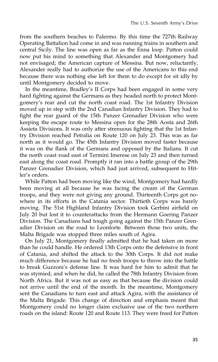from the southern beaches to Palermo. By this time the 727th Railway Operating Battalion had come in and was running trains in southern and central Sicily. The line was open as far as the Enna loop. Patton could now put his mind to something that Alexander and Montgomery had not envisaged; the American capture of Messina. But now, reluctantly, Alexander really had to authorize the use of the Americans to this end because there was nothing else left for them to do except for sit idly by until Montgomery decided to move.

In the meantime, Bradley's II Corps had been engaged in some very hard fighting against the Germans as they headed north to protect Montgomery's rear and cut the north coast road. The 1st Infantry Division moved up in step with the 2nd Canadian Infantry Division. They had to fight the rear guard of the 15th Panzer Grenadier Division who were keeping the escape route to Messina open for the 28th Aosta and 26th Assieta Divisions. It was only after strenuous fighting that the 1st Infantry Division reached Petralia on Route 120 on July 23. This was as far north as it would go. The 45th Infantry Division moved faster because it was on the flank of the Germans and opposed by the Italians. It cut the north coast road east of Termini Imerese on July 23 and then turned east along the coast road. Promptly it ran into a battle group of the 29th Panzer Grenadier Division, which had just arrived, subsequent to Hitler's orders.

While Patton had been moving like the wind, Montgomery had hardly been moving at all because he was facing the cream of the German troops, and they were not giving any ground. Thirteenth Corps got nowhere in its efforts in the Catania sector. Thirtieth Corps was barely moving. The 51st Highland Infantry Division took Gerbini airfield on July 20 but lost it to counterattacks from the Hermann Goering Panzer Division. The Canadians had tough going against the 15th Panzer Grenadier Division on the road to Leonforte. Between those two units, the Malta Brigade was stopped three miles south of Agira.

On July 21, Montgomery finally admitted that he had taken on more than he could handle. He ordered 13th Corps onto the defensive in front of Catania, and shifted the attack to the 30th Corps. It did not make much difference because he had no fresh troops to throw into the battle to break Guzzoni's defense line. It was hard for him to admit that he was stymied, and when he did, he called the 78th Infantry Division from North Africa. But it was not as easy as that because the division could not arrive until the end of the month. In the meantime, Montgomery sent the Canadians to turn east and attack Agira, with the assistance of the Malta Brigade. This change of direction and emphasis meant that Montgomery could no longer claim exclusive use of the two northern roads on the island: Route 120 and Route 113. They were freed for Patton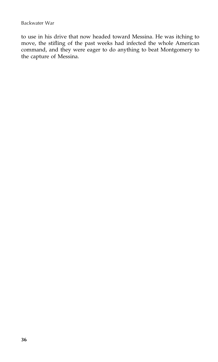Backwater War

to use in his drive that now headed toward Messina. He was itching to move, the stifling of the past weeks had infected the whole American command, and they were eager to do anything to beat Montgomery to the capture of Messina.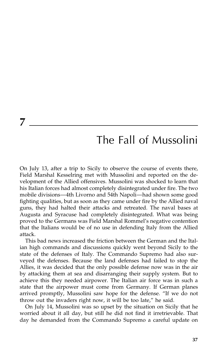**7**

# The Fall of Mussolini

On July 13, after a trip to Sicily to observe the course of events there, Field Marshal Kesselring met with Mussolini and reported on the development of the Allied offensives. Mussolini was shocked to learn that his Italian forces had almost completely disintegrated under fire. The two mobile divisions—4th Livorno and 54th Napoli—had shown some good fighting qualities, but as soon as they came under fire by the Allied naval guns, they had halted their attacks and retreated. The naval bases at Augusta and Syracuse had completely disintegrated. What was being proved to the Germans was Field Marshal Rommel's negative contention that the Italians would be of no use in defending Italy from the Allied attack.

This bad news increased the friction between the German and the Italian high commands and discussions quickly went beyond Sicily to the state of the defenses of Italy. The Commando Supremo had also surveyed the defenses. Because the land defenses had failed to stop the Allies, it was decided that the only possible defense now was in the air by attacking them at sea and disarranging their supply system. But to achieve this they needed airpower. The Italian air force was in such a state that the airpower must come from Germany. If German planes arrived promptly, Mussolini saw hope for the defense. "If we do not throw out the invaders right now, it will be too late," he said.

On July 14, Mussolini was so upset by the situation on Sicily that he worried about it all day, but still he did not find it irretrievable. That day he demanded from the Commando Supremo a careful update on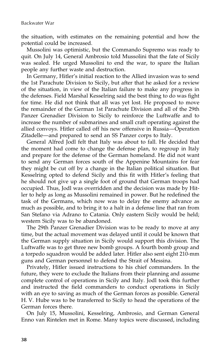the situation, with estimates on the remaining potential and how the potential could be increased.

Mussolini was optimistic, but the Commando Supremo was ready to quit. On July 14, General Ambrosio told Mussolini that the fate of Sicily was sealed. He urged Mussolini to end the war, to spare the Italian people any further waste and destruction.

In Germany, Hitler's initial reaction to the Allied invasion was to send the 1st Parachute Division to Sicily, but after that he asked for a review of the situation, in view of the Italian failure to make any progress in the defenses. Field Marshal Kesselring said the best thing to do was fight for time. He did not think that all was yet lost. He proposed to move the remainder of the German 1st Parachute Division and all of the 29th Panzer Grenadier Division to Sicily to reinforce the Luftwaffe and to increase the number of submarines and small craft operating against the allied convoys. Hitler called off his new offensive in Russia—Operation Zitadelle—and prepared to send an SS Panzer corps to Italy.

General Alfred Jodl felt that Italy was about to fall. He decided that the moment had come to change the defense plan, to regroup in Italy and prepare for the defense of the German homeland. He did not want to send any German forces south of the Appenine Mountains for fear they might be cut off by a change in the Italian political situation. But Kesselring opted to defend Sicily and this fit with Hitler's feeling that he should not give up a single foot of ground that German troops had occupied. Thus, Jodl was overridden and the decision was made by Hitler to help as long as Mussolini remained in power. But he redefined the task of the Germans, which now was to delay the enemy advance as much as possible, and to bring it to a halt in a defense line that ran from San Stefano via Adrano to Catania. Only eastern Sicily would be held; western Sicily was to be abandoned.

The 29th Panzer Grenadier Division was to be ready to move at any time, but the actual movement was delayed until it could be known that the German supply situation in Sicily would support this division. The Luftwaffe was to get three new bomb groups. A fourth bomb group and a torpedo squadron would be added later. Hitler also sent eight 210-mm guns and German personnel to defend the Strait of Messina.

Privately, Hitler issued instructions to his chief commanders. In the future, they were to exclude the Italians from their planning and assume complete control of operations in Sicily and Italy. Jodl took this further and instructed the field commanders to conduct operations in Sicily with an eye to saving as much of the German forces as possible. General H. V. Hube was to be transferred to Sicily to head the operations of the German forces there.

On July 15, Mussolini, Kesselring, Ambrosio, and German General Enno van Rintelen met in Rome. Many topics were discussed, including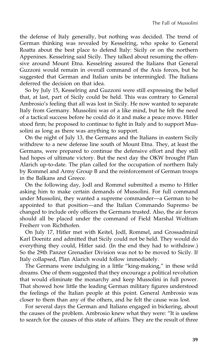the defense of Italy generally, but nothing was decided. The trend of German thinking was revealed by Kesselring, who spoke to General Roatta about the best place to defend Italy: Sicily or on the northern Appenines. Kesselring said Sicily. They talked about resuming the offensive around Mount Etna. Kesselring assured the Italians that General Guzzoni would remain in overall command of the Axis forces, but he suggested that German and Italian units be intermingled. The Italians deferred the decision on that idea.

So by July 15, Kesselring and Guzzoni were still expressing the belief that, at last, part of Sicily could be held. This was contrary to General Ambrosio's feeling that all was lost in Sicily. He now wanted to separate Italy from Germany. Mussolini was of a like mind, but he felt the need of a tactical success before he could do it and make a peace move. Hitler stood firm; he proposed to continue to fight in Italy and to support Mussolini as long as there was anything to support.

On the night of July 13, the Germans and the Italians in eastern Sicily withdrew to a new defense line south of Mount Etna. They, at least the Germans, were prepared to continue the defensive effort and they still had hopes of ultimate victory. But the next day the OKW brought Plan Alarich up-to-date. The plan called for the occupation of northern Italy by Rommel and Army Group B and the reinforcement of German troops in the Balkans and Greece.

On the following day, Jodl and Rommel submitted a memo to Hitler asking him to make certain demands of Mussolini. For full command under Mussolini, they wanted a supreme commander—a German to be appointed to that position—and the Italian Commando Supremo be changed to include only officers the Germans trusted. Also, the air forces should all be placed under the command of Field Marshal Wolfram Freiherr von Richthofen.

On July 17, Hitler met with Keitel, Jodl, Rommel, and Grossadmiral Karl Doenitz and admitted that Sicily could not be held. They would do everything they could, Hitler said. (In the end they had to withdraw.) So the 29th Panzer Grenadier Division was not to be moved to Sicily. If Italy collapsed, Plan Alarich would follow immediately.

The Germans were indulging in a little "king-making," in these wild dreams. One of them suggested that they encourage a political revolution that would eliminate the monarchy and keep Mussolini in full power. That showed how little the leading German military figures understood the feelings of the Italian people at this point. General Ambrosio was closer to them than any of the others, and he felt the cause was lost.

For several days the German and Italians engaged in bickering, about the causes of the problem. Ambrosio knew what they were: "It is useless to search for the causes of this state of affairs. They are the result of three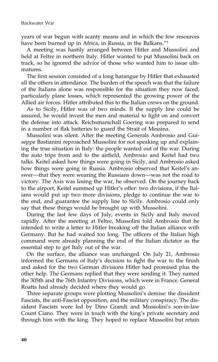years of war begun with scanty means and in which the few resources have been burned up in Africa, in Russia, in the Balkans."5

A meeting was hastily arranged between Hitler and Mussolini and held at Feltre in northern Italy. Hitler wanted to put Mussolini back on track, so he ignored the advice of those who wanted him to issue ultimatums.

The first session consisted of a long harangue by Hitler that exhausted all the others in attendance. The burden of the speech was that the failure of the Italians alone was responsible for the situation they now faced, particularly plane losses, which represented the growing power of the Allied air forces. Hitler attributed this to the Italian crews on the ground.

As to Sicily, Hitler was of two minds. If the supply line could be assured, he would invest the men and material to fight on and convert the defense into attack. Reichsmarschall Goering was prepared to send in a number of flak batteries to guard the Strait of Messina.

Mussolini was silent. After the meeting Generals Ambrosio and Guiseppe Bastianini reproached Mussolini for not speaking up and explaining the true situation in Italy: the people wanted out of the war. During the auto trips from and to the airfield, Ambrosio and Keitel had two talks. Keitel asked how things were going in Sicily, and Ambrosio asked how things were going in Russia. Ambrosio observed that Keitel's answer—that they were wearing the Russians down—was not the road to victory. The Axis was losing the war, he observed. On the journey back to the airport, Keitel summed up Hitler's offer: two divisions, if the Italians would put up two more divisions, pledge to continue the war to the end, and guarantee the supply line to Sicily. Ambrosio could only say that these things would be brought up with Mussolini.

During the last few days of July, events in Sicily and Italy moved rapidly. After the meeting at Feltre, Mussolini told Ambrosio that he intended to write a letter to Hitler breaking off the Italian alliance with Germany. But he had waited too long. The officers of the Italian high command were already planning the end of the Italian dictator as the essential step to get Italy out of the war.

On the surface, the alliance was unchanged. On July 21, Ambrosio informed the Germans of Italy's decision to fight the war to the finish and asked for the two German divisions Hitler had promised plus the other help. The Germans replied that they were sending it. They named the 305th and the 76th Infantry Divisions, which were in France. General Roatta had already decided where they would go.

Three separate groups were plotting Mussolini's demise: the dissident Fascists, the anti-Fascist opposition, and the military conspiracy. The dissident Fascists were led by Dino Grandi and Mussolini's son-in-law Count Ciano. They were in touch with the king's private secretary and through him with the king. They hoped to replace Mussolini but retain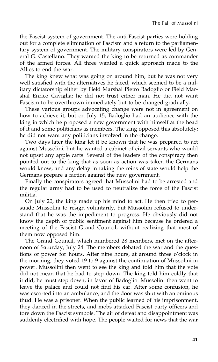the Fascist system of government. The anti-Fascist parties were holding out for a complete elimination of Fascism and a return to the parliamentary system of government. The military conspirators were led by General G. Castellano. They wanted the king to be returned as commander of the armed forces. All three wanted a quick approach made to the Allies to end the war.

The king knew what was going on around him, but he was not very well satisfied with the alternatives he faced, which seemed to be a military dictatorship either by Field Marshal Pietro Badoglio or Field Marshal Enrico Caviglia; he did not trust either man. He did not want Fascism to be overthrown immediately but to be changed gradually.

These various groups advocating change were not in agreement on how to achieve it, but on July 15, Badoglio had an audience with the king in which he proposed a new government with himself at the head of it and some politicians as members. The king opposed this absolutely; he did not want any politicians involved in the change.

Two days later the king let it be known that he was prepared to act against Mussolini, but he wanted a cabinet of civil servants who would not upset any apple carts. Several of the leaders of the conspiracy then pointed out to the king that as soon as action was taken the Germans would know, and any delay in taking the reins of state would help the Germans prepare a faction against the new government.

Finally the conspirators agreed that Mussolini had to be arrested and the regular army had to be used to neutralize the force of the Fascist militia.

On July 20, the king made up his mind to act. He then tried to persuade Mussolini to resign voluntarily, but Mussolini refused to understand that he was the impediment to progress. He obviously did not know the depth of public sentiment against him because he ordered a meeting of the Fascist Grand Council, without realizing that most of them now opposed him.

The Grand Council, which numbered 28 members, met on the afternoon of Saturday, July 24. The members debated the war and the questions of power for hours. After nine hours, at around three o'clock in the morning, they voted 19 to 9 against the continuation of Mussolini in power. Mussolini then went to see the king and told him that the vote did not mean that he had to step down. The king told him coldly that it did, he must step down, in favor of Badoglio. Mussolini then went to leave the palace and could not find his car. After some confusion, he was escorted into an ambulance, and the door was shut with an ominous thud. He was a prisoner. When the public learned of his imprisonment, they danced in the streets, and mobs attacked Fascist party officers and tore down the Fascist symbols. The air of defeat and disappointment was suddenly electrified with hope. The people waited for news that the war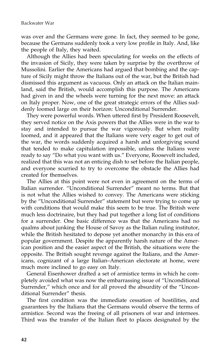was over and the Germans were gone. In fact, they seemed to be gone, because the Germans suddenly took a very low profile in Italy. And, like the people of Italy, they waited.

Although the Allies had been speculating for weeks on the effects of the invasion of Sicily, they were taken by surprise by the overthrow of Mussolini. Earlier the Americans had argued that bombing and the capture of Sicily might throw the Italians out of the war, but the British had dismissed this argument as vacuous. Only an attack on the Italian mainland, said the British, would accomplish this purpose. The Americans had given in and the wheels were turning for the next move: an attack on Italy proper. Now, one of the great strategic errors of the Allies suddenly loomed large on their horizon: Unconditional Surrender.

They were powerful words. When uttered first by President Roosevelt, they served notice on the Axis powers that the Allies were in the war to stay and intended to pursue the war vigorously. But when reality loomed, and it appeared that the Italians were very eager to get out of the war, the words suddenly acquired a harsh and unforgiving sound that tended to make capitulation impossible, unless the Italians were ready to say "Do what you want with us." Everyone, Roosevelt included, realized that this was not an enticing dish to set before the Italian people, and everyone scurried to try to overcome the obstacle the Allies had created for themselves.

The Allies at this point were not even in agreement on the terms of Italian surrender. "Unconditional Surrender" meant no terms. But that is not what the Allies wished to convey. The Americans were sticking by the "Unconditional Surrender" statement but were trying to come up with conditions that would make this seem to be true. The British were much less doctrinaire, but they had put together a long list of conditions for a surrender. One basic difference was that the Americans had no qualms about junking the House of Savoy as the Italian ruling institutor, while the British hesitated to depose yet another monarchy in this era of popular government. Despite the apparently harsh nature of the American position and the easier aspect of the British, the situations were the opposite. The British sought revenge against the Italians, and the Americans, cognizant of a large Italian–American electorate at home, were much more inclined to go easy on Italy.

General Eisenhower drafted a set of armistice terms in which he completely avoided what was now the embarrassing issue of "Unconditional Surrender," which once and for all proved the absurdity of the "Unconditional Surrender" thesis.

The first condition was the immediate cessation of hostilities, and guarantees by the Italians that the Germans would observe the terms of armistice. Second was the freeing of all prisoners of war and internees. Third was the transfer of the Italian fleet to places designated by the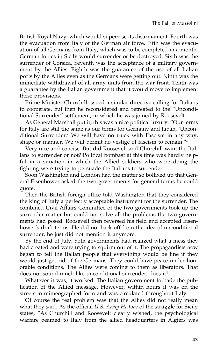British Royal Navy, which would supervise its disarmament. Fourth was the evacuation from Italy of the German air force. Fifth was the evacuation of all Germans from Italy, which was to be completed in a month. German forces in Sicily would surrender or be destroyed. Sixth was the surrender of Corsica. Seventh was the acceptance of a military government by the Allies. Eighth was the guarantee of the use of all Italian ports by the Allies even as the Germans were getting out. Ninth was the immediate withdrawal of all army units from the war front. Tenth was a guarantee by the Italian government that it would move to implement these provisions.

Prime Minister Churchill issued a similar directive calling for Italians to cooperate, but then he reconsidered and retreated to the "Unconditional Surrender" settlement, in which he was joined by Roosevelt.

As General Marshall put it, this was a nice political luxury. "Our terms for Italy are still the same as our terms for Germany and Japan, 'Unconditional Surrender.' We will have no truck with Fascism in any way, shape or manner. We will permit no vestige of fascism to remain."6

Very nice and concise. But did Roosevelt and Churchill want the Italians to surrender or not? Political bombast at this time was hardly helpful in a situation in which the Allied soldiers who were doing the fighting were trying to persuade the Italians to surrender.

Soon Washington and London had the matter so bollixed up that General Eisenhower asked the two governments for general terms he could quote.

Then the British foreign office told Washington that they considered the king of Italy a perfectly acceptable instrument for the surrender. The combined Civil Affairs Committee of the two governments took up the surrender matter but could not solve all the problems the two governments had posed. Roosevelt then reversed his field and accepted Eisenhower's draft terms. He did not back off from the idea of unconditional surrender, he just did not mention it anymore.

By the end of July, both governments had realized what a mess they had created and were trying to squirm out of it. The propagandists now began to tell the Italian people that everything would be fine if they would just get rid of the Germans. They could have peace under honorable conditions. The Allies were coming to them as liberators. That does not sound much like unconditional surrender, does it?

Whatever it was, it worked. The Italian government forbade the publication of the Allied message. However, within hours it was on the streets in mimeographed form and was circulated throughout Italy.

Of course the real problem was that the Allies did not really mean what they said. As the official *U.S. Army History* of the struggle for Sicily states, "As Churchill and Roosevelt clearly wished, the psychological warfare beamed to Italy from the allied headquarters in Algiers was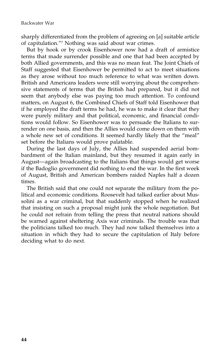sharply differentiated from the problem of agreeing on [a] suitable article of capitulation."7 Nothing was said about war crimes.

But by hook or by crook Eisenhower now had a draft of armistice terms that made surrender possible and one that had been accepted by both Allied governments, and this was no mean feat. The Joint Chiefs of Staff suggested that Eisenhower be permitted to act to meet situations as they arose without too much reference to what was written down. British and Americans leaders were still worrying about the comprehensive statements of terms that the British had prepared, but it did not seem that anybody else was paying too much attention. To confound matters, on August 6, the Combined Chiefs of Staff told Eisenhower that if he employed the draft terms he had, he was to make it clear that they were purely military and that political, economic, and financial conditions would follow. So Eisenhower was to persuade the Italians to surrender on one basis, and then the Allies would come down on them with a whole new set of conditions. It seemed hardly likely that the "meal" set before the Italians would prove palatable.

During the last days of July, the Allies had suspended aerial bombardment of the Italian mainland, but they resumed it again early in August—again broadcasting to the Italians that things would get worse if the Badoglio government did nothing to end the war. In the first week of August, British and American bombers raided Naples half a dozen times.

The British said that one could not separate the military from the political and economic conditions. Roosevelt had talked earlier about Mussolini as a war criminal, but that suddenly stopped when he realized that insisting on such a proposal might junk the whole negotiation. But he could not refrain from telling the press that neutral nations should be warned against sheltering Axis war criminals. The trouble was that the politicians talked too much. They had now talked themselves into a situation in which they had to secure the capitulation of Italy before deciding what to do next.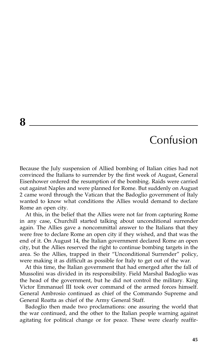### Confusion

Because the July suspension of Allied bombing of Italian cities had not convinced the Italians to surrender by the first week of August, General Eisenhower ordered the resumption of the bombing. Raids were carried out against Naples and were planned for Rome. But suddenly on August 2 came word through the Vatican that the Badoglio government of Italy wanted to know what conditions the Allies would demand to declare Rome an open city.

At this, in the belief that the Allies were not far from capturing Rome in any case, Churchill started talking about unconditional surrender again. The Allies gave a noncommittal answer to the Italians that they were free to declare Rome an open city if they wished, and that was the end of it. On August 14, the Italian government declared Rome an open city, but the Allies reserved the right to continue bombing targets in the area. So the Allies, trapped in their "Unconditional Surrender" policy, were making it as difficult as possible for Italy to get out of the war.

At this time, the Italian government that had emerged after the fall of Mussolini was divided in its responsibility. Field Marshal Badoglio was the head of the government, but he did not control the military. King Victor Emmanuel III took over command of the armed forces himself. General Ambrosio continued as chief of the Commando Supreme and General Roatta as chief of the Army General Staff.

Badoglio then made two proclamations: one assuring the world that the war continued, and the other to the Italian people warning against agitating for political change or for peace. These were clearly reaffir-

**8**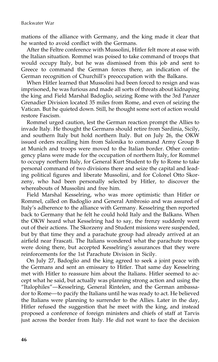mations of the alliance with Germany, and the king made it clear that he wanted to avoid conflict with the Germans.

After the Feltre conference with Mussolini, Hitler felt more at ease with the Italian situation. Rommel was poised to take command of troops that would occupy Italy, but he was dismissed from this job and sent to Greece to command the German forces there, an indication of the German recognition of Churchill's preoccupation with the Balkans.

When Hitler learned that Mussolini had been forced to resign and was imprisoned, he was furious and made all sorts of threats about kidnaping the king and Field Marshal Badoglio, seizing Rome with the 3rd Panzer Grenadier Division located 35 miles from Rome, and even of seizing the Vatican. But he quieted down. Still, he thought some sort of action would restore Fascism.

Rommel urged caution, lest the German reaction prompt the Allies to invade Italy. He thought the Germans should retire from Sardinia, Sicily, and southern Italy but hold northern Italy. But on July 26, the OKW issued orders recalling him from Salonika to command Army Group B at Munich and troops were moved to the Italian border. Other contingency plans were made for the occupation of northern Italy, for Rommel to occupy northern Italy, for General Kurt Student to fly to Rome to take personal command of two divisions there and seize the capital and leading political figures and liberate Mussolini, and for Colonel Otto Skorzeny, who had been personally selected by Hitler, to discover the whereabouts of Mussolini and free him.

Field Marshal Kesselring, who was more optimistic than Hitler or Rommel, called on Badoglio and General Ambrosio and was assured of Italy's adherence to the alliance with Germany. Kesselring then reported back to Germany that he felt he could hold Italy and the Balkans. When the OKW heard what Kesselring had to say, the frenzy suddenly went out of their actions. The Skorzeny and Student missions were suspended, but by that time they and a parachute group had already arrived at an airfield near Frascati. The Italians wondered what the parachute troops were doing there, but accepted Kesselring's assurances that they were reinforcements for the 1st Parachute Division in Sicily.

On July 27, Badoglio and the king agreed to seek a joint peace with the Germans and sent an emissary to Hitler. That same day Kesselring met with Hitler to reassure him about the Italians. Hitler seemed to accept what he said, but actually was planning strong action and using the "Italophiles"—Kesselring, General Rintelen, and the German ambassador to Rome—to pacify the Italians until he was ready to act. He believed the Italians were planning to surrender to the Allies. Later in the day, Hitler refused the suggestion that he meet with the king, and instead proposed a conference of foreign ministers and chiefs of staff at Tarvis just across the border from Italy. He did not want to face the decision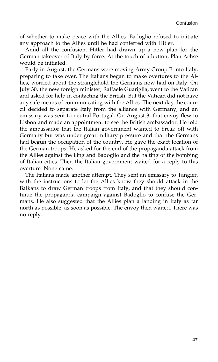of whether to make peace with the Allies. Badoglio refused to initiate any approach to the Allies until he had conferred with Hitler.

Amid all the confusion, Hitler had drawn up a new plan for the German takeover of Italy by force. At the touch of a button, Plan Achse would be initiated.

Early in August, the Germans were moving Army Group B into Italy, preparing to take over. The Italians began to make overtures to the Allies, worried about the stranglehold the Germans now had on Italy. On July 30, the new foreign minister, Raffaele Guariglia, went to the Vatican and asked for help in contacting the British. But the Vatican did not have any safe means of communicating with the Allies. The next day the council decided to separate Italy from the alliance with Germany, and an emissary was sent to neutral Portugal. On August 3, that envoy flew to Lisbon and made an appointment to see the British ambassador. He told the ambassador that the Italian government wanted to break off with Germany but was under great military pressure and that the Germans had begun the occupation of the country. He gave the exact location of the German troops. He asked for the end of the propaganda attack from the Allies against the king and Badoglio and the halting of the bombing of Italian cities. Then the Italian government waited for a reply to this overture. None came.

The Italians made another attempt. They sent an emissary to Tangier, with the instructions to let the Allies know they should attack in the Balkans to draw German troops from Italy, and that they should continue the propaganda campaign against Badoglio to confuse the Germans. He also suggested that the Allies plan a landing in Italy as far north as possible, as soon as possible. The envoy then waited. There was no reply.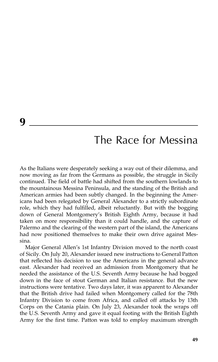#### The Race for Messina

As the Italians were desperately seeking a way out of their dilemma, and now moving as far from the Germans as possible, the struggle in Sicily continued. The field of battle had shifted from the southern lowlands to the mountainous Messina Peninsula, and the standing of the British and American armies had been subtly changed. In the beginning the Americans had been relegated by General Alexander to a strictly subordinate role, which they had fulfilled, albeit reluctantly. But with the bogging down of General Montgomery's British Eighth Army, because it had taken on more responsibility than it could handle, and the capture of Palermo and the clearing of the western part of the island, the Americans had now positioned themselves to make their own drive against Messina.

Major General Allen's 1st Infantry Division moved to the north coast of Sicily. On July 20, Alexander issued new instructions to General Patton that reflected his decision to use the Americans in the general advance east. Alexander had received an admission from Montgomery that he needed the assistance of the U.S. Seventh Army because he had bogged down in the face of stout German and Italian resistance. But the new instructions were tentative. Two days later, it was apparent to Alexander that the British drive had failed when Montgomery called for the 78th Infantry Division to come from Africa, and called off attacks by 13th Corps on the Catania plain. On July 23, Alexander took the wraps off the U.S. Seventh Army and gave it equal footing with the British Eighth Army for the first time. Patton was told to employ maximum strength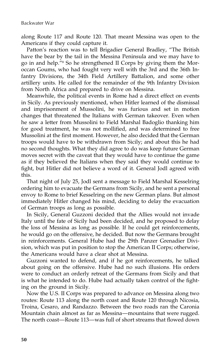along Route 117 and Route 120. That meant Messina was open to the Americans if they could capture it.

Patton's reaction was to tell Brigadier General Bradley, "The British have the bear by the tail in the Messina Peninsula and we may have to go in and help."8 So he strengthened II Corps by giving them the Moroccan Goums, who had fought very well with the 3rd and the 36th Infantry Divisions, the 34th Field Artillery Battalion, and some other artillery units. He called for the remainder of the 9th Infantry Division from North Africa and prepared to drive on Messina.

Meanwhile, the political events in Rome had a direct effect on events in Sicily. As previously mentioned, when Hitler learned of the dismissal and imprisonment of Mussolini, he was furious and set in motion changes that threatened the Italians with German takeover. Even when he saw a letter from Mussolini to Field Marshal Badoglio thanking him for good treatment, he was not mollified, and was determined to free Mussolini at the first moment. However, he also decided that the German troops would have to be withdrawn from Sicily; and about this he had no second thoughts. What they did agree to do was keep future German moves secret with the caveat that they would have to continue the game as if they believed the Italians when they said they would continue to fight, but Hitler did not believe a word of it. General Jodl agreed with this.

That night of July 25, Jodl sent a message to Field Marshal Kesselring ordering him to evacuate the Germans from Sicily, and he sent a personal envoy to Rome to brief Kesselring on the new German plans. But almost immediately Hitler changed his mind, deciding to delay the evacuation of German troops as long as possible.

In Sicily, General Guzzoni decided that the Allies would not invade Italy until the fate of Sicily had been decided, and he proposed to delay the loss of Messina as long as possible. If he could get reinforcements, he would go on the offensive, he decided. But now the Germans brought in reinforcements. General Hube had the 29th Panzer Grenadier Division, which was put in position to stop the American II Corps; otherwise, the Americans would have a clear shot at Messina.

Guzzoni wanted to defend, and if he got reinforcements, he talked about going on the offensive. Hube had no such illusions. His orders were to conduct an orderly retreat of the Germans from Sicily and that is what he intended to do. Hube had actually taken control of the fighting on the ground in Sicily.

Now the U.S. II Corps was prepared to advance on Messina along two routes: Route 113 along the north coast and Route 120 through Nicosia, Troina, Cesaro, and Randazzo. Between the two roads ran the Caronia Mountain chain almost as far as Messina—mountains that were rugged. The north coast—Route 113—was full of short streams that flowed down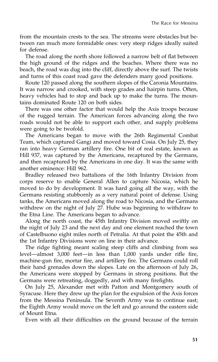from the mountain crests to the sea. The streams were obstacles but between ran much more formidable ones: very steep ridges ideally suited for defense.

The road along the north shore followed a narrow belt of flat between the high ground of the ridges and the beaches. Where there was no beach, the road was dug into the cliff, directly above the surf. The twists and turns of this coast road gave the defenders many good positions.

Route 120 passed along the southern slopes of the Caronia Mountains. It was narrow and crooked, with steep grades and hairpin turns. Often, heavy vehicles had to stop and back up to make the turns. The mountains dominated Route 120 on both sides.

There was one other factor that would help the Axis troops because of the rugged terrain. The American forces advancing along the two roads would not be able to support each other, and supply problems were going to be twofold.

The Americans began to move with the 26th Regimental Combat Team, which captured Gangi and moved toward Cosia. On July 25, they ran into heavy German artillery fire. One bit of real estate, known as Hill 937, was captured by the Americans, recaptured by the Germans, and then recaptured by the Americans in one day. It was the same with another eminence: Hill 962.

Bradley released two battalions of the 16th Infantry Division from corps reserve to enable General Allen to capture Nicosia, which he moved to do by development. It was hard going all the way, with the Germans resisting stubbornly as a very natural point of defense. Using tanks, the Americans moved along the road to Nicosia, and the Germans withdrew on the night of July 27. Hube was beginning to withdraw to the Etna Line. The Americans began to advance.

Along the north coast, the 45th Infantry Division moved swiftly on the night of July 23 and the next day and one element reached the town of Castelbuono eight miles north of Petralia. At that point the 45th and the 1st Infantry Divisions were on line in their advance.

The ridge fighting meant scaling steep cliffs and climbing from sea level—almost 3,000 feet—in less than 1,000 yards under rifle fire, machine-gun fire, mortar fire, and artillery fire. The Germans could roll their hand grenades down the slopes. Late on the afternoon of July 26, the Americans were stopped by Germans in strong positions. But the Germans were retreating, doggedly, and with many firefights.

On July 25, Alexander met with Patton and Montgomery south of Syracuse. Here they drew up the plan for the expulsion of the Axis forces from the Messina Peninsula. The Seventh Army was to continue east; the Eighth Army would move on the left and go around the eastern side of Mount Etna.

Even with all their difficulties on the ground because of the terrain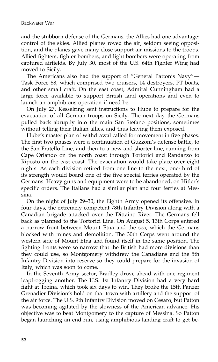and the stubborn defense of the Germans, the Allies had one advantage: control of the skies. Allied planes roved the air, seldom seeing opposition, and the planes gave many close support air missions to the troops. Allied fighters, fighter bombers, and light bombers were operating from captured airfields. By July 30, most of the U.S. 64th Fighter Wing had moved to Sicily.

The Americans also had the support of "General Patton's Navy"— Task Force 88, which comprised two cruisers, 14 destroyers, PT boats, and other small craft. On the east coast, Admiral Cunningham had a large force available to support British land operations and even to launch an amphibious operation if need be.

On July 27, Kesselring sent instructions to Hube to prepare for the evacuation of all German troops on Sicily. The next day the Germans pulled back abruptly into the main San Stefano positions, sometimes without telling their Italian allies, and thus leaving them exposed.

Hube's master plan of withdrawal called for movement in five phases. The first two phases were a continuation of Guzzoni's defense battle, to the San Fratello Line, and then to a new and shorter line, running from Cape Orlando on the north coast through Tortorici and Randazzo to Riposto on the east coast. The evacuation would take place over eight nights. As each division retired from one line to the next, one-third of its strength would board one of the five special ferries operated by the Germans. Heavy guns and equipment were to be abandoned, on Hitler's specific orders. The Italians had a similar plan and four ferries at Messina.

On the night of July 29–30, the Eighth Army opened its offensive. In four days, the extremely competent 78th Infantry Division along with a Canadian brigade attacked over the Dittaino River. The Germans fell back as planned to the Tortorici Line. On August 5, 13th Corps entered a narrow front between Mount Etna and the sea, which the Germans blocked with mines and demolition. The 30th Corps went around the western side of Mount Etna and found itself in the same position. The fighting fronts were so narrow that the British had more divisions than they could use, so Montgomery withdrew the Canadians and the 5th Infantry Division into reserve so they could prepare for the invasion of Italy, which was soon to come.

In the Seventh Army sector, Bradley drove ahead with one regiment leapfrogging another. The U.S. 1st Infantry Division had a very hard fight at Troina, which took six days to win. They broke the 15th Panzer Grenadier Division's hold on that town with artillery and the support of the air force. The U.S. 9th Infantry Division moved on Cesaro, but Patton was becoming agitated by the slowness of the American advance. His objective was to beat Montgomery to the capture of Messina. So Patton began launching an end run, using amphibious landing craft to get be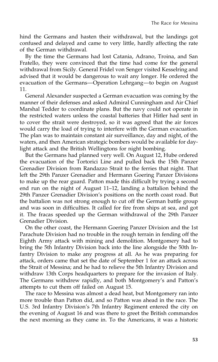hind the Germans and hasten their withdrawal, but the landings got confused and delayed and came to very little, hardly affecting the rate of the German withdrawal.

By the time the Germans had lost Catania, Adrano, Troina, and San Fratello, they were convinced that the time had come for the general withdrawal from Sicily. General Fridel von Senger visited Kesselring and advised that it would be dangerous to wait any longer. He ordered the evacuation of the Germans—Operation Lehrgang—to begin on August 11.

General Alexander suspected a German evacuation was coming by the manner of their defenses and asked Admiral Cunningham and Air Chief Marshal Tedder to coordinate plans. But the navy could not operate in the restricted waters unless the coastal batteries that Hitler had sent in to cover the strait were destroyed, so it was agreed that the air forces would carry the load of trying to interfere with the German evacuation. The plan was to maintain constant air surveillance, day and night, of the waters, and then American strategic bombers would be available for daylight attack and the British Wellingtons for night bombing.

But the Germans had planned very well. On August 12, Hube ordered the evacuation of the Tortorici Line and pulled back the 15th Panzer Grenadier Division from Randazzo Strait to the ferries that night. That left the 29th Panzer Grenadier and Hermann Goering Panzer Divisions to make up the rear guard. Patton made this difficult by trying a second end run on the night of August 11–12, landing a battalion behind the 29th Panzer Grenadier Division's positions on the north coast road. But the battalion was not strong enough to cut off the German battle group and was soon in difficulties. It called for fire from ships at sea, and got it. The fracas speeded up the German withdrawal of the 29th Panzer Grenadier Division.

On the other coast, the Hermann Goering Panzer Division and the 1st Parachute Division had no trouble in the rough terrain in fending off the Eighth Army attack with mining and demolition. Montgomery had to bring the 5th Infantry Division back into the line alongside the 50th Infantry Division to make any progress at all. As he was preparing for attack, orders came that set the date of September 1 for an attack across the Strait of Messina; and he had to relieve the 5th Infantry Division and withdraw 13th Corps headquarters to prepare for the invasion of Italy. The Germans withdrew rapidly, and both Montgomery's and Patton's attempts to cut them off failed on August 15.

The race to Messina was almost a dead heat, but Montgomery ran into more trouble than Patton did, and so Patton was ahead in the race. The U.S. 3rd Infantry Division's 7th Infantry Regiment entered the city on the evening of August 16 and was there to greet the British commandos the next morning as they came in. To the Americans, it was a historic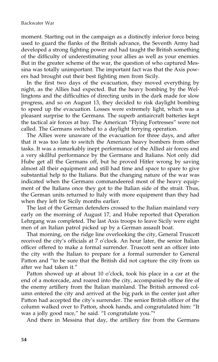moment. Starting out in the campaign as a distinctly inferior force being used to guard the flanks of the British advance, the Seventh Army had developed a strong fighting power and had taught the British something of the difficulty of underestimating your allies as well as your enemies. But in the greater scheme of the war, the question of who captured Messina was totally unimportant. The important fact was that the Axis powers had brought out their best fighting men from Sicily.

In the first two days of the evacuation, they moved everything by night, as the Allies had expected. But the heavy bombing by the Wellingtons and the difficulties of directing units in the dark made for slow progress, and so on August 13, they decided to risk daylight bombing to speed up the evacuation. Losses were extremely light, which was a pleasant surprise to the Germans. The superb antiaircraft batteries kept the tactical air forces at bay. The American "Flying Fortresses" were not called. The Germans switched to a daylight ferrying operation.

The Allies were unaware of the evacuation for three days, and after that it was too late to switch the American heavy bombers from other tasks. It was a remarkably inept performance of the Allied air forces and a very skillful performance by the Germans and Italians. Not only did Hube get all the Germans off, but he proved Hitler wrong by saving almost all their equipment and still had time and space to spare to give substantial help to the Italians. But the changing nature of the war was indicated when the Germans commandeered most of the heavy equipment of the Italians once they got to the Italian side of the strait. Thus, the German units returned to Italy with more equipment than they had when they left for Sicily months earlier.

The last of the German defenders crossed to the Italian mainland very early on the morning of August 17, and Hube reported that Operation Lehrgang was completed. The last Axis troops to leave Sicily were eight men of an Italian patrol picked up by a German assault boat.

That morning, on the ridge line overlooking the city, General Truscott received the city's officials at 7 o'clock. An hour later, the senior Italian officer offered to make a formal surrender. Truscott sent an officer into the city with the Italian to prepare for a formal surrender to General Patton and "to be sure that the British did not capture the city from us after we had taken it."

Patton showed up at about 10 o'clock, took his place in a car at the end of a motorcade, and roared into the city, accompanied by the fire of the enemy artillery from the Italian mainland. The British armored column entered the city and arrived at the big park in the center just after Patton had accepted the city's surrender. The senior British officer of the column walked over to Patton, shook hands, and congratulated him: "It was a jolly good race," he said. "I congratulate you."<sup>9</sup>

And there in Messina that day, the artillery fire from the Germans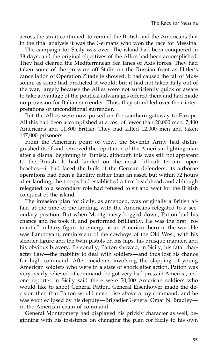across the strait continued, to remind the British and the Americans that in the final analysis it was the Germans who won the race for Messina.

The campaign for Sicily was over. The island had been conquered in 38 days, and the original objectives of the Allies had been accomplished. They had cleared the Mediterranean Sea lanes of Axis forces. They had taken some of the pressure off Stalin on the Russian front as Hitler's cancellation of Operation Zitadelle showed. It had caused the fall of Mussolini, as some had predicted it would, but it had not taken Italy out of the war, largely because the Allies were not sufficiently quick or aware to take advantage of the political advantages offered them and had made no provision for Italian surrender. Thus, they stumbled over their interpretations of unconditional surrender.

But the Allies were now poised on the southern gateway to Europe. All this had been accomplished at a cost of fewer than 20,000 men: 7,400 Americans and 11,800 British. They had killed 12,000 men and taken 147,000 prisoners.

From the American point of view, the Seventh Army had distinguished itself and retrieved the reputation of the American fighting man after a dismal beginning in Tunisia, although this was still not apparent to the British. It had landed on the most difficult terrain—open beaches—it had faced the bulk of the German defenders, its airborne operations had been a liability rather than an asset, but within 72 hours after landing, the troops had established a firm beachhead, and although relegated to a secondary role had refused to sit and wait for the British conquest of the island.

The invasion plan for Sicily, as amended, was originally a British affair, at the time of the landing, with the Americans relegated to a secondary position. But when Montgomery bogged down, Patton had his chance and he took it, and performed brilliantly. He was the first "romantic" military figure to emerge as an American hero in the war. He was flamboyant, reminiscent of the cowboys of the Old West, with his slender figure and the twin pistols on his hips, his brusque manner, and his obvious bravery. Personally, Patton showed, in Sicily, his fatal character flaw—the inability to deal with soldiers—and thus lost his chance for high command. After incidents involving the slapping of young American soldiers who were in a state of shock after action, Patton was very nearly relieved of command, he got very bad press in America, and one reporter in Sicily said there were 50,000 American soldiers who would like to shoot General Patton. General Eisenhower made the decision then that Patton would never rise above army command, and he was soon eclipsed by his deputy—Brigadier General Omar N. Bradley in the American chain of command.

General Montgomery had displayed his prickly character as well, beginning with his insistence on changing the plan for Sicily to his own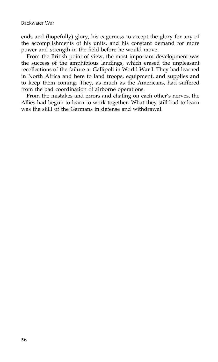ends and (hopefully) glory, his eagerness to accept the glory for any of the accomplishments of his units, and his constant demand for more power and strength in the field before he would move.

From the British point of view, the most important development was the success of the amphibious landings, which erased the unpleasant recollections of the failure at Gallipoli in World War I. They had learned in North Africa and here to land troops, equipment, and supplies and to keep them coming. They, as much as the Americans, had suffered from the bad coordination of airborne operations.

From the mistakes and errors and chafing on each other's nerves, the Allies had begun to learn to work together. What they still had to learn was the skill of the Germans in defense and withdrawal.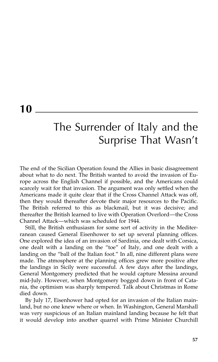## The Surrender of Italy and the Surprise That Wasn't

The end of the Sicilian Operation found the Allies in basic disagreement about what to do next. The British wanted to avoid the invasion of Europe across the English Channel if possible, and the Americans could scarcely wait for that invasion. The argument was only settled when the Americans made it quite clear that if the Cross Channel Attack was off, then they would thereafter devote their major resources to the Pacific. The British referred to this as blackmail, but it was decisive; and thereafter the British learned to live with Operation Overlord—the Cross Channel Attack—which was scheduled for 1944.

Still, the British enthusiasm for some sort of activity in the Mediterranean caused General Eisenhower to set up several planning offices. One explored the idea of an invasion of Sardinia, one dealt with Corsica, one dealt with a landing on the "toe" of Italy, and one dealt with a landing on the "ball of the Italian foot." In all, nine different plans were made. The atmosphere at the planning offices grew more positive after the landings in Sicily were successful. A few days after the landings, General Montgomery predicted that he would capture Messina around mid-July. However, when Montgomery bogged down in front of Catania, the optimism was sharply tempered. Talk about Christmas in Rome died down.

By July 17, Eisenhower had opted for an invasion of the Italian mainland, but no one knew where or when. In Washington, General Marshall was very suspicious of an Italian mainland landing because he felt that it would develop into another quarrel with Prime Minister Churchill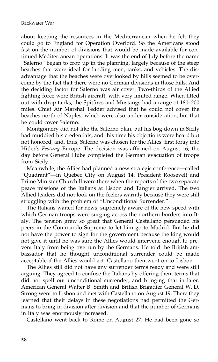about keeping the resources in the Mediterranean when he felt they could go to England for Operation Overlord. So the Americans stood fast on the number of divisions that would be made available for continued Mediterranean operations. It was the end of July before the name "Salerno" began to crop up in the planning, largely because of the steep beaches that were ideal for landing men, tanks, and vehicles. The disadvantage that the beaches were overlooked by hills seemed to be overcome by the fact that there were no German divisions in those hills. And the deciding factor for Salerno was air cover. Two-thirds of the Allied fighting force were British aircraft, with very limited range. When fitted out with drop tanks, the Spitfires and Mustangs had a range of 180–200 miles. Chief Air Marshal Tedder advised that he could not cover the beaches north of Naples, which were also under consideration, but that he could cover Salerno.

Montgomery did not like the Salerno plan, but his bog-down in Sicily had muddied his credentials, and this time his objections were heard but not honored, and, thus, Salerno was chosen for the Allies' first foray into Hitler's *Festung* Europe. The decision was affirmed on August 16, the day before General Hube completed the German evacuation of troops from Sicily.

Meanwhile, the Allies had planned a new strategic conference—called "Quadrant"—in Quebec City on August 14. President Roosevelt and Prime Minister Churchill were there when the reports of the two separate peace missions of the Italians at Lisbon and Tangier arrived. The two Allied leaders did not look on the feelers warmly because they were still struggling with the problem of "Unconditional Surrender."

The Italians waited for news, supremely aware of the new speed with which German troops were surging across the northern borders into Italy. The tension grew so great that General Castellano persuaded his peers in the Commando Supremo to let him go to Madrid. But he did not have the power to sign for the government because the king would not give it until he was sure the Allies would intervene enough to prevent Italy from being overrun by the Germans. He told the British ambassador that he thought unconditional surrender could be made acceptable if the Allies would act. Castellano then went on to Lisbon.

The Allies still did not have any surrender terms ready and were still arguing. They agreed to confuse the Italians by offering them terms that did not spell out unconditional surrender, and bringing that in later. American General Walter B. Smith and British Brigadier General W. D. Strong went to Lisbon and met with Castellano on August 19. There they learned that their delays in these negotiations had permitted the Germans to bring in division after division and that the number of Germans in Italy was enormously increased.

Castellano went back to Rome on August 27. He had been gone so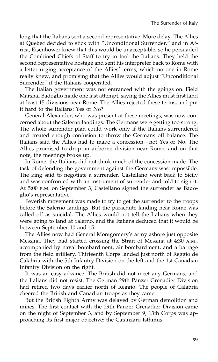long that the Italians sent a second representative. More delay. The Allies at Quebec decided to stick with "Unconditional Surrender," and in Africa, Eisenhower knew that this would be unacceptable, so he persuaded the Combined Chiefs of Staff to try to fool the Italians. They held the second representative hostage and sent his interpreter back to Rome with a letter urging acceptance of the Allies' terms, which no one in Rome really knew, and promising that the Allies would adjust "Unconditional Surrender" if the Italians cooperated.

The Italian government was not entranced with the goings on. Field Marshal Badoglio made one last attempt, saying the Allies must first land at least 15 divisions near Rome. The Allies rejected these terms, and put it hard to the Italians: Yes or No?

General Alexander, who was present at these meetings, was now concerned about the Salerno landings. The Germans were getting too strong. The whole surrender plan could work only if the Italians surrendered and created enough confusion to throw the Germans off balance. The Italians said the Allies had to make a concession—not Yes or No. The Allies promised to drop an airborne division near Rome, and on that note, the meetings broke up.

In Rome, the Italians did not think much of the concession made. The task of defending the government against the Germans was impossible. The king said to negotiate a surrender. Castellano went back to Sicily and was confronted with an instrument of surrender and told to sign it. At 5:00 p.m. on September 3, Castellano signed the surrender as Badoglio's representative.

Feverish movement was made to try to get the surrender to the troops before the Salerno landings. But the parachute landing near Rome was called off as suicidal. The Allies would not tell the Italians when they were going to land at Salerno, and the Italians deduced that it would be between September 10 and 15.

The Allies now had General Montgomery's army ashore just opposite Messina. They had started crossing the Strait of Messina at 4:30 a.m., accompanied by naval bombardment, air bombardment, and a barrage from the field artillery. Thirteenth Corps landed just north of Reggio de Calabria with the 5th Infantry Division on the left and the 1st Canadian Infantry Division on the right.

It was an easy advance. The British did not meet any Germans, and the Italians did not resist. The German 29th Panzer Grenadier Division had retired two days earlier north of Reggio. The people of Calabria cheered the British and Canadian troops as they came.

But the British Eighth Army was delayed by German demolition and mines. The first contact with the 29th Panzer Grenadier Division came on the night of September 3, and by September 9, 13th Corps was approaching its first major objective: the Catanzaro Isthmus.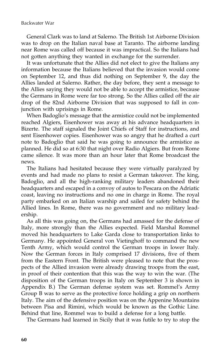General Clark was to land at Salerno. The British 1st Airborne Division was to drop on the Italian naval base at Taranto. The airborne landing near Rome was called off because it was impractical. So the Italians had not gotten anything they wanted in exchange for the surrender.

It was unfortunate that the Allies did not elect to give the Italians any information because the Italians believed that the invasion would come on September 12, and thus did nothing on September 9, the day the Allies landed at Salerno. Rather, the day before, they sent a message to the Allies saying they would not be able to accept the armistice, because the Germans in Rome were far too strong. So the Allies called off the air drop of the 82nd Airborne Division that was supposed to fall in conjunction with uprisings in Rome.

When Badoglio's message that the armistice could not be implemented reached Algiers, Eisenhower was away at his advance headquarters in Bizerte. The staff signaled the Joint Chiefs of Staff for instructions, and sent Eisenhower copies. Eisenhower was so angry that he drafted a curt note to Badoglio that said he was going to announce the armistice as planned. He did so at 6:30 that night over Radio Algiers. But from Rome came silence. It was more than an hour later that Rome broadcast the news.

The Italians had hesitated because they were virtually paralyzed by events and had made no plans to resist a German takeover. The king, Badoglio, and all the high-ranking military leaders abandoned their headquarters and escaped in a convoy of autos to Pescara on the Adriatic coast, leaving no instructions and no one in charge in Rome. The royal party embarked on an Italian warship and sailed for safety behind the Allied lines. In Rome, there was no government and no military leadership.

As all this was going on, the Germans had amassed for the defense of Italy, more strongly than the Allies expected. Field Marshal Rommel moved his headquarters to Lake Garda close to transportation links to Germany. He appointed General von Vietinghoff to command the new Tenth Army, which would control the German troops in lower Italy. Now the German forces in Italy comprised 17 divisions, five of them from the Eastern Front. The British were pleased to note that the prospects of the Allied invasion were already drawing troops from the east, in proof of their contention that this was the way to win the war. (The disposition of the German troops in Italy on September 3 is shown in Appendix B.) The German defense system was set. Rommel's Army Group B was to serve as the protective force holding a grip on northern Italy. The aim of the defensive position was on the Appenine Mountains between Pisa and Rimini, which would be known as the Gothic Line. Behind that line, Rommel was to build a defense for a long battle.

The Germans had learned in Sicily that it was futile to try to stop the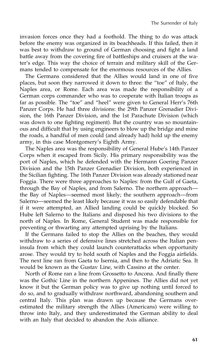invasion forces once they had a foothold. The thing to do was attack before the enemy was organized in its beachheads. If this failed, then it was best to withdraw to ground of German choosing and fight a land battle away from the covering fire of battleships and cruisers at the water's edge. This way the choice of terrain and military skill of the Germans tended to compensate for the enormous resources of the Allies.

The Germans considered that the Allies would land in one of five places, but soon they narrowed it down to three: the "toe" of Italy, the Naples area, or Rome. Each area was made the responsibility of a German corps commander who was to cooperate with Italian troops as far as possible. The "toe" and "heel" were given to General Herr's 76th Panzer Corps. He had three divisions: the 29th Panzer Grenadier Division, the 16th Panzer Division, and the 1st Parachute Division (which was down to one fighting regiment). But the country was so mountainous and difficult that by using engineers to blow up the bridge and mine the roads, a handful of men could (and already had) hold up the enemy army, in this case Montgomery's Eighth Army.

The Naples area was the responsibility of General Hube's 14th Panzer Corps when it escaped from Sicily. His primary responsibility was the port of Naples, which he defended with the Hermann Goering Panzer Division and the 15th Panzer Grenadier Division, both experienced in the Sicilian fighting. The 16th Panzer Division was already stationed near Foggia. There were three approaches to Naples: from the Gulf of Gaeta, through the Bay of Naples, and from Salerno. The northern approach the Bay of Naples—seemed most likely; the southern approach—from Salerno—seemed the least likely because it was so easily defendable that if it were attempted, an Allied landing could be quickly blocked. So Hube left Salerno to the Italians and disposed his two divisions to the north of Naples. In Rome, General Student was made responsible for preventing or thwarting any attempted uprising by the Italians.

If the Germans failed to stop the Allies on the beaches, they would withdraw to a series of defensive lines stretched across the Italian peninsula from which they could launch counterattacks when opportunity arose. They would try to hold south of Naples and the Foggia airfields. The next line ran from Gaeta to Isernia, and then to the Adriatic Sea. It would be known as the Gustav Line, with Cassino at the center.

North of Rome ran a line from Grossetto to Ancona. And finally there was the Gothic Line in the northern Appenines. The Allies did not yet know it but the German policy was to give up nothing until forced to do so, and to gradually withdraw northward, abandoning southern and central Italy. This plan was drawn up because the Germans overestimated the military strength the Allies (Americans) were willing to throw into Italy, and they underestimated the German ability to deal with an Italy that decided to abandon the Axis alliance.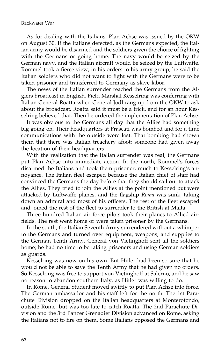As for dealing with the Italians, Plan Achse was issued by the OKW on August 30. If the Italians defected, as the Germans expected, the Italian army would be disarmed and the soldiers given the choice of fighting with the Germans or going home. The navy would be seized by the German navy, and the Italian aircraft would be seized by the Luftwaffe. Rommel took a fierce view; in his orders to his army group, he said the Italian soldiers who did not want to fight with the Germans were to be taken prisoner and transferred to Germany as slave labor.

The news of the Italian surrender reached the Germans from the Algiers broadcast in English. Field Marshal Kesselring was conferring with Italian General Roatta when General Jodl rang up from the OKW to ask about the broadcast. Roatta said it must be a trick, and for an hour Kesselring believed that. Then he ordered the implementation of Plan Achse.

It was obvious to the Germans all day that the Allies had something big going on. Their headquarters at Frascati was bombed and for a time communications with the outside were lost. That bombing had shown them that there was Italian treachery afoot: someone had given away the location of their headquarters.

With the realization that the Italian surrender was real, the Germans put Plan Achse into immediate action. In the north, Rommel's forces disarmed the Italians and took them prisoner, much to Kesselring's annoyance. The Italian fleet escaped because the Italian chief of staff had convinced the Germans the day before that they should sail out to attack the Allies. They tried to join the Allies at the point mentioned but were attacked by Luftwaffe planes, and the flagship *Roma* was sunk, taking down an admiral and most of his officers. The rest of the fleet escaped and joined the rest of the fleet to surrender to the British at Malta.

Three hundred Italian air force pilots took their planes to Allied airfields. The rest went home or were taken prisoner by the Germans.

In the south, the Italian Seventh Army surrendered without a whimper to the Germans and turned over equipment, weapons, and supplies to the German Tenth Army. General von Vietinghoff sent all the soldiers home; he had no time to be taking prisoners and using German soldiers as guards.

Kesselring was now on his own. But Hitler had been so sure that he would not be able to save the Tenth Army that he had given no orders. So Kesselring was free to support von Vietinghoff at Salerno, and he saw no reason to abandon southern Italy, as Hitler was willing to do.

In Rome, General Student moved swiftly to put Plan Achse into force. The German ambassador and his staff left for the north. The 1st Parachute Division dropped on the Italian headquarters at Monterotondo, outside Rome, but was too late to catch Roatta. The 2nd Parachute Division and the 3rd Panzer Grenadier Division advanced on Rome, asking the Italians not to fire on them. Some Italians opposed the Germans and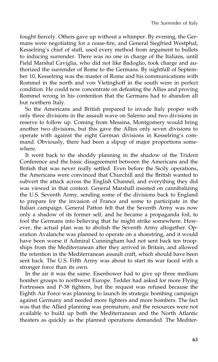fought fiercely. Others gave up without a whimper. By evening, the Germans were negotiating for a cease-fire, and General Siegfried Westphal, Kesselring's chief of staff, used every method from argument to bullets to inducing surrender. There was no one in charge of the Italians, until Field Marshal Caviglia, who did not like Badoglio, took charge and authorized the surrender of Rome to the Germans. By nightfall of September 10, Kesselring was the master of Rome and his communications with Rommel in the north and von Vietinghoff in the south were in perfect condition. He could now concentrate on defeating the Allies and proving Rommel wrong in his contention that the Germans had to abandon all but northern Italy.

So the Americans and British prepared to invade Italy proper with only three divisions in the assault wave on Salerno and two divisions in reserve to follow up. Coming from Messina, Montgomery would bring another two divisions, but this gave the Allies only seven divisions to operate with against the eight German divisions in Kesselring's command. Obviously, there had been a slipup of major proportions somewhere.

It went back to the shoddy planning in the shadow of the Trident Conference and the basic disagreement between the Americans and the British that was never really settled. Even before the Sicily operations, the Americans were convinced that Churchill and the British wanted to subvert the attack across the English Channel, and everything they did was viewed in that context. General Marshall insisted on cannibalizing the U.S. Seventh Army, sending some of the divisions back to England to prepare for the invasion of France and some to participate in the Italian campaign. General Patton felt that the Seventh Army was now only a shadow of its former self, and he became a propaganda foil, to fool the Germans into believing that he might strike somewhere. However, the actual plan was to abolish the Seventh Army altogether. Operation Avalanche was planned to operate on a shoestring, and it would have been worse if Admiral Cunningham had not sent back ten troopships from the Mediterranean after they arrived in Britain, and allowed the retention in the Mediterranean assault craft, which should have been sent back. The U.S. Fifth Army was about to start its war faced with a stronger force than its own.

In the air it was the same. Eisenhower had to give up three medium bomber groups to northwest Europe. Tedder had asked for more Flying Fortresses and P-38 fighters, but the request was refused because the Eighth Air Force was planning to launch its strategic bombing campaign against Germany and needed more fighters and more bombers. The fact was that the Allied planning was premature, and the resources were not available to build up both the Mediterranean and the North Atlantic theaters as quickly as the planned operations demanded. The Mediter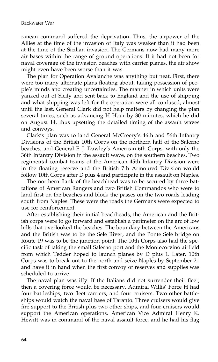ranean command suffered the deprivation. Thus, the airpower of the Allies at the time of the invasion of Italy was weaker than it had been at the time of the Sicilian invasion. The Germans now had many more air bases within the range of ground operations. If it had not been for naval coverage of the invasion beaches with carrier planes, the air show might even have been worse than it was.

The plan for Operation Avalanche was anything but neat. First, there were too many alternate plans floating about, taking possession of people's minds and creating uncertainties. The manner in which units were yanked out of Sicily and sent back to England and the use of shipping and what shipping was left for the operation were all confused, almost until the last. General Clark did not help matters by changing the plan several times, such as advancing H Hour by 30 minutes, which he did on August 14, thus upsetting the detailed timing of the assault waves and convoys.

Clark's plan was to land General McCreery's 46th and 56th Infantry Divisions of the British 10th Corps on the northern half of the Salerno beaches, and General E. J. Dawley's American 6th Corps, with only the 36th Infantry Division in the assault wave, on the southern beaches. Two regimental combat teams of the American 45th Infantry Division were in the floating reserve and the British 7th Armoured Division would follow 10th Corps after D plus 4 and participate in the assault on Naples.

The northern flank of the beachhead was to be secured by three battalions of American Rangers and two British Commandos who were to land first on the beaches and block the passes on the two roads leading south from Naples. These were the roads the Germans were expected to use for reinforcement.

After establishing their initial beachheads, the American and the British corps were to go forward and establish a perimeter on the arc of low hills that overlooked the beaches. The boundary between the Americans and the British was to be the Sele River, and the Ponte Sele bridge on Route 19 was to be the junction point. The 10th Corps also had the specific task of taking the small Salerno port and the Montecorvino airfield from which Tedder hoped to launch planes by D plus 1. Later, 10th Corps was to break out to the north and seize Naples by September 21 and have it in hand when the first convoy of reserves and supplies was scheduled to arrive.

The naval plan was iffy. If the Italians did not surrender their fleet, then a covering force would be necessary. Admiral Willis' Force H had four battleships, two fleet carriers, and four cruisers. Two other battleships would watch the naval base of Taranto. Three cruisers would give fire support to the British plus two other ships, and four cruisers would support the American operations. American Vice Admiral Henry K. Hewitt was in command of the naval assault force, and he had his flag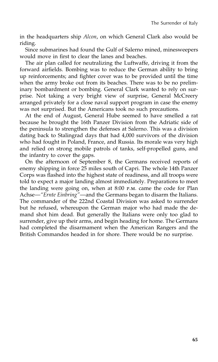in the headquarters ship *Alcon*, on which General Clark also would be riding.

Since submarines had found the Gulf of Salerno mined, minesweepers would move in first to clear the lanes and beaches.

The air plan called for neutralizing the Luftwaffe, driving it from the forward airfields. Bombing was to reduce the German ability to bring up reinforcements; and fighter cover was to be provided until the time when the army broke out from its beaches. There was to be no preliminary bombardment or bombing. General Clark wanted to rely on surprise. Not taking a very bright view of surprise, General McCreery arranged privately for a close naval support program in case the enemy was not surprised. But the Americans took no such precautions.

At the end of August, General Hube seemed to have smelled a rat because he brought the 16th Panzer Division from the Adriatic side of the peninsula to strengthen the defenses at Salerno. This was a division dating back to Stalingrad days that had 4,000 survivors of the division who had fought in Poland, France, and Russia. Its morale was very high and relied on strong mobile patrols of tanks, self-propelled guns, and the infantry to cover the gaps.

On the afternoon of September 8, the Germans received reports of enemy shipping in force 25 miles south of Capri. The whole 14th Panzer Corps was flashed into the highest state of readiness, and all troops were told to expect a major landing almost immediately. Preparations to meet the landing were going on, when at 8:00 p.m. came the code for Plan Achse—*"Ernte Einbring"*—and the Germans began to disarm the Italians. The commander of the 222nd Coastal Division was asked to surrender but he refused, whereupon the German major who had made the demand shot him dead. But generally the Italians were only too glad to surrender, give up their arms, and begin heading for home. The Germans had completed the disarmament when the American Rangers and the British Commandos headed in for shore. There would be no surprise.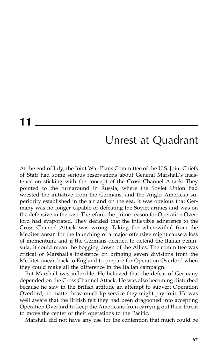## Unrest at Quadrant

At the end of July, the Joint War Plans Committee of the U.S. Joint Chiefs of Staff had some serious reservations about General Marshall's insistence on sticking with the concept of the Cross Channel Attack. They pointed to the turnaround in Russia, where the Soviet Union had wrested the initiative from the Germans, and the Anglo–American superiority established in the air and on the sea. It was obvious that Germany was no longer capable of defeating the Soviet armies and was on the defensive in the east. Therefore, the prime reason for Operation Overlord had evaporated. They decided that the inflexible adherence to the Cross Channel Attack was wrong. Taking the wherewithal from the Mediterranean for the launching of a major offensive might cause a loss of momentum; and if the Germans decided to defend the Italian peninsula, it could mean the bogging down of the Allies. The committee was critical of Marshall's insistence on bringing seven divisions from the Mediterranean back to England to prepare for Operation Overlord when they could make all the difference in the Italian campaign.

But Marshall was inflexible. He believed that the defeat of Germany depended on the Cross Channel Attack. He was also becoming disturbed because he saw in the British attitude an attempt to subvert Operation Overlord, no matter how much lip service they might pay to it. He was well aware that the British felt they had been dragooned into accepting Operation Overlord to keep the Americans from carrying out their threat to move the center of their operations to the Pacific.

Marshall did not have any use for the contention that much could be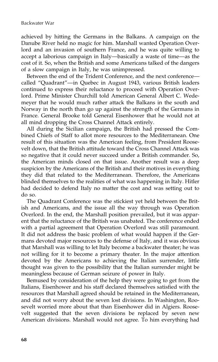achieved by hitting the Germans in the Balkans. A campaign on the Danube River held no magic for him. Marshall wanted Operation Overlord and an invasion of southern France, and he was quite willing to accept a laborious campaign in Italy—basically a waste of time—as the cost of it. So, when the British and some Americans talked of the dangers of a slow campaign in Italy, he was unimpressed.

Between the end of the Trident Conference, and the next conference called "Quadrant"—in Quebec in August 1943, various British leaders continued to express their reluctance to proceed with Operation Overlord. Prime Minister Churchill told American General Albert C. Wedemeyer that he would much rather attack the Balkans in the south and Norway in the north than go up against the strength of the Germans in France. General Brooke told General Eisenhower that he would not at all mind dropping the Cross Channel Attack entirely.

All during the Sicilian campaign, the British had pressed the Combined Chiefs of Staff to allot more resources to the Mediterranean. One result of this situation was the American feeling, from President Roosevelt down, that the British attitude toward the Cross Channel Attack was so negative that it could never succeed under a British commander. So, the American minds closed on that issue. Another result was a deep suspicion by the Americans of the British and their motives in everything they did that related to the Mediterranean. Therefore, the Americans blinded themselves to the realities of what was happening in Italy. Hitler had decided to defend Italy no matter the cost and was setting out to do so.

The Quadrant Conference was the stickiest yet held between the British and Americans, and the issue all the way through was Operation Overlord. In the end, the Marshall position prevailed, but it was apparent that the reluctance of the British was unabated. The conference ended with a partial agreement that Operation Overlord was still paramount. It did not address the basic problem of what would happen if the Germans devoted major resources to the defense of Italy, and it was obvious that Marshall was willing to let Italy become a backwater theater; he was not willing for it to become a primary theater. In the major attention devoted by the Americans to achieving the Italian surrender, little thought was given to the possibility that the Italian surrender might be meaningless because of German seizure of power in Italy.

Bemused by consideration of the help they were going to get from the Italians, Eisenhower and his staff declared themselves satisfied with the resources that Marshall agreed should be retained in the Mediterranean, and did not worry about the seven lost divisions. In Washington, Roosevelt worried more about that than Eisenhower did in Algiers. Roosevelt suggested that the seven divisions be replaced by seven new American divisions. Marshall would not agree. To him everything had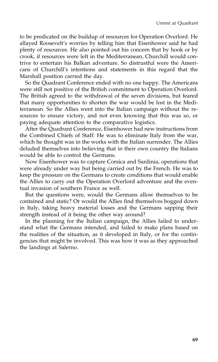to be predicated on the buildup of resources for Operation Overlord. He allayed Roosevelt's worries by telling him that Eisenhower said he had plenty of resources. He also pointed out his concern that by hook or by crook, if resources were left in the Mediterranean, Churchill would contrive to entertain his Balkan adventure. So distrustful were the Americans of Churchill's intentions and statements in this regard that the Marshall position carried the day.

So the Quadrant Conference ended with no one happy. The Americans were still not positive of the British commitment to Operation Overlord. The British agreed to the withdrawal of the seven divisions, but feared that many opportunities to shorten the war would be lost in the Mediterranean. So the Allies went into the Italian campaign without the resources to ensure victory, and not even knowing that this was so, or paying adequate attention to the comparative logistics.

After the Quadrant Conference, Eisenhower had new instructions from the Combined Chiefs of Staff: He was to eliminate Italy from the war, which he thought was in the works with the Italian surrender. The Allies deluded themselves into believing that in their own country the Italians would be able to control the Germans.

Now Eisenhower was to capture Corsica and Sardinia, operations that were already under way but being carried out by the French. He was to keep the pressure on the Germans to create conditions that would enable the Allies to carry out the Operation Overlord adventure and the eventual invasion of southern France as well.

But the questions were, would the Germans allow themselves to be contained and static? Or would the Allies find themselves bogged down in Italy, taking heavy material losses and the Germans sapping their strength instead of it being the other way around?

In the planning for the Italian campaign, the Allies failed to understand what the Germans intended, and failed to make plans based on the realities of the situation, as it developed in Italy, or for the contingencies that might be involved. This was how it was as they approached the landings at Salerno.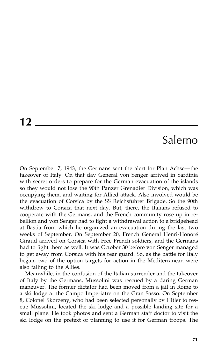## Salerno

On September 7, 1943, the Germans sent the alert for Plan Achse—the takeover of Italy. On that day General von Senger arrived in Sardinia with secret orders to prepare for the German evacuation of the islands so they would not lose the 90th Panzer Grenadier Division, which was occupying them, and waiting for Allied attack. Also involved would be the evacuation of Corsica by the SS Reichsführer Brigade. So the 90th withdrew to Corsica that next day. But, there, the Italians refused to cooperate with the Germans, and the French community rose up in rebellion and von Senger had to fight a withdrawal action to a bridgehead at Bastia from which he organized an evacuation during the last two weeks of September. On September 20, French General Henri-Honoré Giraud arrived on Corsica with Free French soldiers, and the Germans had to fight them as well. It was October 30 before von Senger managed to get away from Corsica with his rear guard. So, as the battle for Italy began, two of the option targets for action in the Mediterranean were also falling to the Allies.

Meanwhile, in the confusion of the Italian surrender and the takeover of Italy by the Germans, Mussolini was rescued by a daring German maneuver. The former dictator had been moved from a jail in Rome to a ski lodge at the Campo Imperiatre on the Gran Sasso. On September 8, Colonel Skorzeny, who had been selected personally by Hitler to rescue Mussolini, located the ski lodge and a possible landing site for a small plane. He took photos and sent a German staff doctor to visit the ski lodge on the pretext of planning to use it for German troops. The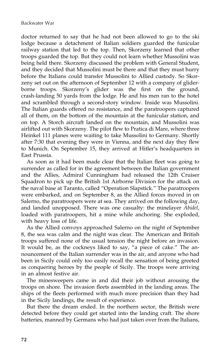doctor returned to say that he had not been allowed to go to the ski lodge because a detachment of Italian soldiers guarded the funicular railway station that led to the top. Then, Skorzeny learned that other troops guarded the top. But they could not learn whether Mussolini was being held there. Skorzeny discussed the problem with General Student, and they decided that Mussolini must be there and that they must hurry before the Italians could transfer Mussolini to Allied custody. So Skorzeny set out on the afternoon of September 12 with a company of gliderborne troops. Skorzeny's glider was the first on the ground, crash-landing 50 yards from the lodge. He and his men ran to the hotel and scrambled through a second-story window. Inside was Mussolini. The Italian guards offered no resistance, and the paratroopers captured all of them, on the bottom of the mountain at the funicular station, and on top. A Storch aircraft landed on the mountain, and Mussolini was airlifted out with Skorzeny. The pilot flew to Pratica di Mare, where three Heinkel 111 planes were waiting to take Mussolini to Germany. Shortly after 7:30 that evening they were in Vienna, and the next day they flew to Munich. On September 15, they arrived at Hitler's headquarters in East Prussia.

As soon as it had been made clear that the Italian fleet was going to surrender as called for in the agreement between the Italian government and the Allies, Admiral Cunningham had released the 12th Cruiser Squadron to pick up the British 1st Airborne Division for the attack on the naval base at Taranto, called "Operation Slapstick." The paratroopers were embarked, and on September 8, as the Allied forces moved in on Salerno, the paratroopers were at sea. They arrived on the following day, and landed unopposed. There was one casualty: the minelayer *Abidel*, loaded with paratroopers, hit a mine while anchoring. She exploded, with heavy loss of life.

As the Allied convoys approached Salerno on the night of September 8, the sea was calm and the night was clear. The American and British troops suffered none of the usual tension the night before an invasion. It would be, as the cockneys liked to say, "a piece of cake." The announcement of the Italian surrender was in the air, and anyone who had been in Sicily could only too easily recall the sensation of being greeted as conquering heroes by the people of Sicily. The troops were arriving in an almost festive air.

The minesweepers came in and did their job without arousing the troops on shore. The invasion fleets assembled in the landing areas. The ships of the fleets performed with much more precision than they had in the Sicily landings, the result of experience.

But there the dream ended. In the northern sector, the British were detected before they could get started into the landing craft. The shore batteries, manned by Germans who had just taken over from the Italians,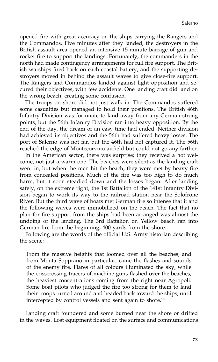opened fire with great accuracy on the ships carrying the Rangers and the Commandos. Five minutes after they landed, the destroyers in the British assault area opened an intensive 15-minute barrage of gun and rocket fire to support the landings. Fortunately, the commanders in the north had made contingency arrangements for full fire support. The British warships fired back on each coastal battery, and the supporting destroyers moved in behind the assault waves to give close-fire support. The Rangers and Commandos landed against light opposition and secured their objectives, with few accidents. One landing craft did land on the wrong beach, creating some confusion.

The troops on shore did not just walk in. The Commandos suffered some casualties but managed to hold their positions. The British 46th Infantry Division was fortunate to land away from any German strong points, but the 56th Infantry Division ran into heavy opposition. By the end of the day, the dream of an easy time had ended. Neither division had achieved its objectives and the 56th had suffered heavy losses. The port of Salerno was not far, but the 46th had not captured it. The 56th reached the edge of Montecorvino airfield but could not go any farther.

In the American sector, there was surprise; they received a hot welcome, not just a warm one. The beaches were silent as the landing craft went in, but when the men hit the beach, they were met by heavy fire from concealed positions. Much of the fire was too high to do much harm, but it soon steadied down and the losses began. After landing safely, on the extreme right, the 1st Battalion of the 141st Infantry Division began to work its way to the railroad station near the Solofrone River. But the third wave of boats met German fire so intense that it and the following waves were immobilized on the beach. The fact that no plan for fire support from the ships had been arranged was almost the undoing of the landing. The 3rd Battalion on Yellow Beach ran into German fire from the beginning, 400 yards from the shore.

Following are the words of the official U.S. Army historian describing the scene:

From the massive heights that loomed over all the beaches, and from Monta Sopprano in particular, came the flashes and sounds of the enemy fire. Flares of all colours illuminated the sky, while the crisscrossing tracers of machine guns flashed over the beaches, the heaviest concentrations coming from the right near Agropoli. Some boat pilots who judged the fire too strong for them to land their troops turned around and headed back toward the ships, until intercepted by control vessels and sent again to shore.10

Landing craft foundered and some burned near the shore or drifted in the waves. Lost equipment floated on the surface and communications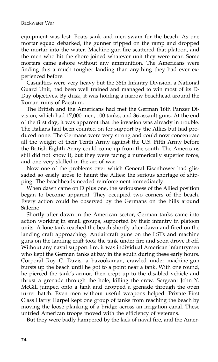equipment was lost. Boats sank and men swam for the beach. As one mortar squad debarked, the gunner tripped on the ramp and dropped the mortar into the water. Machine-gun fire scattered that platoon, and the men who hit the shore joined whatever unit they were near. Some mortars came ashore without any ammunition. The Americans were finding this a much tougher landing than anything they had ever experienced before.

Casualties were very heavy but the 36th Infantry Division, a National Guard Unit, had been well trained and managed to win most of its D-Day objectives. By dusk, it was holding a narrow beachhead around the Roman ruins of Paestum.

The British and the Americans had met the German 16th Panzer Division, which had 17,000 men, 100 tanks, and 36 assault guns. At the end of the first day, it was apparent that the invasion was already in trouble. The Italians had been counted on for support by the Allies but had produced none. The Germans were very strong and could now concentrate all the weight of their Tenth Army against the U.S. Fifth Army before the British Eighth Army could come up from the south. The Americans still did not know it, but they were facing a numerically superior force, and one very skilled in the art of war.

Now one of the problems over which General Eisenhower had glissaded so easily arose to haunt the Allies: the serious shortage of shipping. The beachheads needed reinforcement immediately.

When dawn came on D plus one, the seriousness of the Allied position began to become apparent. They occupied two corners of the beach. Every action could be observed by the Germans on the hills around Salerno.

Shortly after dawn in the American sector, German tanks came into action working in small groups, supported by their infantry in platoon units. A lone tank reached the beach shortly after dawn and fired on the landing craft approaching. Antiaircraft guns on the LSTs and machine guns on the landing craft took the tank under fire and soon drove it off. Without any naval support fire, it was individual American infantrymen who kept the German tanks at bay in the south during these early hours. Corporal Roy C. Davis, a bazookaman, crawled under machine-gun bursts up the beach until he got to a point near a tank. With one round, he pierced the tank's armor, then crept up to the disabled vehicle and thrust a grenade through the hole, killing the crew. Sergeant John Y. McGill jumped onto a tank and dropped a grenade through the open turret hatch. Even men without useful weapons helped. Private First Class Harry Harpel kept one group of tanks from reaching the beach by moving the loose planking of a bridge across an irrigation canal. These untried American troops moved with the efficiency of veterans.

But they were badly hampered by the lack of naval fire, and the Amer-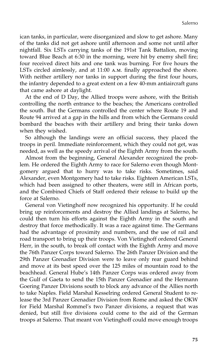ican tanks, in particular, were disorganized and slow to get ashore. Many of the tanks did not get ashore until afternoon and some not until after nightfall. Six LSTs carrying tanks of the 191st Tank Battalion, moving toward Blue Beach at 6:30 in the morning, were hit by enemy shell fire; four received direct hits and one tank was burning. For five hours the LSTs circled aimlessly, and at 11:00 a.m. finally approached the shore. With neither artillery nor tanks in support during the first four hours, the infantry depended to a great extent on a few 40-mm antiaircraft guns that came ashore at daylight.

At the end of D Day, the Allied troops were ashore, with the British controlling the north entrance to the beaches; the Americans controlled the south. But the Germans controlled the center where Route 19 and Route 94 arrived at a gap in the hills and from which the Germans could bombard the beaches with their artillery and bring their tanks down when they wished.

So although the landings were an official success, they placed the troops in peril. Immediate reinforcement, which they could not get, was needed, as well as the speedy arrival of the Eighth Army from the south.

Almost from the beginning, General Alexander recognized the problem. He ordered the Eighth Army to race for Salerno even though Montgomery argued that to hurry was to take risks. Sometimes, said Alexander, even Montgomery had to take risks. Eighteen American LSTs, which had been assigned to other theaters, were still in African ports, and the Combined Chiefs of Staff ordered their release to build up the force at Salerno.

General von Vietinghoff now recognized his opportunity. If he could bring up reinforcements and destroy the Allied landings at Salerno, he could then turn his efforts against the Eighth Army in the south and destroy that force methodically. It was a race against time. The Germans had the advantage of proximity and numbers, and the use of rail and road transport to bring up their troops. Von Vietinghoff ordered General Herr, in the south, to break off contact with the Eighth Army and move the 76th Panzer Corps toward Salerno. The 26th Panzer Division and the 29th Panzer Grenadier Division were to leave only rear guard behind and move at its best speed over the 125 miles of mountain road to the beachhead. General Hube's 14th Panzer Corps was ordered away from the Gulf of Gaeta to send the 15th Panzer Grenadier and the Hermann Goering Panzer Divisions south to block any advance of the Allies north to take Naples. Field Marshal Kesselring ordered General Student to release the 3rd Panzer Grenadier Division from Rome and asked the OKW for Field Marshal Rommel's two Panzer divisions, a request that was denied, but still five divisions could come to the aid of the German troops at Salerno. That meant von Vietinghoff could move enough troops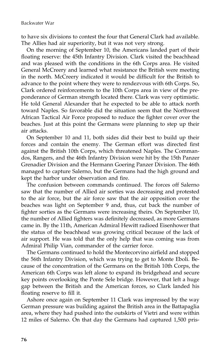to have six divisions to contest the four that General Clark had available. The Allies had air superiority, but it was not very strong.

On the morning of September 10, the Americans landed part of their floating reserve: the 45th Infantry Division. Clark visited the beachhead and was pleased with the conditions in the 6th Corps area. He visited General McCreery and learned what resistance the British were meeting in the north. McCreery indicated it would be difficult for the British to advance to the point where they were to rendezvous with 6th Corps. So, Clark ordered reinforcements to the 10th Corps area in view of the preponderance of German strength located there. Clark was very optimistic. He told General Alexander that he expected to be able to attack north toward Naples. So favorable did the situation seem that the Northwest African Tactical Air Force proposed to reduce the fighter cover over the beaches. Just at this point the Germans were planning to step up their air attacks.

On September 10 and 11, both sides did their best to build up their forces and contain the enemy. The German effort was directed first against the British 10th Corps, which threatened Naples. The Commandos, Rangers, and the 46th Infantry Division were hit by the 15th Panzer Grenadier Division and the Hermann Goering Panzer Division. The 46th managed to capture Salerno, but the Germans had the high ground and kept the harbor under observation and fire.

The confusion between commands continued. The forces off Salerno saw that the number of Allied air sorties was decreasing and protested to the air force, but the air force saw that the air opposition over the beaches was light on September 9 and, thus, cut back the number of fighter sorties as the Germans were increasing theirs. On September 10, the number of Allied fighters was definitely decreased, as more Germans came in. By the 11th, American Admiral Hewitt radioed Eisenhower that the status of the beachhead was growing critical because of the lack of air support. He was told that the only help that was coming was from Admiral Philip Vian, commander of the carrier force.

The Germans continued to hold the Montecorvino airfield and stopped the 56th Infantry Division, which was trying to get to Monte Eboli. Because of the concentration of the Germans on the British 10th Corps, the American 6th Corps was left alone to expand its bridgehead and secure key points overlooking the Ponte Sele bridge. However, that left a huge gap between the British and the American forces, so Clark landed his floating reserve to fill it.

Ashore once again on September 11 Clark was impressed by the way German pressure was building against the British area in the Battapaglia area, where they had pushed into the outskirts of Vietri and were within 12 miles of Salerno. On that day the Germans had captured 1,500 pris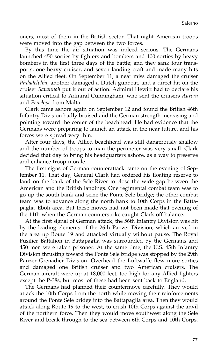oners, most of them in the British sector. That night American troops were moved into the gap between the two forces.

By this time the air situation was indeed serious. The Germans launched 450 sorties by fighters and bombers and 100 sorties by heavy bombers in the first three days of the battle; and they sank four transports, one heavy cruiser, and seven landing craft and made many hits on the Allied fleet. On September 11, a near miss damaged the cruiser *Philadelphia*, another damaged a Dutch gunboat, and a direct hit on the cruiser *Savannah* put it out of action. Admiral Hewitt had to declare his situation critical to Admiral Cunningham, who sent the cruisers *Aurora* and *Penelope* from Malta.

Clark came ashore again on September 12 and found the British 46th Infantry Division badly bruised and the German strength increasing and pointing toward the center of the beachhead. He had evidence that the Germans were preparing to launch an attack in the near future, and his forces were spread very thin.

After four days, the Allied beachhead was still dangerously shallow and the number of troops to man the perimeter was very small. Clark decided that day to bring his headquarters ashore, as a way to preserve and enhance troop morale.

The first signs of German counterattack came on the evening of September 11. That day, General Clark had ordered his floating reserve to land on the bank of the Sele River to close the wide gap between the American and the British landings. One regimental combat team was to go up the south bank and seize the Ponte Sele bridge; the other combat team was to advance along the north bank to 10th Corps in the Battapaglia–Eboli area. But these moves had not been made that evening of the 11th when the German counterstrike caught Clark off balance.

At the first signal of German attack, the 56th Infantry Division was hit by the leading elements of the 26th Panzer Division, which arrived in the area up Route 19 and attacked virtually without pause. The Royal Fusilier Battalion in Battapaglia was surrounded by the Germans and 450 men were taken prisoner. At the same time, the U.S. 45th Infantry Division thrusting toward the Ponte Sele bridge was stopped by the 29th Panzer Grenadier Division. Overhead the Luftwaffe flew more sorties and damaged one British cruiser and two American cruisers. The German aircraft were up at 18,000 feet, too high for any Allied fighters except the P-38s, but most of these had been sent back to England.

The Germans had planned their countermove carefully. They would attack the 10th Corps from the north while moving their reinforcements around the Ponte Sele bridge into the Battapaglia area. Then they would attack along Route 19 to the west, to crush 10th Corps against the anvil of the northern force. Then they would move southwest along the Sele River and break through to the sea between 6th Corps and 10th Corps.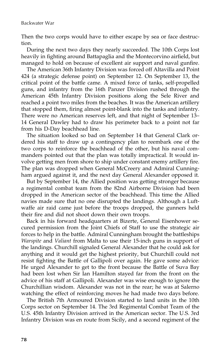Then the two corps would have to either escape by sea or face destruction.

During the next two days they nearly succeeded. The 10th Corps lost heavily in fighting around Battapaglia and the Montecorvino airfield, but managed to hold on because of excellent air support and naval gunfire.

The American 36th Infantry Division was forced off Altavilla and Point 424 (a strategic defense point) on September 12. On September 13, the critical point of the battle came. A mixed force of tanks, self-propelled guns, and infantry from the 16th Panzer Division rushed through the American 45th Infantry Division positions along the Sele River and reached a point two miles from the beaches. It was the American artillery that stopped them, firing almost point-blank into the tanks and infantry. There were no American reserves left, and that night of September 13– 14 General Dawley had to draw his perimeter back to a point not far from his D-Day beachhead line.

The situation looked so bad on September 14 that General Clark ordered his staff to draw up a contingency plan to reembark one of the two corps to reinforce the beachhead of the other, but his naval commanders pointed out that the plan was totally impractical. It would involve getting men from shore to ship under constant enemy artillery fire. The plan was dropped when General McCreery and Admiral Cunningham argued against it, and the next day General Alexander opposed it.

But by September 14, the Allied position was getting stronger because a regimental combat team from the 82nd Airborne Division had been dropped in the American sector of the beachhead. This time the Allied navies made sure that no one disrupted the landings. Although a Luftwaffe air raid came just before the troops dropped, the gunners held their fire and did not shoot down their own troops.

Back in his forward headquarters at Bizerte, General Eisenhower secured permission from the Joint Chiefs of Staff to use the strategic air forces to help in the battle. Admiral Cunningham brought the battleships *Warspite* and *Valiant* from Malta to use their 15-inch guns in support of the landings. Churchill signaled General Alexander that he could ask for anything and it would get the highest priority, but Churchill could not resist fighting the Battle of Gallipoli over again. He gave some advice: He urged Alexander to get to the front because the Battle of Suva Bay had been lost when Sir Ian Hamilton stayed far from the front on the advice of his staff at Gallipoli. Alexander was wise enough to ignore the Churchillian wisdom. Alexander was not in the rear; he was at Salerno watching the effect of reinforcing moves he had made two days before.

The British 7th Armoured Division started to land units in the 10th Corps sector on September 14. The 3rd Regimental Combat Team of the U.S. 45th Infantry Division arrived in the American sector. The U.S. 3rd Infantry Division was en route from Sicily, and a second regiment of the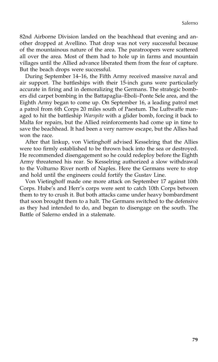82nd Airborne Division landed on the beachhead that evening and another dropped at Avellino. That drop was not very successful because of the mountainous nature of the area. The paratroopers were scattered all over the area. Most of them had to hole up in farms and mountain villages until the Allied advance liberated them from the fear of capture. But the beach drops were successful.

During September 14–16, the Fifth Army received massive naval and air support. The battleships with their 15-inch guns were particularly accurate in firing and in demoralizing the Germans. The strategic bombers did carpet bombing in the Battapaglia–Eboli–Ponte Sele area, and the Eighth Army began to come up. On September 16, a leading patrol met a patrol from 6th Corps 20 miles south of Paestum. The Luftwaffe managed to hit the battleship *Warspite* with a glider bomb, forcing it back to Malta for repairs, but the Allied reinforcements had come up in time to save the beachhead. It had been a very narrow escape, but the Allies had won the race.

After that linkup, von Vietinghoff advised Kesselring that the Allies were too firmly established to be thrown back into the sea or destroyed. He recommended disengagement so he could redeploy before the Eighth Army threatened his rear. So Kesselring authorized a slow withdrawal to the Volturno River north of Naples. Here the Germans were to stop and hold until the engineers could fortify the Gustav Line.

Von Vietinghoff made one more attack on September 17 against 10th Corps. Hube's and Herr's corps were sent to catch 10th Corps between them to try to crush it. But both attacks came under heavy bombardment that soon brought them to a halt. The Germans switched to the defensive as they had intended to do, and began to disengage on the south. The Battle of Salerno ended in a stalemate.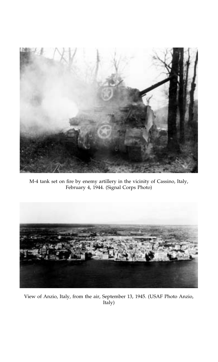

M-4 tank set on fire by enemy artillery in the vicinity of Cassino, Italy, February 4, 1944. (Signal Corps Photo)



View of Anzio, Italy, from the air, September 13, 1945. (USAF Photo Anzio, Italy)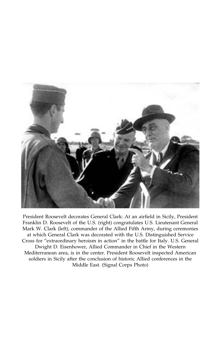

President Roosevelt decorates General Clark: At an airfield in Sicily, President Franklin D. Roosevelt of the U.S. (right) congratulates U.S. Lieutenant General Mark W. Clark (left), commander of the Allied Fifth Army, during ceremonies at which General Clark was decorated with the U.S. Distinguished Service Cross for "extraordinary heroism in action" in the battle for Italy. U.S. General Dwight D. Eisenhower, Allied Commander in Chief in the Western Mediterranean area, is in the center. President Roosevelt inspected American soldiers in Sicily after the conclusion of historic Allied conferences in the Middle East. (Signal Corps Photo)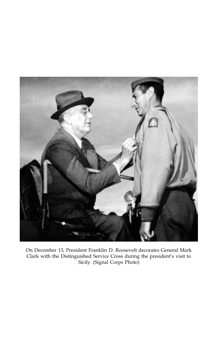

On December 13, President Franklin D. Roosevelt decorates General Mark Clark with the Distinguished Service Cross during the president's visit to Sicily. (Signal Corps Photo)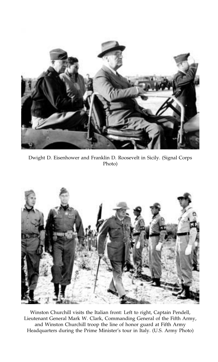

Dwight D. Eisenhower and Franklin D. Roosevelt in Sicily. (Signal Corps Photo)



Winston Churchill visits the Italian front: Left to right, Captain Pendell, Lieutenant General Mark W. Clark, Commanding General of the Fifth Army, and Winston Churchill troop the line of honor guard at Fifth Army Headquarters during the Prime Minister's tour in Italy. (U.S. Army Photo)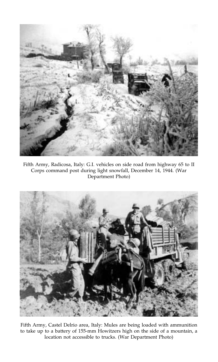

Fifth Army, Radicosa, Italy: G.I. vehicles on side road from highway 65 to II Corps command post during light snowfall, December 14, 1944. (War Department Photo)



Fifth Army, Castel Delrio area, Italy: Mules are being loaded with ammunition to take up to a battery of 155-mm Howitzers high on the side of a mountain, a location not accessible to trucks. (War Department Photo)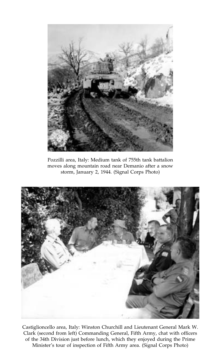

Pozzilli area, Italy: Medium tank of 755th tank battalion moves along mountain road near Demanio after a snow storm, January 2, 1944. (Signal Corps Photo)



Castiglioncello area, Italy: Winston Churchill and Lieutenant General Mark W. Clark (second from left) Commanding General, Fifth Army, chat with officers of the 34th Division just before lunch, which they enjoyed during the Prime Minister's tour of inspection of Fifth Army area. (Signal Corps Photo)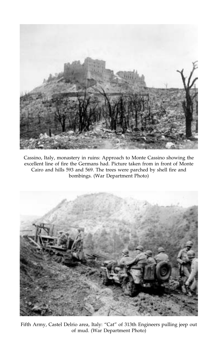

Cassino, Italy, monastery in ruins: Approach to Monte Cassino showing the excellent line of fire the Germans had. Picture taken from in front of Monte Cairo and hills 593 and 569. The trees were parched by shell fire and bombings. (War Department Photo)



Fifth Army, Castel Delrio area, Italy: "Cat" of 313th Engineers pulling jeep out of mud. (War Department Photo)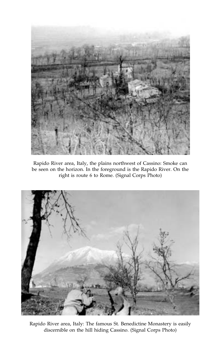

Rapido River area, Italy, the plains northwest of Cassino: Smoke can be seen on the horizon. In the foreground is the Rapido River. On the right is route 6 to Rome. (Signal Corps Photo)



Rapido River area, Italy: The famous St. Benedictine Monastery is easily discernible on the hill hiding Cassino. (Signal Corps Photo)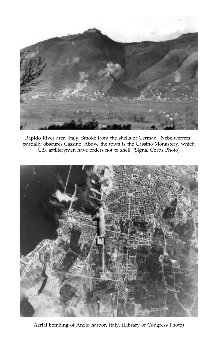

Rapido River area, Italy: Smoke from the shells of German "Nebelwerfers" partially obscures Cassino. Above the town is the Cassino Monastery, which U.S. artillerymen have orders not to shell. (Signal Corps Photo)



Aerial bombing of Anzio harbor, Italy. (Library of Congress Photo)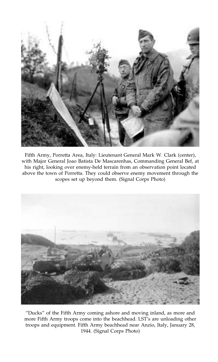

Fifth Army, Porretta Area, Italy: Lieutenant General Mark W. Clark (center), with Major General Joao Batista De Mascarenhas, Commanding General Bef, at his right, looking over enemy-held terrain from an observation point located above the town of Porretta. They could observe enemy movement through the scopes set up beyond them. (Signal Corps Photo)



"Ducks" of the Fifth Army coming ashore and moving inland, as more and more Fifth Army troops come into the beachhead. LST's are unloading other troops and equipment. Fifth Army beachhead near Anzio, Italy, January 28, 1944. (Signal Corps Photo)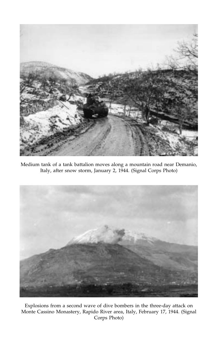

Medium tank of a tank battalion moves along a mountain road near Demanio, Italy, after snow storm, January 2, 1944. (Signal Corps Photo)



Explosions from a second wave of dive bombers in the three-day attack on Monte Cassino Monastery, Rapido River area, Italy, February 17, 1944. (Signal Corps Photo)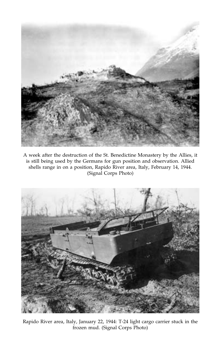

A week after the destruction of the St. Benedictine Monastery by the Allies, it is still being used by the Germans for gun position and observation. Allied shells range in on a position, Rapido River area, Italy, February 14, 1944. (Signal Corps Photo)



Rapido River area, Italy, January 22, 1944: T-24 light cargo carrier stuck in the frozen mud. (Signal Corps Photo)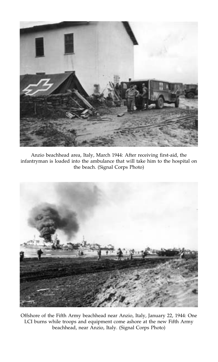

Anzio beachhead area, Italy, March 1944: After receiving first-aid, the infantryman is loaded into the ambulance that will take him to the hospital on the beach. (Signal Corps Photo)



Offshore of the Fifth Army beachhead near Anzio, Italy, January 22, 1944: One LCI burns while troops and equipment come ashore at the new Fifth Army beachhead, near Anzio, Italy. (Signal Corps Photo)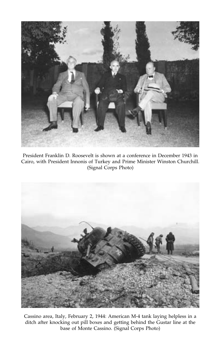

President Franklin D. Roosevelt is shown at a conference in December 1943 in Cairo, with President Innonis of Turkey and Prime Minister Winston Churchill. (Signal Corps Photo)



Cassino area, Italy, February 2, 1944: American M-4 tank laying helpless in a ditch after knocking out pill boxes and getting behind the Gustar line at the base of Monte Cassino. (Signal Corps Photo)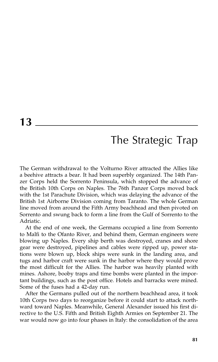## The Strategic Trap

The German withdrawal to the Volturno River attracted the Allies like a beehive attracts a bear. It had been superbly organized. The 14th Panzer Corps held the Sorrento Peninsula, which stopped the advance of the British 10th Corps on Naples. The 76th Panzer Corps moved back with the 1st Parachute Division, which was delaying the advance of the British 1st Airborne Division coming from Taranto. The whole German line moved from around the Fifth Army beachhead and then pivoted on Sorrento and swung back to form a line from the Gulf of Sorrento to the Adriatic.

At the end of one week, the Germans occupied a line from Sorrento to Malfi to the Ofanto River, and behind them, German engineers were blowing up Naples. Every ship berth was destroyed, cranes and shore gear were destroyed, pipelines and cables were ripped up, power stations were blown up, block ships were sunk in the landing area, and tugs and harbor craft were sunk in the harbor where they would prove the most difficult for the Allies. The harbor was heavily planted with mines. Ashore, booby traps and time bombs were planted in the important buildings, such as the post office. Hotels and barracks were mined. Some of the fuses had a 42-day run.

After the Germans pulled out of the northern beachhead area, it took 10th Corps two days to reorganize before it could start to attack northward toward Naples. Meanwhile, General Alexander issued his first directive to the U.S. Fifth and British Eighth Armies on September 21. The war would now go into four phases in Italy: the consolidation of the area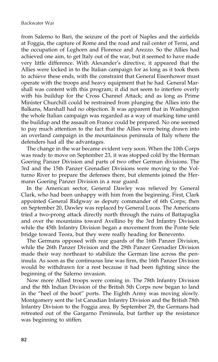from Salerno to Bari, the seizure of the port of Naples and the airfields at Foggia, the capture of Rome and the road and rail center of Terni, and the occupation of Leghorn and Florence and Arezzo. So the Allies had achieved one aim, to get Italy out of the war, but it seemed to have made very little difference. With Alexander's directive, it appeared that the Allies were locked in to the Italian campaign for as long as it took them to achieve these ends, with the constraint that General Eisenhower must operate with the troops and heavy equipment that he had. General Marshall was content with this program; it did not seem to interfere overly with his buildup for the Cross Channel Attack; and as long as Prime Minister Churchill could be restrained from plunging the Allies into the Balkans, Marshall had no objection. It was apparent that in Washington the whole Italian campaign was regarded as a way of marking time until the buildup and the assault on France could be prepared. No one seemed to pay much attention to the fact that the Allies were being drawn into an overland campaign in the mountainous peninsula of Italy where the defenders had all the advantages.

The change in the war became evident very soon. When the 10th Corps was ready to move on September 23, it was stopped cold by the Herman Goering Panzer Division and parts of two other German divisions. The 3rd and the 15th Panzer Grenadier Divisions were moving to the Volturno River to prepare the defenses there, but elements joined the Hermann Goering Panzer Division in a rear guard.

In the American sector, General Dawley was relieved by General Clark, who had been unhappy with him from the beginning. First, Clark appointed General Ridgway as deputy commander of 6th Corps; then on September 20, Dawley was replaced by General Lucas. The Americans tried a two-prong attack directly north through the ruins of Battapaglia and over the mountains toward Avellino by the 3rd Infantry Division while the 45th Infantry Division began a movement from the Ponte Sele bridge toward Teora, but they were really heading for Benevento.

The Germans opposed with rear guards of the 16th Panzer Division, while the 26th Panzer Division and the 29th Panzer Grenadier Division made their way northeast to stabilize the German line across the peninsula. As soon as the continuous line was firm, the 16th Panzer Division would be withdrawn for a rest because it had been fighting since the beginning of the Salerno invasion.

Now more Allied troops were coming in. The 78th Infantry Division and the 8th Indian Division of the British 5th Corps now began to land in the "heel of the boot" ports. The Eighth Army was moving slowly. Montgomery sent the 1st Canadian Infantry Division and the British 78th Infantry Division to the Foggia area. By September 29, the Germans had retreated out of the Gargarno Peninsula, but farther up the resistance was beginning to stiffen.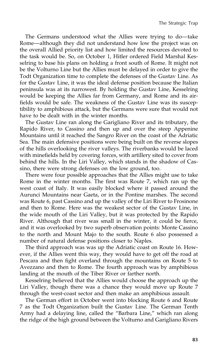The Germans understood what the Allies were trying to do—take Rome—although they did not understand how low the project was on the overall Allied priority list and how limited the resources devoted to the task would be. So, on October 1, Hitler ordered Field Marshal Kesselring to base his plans on holding a front south of Rome. It might not be the Volturno Line but the Allies must be delayed in order to give the Todt Organization time to complete the defenses of the Gustav Line. As for the Gustav Line, it was the ideal defense position because the Italian peninsula was at its narrowest. By holding the Gustav Line, Kesselring would be keeping the Allies far from Germany, and Rome and its airfields would be safe. The weakness of the Gustav Line was its susceptibility to amphibious attack, but the Germans were sure that would not have to be dealt with in the winter months.

The Gustav Line ran along the Garigliano River and its tributary, the Rapido River, to Cassino and then up and over the steep Appenine Mountains until it reached the Sangro River on the coast of the Adriatic Sea. The main defensive positions were being built on the reverse slopes of the hills overlooking the river valleys. The riverbanks would be laced with minefields held by covering forces, with artillery sited to cover from behind the hills. In the Liri Valley, which stands in the shadow of Cassino, there were strong defenses on the low ground, too.

There were four possible approaches that the Allies might use to take Rome in the winter months. The first was Route 7, which ran up the west coast of Italy. It was easily blocked where it passed around the Aurunci Mountains near Gaeta, or in the Pontine marshes. The second was Route 6, past Cassino and up the valley of the Liri River to Frosinone and then to Rome. Here was the weakest sector of the Gustav Line, in the wide mouth of the Liri Valley, but it was protected by the Rapido River. Although that river was small in the winter, it could be fierce, and it was overlooked by two superb observation points: Monte Cassino to the north and Mount Majo to the south. Route 6 also possessed a number of natural defense positions closer to Naples.

The third approach was was up the Adriatic coast on Route 16. However, if the Allies went this way, they would have to get off the road at Pescara and then fight overland through the mountains on Route 5 to Avezzano and then to Rome. The fourth approach was by amphibious landing at the mouth of the Tiber River or farther north.

Kesselring believed that the Allies would choose the approach up the Liri Valley, though there was a chance they would move up Route 7 through the west-coast sector and then make an amphibious assault.

The German effort in October went into blocking Route 6 and Route 7 as the Todt Organization built the Gustav Line. The German Tenth Army had a delaying line, called the "Barbara Line," which ran along the ridge of the high ground between the Volturno and Garigliano Rivers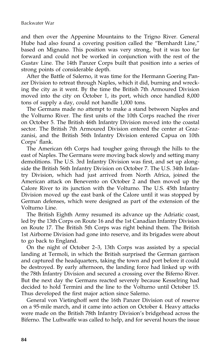and then over the Appenine Mountains to the Trigno River. General Hube had also found a covering position called the "Bernhardt Line," based on Mignano. This position was very strong, but it was too far forward and could not be worked in conjunction with the rest of the Gustav Line. The 14th Panzer Corps built that position into a series of strong points of considerable depth.

After the Battle of Salerno, it was time for the Hermann Goering Panzer Division to retreat through Naples, which it did, burning and wrecking the city as it went. By the time the British 7th Armoured Division moved into the city on October 1, its port, which once handled 8,000 tons of supply a day, could not handle 1,000 tons.

The Germans made no attempt to make a stand between Naples and the Volturno River. The first units of the 10th Corps reached the river on October 5. The British 46th Infantry Division moved into the coastal sector. The British 7th Armoured Division entered the center at Grazzanisi, and the British 56th Infantry Division entered Capua on 10th Corps' flank.

The American 6th Corps had tougher going through the hills to the east of Naples. The Germans were moving back slowly and setting many demolitions. The U.S. 3rd Infantry Division was first, and set up alongside the British 56th Infantry Division on October 7. The U.S. 34th Infantry Division, which had just arrived from North Africa, joined the American attack on Benevento on October 2 and then moved up the Calore River to its junction with the Volturno. The U.S. 45th Infantry Division moved up the east bank of the Calore until it was stopped by German defenses, which were designed as part of the extension of the Volturno Line.

The British Eighth Army resumed its advance up the Adriatic coast, led by the 13th Corps on Route 16 and the 1st Canadian Infantry Division on Route 17. The British 5th Corps was right behind them. The British 1st Airborne Division had gone into reserve, and its brigades were about to go back to England.

On the night of October 2–3, 13th Corps was assisted by a special landing at Termoli, in which the British surprised the German garrison and captured the headquarters, taking the town and port before it could be destroyed. By early afternoon, the landing force had linked up with the 78th Infantry Division and secured a crossing over the Biferno River. But the next day the Germans reacted severely because Kesselring had decided to hold Termini and the line to the Volturno until October 15. Thus developed the first major action since Salerno.

General von Vietinghoff sent the 16th Panzer Division out of reserve on a 95-mile march, and it came into action on October 4. Heavy attacks were made on the British 78th Infantry Division's bridgehead across the Biferno. The Luftwaffe was called to help, and for several hours the issue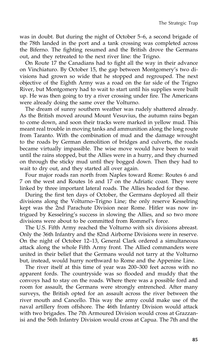was in doubt. But during the night of October 5–6, a second brigade of the 78th landed in the port and a tank crossing was completed across the Biferno. The fighting resumed and the British drove the Germans out, and they retreated to the next river line: the Trigno.

On Route 17 the Canadians had to fight all the way in their advance on Vinchiaturo. By October 15, the gap between Montgomery's two divisions had grown so wide that he stopped and regrouped. The next objective of the Eighth Army was a road on the far side of the Trigno River, but Montgomery had to wait to start until his supplies were built up. He was then going to try a river crossing under fire. The Americans were already doing the same over the Volturno.

The dream of sunny southern weather was rudely shattered already. As the British moved around Mount Vesuvius, the autumn rains began to come down, and soon their tracks were marked in yellow mud. This meant real trouble in moving tanks and ammunition along the long route from Taranto. With the combination of mud and the damage wrought to the roads by German demolition of bridges and culverts, the roads became virtually impassible. The wise move would have been to wait until the rains stopped, but the Allies were in a hurry, and they churned on through the sticky mud until they bogged down. Then they had to wait to dry out, and they started all over again.

Four major roads ran north from Naples toward Rome: Routes 6 and 7 on the west and Routes 16 and 17 on the Adriatic coast. They were linked by three important lateral roads. The Allies headed for these.

During the first ten days of October, the Germans deployed all their divisions along the Volturno–Trigno Line; the only reserve Kesselring kept was the 2nd Parachute Division near Rome. Hitler was now intrigued by Kesselring's success in slowing the Allies, and so two more divisions were about to be committed from Rommel's force.

The U.S. Fifth Army reached the Volturno with six divisions abreast. Only the 36th Infantry and the 82nd Airborne Divisions were in reserve. On the night of October 12–13, General Clark ordered a simultaneous attack along the whole Fifth Army front. The Allied commanders were united in their belief that the Germans would not tarry at the Volturno but, instead, would hurry northward to Rome and the Appenine Line.

The river itself at this time of year was 200–300 feet across with no apparent fords. The countryside was so flooded and muddy that the convoys had to stay on the roads. Where there was a possible ford and room for assault, the Germans were strongly entrenched. After many surveys, the British opted for an assault across the river between the river mouth and Cancello. This way the army could make use of the naval artillery from offshore. The 46th Infantry Division would attack with two brigades. The 7th Armoured Division would cross at Grazzanisi and the 56th Infantry Division would cross at Capua. The 7th and the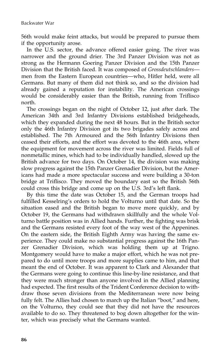56th would make feint attacks, but would be prepared to pursue them if the opportunity arose.

In the U.S. sector, the advance offered easier going. The river was narrower and the ground drier. The 3rd Panzer Division was not as strong as the Hermann Goering Panzer Division and the 15th Panzer Division that the British faced. It was composed of *Grossdeutschlanders* men from the Eastern European countries—who, Hitler held, were all Germans. But many of them did not think so, and so the division had already gained a reputation for instability. The American crossings would be considerably easier than the British, running from Triflisco north.

The crossings began on the night of October 12, just after dark. The American 34th and 3rd Infantry Divisions established bridgeheads, which they expanded during the next 48 hours. But in the British sector only the 46th Infantry Division got its two brigades safely across and established. The 7th Armoured and the 56th Infantry Divisions then ceased their efforts, and the effort was devoted to the 46th area, where the equipment for movement across the river was limited. Fields full of nonmetallic mines, which had to be individually handled, slowed up the British advance for two days. On October 14, the division was making slow progress against the 15th Panzer Grenadier Division, but the Americans had made a more spectacular success and were building a 30-ton bridge at Triflisco. They moved the boundary east so the British 56th could cross this bridge and come up on the U.S. 3rd's left flank.

By this time the date was October 15, and the German troops had fulfilled Kesselring's orders to hold the Volturno until that date. So the situation eased and the British began to move more quickly, and by October 19, the Germans had withdrawn skillfully and the whole Volturno battle position was in Allied hands. Further, the fighting was brisk and the Germans resisted every foot of the way west of the Appenines. On the eastern side, the British Eighth Army was having the same experience. They could make no substantial progress against the 16th Panzer Grenadier Division, which was holding them up at Trigno. Montgomery would have to make a major effort, which he was not prepared to do until more troops and more supplies came to him, and that meant the end of October. It was apparent to Clark and Alexander that the Germans were going to continue this line-by-line resistance, and that they were much stronger than anyone involved in the Allied planning had expected. The first results of the Trident Conference decision to withdraw those seven divisions from the Mediterranean were now being fully felt. The Allies had chosen to march up the Italian "boot," and here, on the Volturno, they could see that they did not have the resources available to do so. They threatened to bog down altogether for the winter, which was precisely what the Germans wanted.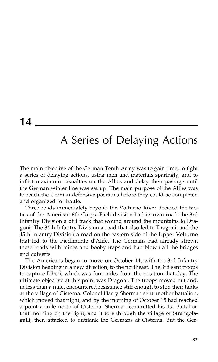# A Series of Delaying Actions

The main objective of the German Tenth Army was to gain time, to fight a series of delaying actions, using men and materials sparingly, and to inflict maximum casualties on the Allies and delay their passage until the German winter line was set up. The main purpose of the Allies was to reach the German defensive positions before they could be completed and organized for battle.

Three roads immediately beyond the Volturno River decided the tactics of the American 6th Corps. Each division had its own road: the 3rd Infantry Division a dirt track that wound around the mountains to Dragoni; The 34th Infantry Division a road that also led to Dragoni; and the 45th Infantry Division a road on the eastern side of the Upper Volturno that led to the Piedimonte d'Alife. The Germans had already strewn these roads with mines and booby traps and had blown all the bridges and culverts.

The Americans began to move on October 14, with the 3rd Infantry Division heading in a new direction, to the northeast. The 3rd sent troops to capture Liberi, which was four miles from the position that day. The ultimate objective at this point was Dragoni. The troops moved out and, in less than a mile, encountered resistance stiff enough to stop their tanks at the village of Cisterna. Colonel Harry Sherman sent another battalion, which moved that night, and by the morning of October 15 had reached a point a mile north of Cisterna. Sherman committed his 1st Battalion that morning on the right, and it tore through the village of Strangolagalli, then attacked to outflank the Germans at Cisterna. But the Ger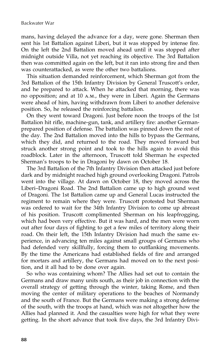mans, having delayed the advance for a day, were gone. Sherman then sent his 1st Battalion against Liberi, but it was stopped by intense fire. On the left the 2nd Battalion moved ahead until it was stopped after midnight outside Villa, not yet reaching its objective. The 3rd Battalion then was committed again on the left, but it ran into strong fire and then was counterattacked, as were the other two battalions.

This situation demanded reinforcement, which Sherman got from the 3rd Battalion of the 15th Infantry Division by General Truscott's order, and he prepared to attack. When he attacked that morning, there was no opposition; and at 10 a.m., they were in Liberi. Again the Germans were ahead of him, having withdrawn from Liberi to another defensive position. So, he released the reinforcing battalion.

On they went toward Dragoni. Just before noon the troops of the 1st Battalion hit rifle, machine-gun, tank, and artillery fire: another Germanprepared position of defense. The battalion was pinned down the rest of the day. The 2nd Battalion moved into the hills to bypass the Germans, which they did, and returned to the road. They moved forward but struck another strong point and took to the hills again to avoid this roadblock. Later in the afternoon, Truscott told Sherman he expected Sherman's troops to be in Dragoni by dawn on October 18.

The 3rd Battalion of the 7th Infantry Division then attacked just before dark and by midnight reached high ground overlooking Dragoni. Patrols went into the village. At dawn on October 18, they moved across the Liberi–Dragoni Road. The 2nd Battalion came up to high ground west of Dragoni. The 1st Battalion came up and General Lucas instructed the regiment to remain where they were. Truscott protested but Sherman was ordered to wait for the 34th Infantry Division to come up abreast of his position. Truscott complimented Sherman on his leapfrogging, which had been very effective. But it was hard, and the men were worn out after four days of fighting to get a few miles of territory along their road. On their left, the 15th Infantry Division had much the same experience, in advancing ten miles against small groups of Germans who had defended very skillfully, forcing them to outflanking movements. By the time the Americans had established fields of fire and arranged for mortars and artillery, the Germans had moved on to the next position, and it all had to be done over again.

So who was containing whom? The Allies had set out to contain the Germans and draw many units south, as their job in connection with the overall strategy of getting through the winter, taking Rome, and then moving the center of military operations to the beaches of Normandy and the south of France. But the Germans were making a strong defense of the south, with the troops at hand, which was not altogether how the Allies had planned it. And the casualties were high for what they were getting. In the short advance that took five days, the 3rd Infantry Divi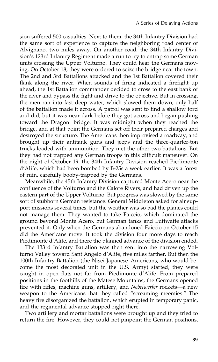sion suffered 500 casualties. Next to them, the 34th Infantry Division had the same sort of experience to capture the neighboring road center of Alvignano, two miles away. On another road, the 34th Infantry Division's 123rd Infantry Regiment made a run to try to entrap some German units crossing the Upper Volturno. They could hear the Germans moving. On October 18, they were ordered to seize the bridge near the town. The 2nd and 3rd Battalions attacked and the 1st Battalion covered their flank along the river. When sounds of firing indicated a firefight up ahead, the 1st Battalion commander decided to cross to the east bank of the river and bypass the fight and drive to the objective. But in crossing, the men ran into fast deep water, which slowed them down; only half of the battalion made it across. A patrol was sent to find a shallow ford and did, but it was near dark before they got across and began pushing toward the Dragoni bridge. It was midnight when they reached the bridge, and at that point the Germans set off their prepared charges and destroyed the structure. The Americans then improvised a roadway, and brought up their antitank guns and jeeps and the three-quarter-ton trucks loaded with ammunition. They met the other two battalions. But they had not trapped any German troops in this difficult maneuver. On the night of October 19, the 34th Infantry Division reached Piedimonte d'Alife, which had been bombed by B-25s a week earlier. It was a forest of ruin, carefully booby-trapped by the Germans.

Meanwhile, the 45th Infantry Division captured Monte Acero near the confluence of the Volturno and the Calore Rivers, and had driven up the eastern part of the Upper Volturno. But progress was slowed by the same sort of stubborn German resistance. General Middleton asked for air support missions several times, but the weather was so bad the planes could not manage them. They wanted to take Faiccio, which dominated the ground beyond Monte Acero, but German tanks and Luftwaffe attacks prevented it. Only when the Germans abandoned Faiccio on October 15 did the Americans move. It took the division four more days to reach Piedimonte d'Alife, and there the planned advance of the division ended.

The 133rd Infantry Battalion was then sent into the narrowing Volturno Valley toward Sant'Angelo d'Alife, five miles farther. But then the 100th Infantry Battalion (the Nisei Japanese–Americans, who would become the most decorated unit in the U.S. Army) started, they were caught in open flats not far from Piedimonte d'Alife. From prepared positions in the foothills of the Matese Mountains, the Germans opened fire with rifles, machine guns, artillery, and *Nebelwerfer* rockets—a new weapon to the Americans that they called "screaming meemies." The heavy fire disorganized the battalion, which erupted in temporary panic, and the regimental advance stopped right there.

Two artillery and mortar battalions were brought up and they tried to return the fire. However, they could not pinpoint the German positions,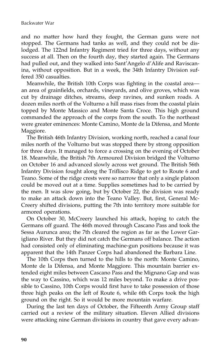and no matter how hard they fought, the German guns were not stopped. The Germans had tanks as well, and they could not be dislodged. The 122nd Infantry Regiment tried for three days, without any success at all. Then on the fourth day, they started again. The Germans had pulled out, and they walked into Sant'Angelo d'Alife and Raviscanina, without opposition. But in a week, the 34th Infantry Division suffered 350 casualties.

Meanwhile, the British 10th Corps was fighting in the coastal area an area of grainfields, orchards, vineyards, and olive groves, which was cut by drainage ditches, streams, deep ravines, and sunken roads. A dozen miles north of the Volturno a hill mass rises from the coastal plain topped by Monte Massico and Monte Santa Croce. This high ground commanded the approach of the corps from the south. To the northeast were greater eminences: Monte Camino, Monte de la Difensa, and Monte Maggiore.

The British 46th Infantry Division, working north, reached a canal four miles north of the Volturno but was stopped there by strong opposition for three days. It managed to force a crossing on the evening of October 18. Meanwhile, the British 7th Armoured Division bridged the Volturno on October 16 and advanced slowly across wet ground. The British 56th Infantry Division fought along the Triflisco Ridge to get to Route 6 and Teano. Some of the ridge crests were so narrow that only a single platoon could be moved out at a time. Supplies sometimes had to be carried by the men. It was slow going, but by October 22, the division was ready to make an attack down into the Teano Valley. But, first, General Mc-Creery shifted divisions, putting the 7th into territory more suitable for armored operations.

On October 30, McCreery launched his attack, hoping to catch the Germans off guard. The 46th moved through Cascano Pass and took the Sessa Aurunca area; the 7th cleared the region as far as the Lower Garigliano River. But they did not catch the Germans off balance. The action had consisted only of eliminating machine-gun positions because it was apparent that the 14th Panzer Corps had abandoned the Barbara Line.

The 10th Corps then turned to the hills to the north: Monte Camino, Monte de la Difensa, and Monte Maggiore. This mountain barrier extended eight miles between Cascano Pass and the Mignano Gap and was the way to Cassino, which was 12 miles beyond. To make a drive possible to Cassino, 10th Corps would first have to take possession of those three high peaks on the left of Route 6, while 6th Corps took the high ground on the right. So it would be more mountain warfare.

During the last ten days of October, the Fifteenth Army Group staff carried out a review of the military situation. Eleven Allied divisions were attacking nine German divisions in country that gave every advan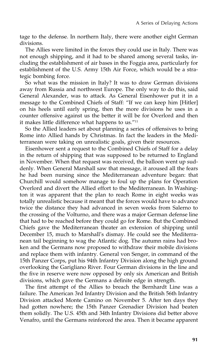tage to the defense. In northern Italy, there were another eight German divisions.

The Allies were limited in the forces they could use in Italy. There was not enough shipping, and it had to be shared among several tasks, including the establishment of air bases in the Foggia area, particularly for establishment of the U.S. Army 15th Air Force, which would be a strategic bombing force.

So what was the mission in Italy? It was to draw German divisions away from Russia and northwest Europe. The only way to do this, said General Alexander, was to attack. As General Eisenhower put it in a message to the Combined Chiefs of Staff: "If we can keep him [Hitler] on his heels until early spring, then the more divisions he uses in a counter offensive against us the better it will be for Overlord and then it makes little difference what happens to us."11

So the Allied leaders set about planning a series of offensives to bring Rome into Allied hands by Christmas. In fact the leaders in the Mediterranean were taking on unrealistic goals, given their resources.

Eisenhower sent a request to the Combined Chiefs of Staff for a delay in the return of shipping that was supposed to be returned to England in November. When that request was received, the balloon went up suddenly. When General Marshall saw that message, it aroused all the fears he had been nursing since the Mediterranean adventure began: that Churchill would somehow manage to foul up the plans for Operation Overlord and divert the Allied effort to the Mediterranean. In Washington it was apparent that the plan to reach Rome in eight weeks was totally unrealistic because it meant that the forces would have to advance twice the distance they had advanced in seven weeks from Salerno to the crossing of the Volturno, and there was a major German defense line that had to be reached before they could go for Rome. But the Combined Chiefs gave the Mediterranean theater an extension of shipping until December 15, much to Marshall's dismay. He could see the Mediterranean tail beginning to wag the Atlantic dog. The autumn rains had broken and the Germans now proposed to withdraw their mobile divisions and replace them with infantry. General von Senger, in command of the 15th Panzer Corps, put his 94th Infantry Division along the high ground overlooking the Garigliano River. Four German divisions in the line and the five in reserve were now opposed by only six American and British divisions, which gave the Germans a definite edge in strength.

The first attempt of the Allies to breach the Bernhardt Line was a failure. The American 3rd Infantry Division and the British 56th Infantry Division attacked Monte Camino on November 5. After ten days they had gotten nowhere; the 15th Panzer Grenadier Division had beaten them solidly. The U.S. 45th and 34th Infantry Divisions did better above Venafro, until the Germans reinforced the area. Then it became apparent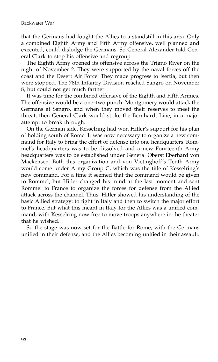that the Germans had fought the Allies to a standstill in this area. Only a combined Eighth Army and Fifth Army offensive, well planned and executed, could dislodge the Germans. So General Alexander told General Clark to stop his offensive and regroup.

The Eighth Army opened its offensive across the Trigno River on the night of November 2. They were supported by the naval forces off the coast and the Desert Air Force. They made progress to Isertia, but then were stopped. The 78th Infantry Division reached Sangro on November 8, but could not get much farther.

It was time for the combined offensive of the Eighth and Fifth Armies. The offensive would be a one–two punch. Montgomery would attack the Germans at Sangro, and when they moved their reserves to meet the threat, then General Clark would strike the Bernhardt Line, in a major attempt to break through.

On the German side, Kesselring had won Hitler's support for his plan of holding south of Rome. It was now necessary to organize a new command for Italy to bring the effort of defense into one headquarters. Rommel's headquarters was to be dissolved and a new Fourteenth Army headquarters was to be established under General Oberst Eberhard von Mackensen. Both this organization and von Vietinghoff's Tenth Army would come under Army Group C, which was the title of Kesselring's new command. For a time it seemed that the command would be given to Rommel, but Hitler changed his mind at the last moment and sent Rommel to France to organize the forces for defense from the Allied attack across the channel. Thus, Hitler showed his understanding of the basic Allied strategy: to fight in Italy and then to switch the major effort to France. But what this meant in Italy for the Allies was a unified command, with Kesselring now free to move troops anywhere in the theater that he wished.

So the stage was now set for the Battle for Rome, with the Germans unified in their defense, and the Allies becoming unified in their assault.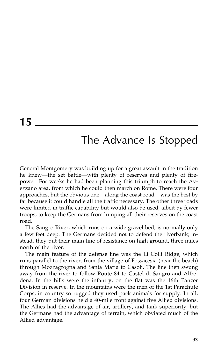# The Advance Is Stopped

General Montgomery was building up for a great assault in the tradition he knew—the set battle—with plenty of reserves and plenty of firepower. For weeks he had been planning this triumph to reach the Avezzano area, from which he could then march on Rome. There were four approaches, but the obvious one—along the coast road—was the best by far because it could handle all the traffic necessary. The other three roads were limited in traffic capability but would also be used, albeit by fewer troops, to keep the Germans from lumping all their reserves on the coast road.

The Sangro River, which runs on a wide gravel bed, is normally only a few feet deep. The Germans decided not to defend the riverbank; instead, they put their main line of resistance on high ground, three miles north of the river.

The main feature of the defense line was the Li Colli Ridge, which runs parallel to the river, from the village of Fossacesia (near the beach) through Mozzagrogna and Santa Maria to Casoli. The line then swung away from the river to follow Route 84 to Castel di Sangro and Alfredena. In the hills were the infantry, on the flat was the 16th Panzer Division in reserve. In the mountains were the men of the 1st Parachute Corps, in country so rugged they used pack animals for supply. In all, four German divisions held a 40-mile front against five Allied divisions. The Allies had the advantage of air, artillery, and tank superiority, but the Germans had the advantage of terrain, which obviated much of the Allied advantage.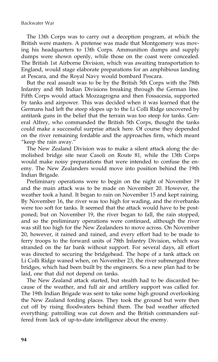The 13th Corps was to carry out a deception program, at which the British were masters. A pretense was made that Montgomery was moving his headquarters to 13th Corps. Ammunition dumps and supply dumps were shown openly, while those on the coast were concealed. The British 1st Airborne Division, which was awaiting transportation to England, would stage elaborate preparations for an amphibious landing at Pescara, and the Royal Navy would bombard Pescara.

But the real assault was to be by the British 5th Corps with the 78th Infantry and 8th Indian Divisions breaking through the German line. Fifth Corps would attack Mozzagrogna and then Fossacesia, supported by tanks and airpower. This was decided when it was learned that the Germans had left the steep slopes up to the Li Colli Ridge uncovered by antitank guns in the belief that the terrain was too steep for tanks. General Alfrey, who commanded the British 5th Corps, thought the tanks could make a successful surprise attack here. Of course they depended on the river remaining fordable and the approaches firm, which meant "keep the rain away."

The New Zealand Division was to make a silent attack along the demolished bridge site near Casoli on Route 81, while the 13th Corps would make noisy preparations that were intended to confuse the enemy. The New Zealanders would move into position behind the 19th Indian Brigade.

Preliminary operations were to begin on the night of November 19 and the main attack was to be made on November 20. However, the weather took a hand. It began to rain on November 15 and kept raining. By November 16, the river was too high for wading, and the riverbanks were too soft for tanks. It seemed that the attack would have to be postponed; but on November 19, the river began to fall, the rain stopped, and so the preliminary operations were continued, although the river was still too high for the New Zealanders to move across. On November 20, however, it rained and rained, and every effort had to be made to ferry troops to the forward units of 78th Infantry Division, which was stranded on the far bank without support. For several days, all effort was directed to securing the bridgehead. The hope of a tank attack on Li Colli Ridge waned when, on November 23, the river submerged three bridges, which had been built by the engineers. So a new plan had to be laid, one that did not depend on tanks.

The New Zealand attack started, but stealth had to be discarded because of the weather, and full air and artillery support was called for. The 19th Indian Brigade was sent to take some high ground overlooking the New Zealand fording places. They took the ground but were then cut off by rising floodwaters behind them. The bad weather affected everything: patrolling was cut down and the British commanders suffered from lack of up-to-date intelligence about the enemy.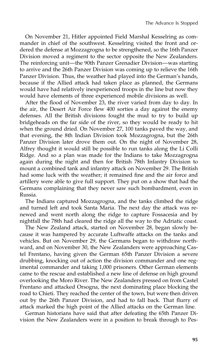On November 21, Hitler appointed Field Marshal Kesselring as commander in chief of the southwest. Kesselring visited the front and ordered the defense at Mozzagrogna to be strengthened, so the 16th Panzer Division moved a regiment to the sector opposite the New Zealanders. The reinforcing unit—the 90th Panzer Grenadier Division—was starting to arrive and the 26th Panzer Division was coming up to relieve the 16th Panzer Division. Thus, the weather had played into the German's hands, because if the Allied attack had taken place as planned, the Germans would have had relatively inexperienced troops in the line but now they would have elements of three experienced mobile divisions as well.

After the flood of November 23, the river varied from day to day. In the air, the Desert Air Force flew 400 sorties a day against the enemy defenses. All the British divisions fought the mud to try to build up bridgeheads on the far side of the river, so they would be ready to hit when the ground dried. On November 27, 100 tanks paved the way, and that evening, the 8th Indian Division took Mozzagrogna, but the 26th Panzer Division later drove them out. On the night of November 28, Alfrey thought it would still be possible to run tanks along the Li Colli Ridge. And so a plan was made for the Indians to take Mozzagrogna again during the night and then for British 78th Infantry Division to mount a combined tank and infantry attack on November 29. The British had some luck with the weather; it remained fine and the air force and artillery were able to give full support. They put on a show that had the Germans complaining that they never saw such bombardment, even in Russia.

The Indians captured Mozzagrogna, and the tanks climbed the ridge and turned left and took Santa Maria. The next day the attack was renewed and went north along the ridge to capture Fossacesia and by nightfall the 78th had cleared the ridge all the way to the Adriatic coast.

The New Zealand attack, started on November 28, began slowly because it was hampered by accurate Luftwaffe attacks on the tanks and vehicles. But on November 29, the Germans began to withdraw northward, and on November 30, the New Zealanders were approaching Castel Frentano, having given the German 65th Panzer Division a severe drubbing, knocking out of action the division commander and one regimental commander and taking 1,000 prisoners. Other German elements came to the rescue and established a new line of defense on high ground overlooking the Moro River. The New Zealanders pressed on from Castel Frentano and attacked Orsogna, the next dominating place blocking the road to Chieti. They reached the center of the town, but were then driven out by the 26th Panzer Division, and had to fall back. That flurry of attack marked the high point of the Allied attacks on the German line.

German historians have said that after defeating the 65th Panzer Division the New Zealanders were in a position to break through to Pes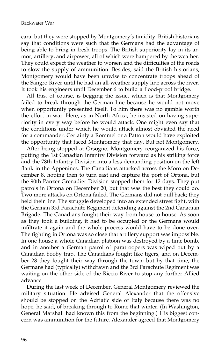cara, but they were stopped by Montgomery's timidity. British historians say that conditions were such that the Germans had the advantage of being able to bring in fresh troops. The British superiority lay in its armor, artillery, and airpower, all of which were hampered by the weather. They could expect the weather to worsen and the difficulties of the roads to slow the supply of ammunition. Besides, said the British historians, Montgomery would have been unwise to concentrate troops ahead of the Sangro River until he had an all-weather supply line across the river. It took his engineers until December 6 to build a flood-proof bridge.

All this, of course, is begging the issue, which is that Montgomery failed to break through the German line because he would not move when opportunity presented itself. To him there was no gamble worth the effort in war. Here, as in North Africa, he insisted on having superiority in every way before he would attack. One might even say that the conditions under which he would attack almost obviated the need for a commander. Certainly a Rommel or a Patton would have exploited the opportunity that faced Montgomery that day. But not Montgomery.

After being stopped at Orsogno, Montgomery reorganized his force, putting the 1st Canadian Infantry Division forward as his striking force and the 78th Infantry Division into a less-demanding position on the left flank in the Appenines. The Canadians attacked across the Moro on December 8, hoping then to turn east and capture the port of Ortona, but the 90th Panzer Grenadier Division stopped them for 12 days. They put patrols in Ortona on December 20, but that was the best they could do. Two more attacks on Ortona failed. The Germans did not pull back; they held their line. The struggle developed into an extended street fight, with the German 3rd Parachute Regiment defending against the 2nd Canadian Brigade. The Canadians fought their way from house to house. As soon as they took a building, it had to be occupied or the Germans would infiltrate it again and the whole process would have to be done over. The fighting in Ortona was so close that artillery support was impossible. In one house a whole Canadian platoon was destroyed by a time bomb, and in another a German patrol of paratroopers was wiped out by a Canadian booby trap. The Canadians fought like tigers, and on December 28 they fought their way through the town; but by that time, the Germans had (typically) withdrawn and the 3rd Parachute Regiment was waiting on the other side of the Riccio River to stop any further Allied advance.

During the last week of December, General Montgomery reviewed the military situation. He advised General Alexander that the offensive should be stopped on the Adriatic side of Italy because there was no hope, he said, of breaking through to Rome that winter. (In Washington, General Marshall had known this from the beginning.) His biggest concern was ammunition for the future. Alexander agreed that Montgomery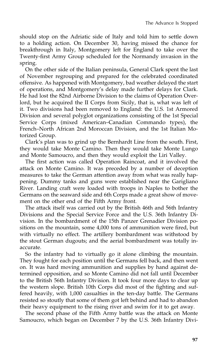should stop on the Adriatic side of Italy and told him to settle down to a holding action. On December 30, having missed the chance for breakthrough in Italy, Montgomery left for England to take over the Twenty-first Army Group scheduled for the Normandy invasion in the spring.

On the other side of the Italian peninsula, General Clark spent the last of November regrouping and prepared for the celebrated coordinated offensive. As happened with Montgomery, bad weather delayed the start of operations, and Montgomery's delay made further delays for Clark. He had lost the 82nd Airborne Division to the claims of Operation Overlord, but he acquired the II Corps from Sicily, that is, what was left of it. Two divisions had been removed to England: the U.S. 1st Armored Division and several polyglot organizations consisting of the 1st Special Service Corps (mixed American–Canadian Commando types), the French–North African 2nd Moroccan Division, and the 1st Italian Motorized Group.

Clark's plan was to grind up the Bernhardt Line from the south. First, they would take Monte Camino. Then they would take Monte Lungo and Monte Samoucro, and then they would exploit the Liri Valley.

The first action was called Operation Raincoat, and it involved the attack on Monte Camino. It was preceded by a number of deception measures to take the German attention away from what was really happening. Dummy tanks and guns were established near the Garigliano River. Landing craft were loaded with troops in Naples to bother the Germans on the seaward side and 6th Corps made a great show of movement on the other end of the Fifth Army front.

The attack itself was carried out by the British 46th and 56th Infantry Divisions and the Special Service Force and the U.S. 36th Infantry Division. In the bombardment of the 15th Panzer Grenadier Division positions on the mountain, some 4,000 tons of ammunition were fired, but with virtually no effect. The artillery bombardment was withstood by the stout German dugouts; and the aerial bombardment was totally inaccurate.

So the infantry had to virtually go it alone climbing the mountain. They fought for each position until the Germans fell back, and then went on. It was hard moving ammunition and supplies by hand against determined opposition, and so Monte Camino did not fall until December to the British 56th Infantry Division. It took four more days to clear up the western slope. British 10th Corps did most of the fighting and suffered heavily, with 1,000 casualties in the ten-day battle. The Germans resisted so stoutly that some of them got left behind and had to abandon their heavy equipment to the rising river and swim for it to get away.

The second phase of the Fifth Army battle was the attack on Monte Samoucro, which began on December 7 by the U.S. 36th Infantry Divi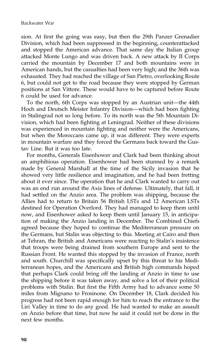sion. At first the going was easy, but then the 29th Panzer Grenadier Division, which had been suppressed in the beginning, counterattacked and stopped the American advance. That same day the Italian group attacked Monte Lungo and was driven back. A new attack by II Corps carried the mountain by December 17 and both mountains were in American hands, but the casualties had been very high; and the 36th was exhausted. They had reached the village of San Pietro, overlooking Route 6, but could not get to the road because they were stopped by German positions at San Vittore. These would have to be captured before Route 6 could be used for advance.

To the north, 6th Corps was stopped by an Austrian unit—the 44th Hoch and Deutsch Meister Infantry Division—which had been fighting in Stalingrad not so long before. To its north was the 5th Mountain Division, which had been fighting at Leningrad. Neither of these divisions was experienced in mountain fighting and neither were the Americans, but when the Moroccans came up, it was different. They were experts in mountain warfare and they forced the Germans back toward the Gustav Line. But it was too late.

For months, Generals Eisenhower and Clark had been thinking about an amphibious operation. Eisenhower had been stunned by a remark made by General Marshall at the time of the Sicily invasion that he showed very little resilience and imagination, and he had been fretting about it ever since. The operation that he and Clark wanted to carry out was an end run around the Axis lines of defense. Ultimately, that fall, it had settled on the Anzio area. The problem was shipping, because the Allies had to return to Britain 56 British LSTs and 12 American LSTs destined for Operation Overlord. They had managed to keep them until now, and Eisenhower asked to keep them until January 15, in anticipation of making the Anzio landing in December. The Combined Chiefs agreed because they hoped to continue the Mediterranean pressure on the Germans, but Stalin was objecting to this. Meeting at Cairo and then at Tehran, the British and Americans were reacting to Stalin's insistence that troops were being drained from southern Europe and sent to the Russian Front. He wanted this stopped by the invasion of France, north and south. Churchill was specifically upset by this threat to his Mediterranean hopes, and the Americans and British high commands hoped that perhaps Clark could bring off the landing at Anzio in time to use the shipping before it was taken away, and solve a lot of their political problems with Stalin. But first the Fifth Army had to advance some 50 miles from Mignano to Frosinone. On December 18, Clark decided his progress had not been rapid enough for him to reach the entrance to the Liri Valley in time to do any good. He had wanted to make an assault on Anzio before that time, but now he said it could not be done in the next few months.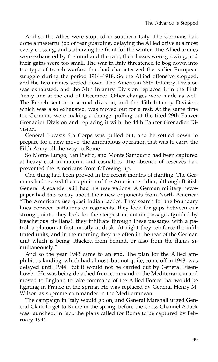And so the Allies were stopped in southern Italy. The Germans had done a masterful job of rear guarding, delaying the Allied drive at almost every crossing, and stabilizing the front for the winter. The Allied armies were exhausted by the mud and the rain, their losses were growing, and their gains were too small. The war in Italy threatened to bog down into the type of trench warfare that had characterized the earlier European struggle during the period 1914–1918. So the Allied offensive stopped, and the two armies settled down. The American 36th Infantry Division was exhausted, and the 34th Infantry Division replaced it in the Fifth Army line at the end of December. Other changes were made as well. The French sent in a second division, and the 45th Infantry Division, which was also exhausted, was moved out for a rest. At the same time the Germans were making a change: pulling out the tired 29th Panzer Grenadier Division and replacing it with the 44th Panzer Grenadier Division.

General Lucas's 6th Corps was pulled out, and he settled down to prepare for a new move: the amphibious operation that was to carry the Fifth Army all the way to Rome.

So Monte Lungo, San Pietro, and Monte Samoucro had been captured at heavy cost in material and casualties. The absence of reserves had prevented the Americans from following up.

One thing had been proved in the recent months of fighting. The Germans had revised their opinion of the American soldier, although British General Alexander still had his reservations. A German military newspaper had this to say about their new opponents from North America: "The Americans use quasi Indian tactics. They search for the boundary lines between battalions or regiments, they look for gaps between our strong points, they look for the steepest mountain passages (guided by treacherous civilians), they infiltrate through these passages with a patrol, a platoon at first, mostly at dusk. At night they reinforce the infiltrated units, and in the morning they are often in the rear of the German unit which is being attacked from behind, or also from the flanks simultaneously."

And so the year 1943 came to an end. The plan for the Allied amphibious landing, which had almost, but not quite, come off in 1943, was delayed until 1944. But it would not be carried out by General Eisenhower. He was being detached from command in the Mediterranean and moved to England to take command of the Allied Forces that would be fighting in France in the spring. He was replaced by General Henry M. Wilson as supreme commander in the Mediterranean.

The campaign in Italy would go on, and General Marshall urged General Clark to get to Rome in the spring, before the Cross Channel Attack was launched. In fact, the plans called for Rome to be captured by February 1944.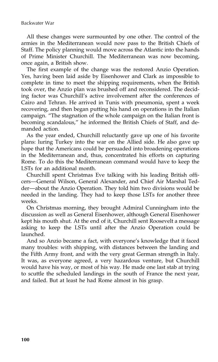All these changes were surmounted by one other. The control of the armies in the Mediterranean would now pass to the British Chiefs of Staff. The policy planning would move across the Atlantic into the hands of Prime Minister Churchill. The Mediterranean was now becoming, once again, a British show.

The first example of the change was the restored Anzio Operation. Yes, having been laid aside by Eisenhower and Clark as impossible to complete in time to meet the shipping requirements, when the British took over, the Anzio plan was brushed off and reconsidered. The deciding factor was Churchill's active involvement after the conferences of Cairo and Tehran. He arrived in Tunis with pneumonia, spent a week recovering, and then began putting his hand on operations in the Italian campaign. "The stagnation of the whole campaign on the Italian front is becoming scandalous," he informed the British Chiefs of Staff, and demanded action.

As the year ended, Churchill reluctantly gave up one of his favorite plans: luring Turkey into the war on the Allied side. He also gave up hope that the Americans could be persuaded into broadening operations in the Mediterranean and, thus, concentrated his efforts on capturing Rome. To do this the Mediterranean command would have to keep the LSTs for an additional month.

Churchill spent Christmas Eve talking with his leading British officers—General Wilson, General Alexander, and Chief Air Marshal Tedder—about the Anzio Operation. They told him two divisions would be needed in the landing. They had to keep those LSTs for another three weeks.

On Christmas morning, they brought Admiral Cunningham into the discussion as well as General Eisenhower, although General Eisenhower kept his mouth shut. At the end of it, Churchill sent Roosevelt a message asking to keep the LSTs until after the Anzio Operation could be launched.

And so Anzio became a fact, with everyone's knowledge that it faced many troubles: with shipping, with distances between the landing and the Fifth Army front, and with the very great German strength in Italy. It was, as everyone agreed, a very hazardous venture, but Churchill would have his way, or most of his way. He made one last stab at trying to scuttle the scheduled landings in the south of France the next year, and failed. But at least he had Rome almost in his grasp.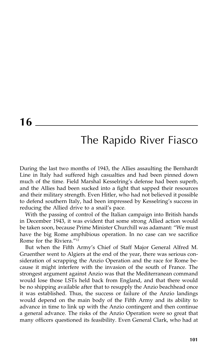#### The Rapido River Fiasco

During the last two months of 1943, the Allies assaulting the Bernhardt Line in Italy had suffered high casualties and had been pinned down much of the time. Field Marshal Kesselring's defense had been superb, and the Allies had been sucked into a fight that sapped their resources and their military strength. Even Hitler, who had not believed it possible to defend southern Italy, had been impressed by Kesselring's success in reducing the Allied drive to a snail's pace.

With the passing of control of the Italian campaign into British hands in December 1943, it was evident that some strong Allied action would be taken soon, because Prime Minister Churchill was adamant: "We must have the big Rome amphibious operation. In no case can we sacrifice Rome for the Riviera."12

But when the Fifth Army's Chief of Staff Major General Alfred M. Gruenther went to Algiers at the end of the year, there was serious consideration of scrapping the Anzio Operation and the race for Rome because it might interfere with the invasion of the south of France. The strongest argument against Anzio was that the Mediterranean command would lose those LSTs held back from England, and that there would be no shipping available after that to resupply the Anzio beachhead once it was established. Thus, the success or failure of the Anzio landings would depend on the main body of the Fifth Army and its ability to advance in time to link up with the Anzio contingent and then continue a general advance. The risks of the Anzio Operation were so great that many officers questioned its feasibility. Even General Clark, who had at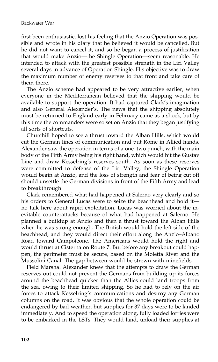first been enthusiastic, lost his feeling that the Anzio Operation was possible and wrote in his diary that he believed it would be cancelled. But he did not want to cancel it, and so he began a process of justification that would make Anzio—the Shingle Operation—seem reasonable. He intended to attack with the greatest possible strength in the Liri Valley several days in advance of Operation Shingle. His objective was to draw the maximum number of enemy reserves to that front and take care of them there.

The Anzio scheme had appeared to be very attractive earlier, when everyone in the Mediterranean believed that the shipping would be available to support the operation. It had captured Clark's imagination and also General Alexander's. The news that the shipping absolutely must be returned to England early in February came as a shock, but by this time the commanders were so set on Anzio that they began justifying all sorts of shortcuts.

Churchill hoped to see a thrust toward the Alban Hills, which would cut the German lines of communication and put Rome in Allied hands. Alexander saw the operation in terms of a one–two punch, with the main body of the Fifth Army being his right hand, which would hit the Gustav Line and draw Kesselring's reserves south. As soon as these reserves were committed to defense of the Liri Valley, the Shingle Operation would begin at Anzio, and the loss of strength and fear of being cut off should unsettle the German divisions in front of the Fifth Army and lead to breakthrough.

Clark remembered what had happened at Salerno very clearly and so his orders to General Lucas were to seize the beachhead and hold it no talk here about rapid exploitation. Lucas was worried about the inevitable counterattacks because of what had happened at Salerno. He planned a buildup at Anzio and then a thrust toward the Alban Hills when he was strong enough. The British would hold the left side of the beachhead, and they would direct their effort along the Anzio–Albano Road toward Campoleone. The Americans would hold the right and would thrust at Cisterna on Route 7. But before any breakout could happen, the perimeter must be secure, based on the Moletta River and the Mussolini Canal. The gap between would be strewn with minefields.

Field Marshal Alexander knew that the attempts to draw the German reserves out could not prevent the Germans from building up its forces around the beachhead quicker than the Allies could land troops from the sea, owing to their limited shipping. So he had to rely on the air forces to attack Kesselring's communications and destroy any German columns on the road. It was obvious that the whole operation could be endangered by bad weather, but supplies for 37 days were to be landed immediately. And to speed the operation along, fully loaded lorries were to be embarked in the LSTs. They would land, unload their supplies at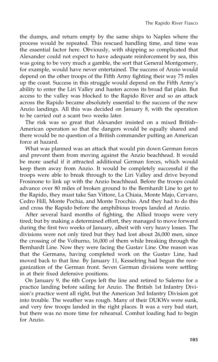the dumps, and return empty by the same ships to Naples where the process would be repeated. This rescued handling time, and time was the essential factor here. Obviously, with shipping so complicated that Alexander could not expect to have adequate reinforcement by sea, this was going to be very much a gamble, the sort that General Montgomery, for example, would have never entertained. The success of Anzio would depend on the other troops of the Fifth Army fighting their way 75 miles up the coast. Success in this struggle would depend on the Fifth Army's ability to enter the Liri Valley and hasten across its broad flat plain. But access to the valley was blocked to the Rapido River and so an attack across the Rapido became absolutely essential to the success of the new Anzio landings. All this was decided on January 8, with the operation to be carried out a scant two weeks later.

The risk was so great that Alexander insisted on a mixed British– American operation so that the dangers would be equally shared and there would be no question of a British commander putting an American force at hazard.

What was planned was an attack that would pin down German forces and prevent them from moving against the Anzio beachhead. It would be more useful if it attracted additional German forces, which would keep them away from Anzio. It would be completely successful if the troops were able to break through to the Liri Valley and drive beyond Frosinone to link up with the Anzio beachhead. Before the troops could advance over 80 miles of broken ground to the Bernhardt Line to get to the Rapido, they must take San Vittore, La Chiaia, Monte Majo, Cervaro, Cedro Hill, Monte Pochia, and Monte Trocchio. And they had to do this and cross the Rapido before the amphibious troops landed at Anzio.

After several hard months of fighting, the Allied troops were very tired; but by making a determined effort, they managed to move forward during the first two weeks of January, albeit with very heavy losses. The divisions were not only tired but they had lost about 26,000 men, since the crossing of the Volturno, 16,000 of them while breaking through the Bernhardt Line. Now they were facing the Gustav Line. One reason was that the Germans, having completed work on the Gustav Line, had moved back to that line. By January 11, Kesselring had begun the reorganization of the German front. Seven German divisions were settling in at their fixed defensive positions.

On January 9, the 6th Corps left the line and retired to Salerno for a practice landing before sailing for Anzio. The British 1st Infantry Division's practice went all right, but the American 3rd Infantry Division got into trouble. The weather was rough. Many of their DUKWs were sunk, and very few troops landed in the right places. It was a very bad start, but there was no more time for rehearsal. Combat loading had to begin for Anzio.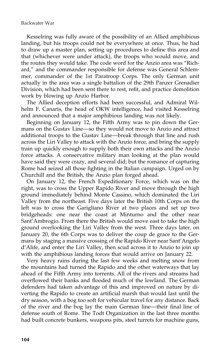Kesselring was fully aware of the possibility of an Allied amphibious landing, but his troops could not be everywhere at once. Thus, he had to draw up a master plan, setting up procedures to define this area and that (whichever were under attack), the troops who would move, and the routes they would take. The code word for the Anzio area was "Richard," and the commander responsible for defense was General Schlemmer, commander of the 1st Paratroop Corps. The only German unit actually in the area was a single battalion of the 29th Panzer Grenadier Division, which had been sent there to rest, refit, and practice demolition work by blowing up Anzio Harbor.

The Allied deception efforts had been successful, and Admiral Wilhelm F. Canaris, the head of OKW intelligence, had visited Kesselring and announced that a major amphibious landing was not likely.

Beginning on January 12, the Fifth Army was to pin down the Germans on the Gustav Line—so they would not move to Anzio and attract additional troops to the Gustav Line—break through that line and rush across the Liri Valley to attack with the Anzio force, and bring the supply train up quickly enough to supply both their own attacks and the Anzio force attacks. A conservative military man looking at the plan would have said they were crazy, and several did; but the romance of capturing Rome had seized all those fighting in the Italian campaign. Urged on by Churchill and the British, the Anzio plan forged ahead.

On January 12, the French Expeditionary Force, which was on the right, was to cross the Upper Rapido River and move through the high ground immediately behind Monte Cassino, which dominated the Liri Valley from the northeast. Five days later the British 10th Corps on the left was to cross the Garigliano River at two places and set up two bridgeheads: one near the coast at Minturno and the other near Sant'Ambrogio. From there the British would move east to take the high ground overlooking the Liri Valley from the west. Three days later, on January 20, the 6th Corps was to deliver the coup de grace to the Germans by staging a massive crossing of the Rapido River near Sant'Angelo d'Alife, and enter the Liri Valley, then scud across it to Anzio to join up with the amphibious landing forces that would arrive on January 22.

Very heavy rains during the last few weeks and melting snow from the mountains had turned the Rapido and the other waterways that lay ahead of the Fifth Army into torrents. All of the rivers and streams had overflowed their banks and flooded much of the lowland. The German defenders had taken advantage of this and improved on nature by diverting the Rapido to create an artificial marsh that would last until the dry season, with a bog too soft for vehicular travel for any distance. Back of the river and the bog lay the main German line—their final line of defense south of Rome. The Todt Organization in the last three months had built concrete bunkers, weapons pits, steel turrets for machine guns,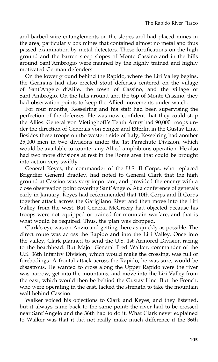and barbed-wire entanglements on the slopes and had placed mines in the area, particularly box mines that contained almost no metal and thus passed examination by metal detectors. These fortifications on the high ground and the barren steep slopes of Monte Cassino and in the hills around Sant'Ambrogio were manned by the highly trained and highly motivated German defenders.

On the lower ground behind the Rapido, where the Liri Valley begins, the Germans had also erected stout defenses centered on the village of Sant'Angelo d'Alife, the town of Cassino, and the village of Sant'Ambrogio. On the hills around and the top of Monte Cassino, they had observation points to keep the Allied movements under watch.

For four months, Kesselring and his staff had been supervising the perfection of the defenses. He was now confident that they could stop the Allies. General von Vietinghoff's Tenth Army had 90,000 troops under the direction of Generals von Senger and Etterlin in the Gustav Line. Besides these troops on the western side of Italy, Kesselring had another 25,000 men in two divisions under the 1st Parachute Division, which would be available to counter any Allied amphibious operation. He also had two more divisions at rest in the Rome area that could be brought into action very swiftly.

General Keyes, the commander of the U.S. II Corps, who replaced Brigadier General Bradley, had noted to General Clark that the high ground at Cassino was very important, and provided the enemy with a close observation point covering Sant'Angelo. At a conference of generals early in January, Keyes had recommended that 10th Corps and II Corps together attack across the Garigliano River and then move into the Liri Valley from the west. But General McCreery had objected because his troops were not equipped or trained for mountain warfare, and that is what would be required. Thus, the plan was dropped.

Clark's eye was on Anzio and getting there as quickly as possible. The direct route was across the Rapido and into the Liri Valley. Once into the valley, Clark planned to send the U.S. 1st Armored Division racing to the beachhead. But Major General Fred Walker, commander of the U.S. 36th Infantry Division, which would make the crossing, was full of forebodings. A frontal attack across the Rapido, he was sure, would be disastrous. He wanted to cross along the Upper Rapido were the river was narrow, get into the mountains, and move into the Liri Valley from the east, which would then be behind the Gustav Line. But the French, who were operating in the east, lacked the strength to take the mountain wall behind Cassino.

Walker voiced his objections to Clark and Keyes, and they listened, but it always came back to the same point: the river had to be crossed near Sant'Angelo and the 36th had to do it. What Clark never explained to Walker was that it did not really make much difference if the 36th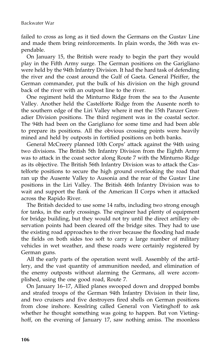failed to cross as long as it tied down the Germans on the Gustav Line and made them bring reinforcements. In plain words, the 36th was expendable.

On January 15, the British were ready to begin the part they would play in the Fifth Army surge. The German positions on the Garigliano were held by the 94th Infantry Division. It had the hard task of defending the river and the coast around the Gulf of Gaeta. General Pfeiffer, the German commander, put the bulk of his division on the high ground back of the river with an outpost line to the river.

One regiment held the Minturno Ridge from the sea to the Ausente Valley. Another held the Castelforte Ridge from the Ausente north to the southern edge of the Liri Valley where it met the 15th Panzer Grenadier Division positions. The third regiment was in the coastal sector. The 94th had been on the Garigliano for some time and had been able to prepare its positions. All the obvious crossing points were heavily mined and held by outposts in fortified positions on both banks.

General McCreery planned 10th Corps' attack against the 94th using two divisions. The British 5th Infantry Division from the Eighth Army was to attack in the coast sector along Route 7 with the Minturno Ridge as its objective. The British 56th Infantry Division was to attack the Castelforte positions to secure the high ground overlooking the road that ran up the Ausente Valley to Ausonia and the rear of the Gustav Line positions in the Liri Valley. The British 46th Infantry Division was to wait and support the flank of the American II Corps when it attacked across the Rapido River.

The British decided to use some 14 rafts, including two strong enough for tanks, in the early crossings. The engineer had plenty of equipment for bridge building, but they would not try until the direct artillery observation points had been cleared off the bridge sites. They had to use the existing road approaches to the river because the flooding had made the fields on both sides too soft to carry a large number of military vehicles in wet weather, and these roads were certainly registered by German guns.

All the early parts of the operation went well. Assembly of the artillery, and the vast quantity of ammunition needed, and elimination of the enemy outposts without alarming the Germans, all were accomplished, using the one good road, Route 7.

On January 16–17, Allied planes swooped down and dropped bombs and strafed troops of the German 94th Infantry Division in their line, and two cruisers and five destroyers fired shells on German positions from close inshore. Kesslring called General von Vietinghoff to ask whether he thought something was going to happen. But von Vietinghoff, on the evening of January 17, saw nothing amiss. The moonless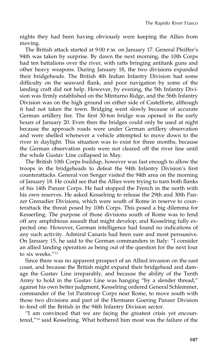nights they had been having obviously were keeping the Allies from moving.

The British attack started at 9:00 p.m. on January 17. General Pfeiffer's 94th was taken by surprise. By dawn the next morning, the 10th Corps had ten battalions over the river, with rafts bringing antitank guns and other heavy weapons. During January 18, the two divisions expanded their bridgeheads. The British 4th Indian Infantry Division had some difficulty on the seaward flank, and poor navigation by some of the landing craft did not help. However, by evening, the 5th Infantry Division was firmly established on the Minturno Ridge, and the 56th Infantry Division was on the high ground on either side of Castelforte, although it had not taken the town. Bridging went slowly because of accurate German artillery fire. The first 30-ton bridge was opened in the early hours of January 20. Even then the bridges could only be used at night because the approach roads were under German artillery observation and were shelled whenever a vehicle attempted to move down to the river in daylight. This situation was to exist for three months, because the German observation posts were not cleared off the river line until the whole Gustav Line collapsed in May.

The British 10th Corps buildup, however was fast enough to allow the troops in the bridgeheads to defeat the 94th Infantry Division's first counterattacks. General von Senger visited the 94th area on the morning of January 18. He could see that the Allies were trying to turn both flanks of his 14th Panzer Corps. He had stopped the French in the north with his own reserves. He asked Kesselring to release the 29th and 30th Panzer Grenadier Divisions, which were south of Rome in reserve to counterattack the threat posed by 10th Corps. This posed a big dilemma for Kesserling. The purpose of those divisions south of Rome was to fend off any amphibious assault that might develop; and Kesselring fully expected one. However, German intelligence had found no indications of any such activity. Admiral Canaris had been sure and most persuasive. On January 15, he said to the German commanders in Italy: "I consider an allied landing operation as being out of the question for the next four to six weeks."13

Since there was no apparent prospect of an Allied invasion on the east coast, and because the British might expand their bridgehead and damage the Gustav Line irreparably, and because the ability of the Tenth Army to hold in the Gustav Line was hanging "by a slender thread," against his own better judgment, Kesselring ordered General Schlemmer, commander of the 1st Paratroop Corps near Rome, to move south with those two divisions and part of the Hermann Goering Panzer Division to fend off the British in the 94th Infantry Division sector.

"I am convinced that we are facing the greatest crisis yet encountered,"14 said Kesselring. What bothered him most was the failure of the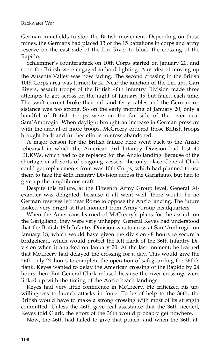German minefields to stop the British movement. Depending on those mines, the Germans had placed 13 of the 15 battalions in corps and army reserve on the east side of the Liri River to block the crossing of the Rapido.

Schlemmer's counterattack on 10th Corps started on January 20, and soon the British were engaged in hard fighting. Any idea of moving up the Ausente Valley was now fading. The second crossing in the British 10th Corps area was turned back. Near the junction of the Liri and Gari Rivers, assault troops of the British 46th Infantry Division made three attempts to get across on the night of January 19 but failed each time. The swift current broke their raft and ferry cables and the German resistance was too strong. So on the early morning of January 20, only a handful of British troops were on the far side of the river near Sant'Ambrogio. When daylight brought an increase in German pressure with the arrival of more troops, McCreery ordered those British troops brought back and further efforts to cross abandoned.

A major reason for the British failure here went back to the Anzio rehearsal in which the American 3rd Infantry Division had lost 40 DUKWs, which had to be replaced for the Anzio landing. Because of the shortage in all sorts of seagoing vessels, the only place General Clark could get replacements from was 10th Corps, which had planned to use them to take the 46th Infantry Division across the Garigliano, but had to give up the amphibious craft.

Despite this failure, at the Fifteenth Army Group level, General Alexander was delighted, because if all went well, there would be no German reserves left near Rome to oppose the Anzio landing. The future looked very bright at that moment from Army Group headquarters.

When the Americans learned of McCreery's plans for the assault on the Garigliano, they were very unhappy. General Keyes had understood that the British 46th Infantry Division was to cross at Sant'Ambrogio on January 18, which would have given the division 48 hours to secure a bridgehead, which would protect the left flank of the 36th Infantry Division when it attacked on January 20. At the last moment, he learned that McCreery had delayed the crossing for a day. This would give the 46th only 24 hours to complete the operation of safeguarding the 36th's flank. Keyes wanted to delay the American crossing of the Rapido by 24 hours then. But General Clark refused because the river crossings were linked up with the timing of the Anzio beach landings.

Keyes had very little confidence in McCreery. He criticized his unwillingness to launch attacks in force. To be of help to the 36th, the British would have to make a strong crossing with most of its strength committed. Unless the 46th gave real assistance that the 36th needed, Keyes told Clark, the effort of the 36th would probably get nowhere.

Now, the 46th had failed to give that punch, and when the 36th at-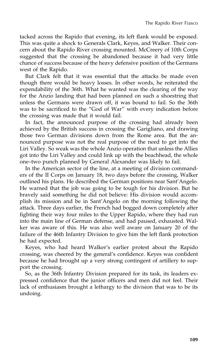tacked across the Rapido that evening, its left flank would be exposed. This was quite a shock to Generals Clark, Keyes, and Walker. Their concern about the Rapido River crossing mounted. McCreery of 10th Corps suggested that the crossing be abandoned because it had very little chance of success because of the heavy defensive position of the Germans west of the Rapido.

But Clark felt that it was essential that the attacks be made even though there would be heavy losses. In other words, he reiterated the expendability of the 36th. What he wanted was the clearing of the way for the Anzio landing that had been planned on such a shoestring that unless the Germans were drawn off, it was bound to fail. So the 36th was to be sacrificed to the "God of War" with every indication before the crossing was made that it would fail.

In fact, the announced purpose of the crossing had already been achieved by the British success in crossing the Garigliano, and drawing those two German divisions down from the Rome area. But the announced purpose was not the real purpose of the need to get into the Liri Valley. So weak was the whole Anzio operation that unless the Allies got into the Liri Valley and could link up with the beachhead, the whole one–two punch planned by General Alexander was likely to fail.

In the American sector of the line, at a meeting of division commanders of the II Corps on January 18, two days before the crossing, Walker outlined his plans. He described the German positions near Sant'Angelo. He warned that the job was going to be tough for his division. But he bravely said something he did not believe: His division would accomplish its mission and be in Sant'Angelo on the morning following the attack. Three days earlier, the French had bogged down completely after fighting their way four miles to the Upper Rapido, where they had run into the main line of German defense, and had paused, exhausted. Walker was aware of this. He was also well aware on January 20 of the failure of the 46th Infantry Division to give him the left flank protection he had expected.

Keyes, who had heard Walker's earlier protest about the Rapido crossing, was cheered by the general's confidence. Keyes was confident because he had brought up a very strong contingent of artillery to support the crossing.

So, as the 36th Infantry Division prepared for its task, its leaders expressed confidence that the junior officers and men did not feel. Their lack of enthusiasm brought a lethargy to the division that was to be its undoing.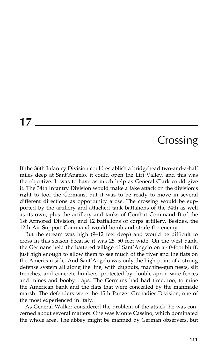# Crossing

If the 36th Infantry Division could establish a bridgehead two-and-a-half miles deep at Sant'Angelo, it could open the Liri Valley, and this was the objective. It was to have as much help as General Clark could give it. The 34th Infantry Division would make a fake attack on the division's right to fool the Germans, but it was to be ready to move in several different directions as opportunity arose. The crossing would be supported by the artillery and attached tank battalions of the 34th as well as its own, plus the artillery and tanks of Combat Command B of the 1st Armored Division, and 12 battalions of corps artillery. Besides, the 12th Air Support Command would bomb and strafe the enemy.

But the stream was high (9–12 feet deep) and would be difficult to cross in this season because it was 25–50 feet wide. On the west bank, the Germans held the battered village of Sant'Angelo on a 40-foot bluff, just high enough to allow them to see much of the river and the flats on the American side. And Sant'Angelo was only the high point of a strong defense system all along the line, with dugouts, machine-gun nests, slit trenches, and concrete bunkers, protected by double-apron wire fences and mines and booby traps. The Germans had had time, too, to mine the American bank and the flats that were concealed by the manmade marsh. The defenders were the 15th Panzer Grenadier Division, one of the most experienced in Italy.

As General Walker considered the problem of the attack, he was concerned about several matters. One was Monte Cassino, which dominated the whole area. The abbey might be manned by German observers, but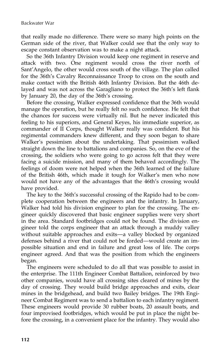that really made no difference. There were so many high points on the German side of the river, that Walker could see that the only way to escape constant observation was to make a night attack.

So the 36th Infantry Division would keep one regiment in reserve and attack with two. One regiment would cross the river north of Sant'Angelo, the other would cross south of the village. The plan called for the 36th's Cavalry Reconnaissance Troop to cross on the south and make contact with the British 46th Infantry Division. But the 46th delayed and was not across the Garagliano to protect the 36th's left flank by January 20, the day of the 36th's crossing.

Before the crossing, Walker expressed confidence that the 36th would manage the operation, but he really felt no such confidence. He felt that the chances for success were virtually nil. But he never indicated this feeling to his superiors, and General Keyes, his immediate superior, as commander of II Corps, thought Walker really was confident. But his regimental commanders knew different, and they soon began to share Walker's pessimism about the undertaking. That pessimism walked straight down the line to battalions and companies. So, on the eve of the crossing, the soldiers who were going to go across felt that they were facing a suicide mission, and many of them behaved accordingly. The feelings of doom were not helped when the 36th learned of the failure of the British 46th, which made it tough for Walker's men who now would not have any of the advantages that the 46th's crossing would have provided.

The key to the 36th's successful crossing of the Rapido had to be complete cooperation between the engineers and the infantry. In January, Walker had told his division engineer to plan for the crossing. The engineer quickly discovered that basic engineer supplies were very short in the area. Standard footbridges could not be found. The division engineer told the corps engineer that an attack through a muddy valley without suitable approaches and exits—a valley blocked by organized defenses behind a river that could not be forded—would create an impossible situation and end in failure and great loss of life. The corps engineer agreed. And that was the position from which the engineers began.

The engineers were scheduled to do all that was possible to assist in the enterprise. The 111th Engineer Combat Battalion, reinforced by two other companies, would have all crossing sites cleared of mines by the day of crossing. They would build bridge approaches and exits, clear mines in the bridgehead, and build two Bailey bridges. The 19th Engineer Combat Regiment was to send a battalion to each infantry regiment. These engineers would provide 30 rubber boats, 20 assault boats, and four improvised footbridges, which would be put in place the night before the crossing, in a convenient place for the infantry. They would also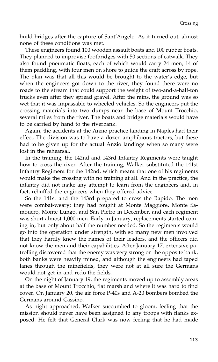build bridges after the capture of Sant'Angelo. As it turned out, almost none of these conditions was met.

These engineers found 100 wooden assault boats and 100 rubber boats. They planned to improvise footbridges with 50 sections of catwalk. They also found pneumatic floats, each of which would carry 24 men, 14 of them paddling, with four men on shore to guide the craft across by rope. The plan was that all this would be brought to the water's edge, but when the engineers got down to the river, they found there were no roads to the stream that could support the weight of two-and-a-half-ton trucks even after they spread gravel. After the rains, the ground was so wet that it was impassable to wheeled vehicles. So the engineers put the crossing materials into two dumps near the base of Mount Trocchio, several miles from the river. The boats and bridge materials would have to be carried by hand to the riverbank.

Again, the accidents at the Anzio practice landing in Naples had their effect. The division was to have a dozen amphibious tractors, but these had to be given up for the actual Anzio landings when so many were lost in the rehearsal.

In the training, the 142nd and 143rd Infantry Regiments were taught how to cross the river. After the training, Walker substituted the 141st Infantry Regiment for the 142nd, which meant that one of his regiments would make the crossing with no training at all. And in the practice, the infantry did not make any attempt to learn from the engineers and, in fact, rebuffed the engineers when they offered advice.

So the 141st and the 143rd prepared to cross the Rapido. The men were combat-weary; they had fought at Monte Maggiore, Monte Samoucro, Monte Lungo, and San Pietro in December, and each regiment was short almost 1,000 men. Early in January, replacements started coming in, but only about half the number needed. So the regiments would go into the operation under strength, with so many new men involved that they hardly knew the names of their leaders, and the officers did not know the men and their capabilities. After January 17, extensive patrolling discovered that the enemy was very strong on the opposite bank, both banks were heavily mined, and although the engineers had taped lanes through the minefields, they were not at all sure the Germans would not get in and redo the fields.

On the night of January 19, the regiments moved up to assembly areas at the base of Mount Trocchio, flat marshland where it was hard to find cover. On January 20, the air force P-40s and A-20 bombers bombed the Germans around Cassino.

As night approached, Walker succumbed to gloom, feeling that the mission should never have been assigned to any troops with flanks exposed. He felt that General Clark was now feeling that he had made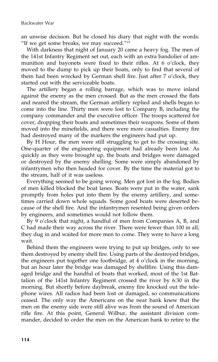an unwise decision. But he closed his diary that night with the words: "If we get some breaks, we may succeed."<sup>15</sup>

With darkness that night of January 20 came a heavy fog. The men of the 141st Infantry Regiment set out, each with an extra bandolier of ammunition and bayonets were fixed to their rifles. At 6 o'clock, they moved to the dump to pick up their boats, only to find that several of them had been wrecked by German shell fire. Just after 7 o'clock, they started out with the serviceable boats.

The artillery began a rolling barrage, which was to move inland against the enemy as the men crossed. But as the men crossed the flats and neared the stream, the German artillery replied and shells began to come into the line. Thirty men were lost to Company B, including the company commander and the executive officer. The troops scattered for cover, dropping their boats and sometimes their weapons. Some of them moved into the minefields, and there were more casualties. Enemy fire had destroyed many of the markers the engineers had put up.

By H Hour, the men were still struggling to get to the crossing site. One-quarter of the engineering equipment had already been lost. As quickly as they were brought up, the boats and bridges were damaged or destroyed by the enemy shelling. Some were simply abandoned by infantrymen who then headed for cover. By the time the material got to the stream, half of it was useless.

Everything seemed to be going wrong. Men got lost in the fog. Bodies of men killed blocked the boat lanes. Boats were put in the water, sank promptly from holes put into them by the enemy artillery, and sometimes carried down whole squads. Some good boats were deserted because of the shell fire. And the infantrymen resented being given orders by engineers, and sometimes would not follow them.

By 9 o'clock that night, a handful of men from Companies A, B, and C had made their way across the river. There were fewer than 100 in all; they dug in and waited for more men to come. They were to have a long wait.

Behind them the engineers were trying to put up bridges, only to see them destroyed by enemy shell fire. Using parts of the destroyed bridges, the engineers put together one footbridge, at 4 o'clock in the morning, but an hour later the bridge was damaged by shellfire. Using this damaged bridge and the handful of boats that worked, most of the 1st Battalion of the 141st Infantry Regiment crossed the river by 6:30 in the morning. But shortly before daybreak, enemy fire knocked out the telephone wires. All radios had been lost or damaged, so communications ceased. The only way the Americans on the near bank knew that the men on the enemy side were still alive was from the sound of American rifle fire. At this point, General Wilbur, the assistant division commander, decided to order the men on the American bank to retire to the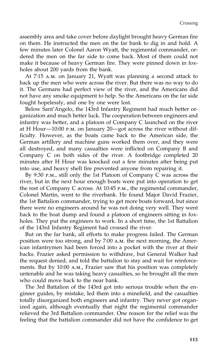assembly area and take cover before daylight brought heavy German fire on them. He instructed the men on the far bank to dig in and hold. A few minutes later Colonel Aaron Wyatt, the regimental commander, ordered the men on the far side to come back. Most of them could not make it because of heavy German fire. They were pinned down in foxholes about 200 yards from the bank.

At 7:15 a.m. on January 21, Wyatt was planning a second attack to back up the men who were across the river. But there was no way to do it. The Germans had perfect view of the river, and the Americans did not have any smoke equipment to help. So the Americans on the far side fought hopelessly, and one by one were lost.

Below Sant'Angelo, the 143rd Infantry Regiment had much better organization and much better luck. The cooperation between engineers and infantry was better, and a platoon of Company C launched on the river at H Hour—10:00 p.m. on January 20—got across the river without difficulty. However, as the boats came back to the American side, the German artillery and machine guns worked them over, and they were all destroyed, and many casualties were inflicted on Company B and Company C on both sides of the river. A footbridge completed 20 minutes after H Hour was knocked out a few minutes after being put into use, and heavy shell fire prevented anyone from repairing it.

By 9:30 p.m., still only the 1st Platoon of Company C was across the river, but in the next hour enough boats were put into operation to get the rest of Company C across. At 10:45 p.m., the regimental commander, Colonel Martin, went to the riverbank. He found Major David Frazier, the 1st Battalion commander, trying to get more boats forward, but since there were no engineers around he was not doing very well. They went back to the boat dump and found a platoon of engineers sitting in foxholes. They put the engineers to work. In a short time, the 1st Battalion of the 143rd Infantry Regiment had crossed the river.

But on the far bank, all efforts to make progress failed. The German position were too strong, and by 7:00 a.m. the next morning, the American infantrymen had been forced into a pocket with the river at their backs. Frazier asked permission to withdraw, but General Walker had the request denied, and told the battalion to stay and wait for reinforcements. But by 10:00 a.m., Frazier saw that his position was completely untenable and he was taking heavy casualties, so he brought all the men who could move back to the near bank.

The 3rd Battalion of the 143rd got into serious trouble when the engineer guides, by mistake, led them into a minefield, and the casualties totally disorganized both engineers and infantry. They never got organized again, although eventually that night the regimental commander relieved the 3rd Battalion commander. One reason for the relief was the feeling that the battalion commander did not have the confidence to get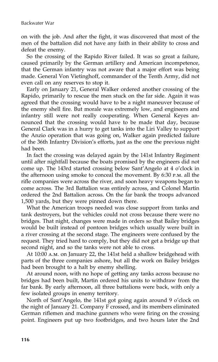on with the job. And after the fight, it was discovered that most of the men of the battalion did not have any faith in their ability to cross and defeat the enemy.

So the crossing of the Rapido River failed. It was so great a failure, caused primarily by the German artillery and American incompetence, that the German infantry was not aware that a major effort was being made. General Von Vietinghoff, commander of the Tenth Army, did not even call on any reserves to stop it.

Early on January 21, General Walker ordered another crossing of the Rapido, primarily to rescue the men stuck on the far side. Again it was agreed that the crossing would have to be a night maneuver because of the enemy shell fire. But morale was extremely low, and engineers and infantry still were not really cooperating. When General Keyes announced that the crossing would have to be made that day, because General Clark was in a hurry to get tanks into the Liri Valley to support the Anzio operation that was going on, Walker again predicted failure of the 36th Infantry Division's efforts, just as the one the previous night had been.

In fact the crossing was delayed again by the 141st Infantry Regiment until after nightfall because the boats promised by the engineers did not come up. The 143rd started crossing below Sant'Angelo at 4 o'clock in the afternoon using smoke to conceal the movement. By 6:30 p.m. all the rifle companies were across the river, and soon heavy weapons began to come across. The 3rd Battalion was entirely across, and Colonel Martin ordered the 2nd Battalion across. On the far bank the troops advanced 1,500 yards, but they were pinned down there.

What the American troops needed was close support from tanks and tank destroyers, but the vehicles could not cross because there were no bridges. That night, changes were made in orders so that Bailey bridges would be built instead of pontoon bridges which usually were built in a river crossing at the second stage. The engineers were confused by the request. They tried hard to comply, but they did not get a bridge up that second night, and so the tanks were not able to cross.

At 10:00 a.m. on January 22, the 141st held a shallow bridgehead with parts of the three companies ashore, but all the work on Bailey bridges had been brought to a halt by enemy shelling.

At around noon, with no hope of getting any tanks across because no bridges had been built, Martin ordered his units to withdraw from the far bank. By early afternoon, all three battalions were back, with only a few isolated groups in enemy territory.

North of Sant'Angelo, the 141st got going again around 9 o'clock on the night of January 21. Company F crossed, and its members eliminated German riflemen and machine gunners who were firing on the crossing point. Engineers put up two footbridges, and two hours later the 2nd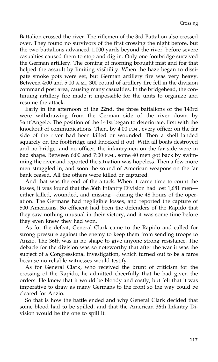Battalion crossed the river. The riflemen of the 3rd Battalion also crossed over. They found no survivors of the first crossing the night before, but the two battalions advanced 1,000 yards beyond the river, before severe casualties caused them to stop and dig in. Only one footbridge survived the German artillery. The coming of morning brought mist and fog that helped the assault by limiting visibility. When the haze began to dissipate smoke pots were set, but German artillery fire was very heavy. Between 4:00 and 5:00 A.M., 300 round of artillery fire fell in the division command post area, causing many casualties. In the bridgehead, the continuing artillery fire made it impossible for the units to organize and resume the attack.

Early in the afternoon of the 22nd, the three battalions of the 143rd were withdrawing from the German side of the river down by Sant'Angelo. The position of the 141st began to deteriorate, first with the knockout of communications. Then, by 4:00 p.m., every officer on the far side of the river had been killed or wounded. Then a shell landed squarely on the footbridge and knocked it out. With all boats destroyed and no bridge, and no officer, the infantrymen on the far side were in bad shape. Between 6:00 and 7:00 p.m., some 40 men got back by swimming the river and reported the situation was hopeless. Then a few more men straggled in, and soon the sound of American weapons on the far bank ceased. All the others were killed or captured.

And that was the end of the attack. When it came time to count the losses, it was found that the 36th Infantry Division had lost 1,681 men either killed, wounded, and missing—during the 48 hours of the operation. The Germans had negligible losses, and reported the capture of 500 Americans. So efficient had been the defenders of the Rapido that they saw nothing unusual in their victory, and it was some time before they even knew they had won.

As for the defeat, General Clark came to the Rapido and called for strong pressure against the enemy to keep them from sending troops to Anzio. The 36th was in no shape to give anyone strong resistance. The debacle for the division was so noteworthy that after the war it was the subject of a Congressional investigation, which turned out to be a farce because no reliable witnesses would testify.

As for General Clark, who received the brunt of criticism for the crossing of the Rapido, he admitted cheerfully that he had given the orders. He knew that it would be bloody and costly, but felt that it was imperative to draw as many Germans to the front so the way could be cleared for Anzio.

So that is how the battle ended and why General Clark decided that some blood had to be spilled, and that the American 36th Infantry Division would be the one to spill it.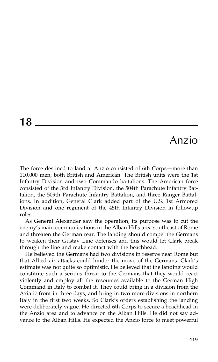# Anzio

The force destined to land at Anzio consisted of 6th Corps—more than 110,000 men, both British and American. The British units were the 1st Infantry Division and two Commando battalions. The American force consisted of the 3rd Infantry Division, the 504th Parachute Infantry Battalion, the 509th Parachute Infantry Battalion, and three Ranger Battalions. In addition, General Clark added part of the U.S. 1st Armored Division and one regiment of the 45th Infantry Division in followup roles.

As General Alexander saw the operation, its purpose was to cut the enemy's main communications in the Alban Hills area southeast of Rome and threaten the German rear. The landing should compel the Germans to weaken their Gustav Line defenses and this would let Clark break through the line and make contact with the beachhead.

He believed the Germans had two divisions in reserve near Rome but that Allied air attacks could hinder the move of the Germans. Clark's estimate was not quite so optimistic. He believed that the landing would constitute such a serious threat to the Germans that they would react violently and employ all the resources available to the German High Command in Italy to combat it. They could bring in a division from the Axiatic front in three days, and bring in two more divisions in northern Italy in the first two weeks. So Clark's orders establishing the landing were deliberately vague. He directed 6th Corps to secure a beachhead in the Anzio area and to advance on the Alban Hills. He did not say advance to the Alban Hills. He expected the Anzio force to meet powerful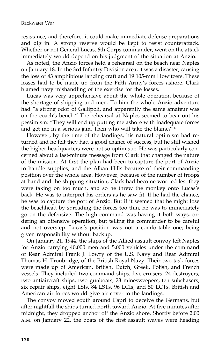resistance, and therefore, it could make immediate defense preparations and dig in. A strong reserve would be kept to resist counterattack. Whether or not General Lucas, 6th Corps commander, went on the attack immediately would depend on his judgment of the situation at Anzio.

As noted, the Anzio forces held a rehearsal on the beach near Naples on January 18. In the 3rd Infantry Division area, it was a disaster, causing the loss of 43 amphibious landing craft and 19 105-mm Howitzers. These losses had to be made up from the Fifth Army's forces ashore. Clark blamed navy mishandling of the exercise for the losses.

Lucas was very apprehensive about the whole operation because of the shortage of shipping and men. To him the whole Anzio adventure had "a strong odor of Gallipoli, and apparently the same amateur was on the coach's bench." The rehearsal at Naples seemed to bear out his pessimism: "They will end up putting me ashore with inadequate forces and get me in a serious jam. Then who will take the blame? $\overset{\cdot}{''}$ <sup>16</sup>

However, by the time of the landings, his natural optimism had returned and he felt they had a good chance of success, but he still wished the higher headquarters were not so optimistic. He was particularly concerned about a last-minute message from Clark that changed the nature of the mission. At first the plan had been to capture the port of Anzio to handle supplies, and the Alban Hills because of their commanding position over the whole area. However, because of the number of troops at hand and the shipping situation, Clark had become worried lest they were taking on too much, and so he threw the monkey onto Lucas's back. He was to interpret his orders as he saw fit. If he had the chance, he was to capture the port of Anzio. But if it seemed that he might lose the beachhead by spreading the forces too thin, he was to immediately go on the defensive. The high command was having it both ways: ordering an offensive operation, but telling the commander to be careful and not overstep. Lucas's position was not a comfortable one; being given responsibility without backup.

On January 21, 1944, the ships of the Allied assault convoy left Naples for Anzio carrying 40,000 men and 5,000 vehicles under the command of Rear Admiral Frank J. Lowry of the U.S. Navy and Rear Admiral Thomas H. Troubridge, of the British Royal Navy. Their two task forces were made up of American, British, Dutch, Greek, Polish, and French vessels. They included two command ships, five cruisers, 24 destroyers, two antiaircraft ships, two gunboats, 23 minesweepers, ten subchasers, six repair ships, eight LSIs, 84 LSTs, 96 LCIs, and 50 LCTs. British and American air forces would give air cover to the landings.

The convoy moved south around Capri to deceive the Germans, but after nightfall the ships turned north toward Anzio. At five minutes after midnight, they dropped anchor off the Anzio shore. Shortly before 2:00 a.m. on January 22, the boats of the first assault waves were heading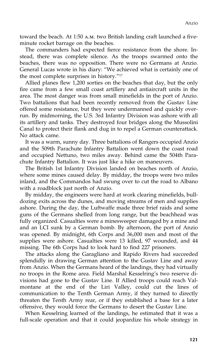toward the beach. At 1:50 a.m. two British landing craft launched a fiveminute rocket barrage on the beaches.

The commanders had expected fierce resistance from the shore. Instead, there was complete silence. As the troops swarmed onto the beaches, there was no opposition. There were no Germans at Anzio. General Lucas wrote in his diary: "We achieved what is certainly one of the most complete surprises in history."17

Allied planes flew 1,200 sorties on the beaches that day, but the only fire came from a few small coast artillery and antiaircraft units in the area. The most danger was from small minefields in the port of Anzio. Two battalions that had been recently removed from the Gustav Line offered some resistance, but they were undermanned and quickly overrun. By midmorning, the U.S. 3rd Infantry Division was ashore with all its artillery and tanks. They destroyed four bridges along the Mussolini Canal to protect their flank and dug in to repel a German counterattack. No attack came.

It was a warm, sunny day. Three battalions of Rangers occupied Anzio and the 509th Parachute Infantry Battalion went down the coast road and occupied Nettuno, two miles away. Behind came the 504th Parachute Infantry Battalion. It was just like a hike on maneuvers.

The British 1st Infantry Division landed on beaches north of Anzio, where some mines caused delay. By midday, the troops were two miles inland, and the Commandos had swung over to cut the road to Albano with a roadblock just north of Anzio.

By midday, the engineers were hard at work clearing minefields, bulldozing exits across the dunes, and moving streams of men and supplies ashore. During the day, the Luftwaffe made three brief raids and some guns of the Germans shelled from long range, but the beachhead was fully organized. Casualties were a minesweeper damaged by a mine and and an LCI sunk by a German bomb. By afternoon, the port of Anzio was opened. By midnight, 6th Corps and 36,000 men and most of the supplies were ashore. Casualties were 13 killed, 97 wounded, and 44 missing. The 6th Corps had to look hard to find 227 prisoners.

The attacks along the Garagliano and Rapido Rivers had succeeded splendidly in drawing German attention to the Gustav Line and away from Anzio. When the Germans heard of the landings, they had virtually no troops in the Rome area. Field Marshal Kesselring's two reserve divisions had gone to the Gustav Line. If Allied troops could reach Valmontane at the end of the Liri Valley, could cut the lines of communication to the Tenth German Army, if they turned to directly threaten the Tenth Army rear, or if they established a base for a later offensive, they would force the Germans to desert the Gustav Line.

When Kesselring learned of the landings, he estimated that it was a full-scale operation and that it could jeopardize his whole strategy in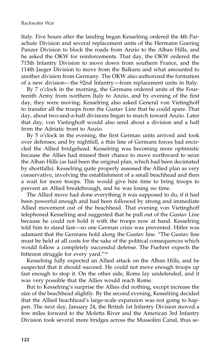Italy. Five hours after the landing began Kesselring ordered the 4th Parachute Division and several replacement units of the Hermann Goering Panzer Division to block the roads from Anzio to the Alban Hills, and he asked the OKW for reinforcements. That day, the OKW ordered the 715th Infantry Division to move down from southern France, and the 114th Jaeger Division to move from the Balkans and what amounted to another division from Germany. The OKW also authorized the formation of a new division—the 92nd Infantry—from replacement units in Italy.

By 7 o'clock in the morning, the Germans ordered units of the Fourteenth Army from northern Italy to Anzio, and by evening of the first day, they were moving. Kesselring also asked General von Vietinghoff to transfer all the troops from the Gustav Line that he could spare. That day, about two-and-a-half divisions began to march toward Anzio. Later that day, von Vietinghoff would also send about a division and a half from the Adriatic front to Anzio.

By 5 o'clock in the evening, the first German units arrived and took over defenses; and by nightfall, a thin line of Germans forces had encircled the Allied bridgehead. Kesselring was becoming more optimistic because the Allies had missed their chance to move northward to seize the Alban Hills (as had been the original plan, which had been decimated by shortfalls). Kesselring quite properly assessed the Allied plan as very conservative, involving the establishment of a small beachhead and then a wait for more troops. This would give him time to bring troops to prevent an Allied breakthrough, and he was losing no time.

The Allied move had done everything it was supposed to do, if it had been powerful enough and had been followed by strong and immediate Allied movement out of the beachhead. That evening von Vietinghoff telephoned Kesselring and suggested that he pull out of the Gustav Line because he could not hold it with the troops now at hand. Kesselring told him to stand fast—so one German crisis was prevented. Hitler was adamant that the Germans hold along the Gustav line. "The Gustav line must be held at all costs for the sake of the political consequences which would follow a completely successful defense. The Fuehrer expects the bitterest struggle for every yard."18

Kesselring fully expected an Allied attack on the Alban Hills, and he suspected that it should succeed. He could not move enough troops up fast enough to stop it. On the other side, Rome lay undefended, and it was very possible that the Allies would reach Rome.

But to Kesselring's surprise the Allies did nothing, except increase the size of the beachhead slightly. By the second evening, Kesselring decided that the Allied beachhead's large-scale expansion was not going to happen. The next day, January 24, the British 1st Infantry Division moved a few miles forward to the Moletta River and the American 3rd Infantry Division took several more bridges across the Mussolini Canal, thus se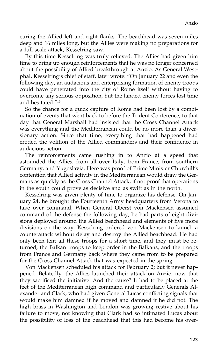curing the Allied left and right flanks. The beachhead was seven miles deep and 16 miles long, but the Allies were making no preparations for a full-scale attack, Kesselring saw.

By this time Kesselring was truly relieved. The Allies had given him time to bring up enough reinforcements that he was no longer concerned about the possibility of Allied breakthrough at Anzio. As General Westphal, Kesselring's chief of staff, later wrote: "On January 22 and even the following day, an audacious and enterprising formation of enemy troops could have penetrated into the city of Rome itself without having to overcome any serious opposition, but the landed enemy forces lost time and hesitated."19

So the chance for a quick capture of Rome had been lost by a combination of events that went back to before the Trident Conference, to that day that General Marshall had insisted that the Cross Channel Attack was everything and the Mediterranean could be no more than a diversionary action. Since that time, everything that had happened had eroded the volition of the Allied commanders and their confidence in audacious action.

The reinforcements came rushing in to Anzio at a speed that astounded the Allies, from all over Italy, from France, from southern Germany, and Yugoslavia. Here was proof of Prime Minister Churchill's contention that Allied activity in the Mediterranean would draw the Germans as quickly as the Cross Channel Attack, if not proof that operations in the south could prove as decisive and as swift as in the north.

Kesselring was given plenty of time to organize his defense. On January 24, he brought the Fourteenth Army headquarters from Verona to take over command. When General Oberst von Mackensen assumed command of the defense the following day, he had parts of eight divisions deployed around the Allied beachhead and elements of five more divisions on the way. Kesselring ordered von Mackensen to launch a counterattack without delay and destroy the Allied beachhead. He had only been lent all these troops for a short time, and they must be returned, the Balkan troops to keep order in the Balkans, and the troops from France and Germany back where they came from to be prepared for the Cross Channel Attack that was expected in the spring.

Von Mackensen scheduled his attack for February 2; but it never happened. Belatedly, the Allies launched their attack on Anzio, now that they sacrificed the initiative. And the cause? It had to be placed at the feet of the Mediterranean high command and particularly Generals Alexander and Clark, who had given General Lucas conflicting signals that would make him damned if he moved and damned if he did not. The high brass in Washington and London was growing restive about his failure to move, not knowing that Clark had so intimated Lucas about the possibility of loss of the beachhead that this had become his over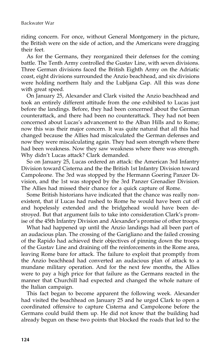riding concern. For once, without General Montgomery in the picture, the British were on the side of action, and the Americans were dragging their feet.

As for the Germans, they reorganized their defenses for the coming battle. The Tenth Army controlled the Gustav Line, with seven divisions. Three German divisions faced the British Eighth Army on the Adriatic coast, eight divisions surrounded the Anzio beachhead, and six divisions were holding northern Italy and the Lubljana Gap. All this was done with great speed.

On January 25, Alexander and Clark visited the Anzio beachhead and took an entirely different attitude from the one exhibited to Lucas just before the landings. Before, they had been concerned about the German counterattack, and there had been no counterattack. They had not been concerned about Lucas's advancement to the Alban Hills and to Rome; now this was their major concern. It was quite natural that all this had changed because the Allies had miscalculated the German defenses and now they were miscalculating again. They had seen strength where there had been weakness. Now they saw weakness where there was strength. Why didn't Lucas attack? Clark demanded.

So on January 25, Lucas ordered an attack: the American 3rd Infantry Division toward Cisterna and the the British 1st Infantry Division toward Campoleone. The 3rd was stopped by the Hermann Goering Panzer Division, and the 1st was stopped by the 3rd Panzer Grenadier Division. The Allies had missed their chance for a quick capture of Rome.

Some British historians have indicated that the chance was really nonexistent, that if Lucas had rushed to Rome he would have been cut off and hopelessly extended and the bridgehead would have been destroyed. But that argument fails to take into consideration Clark's promise of the 45th Infantry Division and Alexander's promise of other troops.

What had happened up until the Anzio landings had all been part of an audacious plan. The crossing of the Garigliano and the failed crossing of the Rapido had achieved their objectives of pinning down the troops of the Gustav Line and draining off the reinforcements in the Rome area, leaving Rome bare for attack. The failure to exploit that promptly from the Anzio beachhead had converted an audacious plan of attack to a mundane military operation. And for the next few months, the Allies were to pay a high price for that failure as the Germans reacted in the manner that Churchill had expected and changed the whole nature of the Italian campaign.

This fact began to become apparent the following week. Alexander had visited the beachhead on January 25 and he urged Clark to open a coordinated offensive to capture Cisterna and Campoleone before the Germans could build them up. He did not know that the building had already begun on these two points that blocked the roads that led to the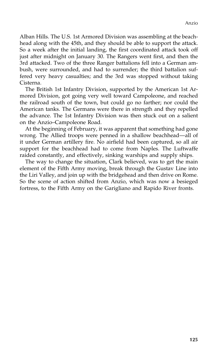Alban Hills. The U.S. 1st Armored Division was assembling at the beachhead along with the 45th, and they should be able to support the attack. So a week after the initial landing, the first coordinated attack took off just after midnight on January 30. The Rangers went first, and then the 3rd attacked. Two of the three Ranger battalions fell into a German ambush, were surrounded, and had to surrender; the third battalion suffered very heavy casualties; and the 3rd was stopped without taking Cisterna.

The British 1st Infantry Division, supported by the American 1st Armored Division, got going very well toward Campoleone, and reached the railroad south of the town, but could go no farther; nor could the American tanks. The Germans were there in strength and they repelled the advance. The 1st Infantry Division was then stuck out on a salient on the Anzio–Campoleone Road.

At the beginning of February, it was apparent that something had gone wrong. The Allied troops were penned in a shallow beachhead—all of it under German artillery fire. No airfield had been captured, so all air support for the beachhead had to come from Naples. The Luftwaffe raided constantly, and effectively, sinking warships and supply ships.

The way to change the situation, Clark believed, was to get the main element of the Fifth Army moving, break through the Gustav Line into the Liri Valley, and join up with the bridgehead and then drive on Rome. So the scene of action shifted from Anzio, which was now a besieged fortress, to the Fifth Army on the Garigliano and Rapido River fronts.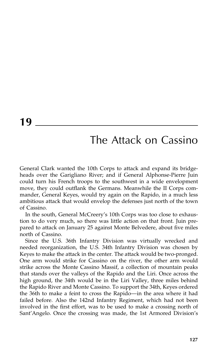## The Attack on Cassino

General Clark wanted the 10th Corps to attack and expand its bridgeheads over the Garigliano River; and if General Alphonse-Pierre Juin could turn his French troops to the southwest in a wide envelopment move, they could outflank the Germans. Meanwhile the II Corps commander, General Keyes, would try again on the Rapido, in a much less ambitious attack that would envelop the defenses just north of the town of Cassino.

In the south, General McCreery's 10th Corps was too close to exhaustion to do very much, so there was little action on that front. Juin prepared to attack on January 25 against Monte Belvedere, about five miles north of Cassino.

Since the U.S. 36th Infantry Division was virtually wrecked and needed reorganization, the U.S. 34th Infantry Division was chosen by Keyes to make the attack in the center. The attack would be two-pronged. One arm would strike for Cassino on the river, the other arm would strike across the Monte Cassino Massif, a collection of mountain peaks that stands over the valleys of the Rapido and the Liri. Once across the high ground, the 34th would be in the Liri Valley, three miles behind the Rapido River and Monte Cassino. To support the 34th, Keyes ordered the 36th to make a feint to cross the Rapido—in the area where it had failed before. Also the 142nd Infantry Regiment, which had not been involved in the first effort, was to be used to make a crossing north of Sant'Angelo. Once the crossing was made, the 1st Armored Division's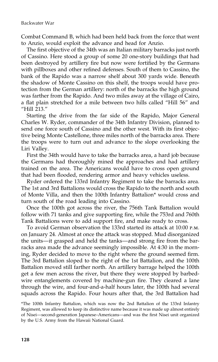Combat Command B, which had been held back from the force that went to Anzio, would exploit the advance and head for Anzio.

The first objective of the 34th was an Italian military barracks just north of Cassino. Here stood a group of some 20 one-story buildings that had been destroyed by artillery fire but now were fortified by the Germans with pillboxes and other refined defenses. South of them to Cassino, the bank of the Rapido was a narrow shelf about 300 yards wide. Beneath the shadow of Monte Cassino on this shelf, the troops would have protection from the German artillery: north of the barracks the high ground was farther from the Rapido. And two miles away at the village of Cairo, a flat plain stretched for a mile between two hills called "Hill 56" and "Hill  $213$ "

Starting the drive from the far side of the Rapido, Major General Charles W. Ryder, commander of the 34th Infantry Division, planned to send one force south of Cassino and the other west. With its first objective being Monte Castellone, three miles north of the barracks area. There the troops were to turn out and advance to the slope overlooking the Liri Valley.

First the 34th would have to take the barracks area, a hard job because the Germans had thoroughly mined the approaches and had artillery trained on the area. The Americans would have to cross open ground that had been flooded, rendering armor and heavy vehicles useless.

Ryder ordered the 133rd Infantry Regiment to take the barracks area. The 1st and 3rd Battalions would cross the Rapido to the north and south of Monte Villa, and then the 100th Infantry Battalion\* would cross and turn south of the road leading into Cassino.

Once the 100th got across the river, the 756th Tank Battalion would follow with 71 tanks and give supporting fire, while the 753rd and 760th Tank Battalions were to add support fire, and make ready to cross.

To avoid German observation the 133rd started its attack at 10:00 p.m. on January 24. Almost at once the attack was stopped. Mud disorganized the units—it grasped and held the tanks—and strong fire from the barracks area made the advance seemingly impossible. At 4:30 in the morning, Ryder decided to move to the right where the ground seemed firm. The 3rd Battalion sloped to the right of the 1st Battalion, and the 100th Battalion moved still farther north. An artillery barrage helped the 100th get a few men across the river, but there they were stopped by barbedwire entanglements covered by machine-gun fire. They cleared a lane through the wire, and four-and-a-half hours later, the 100th had several squads across the Rapido. Four hours after that, the 3rd Battalion had

<sup>\*</sup>The 100th Infantry Battalion, which was now the 2nd Battalion of the 133rd Infantry Regiment, was allowed to keep its distinctive name because it was made up almost entirely of Nisei—second-generation Japanese–Americans—and was the first Nisei unit organized by the U.S. Army from the Hawaii National Guard.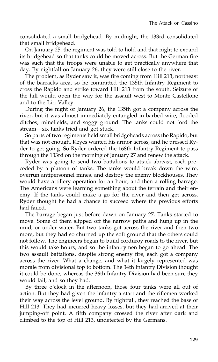consolidated a small bridgehead. By midnight, the 133rd consolidated that small bridgehead.

On January 25, the regiment was told to hold and that night to expand its bridgehead so that tanks could be moved across. But the German fire was such that the troops were unable to get practically anywhere that day. By nightfall on January 26, they were still close to the river.

The problem, as Ryder saw it, was fire coming from Hill 213, northeast of the barracks area, so he committed the 135th Infantry Regiment to cross the Rapido and strike toward Hill 213 from the south. Seizure of the hill would open the way for the assault west to Monte Castellone and to the Liri Valley.

During the night of January 26, the 135th got a company across the river, but it was almost immediately entangled in barbed wire, flooded ditches, minefields, and soggy ground. The tanks could not ford the stream—six tanks tried and got stuck.

So parts of two regiments held small bridgeheads across the Rapido, but that was not enough. Keyes wanted his armor across, and he pressed Ryder to get going. So Ryder ordered the 168th Infantry Regiment to pass through the 133rd on the morning of January 27 and renew the attack.

Ryder was going to send two battalions to attack abreast, each preceded by a platoon of tanks. The tanks would break down the wire, overrun antipersonnel mines, and destroy the enemy blockhouses. They would have artillery operation for an hour, and then a rolling barrage. The Americans were learning something about the terrain and their enemy. If the tanks could make a go for the river and then get across, Ryder thought he had a chance to succeed where the previous efforts had failed.

The barrage began just before dawn on January 27. Tanks started to move. Some of them slipped off the narrow paths and hung up in the mud, or under water. But two tanks got across the river and then two more, but they had so churned up the soft ground that the others could not follow. The engineers began to build corduroy roads to the river, but this would take hours, and so the infantrymen began to go ahead. The two assault battalions, despite strong enemy fire, each got a company across the river. What a change, and what it largely represented was morale from divisional top to bottom. The 34th Infantry Division thought it could be done, whereas the 36th Infantry Division had been sure they would fail, and so they had.

By three o'clock in the afternoon, those four tanks were all out of action. But they had given the infantry a start and the riflemen worked their way across the level ground. By nightfall, they reached the base of Hill 213. They had incurred heavy losses, but they had arrived at their jumping-off point. A fifth company crossed the river after dark and climbed to the top of Hill 213, undetected by the Germans.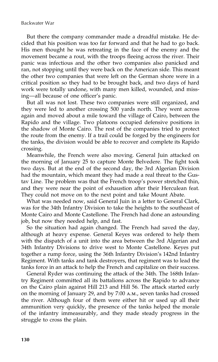But there the company commander made a dreadful mistake. He decided that his position was too far forward and that he had to go back. His men thought he was retreating in the face of the enemy and the movement became a rout, with the troops fleeing across the river. Their panic was infectious and the other two companies also panicked and ran, not stopping until they were back on the American side. This meant the other two companies that were left on the German shore were in a critical position so they had to be brought back, and two days of hard work were totally undone, with many men killed, wounded, and missing—all because of one officer's panic.

But all was not lost. These two companies were still organized, and they were led to another crossing 500 yards north. They went across again and moved about a mile toward the village of Cairo, between the Rapido and the village. Two platoons occupied defensive positions in the shadow of Monte Cairo. The rest of the companies tried to protect the route from the enemy. If a trail could be forged by the engineers for the tanks, the division would be able to recover and complete its Rapido crossing.

Meanwhile, the French were also moving. General Juin attacked on the morning of January 25 to capture Monte Belvedere. The fight took two days. But at the end of the second day, the 3rd Algerian Division had the mountain, which meant they had made a real threat to the Gustav Line. The problem was that the French troop's power stretched thin, and they were near the point of exhaustion after their Herculean feat. They could not move on to the next point and take Mount Abate.

What was needed now, said General Juin in a letter to General Clark, was for the 34th Infantry Division to take the heights to the southeast of Monte Cairo and Monte Castellone. The French had done an astounding job, but now they needed help, and fast.

So the situation had again changed. The French had saved the day, although at heavy expense. General Keyes was ordered to help them with the dispatch of a unit into the area between the 3rd Algerian and 34th Infantry Divisions to drive west to Monte Castellone. Keyes put together a rump force, using the 36th Infantry Division's 142nd Infantry Regiment. With tanks and tank destroyers, that regiment was to lead the tanks force in an attack to help the French and capitalize on their success.

General Ryder was continuing the attack of the 34th. The 168th Infantry Regiment committed all its battalions across the Rapido to advance on the Cairo plain against Hill 213 and Hill 56. The attack started early on the morning of January 29, and by 7:00 a.m., seven tanks had crossed the river. Although four of them were either hit or used up all their ammunition very quickly, the presence of the tanks helped the morale of the infantry immeasurably, and they made steady progress in the struggle to cross the plain.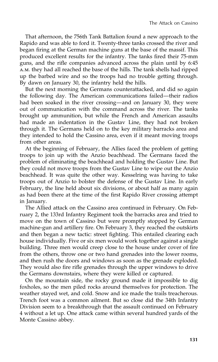That afternoon, the 756th Tank Battalion found a new approach to the Rapido and was able to ford it. Twenty-three tanks crossed the river and began firing at the German machine guns at the base of the massif. This produced excellent results for the infantry. The tanks fired their 75-mm guns, and the rifle companies advanced across the plain until by 6:45 a.m. they had all reached the base of the hills. The tank shells had ripped up the barbed wire and so the troops had no trouble getting through. By dawn on January 30, the infantry held the hills.

But the next morning the Germans counterattacked, and did so again the following day. The American communications failed—their radios had been soaked in the river crossing—and on January 30, they were out of communication with the command across the river. The tanks brought up ammunition, but while the French and American assaults had made an indentation in the Gustav Line, they had not broken through it. The Germans held on to the key military barracks area and they intended to hold the Cassino area, even if it meant moving troops from other areas.

At the beginning of February, the Allies faced the problem of getting troops to join up with the Anzio beachhead. The Germans faced the problem of eliminating the beachhead and holding the Gustav Line. But they could not move troops from the Gustav Line to wipe out the Anzio beachhead. It was quite the other way. Kesselring was having to take troops out of Anzio to bolster the defense of the Gustav Line. In early February, the line held about six divisions, or about half as many again as had been there at the time of the first Rapido River crossing attempt in January.

The Allied attack on the Cassino area continued in February. On February 2, the 133rd Infantry Regiment took the barracks area and tried to move on the town of Cassino but were promptly stopped by German machine-gun and artillery fire. On February 3, they reached the outskirts and then began a new tactic: street fighting. This entailed clearing each house individually. Five or six men would work together against a single building. Three men would creep close to the house under cover of fire from the others, throw one or two hand grenades into the lower rooms, and then rush the doors and windows as soon as the grenade exploded. They would also fire rifle grenades through the upper windows to drive the Germans downstairs, where they were killed or captured.

On the mountain side, the rocky ground made it impossible to dig foxholes, so the men piled rocks around themselves for protection. The weather stayed wet, and cold. Snow and ice made the trails treacherous. Trench foot was a common ailment. But so close did the 34th Infantry Division seem to a breakthrough that the assault continued on February 4 without a let up. One attack came within several hundred yards of the Monte Cassino abbey.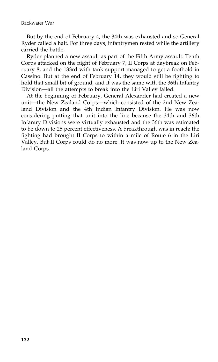But by the end of February 4, the 34th was exhausted and so General Ryder called a halt. For three days, infantrymen rested while the artillery carried the battle.

Ryder planned a new assault as part of the Fifth Army assault. Tenth Corps attacked on the night of February 7; II Corps at daybreak on February 8; and the 133rd with tank support managed to get a foothold in Cassino. But at the end of February 14, they would still be fighting to hold that small bit of ground, and it was the same with the 36th Infantry Division—all the attempts to break into the Liri Valley failed.

At the beginning of February, General Alexander had created a new unit—the New Zealand Corps—which consisted of the 2nd New Zealand Division and the 4th Indian Infantry Division. He was now considering putting that unit into the line because the 34th and 36th Infantry Divisions were virtually exhausted and the 36th was estimated to be down to 25 percent effectiveness. A breakthrough was in reach: the fighting had brought II Corps to within a mile of Route 6 in the Liri Valley. But II Corps could do no more. It was now up to the New Zealand Corps.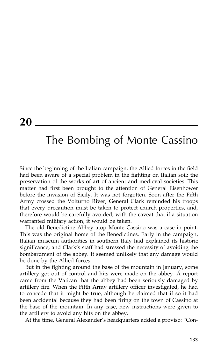## The Bombing of Monte Cassino

Since the beginning of the Italian campaign, the Allied forces in the field had been aware of a special problem in the fighting on Italian soil: the preservation of the works of art of ancient and medieval societies. This matter had first been brought to the attention of General Eisenhower before the invasion of Sicily. It was not forgotten. Soon after the Fifth Army crossed the Volturno River, General Clark reminded his troops that every precaution must be taken to protect church properties, and, therefore would be carefully avoided, with the caveat that if a situation warranted military action, it would be taken.

The old Benedictine Abbey atop Monte Cassino was a case in point. This was the original home of the Benedictines. Early in the campaign, Italian museum authorities in southern Italy had explained its historic significance, and Clark's staff had stressed the necessity of avoiding the bombardment of the abbey. It seemed unlikely that any damage would be done by the Allied forces.

But in the fighting around the base of the mountain in January, some artillery got out of control and hits were made on the abbey. A report came from the Vatican that the abbey had been seriously damaged by artillery fire. When the Fifth Army artillery officer investigated, he had to concede that it might be true, although he claimed that if so it had been accidental because they had been firing on the town of Cassino at the base of the mountain. In any case, new instructions were given to the artillery to avoid any hits on the abbey.

At the time, General Alexander's headquarters added a proviso: "Con-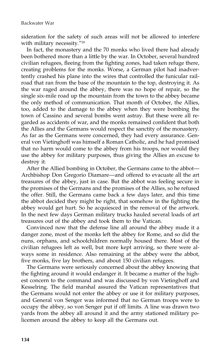sideration for the safety of such areas will not be allowed to interfere with military necessity."20

In fact, the monastery and the 70 monks who lived there had already been bothered more than a little by the war. In October, several hundred civilian refugees, fleeing from the fighting zones, had taken refuge there, creating problems for the monks. Worse, a German pilot had inadvertently crashed his plane into the wires that controlled the funicular railroad that ran from the base of the mountain to the top, destroying it. As the war raged around the abbey, there was no hope of repair, so the single six-mile road up the mountain from the town to the abbey became the only method of communication. That month of October, the Allies, too, added to the damage to the abbey when they were bombing the town of Cassino and several bombs went astray. But these were all regarded as accidents of war, and the monks remained confident that both the Allies and the Germans would respect the sanctity of the monastery. As far as the Germans were concerned, they had every assurance. General von Vietinghoff was himself a Roman Catholic, and he had promised that no harm would come to the abbey from his troops, nor would they use the abbey for military purposes, thus giving the Allies an excuse to destroy it.

After the Allied bombing in October, the Germans came to the abbot— Archbishop Don Gregorio Diamare—and offered to evacuate all the art treasures of the abbey, just in case. But the abbot was feeling secure in the promises of the Germans and the promises of the Allies, so he refused the offer. Still, the Germans came back a few days later, and this time the abbot decided they might be right, that somehow in the fighting the abbey would get hurt. So he acquiesced in the removal of the artwork. In the next few days German military trucks hauled several loads of art treasures out of the abbey and took them to the Vatican.

Convinced now that the defense line all around the abbey made it a danger zone, most of the monks left the abbey for Rome, and so did the nuns, orphans, and schoolchildren normally housed there. Most of the civilian refugees left as well, but more kept arriving, so there were always some in residence. Also remaining at the abbey were the abbot, five monks, five lay brothers, and about 150 civilian refugees.

The Germans were seriously concerned about the abbey knowing that the fighting around it would endanger it. It became a matter of the highest concern to the command and was discussed by von Vietinghoff and Kesselring. The field marshal assured the Vatican representatives that the Germans would not enter the abbey or use it for military purposes, and General von Senger was informed that no German troops were to occupy the abbey, so von Senger put if off limits. A line was drawn two yards from the abbey all around it and the army stationed military policemen around the abbey to keep all the Germans out.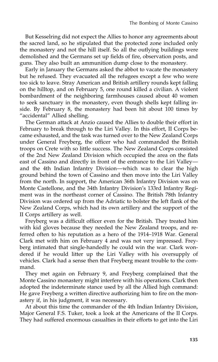But Kesselring did not expect the Allies to honor any agreements about the sacred land, so he stipulated that the protected zone included only the monastery and not the hill itself. So all the outlying buildings were demolished and the Germans set up fields of fire, observation posts, and guns. They also built an ammunition dump close to the monastery.

Early in January the Germans asked the abbot to vacate the monastery but he refused. They evacuated all the refugees except a few who were too sick to leave. Stray American and British artillery rounds kept falling on the hilltop, and on February 5, one round killed a civilian. A violent bombardment of the neighboring farmhouses caused about 40 women to seek sanctuary in the monastery, even though shells kept falling inside. By February 8, the monastery had been hit about 100 times by "accidental" Allied shelling.

The German attack at Anzio caused the Allies to double their effort in February to break through to the Liri Valley. In this effort, II Corps became exhausted, and the task was turned over to the New Zealand Corps under General Freyberg, the officer who had commanded the British troops on Crete with so little success. The New Zealand Corps consisted of the 2nd New Zealand Division which occupied the area on the flats east of Cassino and directly in front of the entrance to the Liri Valley and the 4th Indian Infantry Division—which was to clear the high ground behind the town of Cassino and then move into the Liri Valley from the north. In support, the American 36th Infantry Division was on Monte Castellone, and the 34th Infantry Division's 133rd Infantry Regiment was in the northeast corner of Cassino. The British 78th Infantry Division was ordered up from the Adriatic to bolster the left flank of the New Zealand Corps, which had its own artillery and the support of the II Corps artillery as well.

Freyberg was a difficult officer even for the British. They treated him with kid gloves because they needed the New Zealand troops, and referred often to his reputation as a hero of the 1914–1918 War. General Clark met with him on February 4 and was not very impressed. Freyberg intimated that single-handedly he could win the war. Clark wondered if he would litter up the Liri Valley with his oversupply of vehicles. Clark had a sense then that Freyberg meant trouble to the command.

They met again on February 9, and Freyberg complained that the Monte Cassino monastery might interfere with his operations. Clark then adopted the indeterminate stance used by all the Allied high command: He gave Freyberg a written directive authorizing him to fire on the monastery if, in his judgment, it was necessary.

At about this time the commander of the 4th Indian Infantry Division, Major General F.S. Tuker, took a look at the Americans of the II Corps. They had suffered enormous casualties in their efforts to get into the Liri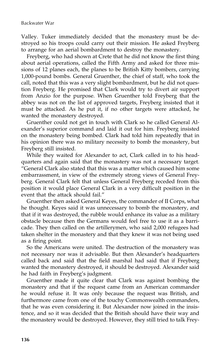Valley. Tuker immediately decided that the monastery must be destroyed so his troops could carry out their mission. He asked Freyberg to arrange for an aerial bombardment to destroy the monastery.

Freyberg, who had shown at Crete that he did not know the first thing about aerial operations, called the Fifth Army and asked for three missions of 12 planes each, the planes to be British Kitty bombers, carrying 1,000-pound bombs. General Gruenther, the chief of staff, who took the call, noted that this was a very slight bombardment, but he did not question Freyberg. He promised that Clark would try to divert air support from Anzio for the purpose. When Gruenther told Freyberg that the abbey was not on the list of approved targets, Freyberg insisted that it must be attacked. As he put it, if no other targets were attacked, he wanted the monastery destroyed.

Gruenther could not get in touch with Clark so he called General Alexander's superior command and laid it out for him. Freyberg insisted on the monastery being bombed. Clark had told him repeatedly that in his opinion there was no military necessity to bomb the monastery, but Freyberg still insisted.

While they waited for Alexander to act, Clark called in to his headquarters and again said that the monastery was not a necessary target. "General Clark also stated that this was a matter which caused him some embarrassment, in view of the extremely strong views of General Freyberg. General Clark felt that unless General Freyberg receded from this position it would place General Clark in a very difficult position in the event that the attack should fail."

Gruenther then asked General Keyes, the commander of II Corps, what he thought. Keyes said it was unnecessary to bomb the monastery, and that if it was destroyed, the rubble would enhance its value as a military obstacle because then the Germans would feel free to use it as a barricade. They then called on the artillerymen, who said 2,000 refugees had taken shelter in the monastery and that they knew it was not being used as a firing point.

So the Americans were united. The destruction of the monastery was not necessary nor was it advisable. But then Alexander's headquarters called back and said that the field marshal had said that if Freyberg wanted the monastery destroyed, it should be destroyed. Alexander said he had faith in Freyberg's judgment.

Gruenther made it quite clear that Clark was against bombing the monastery and that if the request came from an American commander he would refuse it. It was only because the request was British, and furthermore came from one of the touchy Commonwealth commanders, that he was even considering it. But Alexander now joined in the insistence, and so it was decided that the British should have their way and the monastery would be destroyed. However, they still tried to talk Frey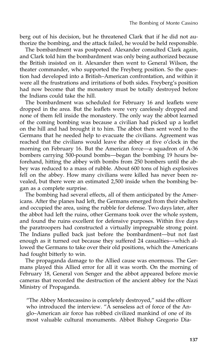berg out of his decision, but he threatened Clark that if he did not authorize the bombing, and the attack failed, he would be held responsible.

The bombardment was postponed. Alexander consulted Clark again, and Clark told him the bombardment was only being authorized because the British insisted on it. Alexander then went to General Wilson, the theater commander, who supported the Freyberg position. So the question had developed into a British–American confrontation, and within it were all the frustrations and irritations of both sides. Freyberg's position had now become that the monastery must be totally destroyed before the Indians could take the hill.

The bombardment was scheduled for February 16 and leaflets were dropped in the area. But the leaflets were very carelessly dropped and none of them fell inside the monastery. The only way the abbot learned of the coming bombing was because a civilian had picked up a leaflet on the hill and had brought it to him. The abbot then sent word to the Germans that he needed help to evacuate the civilians. Agreement was reached that the civilians would leave the abbey at five o'clock in the morning on February 16. But the American force—a squadron of A-36 bombers carrying 500-pound bombs—began the bombing 19 hours beforehand, hitting the abbey with bombs from 250 bombers until the abbey was reduced to a mass of rubble. About 600 tons of high explosives fell on the abbey. How many civilians were killed has never been revealed, but there were an estimated 2,500 inside when the bombing began as a complete surprise.

The bombing had several effects, all of them anticipated by the Americans. After the planes had left, the Germans emerged from their shelters and occupied the area, using the rubble for defense. Two days later, after the abbot had left the ruins, other Germans took over the whole system, and found the ruins excellent for defensive purposes. Within five days the paratroopers had constructed a virtually impregnable strong point. The Indians pulled back just before the bombardment—but not fast enough as it turned out because they suffered 24 casualties—which allowed the Germans to take over their old positions, which the Americans had fought bitterly to win.

The propaganda damage to the Allied cause was enormous. The Germans played this Allied error for all it was worth. On the morning of February 18, General von Senger and the abbot appeared before movie cameras that recorded the destruction of the ancient abbey for the Nazi Ministry of Propaganda.

"The Abbey Montecassino is completely destroyed," said the officer who introduced the interview. "A senseless act of force of the Anglo–American air force has robbed civilized mankind of one of its most valuable cultural monuments. Abbot Bishop Gregorio Dia-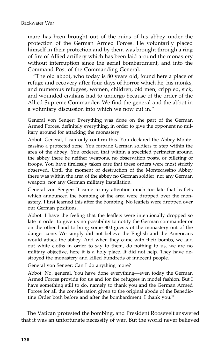mare has been brought out of the ruins of his abbey under the protection of the German Armed Forces. He voluntarily placed himself in their protection and by them was brought through a ring of fire of Allied artillery which has been laid around the monastery without interruption since the aerial bombardment, and into the Command Post of the Commanding General.

"The old abbot, who today is 80 years old, found here a place of refuge and recovery after four days of horror which he, his monks, and numerous refugees, women, children, old men, crippled, sick, and wounded civilians had to undergo because of the order of the Allied Supreme Commander. We find the general and the abbot in a voluntary discussion into which we now cut in."

General von Senger: Everything was done on the part of the German Armed Forces, definitely everything, in order to give the opponent no military ground for attacking the monastery.

Abbot: General, I can only confirm this. You declared the Abbey Montecassino a protected zone. You forbade German soldiers to step within the area of the abbey. You ordered that within a specified perimeter around the abbey there be neither weapons, no observation posts, or billeting of troops. You have tirelessly taken care that these orders were most strictly observed. Until the moment of destruction of the Montecassino Abbey there was within the area of the abbey no German soldier, nor any German weapon, nor any German military installation.

General von Senger: It came to my attention much too late that leaflets which announced the bombing of the area were dropped over the monastery. I first learned this after the bombing. No leaflets were dropped over our German positions.

Abbot: I have the feeling that the leaflets were intentionally dropped so late in order to give us no possibility to notify the German commander or on the other hand to bring some 800 guests of the monastery out of the danger zone. We simply did not believe the English and the Americans would attack the abbey. And when they came with their bombs, we laid out white cloths in order to say to them, do nothing to us, we are no military objective, here it is a holy place. It did not help. They have destroyed the monastery and killed hundreds of innocent people.

General von Senger: Can I do anything more?

Abbot: No, general. You have done everything—even today the German Armed Forces provide for us and for the refugees in model fashion. But I have something still to do, namely to thank you and the German Armed Forces for all the consideration given to the original abode of the Benedictine Order both before and after the bombardment. I thank you.<sup>21</sup>

The Vatican protested the bombing, and President Roosevelt answered that it was an unfortunate necessity of war. But the world never believed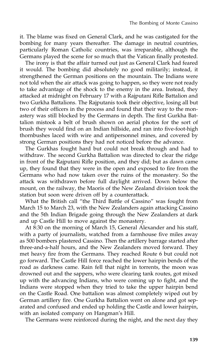it. The blame was fixed on General Clark, and he was castigated for the bombing for many years thereafter. The damage in neutral countries, particularly Roman Catholic countries, was irreparable, although the Germans played the scene for so much that the Vatican finally protested.

The irony is that the affair turned out just as General Clark had feared it would. The bombing did absolutely no good militarily; instead, it strengthened the German positions on the mountain. The Indians were not told when the air attack was going to happen, so they were not ready to take advantage of the shock to the enemy in the area. Instead, they attacked at midnight on February 17 with a Rajputani Rifle Battalion and two Gurkha Battalions. The Rajputanis took their objective, losing all but two of their officers in the process and found that their way to the monastery was still blocked by the Germans in depth. The first Gurkha Battalion mistook a belt of brush shown on aerial photos for the sort of brush they would find on an Indian hillside, and ran into five-foot-high thornbushes laced with wire and antipersonnel mines, and covered by strong German positions they had not noticed before the advance.

The Gurkhas fought hard but could not break through and had to withdraw. The second Gurkha Battalion was directed to clear the ridge in front of the Rajputani Rifle position, and they did; but as dawn came up, they found that they were in the open and exposed to fire from the Germans who had now taken over the ruins of the monastery. So the attack was withdrawn before full daylight arrived. Down below the mount, on the railway, the Maoris of the New Zealand division took the station but soon were driven off by a counterattack.

What the British call "the Third Battle of Cassino" was fought from March 15 to March 23, with the New Zealanders again attacking Cassino and the 5th Indian Brigade going through the New Zealanders at dark and up Castle Hill to move against the monastery.

At 8:30 on the morning of March 15, General Alexander and his staff, with a party of journalists, watched from a farmhouse five miles away as 500 bombers plastered Cassino. Then the artillery barrage started after three-and-a-half hours, and the New Zealanders moved forward. They met heavy fire from the Germans. They reached Route 6 but could not go forward. The Castle Hill force reached the lower hairpin bends of the road as darkness came. Rain fell that night in torrents, the moon was drowned out and the sappers, who were clearing tank routes, got mixed up with the advancing Indians, who were coming up to fight, and the Indians were stopped when they tried to take the upper hairpin bend on the Castle Road. One battalion was almost completely wiped out by German artillery fire. One Gurkha Battalion went on alone and got separated and confused and ended up holding the Castle and lower hairpin, with an isolated company on Hangman's Hill.

The Germans were reinforced during the night, and the next day they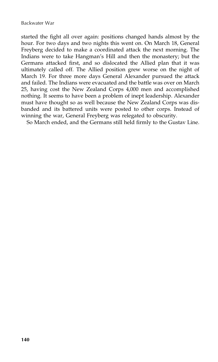Backwater War

started the fight all over again: positions changed hands almost by the hour. For two days and two nights this went on. On March 18, General Freyberg decided to make a coordinated attack the next morning. The Indians were to take Hangman's Hill and then the monastery; but the Germans attacked first, and so dislocated the Allied plan that it was ultimately called off. The Allied position grew worse on the night of March 19. For three more days General Alexander pursued the attack and failed. The Indians were evacuated and the battle was over on March 25, having cost the New Zealand Corps 4,000 men and accomplished nothing. It seems to have been a problem of inept leadership. Alexander must have thought so as well because the New Zealand Corps was disbanded and its battered units were posted to other corps. Instead of winning the war, General Freyberg was relegated to obscurity.

So March ended, and the Germans still held firmly to the Gustav Line.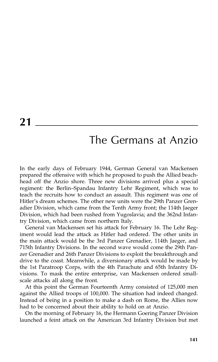### The Germans at Anzio

In the early days of February 1944, German General van Mackensen prepared the offensive with which he proposed to push the Allied beachhead off the Anzio shore. Three new divisions arrived plus a special regiment: the Berlin–Spandau Infantry Lehr Regiment, which was to teach the recruits how to conduct an assault. This regiment was one of Hitler's dream schemes. The other new units were the 29th Panzer Grenadier Division, which came from the Tenth Army front; the 114th Jaeger Division, which had been rushed from Yugoslavia; and the 362nd Infantry Division, which came from northern Italy.

General van Mackensen set his attack for February 16. The Lehr Regiment would lead the attack as Hitler had ordered. The other units in the main attack would be the 3rd Panzer Grenadier, 114th Jaeger, and 715th Infantry Divisions. In the second wave would come the 29th Panzer Grenadier and 26th Panzer Divisions to exploit the breakthrough and drive to the coast. Meanwhile, a diversionary attack would be made by the 1st Paratroop Corps, with the 4th Parachute and 65th Infantry Divisions. To mask the entire enterprise, van Mackensen ordered smallscale attacks all along the front.

At this point the German Fourteenth Army consisted of 125,000 men against the Allied troops of 100,000. The situation had indeed changed. Instead of being in a position to make a dash on Rome, the Allies now had to be concerned about their ability to hold on at Anzio.

On the morning of February 16, the Hermann Goering Panzer Division launched a feint attack on the American 3rd Infantry Division but met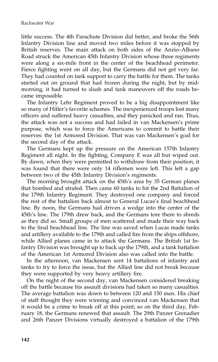little success. The 4th Parachute Division did better, and broke the 56th Infantry Division line and moved two miles before it was stopped by British reserves. The main attack on both sides of the Anzio–Albano Road struck the American 45th Infantry Division whose three regiments were along a six-mile front in the center of the beachhead perimeter. Fierce fighting went on all day, but the Germans did not get very far. They had counted on tank support to carry the battle for them. The tanks started out on ground that had frozen during the night, but by midmorning, it had turned to slush and tank maneuvers off the roads became impossible.

The Infantry Lehr Regiment proved to be a big disappointment like so many of Hitler's favorite schemes. The inexperienced troops lost many officers and suffered heavy casualties, and they panicked and ran. Thus, the attack was not a success and had failed in van Mackensen's prime purpose, which was to force the Americans to commit to battle their reserves: the 1st Armored Division. That was van Mackensen's goal for the second day of the attack.

The Germans kept up the pressure on the American 157th Infantry Regiment all night. In the fighting, Company E was all but wiped out. By dawn, when they were permitted to withdraw from their position, it was found that there were only 14 riflemen were left. This left a gap between two of the 45th Infantry Division's regiments.

The morning brought attack on the 45th's area by 35 German planes that bombed and strafed. Then came 60 tanks to hit the 2nd Battalion of the 179th Infantry Regiment. They destroyed one company and forced the rest of the battalion back almost to General Lucas's final beachhead line. By noon, the Germans had driven a wedge into the center of the 45th's line. The 179th drew back, and the Germans tore them to shreds as they did so. Small groups of men scattered and made their way back to the final beachhead line. The line was saved when Lucas made tanks and artillery available to the 179th and called fire from the ships offshore, while Allied planes came in to attack the Germans. The British 1st Infantry Division was brought up to back up the 179th, and a tank battalion of the American 1st Armored Division also was called into the battle.

In the afternoon, van Mackensen sent 14 battalions of infantry and tanks to try to force the issue, but the Allied line did not break because they were supported by very heavy artillery fire.

On the night of the second day, van Mackensen considered breaking off the battle because his assault divisions had taken so many casualties. The average battalion was down to between 120 and 150 men. His chief of staff thought they were winning and convinced van Mackensen that it would be a crime to break off at this point; so on the third day, February 18, the Germans renewed that assault. The 29th Panzer Grenadier and 26th Panzer Divisions virtually destroyed a battalion of the 179th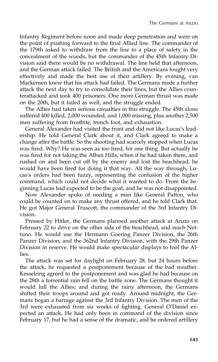Infantry Regiment before noon and made deep penetration and were on the point of pushing forward to the final Allied line. The commander of the 179th asked to withdraw from the line to a place of safety in the concealment of the woods, but the commander of the 45th Infantry Division said there would be no withdrawal. The line held that afternoon, and the German attack failed. The British and the Americans fought very effectively and made the best use of their artillery. By evening, van Mackensen knew that his attack had failed. The Germans made a further attack the next day to try to consolidate their lines, but the Allies counterattacked and took 400 prisoners. One more German thrust was made on the 20th, but it failed as well, and the struggle ended.

The Allies had taken serious casualties in this struggle. The 45th alone suffered 400 killed, 2,000 wounded, and 1,000 missing, plus another 2,500 men suffering from frostbite, trench foot, and exhaustion.

General Alexander had visited the front and did not like Lucas's leadership. He told General Clark about it, and Clark agreed to make a change after the battle. So the shooting had scarcely stopped when Lucas was fired. Why? He was seen as too tired, for one thing. But actually he was fired for not taking the Alban Hills, when if he had taken them, and rushed on and been cut off by the enemy and lost the beachhead, he would have been fired for doing it that way. All the way through, Lucas's orders had been fuzzy, representing the confusion of the higher command, which could not decide what it wanted to do. From the beginning Lucas had expected to be the goat, and he was not disappointed.

Now Alexander spoke of needing a man like General Patton, who could be counted on to make any thrust offered, and he told Clark that. He got Major General Truscott, the commander of the 3rd Infantry Division.

Pressed by Hitler, the Germans planned another attack at Anzio on February 22 to drive on the other side of the beachhead, and reach Nettuno. He would use the Hermann Goering Panzer Division, the 26th Panzer Division, and the 362nd Infantry Division, with the 29th Panzer Division in reserve. He would make spectacular displays to fool the Allies.

The attack was set for daylight on February 28, but 24 hours before the attack, he requested a postponement because of the bad weather. Kesselring agreed to the postponement and was glad he had because on the 28th a torrential rain fell on the battle zone. The Germans thought it would lull the Allies; and during the rainy afternoon, the Germans shifted their troops around and got ready. Around midnight, the Germans began a barrage against the 3rd Infantry Division. The men of the 3rd were exhausted from six weeks of fighting. General O'Daniel expected an attack. He had only been in command of the division since February 17, but he had a sense of the dramatic, and he ordered artillery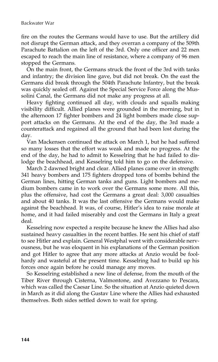fire on the routes the Germans would have to use. But the artillery did not disrupt the German attack, and they overran a company of the 509th Parachute Battalion on the left of the 3rd. Only one officer and 22 men escaped to reach the main line of resistance, where a company of 96 men stopped the Germans.

On the main front, the Germans struck the front of the 3rd with tanks and infantry; the division line gave, but did not break. On the east the Germans did break through the 504th Parachute Infantry, but the break was quickly sealed off. Against the Special Service Force along the Mussolini Canal, the Germans did not make any progress at all.

Heavy fighting continued all day, with clouds and squalls making visibility difficult. Allied planes were grounded in the morning, but in the afternoon 17 fighter bombers and 24 light bombers made close support attacks on the Germans. At the end of the day, the 3rd made a counterattack and regained all the ground that had been lost during the day.

Van Mackensen continued the attack on March 1, but he had suffered so many losses that the effort was weak and made no progress. At the end of the day, he had to admit to Kesselring that he had failed to dislodge the beachhead, and Kesselring told him to go on the defensive.

March 2 dawned bright and clear. Allied planes came over in strength: 341 heavy bombers and 175 fighters dropped tons of bombs behind the German lines, hitting German tanks and guns. Light bombers and medium bombers came in to work over the Germans some more. All this, plus the offensive, had cost the Germans a great deal: 3,000 casualties and about 40 tanks. It was the last offensive the Germans would make against the beachhead. It was, of course, Hitler's idea to raise morale at home, and it had failed miserably and cost the Germans in Italy a great deal.

Kesselring now expected a respite because he knew the Allies had also sustained heavy casualties in the recent battles. He sent his chief of staff to see Hitler and explain. General Westphal went with considerable nervousness, but he was eloquent in his explanations of the German position and got Hitler to agree that any more attacks at Anzio would be foolhardy and wasteful at the present time. Kesselring had to build up his forces once again before he could manage any moves.

So Kesselring established a new line of defense, from the mouth of the Tiber River through Cisterna, Valmontone, and Avezzano to Pescara, which was called the Caesar Line. So the situation at Anzio quieted down in March as it did along the Gustav Line where the Allies had exhausted themselves. Both sides settled down to wait for spring.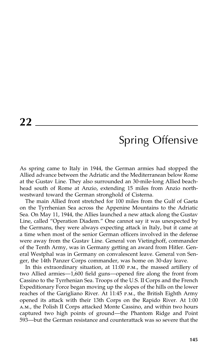# Spring Offensive

As spring came to Italy in 1944, the German armies had stopped the Allied advance between the Adriatic and the Mediterranean below Rome at the Gustav Line. They also surrounded an 30-mile-long Allied beachhead south of Rome at Anzio, extending 15 miles from Anzio northwestward toward the German stronghold of Cisterna.

The main Allied front stretched for 100 miles from the Gulf of Gaeta on the Tyrrhenian Sea across the Appenine Mountains to the Adriatic Sea. On May 11, 1944, the Allies launched a new attack along the Gustav Line, called "Operation Diadem." One cannot say it was unexpected by the Germans, they were always expecting attack in Italy, but it came at a time when most of the senior German officers involved in the defense were away from the Gustav Line. General von Vietinghoff, commander of the Tenth Army, was in Germany getting an award from Hitler. General Westphal was in Germany on convalescent leave. General von Senger, the 14th Panzer Corps commander, was home on 30-day leave.

In this extraordinary situation, at 11:00 p.m., the massed artillery of two Allied armies—1,600 field guns—opened fire along the front from Cassino to the Tyrrhenian Sea. Troops of the U.S. II Corps and the French Expeditionary Force began moving up the slopes of the hills on the lower reaches of the Garigliano River. At 11:45 p.m., the British Eighth Army opened its attack with their 13th Corps on the Rapido River. At 1:00 a.m., the Polish II Corps attacked Monte Cassino, and within two hours captured two high points of ground—the Phantom Ridge and Point 593—but the German resistance and counterattack was so severe that the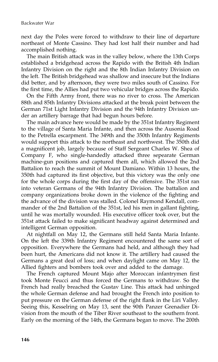next day the Poles were forced to withdraw to their line of departure northeast of Monte Cassino. They had lost half their number and had accomplished nothing.

The main British attack was in the valley below, where the 13th Corps established a bridgehead across the Rapido with the British 4th Indian Infantry Division on the right and the 8th Indian Infantry Division on the left. The British bridgehead was shallow and insecure but the Indians did better, and by afternoon, they were two miles south of Cassino. For the first time, the Allies had put two vehicular bridges across the Rapido.

On the Fifth Army front, there was no river to cross. The American 88th and 85th Infantry Divisions attacked at the break point between the German 71st Light Infantry Division and the 94th Infantry Division under an artillery barrage that had begun hours before.

The main advance here would be made by the 351st Infantry Regiment to the village of Santa Maria Infante, and then across the Ausonia Road to the Petrella escarpment. The 349th and the 350th Infantry Regiments would support this attack to the northeast and northwest. The 350th did a magnificent job, largely because of Staff Sergeant Charles W. Shea of Company F, who single-handedly attacked three sepearate German machine-gun positions and captured them all, which allowed the 2nd Battalion to reach the summit of Mount Damiano. Within 13 hours, the 350th had captured its first objective, but this victory was the only one for the whole corps during the first day of the offensive. The 351st ran into veteran Germans of the 94th Infantry Division. The battalion and company organizations broke down in the violence of the fighting and the advance of the division was stalled. Colonel Raymond Kendall, commander of the 2nd Battalion of the 351st, led his men in gallant fighting, until he was mortally wounded. His executive officer took over, but the 351st attack failed to make significant headway against determined and intelligent German opposition.

At nightfall on May 12, the Germans still held Santa Maria Infante. On the left the 339th Infantry Regiment encountered the same sort of opposition. Everywhere the Germans had held, and although they had been hurt, the Americans did not know it. The artillery had caused the Germans a great deal of loss; and when daylight came on May 12, the Allied fighters and bombers took over and added to the damage.

The French captured Mount Majo after Moroccan infantrymen first took Monte Feucci and thus forced the Germans to withdraw. So the French had really breached the Gustav Line. This attack had unhinged the whole German defense and had brought the French into position to put pressure on the German defense of the right flank in the Liri Valley. Seeing this, Kesselring on May 13, sent the 90th Panzer Grenadier Division from the mouth of the Tiber River southeast to the southern front. Early on the morning of the 14th, the Germans began to move. The 200th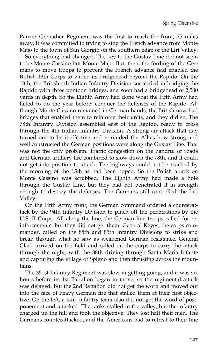Panzer Grenadier Regiment was the first to reach the front, 75 miles away. It was committed to trying to stop the French advance from Monte Majo to the town of San Giorgio on the southern edge of the Liri Valley.

So everything had changed. The key to the Gustav Line did not seem to be Monte Cassino but Monte Majo. But, then, the fording of the Germans to move troops to prevent the French advance had enabled the British 13th Corps to widen its bridgehead beyond the Rapido. On the 13th, the British 4th Indian Infantry Division succeeded in bridging the Rapido with three pontoon bridges, and soon had a bridgehead of 2,500 yards in depth. So the Eighth Army had done what the Fifth Army had failed to do the year before: conquer the defenses of the Rapido. Although Monte Cassino remained in German hands, the British now had bridges that enabled them to reinforce their units, and they did so. The 78th Infantry Division assembled east of the Rapido, ready to cross through the 4th Indian Infantry Division. A strong air attack that day turned out to be ineffective and reminded the Allies how strong and well constructed the German positions were along the Gustav Line. That was not the only problem. Traffic congestion on the handful of roads and German artillery fire combined to slow down the 78th, and it could not get into position to attack. The highways could not be reached by the morning of the 15th as had been hoped. So the Polish attack on Monte Cassino was scrubbed. The Eighth Army had made a hole through the Gustav Line, but they had not penetrated it in strength enough to destroy the defenses. The Germans still controlled the Liri Valley.

On the Fifth Army front, the German command ordered a counterattack by the 94th Infantry Division to pinch off the penetrations by the U.S. II Corps. All along the line, the German line troops called for reinforcements, but they did not get them. General Keyes, the corps commander, called on the 88th and 85th Infantry Divisions to strike and break through what he saw as weakened German resistance. General Clark arrived on the field and called on the corps to carry the attack through the night, with the 88th driving through Santa Maria Infante and capturing the village of Spigno and then thrusting across the mountains.

The 351st Infantry Regiment was slow in getting going, and it was six hours before its 1st Battalion began to move, so the regimental attack was delayed. But the 2nd Battalion did not get the word and moved out into the face of heavy German fire that stalled them at their first objective. On the left, a tank infantry team also did not get the word of postponement and attacked. The tanks stalled in the valley, but the infantry charged up the hill and took the objective. They lost half their men. The Germans counterattacked, and the Americans had to retreat to their line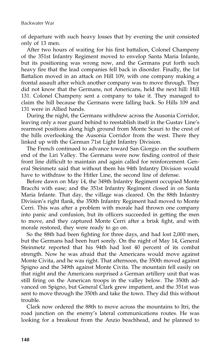of departure with such heavy losses that by evening the unit consisted only of 13 men.

After two hours of waiting for his first battalion, Colonel Champeny of the 351st Infantry Regiment moved to envelop Santa Maria Infante, but its positioning was wrong now, and the Germans put forth such heavy fire that the lead companies fell back in disorder. Finally, the 1st Battalion moved in an attack on Hill 109, with one company making a frontal assault after which another company was to move through. They did not know that the Germans, not Americans, held the next hill: Hill 131. Colonel Champeny sent a company to take it. They managed to claim the hill because the Germans were falling back. So Hills 109 and 131 were in Allied hands.

During the night, the Germans withdrew across the Ausonia Corridor, leaving only a rear guard behind to reestablish itself in the Gustav Line's rearmost positions along high ground from Monte Scauri to the crest of the hills overlooking the Ausonia Corridor from the west. There they linked up with the German 71st Light Infantry Division.

The French continued to advance toward San Giorgio on the southern end of the Liri Valley. The Germans were now finding control of their front line difficult to maintain and again called for reinforcement. General Steinmetz said that without them his 94th Infantry Division would have to withdraw to the Hitler Line, the second line of defense.

Before dawn on May 14, the 349th Infantry Regiment occupied Monte Bracchi with ease; and the 351st Infantry Regiment closed in on Santa Maria Infante. That day, the village was cleared. On the 88th Infantry Division's right flank, the 350th Infantry Regiment had moved to Monte Cerri. This was after a problem with morale had thrown one company into panic and confusion, but its officers succeeded in getting the men to move, and they captured Monte Cerri after a brisk fight, and with morale restored, they were ready to go on.

So the 88th had been fighting for three days, and had lost 2,000 men, but the Germans had been hurt sorely. On the night of May 14, General Steinmetz reported that his 94th had lost 40 percent of its combat strength. Now he was afraid that the Americans would move against Monte Civita, and he was right. That afternoon, the 350th moved against Spigno and the 349th against Monte Civita. The mountain fell easily on that night and the Americans surprised a German artillery unit that was still firing on the American troops in the valley below. The 350th advanced on Spigno, but General Clark grew impatient, and the 351st was sent to move through the 350th and take the town. They did this without trouble.

Clark now ordered the 88th to move across the mountains to Itri, the road junction on the enemy's lateral communications routes. He was looking for a breakout from the Anzio beachhead, and he planned to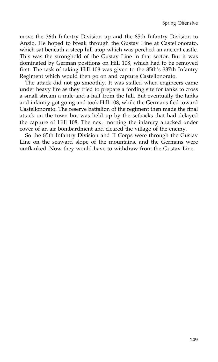move the 36th Infantry Division up and the 85th Infantry Division to Anzio. He hoped to break through the Gustav Line at Castellonorato, which sat beneath a steep hill atop which was perched an ancient castle. This was the stronghold of the Gustav Line in that sector. But it was dominated by German positions on Hill 108, which had to be removed first. The task of taking Hill 108 was given to the 85th's 337th Infantry Regiment which would then go on and capture Castellonorato.

The attack did not go smoothly. It was stalled when engineers came under heavy fire as they tried to prepare a fording site for tanks to cross a small stream a mile-and-a-half from the hill. But eventually the tanks and infantry got going and took Hill 108, while the Germans fled toward Castellonorato. The reserve battalion of the regiment then made the final attack on the town but was held up by the setbacks that had delayed the capture of Hill 108. The next morning the infantry attacked under cover of an air bombardment and cleared the village of the enemy.

So the 85th Infantry Division and II Corps were through the Gustav Line on the seaward slope of the mountains, and the Germans were outflanked. Now they would have to withdraw from the Gustav Line.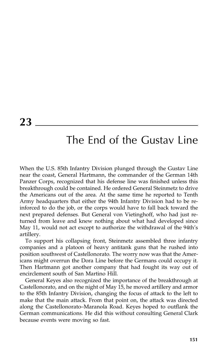### The End of the Gustav Line

When the U.S. 85th Infantry Division plunged through the Gustav Line near the coast, General Hartmann, the commander of the German 14th Panzer Corps, recognized that his defense line was finished unless this breakthrough could be contained. He ordered General Steinmetz to drive the Americans out of the area. At the same time he reported to Tenth Army headquarters that either the 94th Infantry Division had to be reinforced to do the job, or the corps would have to fall back toward the next prepared defenses. But General von Vietinghoff, who had just returned from leave and knew nothing about what had developed since May 11, would not act except to authorize the withdrawal of the 94th's artillery.

To support his collapsing front, Steinmetz assembled three infantry companies and a platoon of heavy antitank guns that he rushed into position southwest of Castellonorato. The worry now was that the Americans might overrun the Dora Line before the Germans could occupy it. Then Hartmann got another company that had fought its way out of encirclement south of San Martino Hill.

General Keyes also recognized the importance of the breakthrough at Castellonorato, and on the night of May 15, he moved artillery and armor to the 85th Infantry Division, changing the focus of attack to the left to make that the main attack. From that point on, the attack was directed along the Castellonorato–Maranola Road. Keyes hoped to outflank the German communications. He did this without consulting General Clark because events were moving so fast.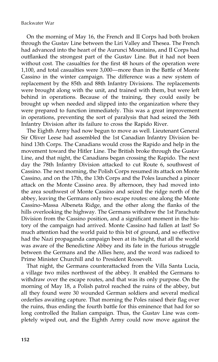On the morning of May 16, the French and II Corps had both broken through the Gustav Line between the Liri Valley and Thesea. The French had advanced into the heart of the Aurunci Mountains, and II Corps had outflanked the strongest part of the Gustav Line. But it had not been without cost. The casualties for the first 48 hours of the operation were 1,100, and total casualties were 3,000—more than in the Battle of Monte Cassino in the winter campaign. The difference was a new system of replacement by the 85th and 88th Infantry Divisions. The replacements were brought along with the unit, and trained with them, but were left behind in operations. Because of the training, they could easily be brought up when needed and slipped into the organization where they were prepared to function immediately. This was a great improvement in operations, preventing the sort of paralysis that had seized the 36th Infantry Division after its failure to cross the Rapido River.

The Eighth Army had now begun to move as well. Lieutenant General Sir Oliver Leese had assembled the 1st Canadian Infantry Division behind 13th Corps. The Canadians would cross the Rapido and help in the movement toward the Hitler Line. The British broke through the Gustav Line, and that night, the Canadians began crossing the Rapido. The next day the 78th Infantry Division attacked to cut Route 6, southwest of Cassino. The next morning, the Polish Corps resumed its attack on Monte Cassino, and on the 17th, the 13th Corps and the Poles launched a pincer attack on the Monte Cassino area. By afternoon, they had moved into the area southwest of Monte Cassino and seized the ridge north of the abbey, leaving the Germans only two escape routes: one along the Monte Cassino–Massa Albeneta Ridge, and the other along the flanks of the hills overlooking the highway. The Germans withdrew the 1st Parachute Division from the Cassino position, and a significant moment in the history of the campaign had arrived. Monte Cassino had fallen at last! So much attention had the world paid to this bit of ground, and so effective had the Nazi propaganda campaign been at its height, that all the world was aware of the Benedictine Abbey and its fate in the furious struggle between the Germans and the Allies here, and the word was radioed to Prime Minister Churchill and to President Roosevelt.

That night, the Germans counterattacked from the Villa Santa Lucia, a village two miles northwest of the abbey. It enabled the Germans to withdraw over the escape routes, and that was its only purpose. On the morning of May 18, a Polish patrol reached the ruins of the abbey, but all they found were 30 wounded German soldiers and several medical orderlies awaiting capture. That morning the Poles raised their flag over the ruins, thus ending the fourth battle for this eminence that had for so long controlled the Italian campaign. Thus, the Gustav Line was completely wiped out, and the Eighth Army could now move against the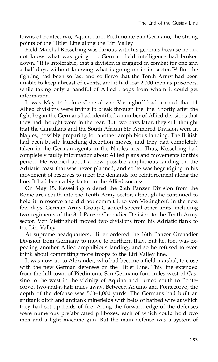towns of Pontecorvo, Aquino, and Piedimonte San Germano, the strong points of the Hitler Line along the Liri Valley.

Field Marshal Kesselring was furious with his generals because he did not know what was going on. German field intelligence had broken down. "It is intolerable, that a division is engaged in combat for one and a half days without knowing what is going on in its sector."23 But the fighting had been so fast and so fierce that the Tenth Army had been unable to keep abreast of events, and it had lost 2,000 men as prisoners, while taking only a handful of Allied troops from whom it could get information.

It was May 14 before General von Vietinghoff had learned that 11 Allied divisions were trying to break through the line. Shortly after the fight began the Germans had identified a number of Allied divisions that they had thought were in the rear. But two days later, they still thought that the Canadians and the South African 6th Armored Division were in Naples, possibly preparing for another amphibious landing. The British had been busily launching deception moves, and they had completely taken in the German agents in the Naples area. Thus, Kesselring had completely faulty information about Allied plans and movements for this period. He worried about a new possible amphibious landing on the Adriatic coast that was never planned, and so he was begrudging in his movement of reserves to meet the demands for reinforcement along the line. It had been a big factor in the Allied success.

On May 15, Kesselring ordered the 26th Panzer Division from the Rome area south into the Tenth Army sector, although he continued to hold it in reserve and did not commit it to von Vietinghoff. In the next few days, German Army Group C added several other units, including two regiments of the 3rd Panzer Grenadier Division to the Tenth Army sector. Von Vietinghoff moved two divisions from his Adriatic flank to the Liri Valley.

At supreme headquarters, Hitler ordered the 16th Panzer Grenadier Division from Germany to move to northern Italy. But he, too, was expecting another Allied amphibious landing, and so he refused to even think about committing more troops to the Liri Valley line.

It was now up to Alexander, who had become a field marshal, to close with the new German defenses on the Hitler Line. This line extended from the hill town of Piedimonte San Germano four miles west of Cassino to the west in the vicinity of Aquino and turned south to Pontecorvo, two-and-a-half miles away. Between Aquino and Pontecorvo, the depth of the defense was 500–1,000 yards. The Germans had built an antitank ditch and antitank minefields with belts of barbed wire at which they had set up fields of fire. Along the forward edge of the defenses were numerous prefabricated pillboxes, each of which could hold two men and a light machine gun. But the main defense was a system of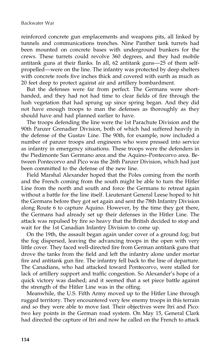reinforced concrete gun emplacements and weapons pits, all linked by tunnels and communications trenches. Nine Panther tank turrets had been mounted on concrete bases with underground bunkers for the crews. These turrets could revolve 360 degrees, and they had mobile antitank guns at their flanks. In all, 62 antitank guns—25 of them selfpropelled—were on the line. The infantry was protected by deep shelters with concrete roofs five inches thick and covered with earth as much as 20 feet deep to protect against air and artillery bombardment.

But the defenses were far from perfect. The Germans were shorthanded, and they had not had time to clear fields of fire through the lush vegetation that had sprung up since spring began. And they did not have enough troops to man the defenses as thoroughly as they should have and had planned earlier to have.

The troops defending the line were the 1st Parachute Division and the 90th Panzer Grenadier Division, both of which had suffered heavily in the defense of the Gustav Line. The 90th, for example, now included a number of panzer troops and engineers who were pressed into service as infantry in emergency situations. These troops were the defenders in the Piedimonte San Germano area and the Aquino–Pontecorvo area. Between Pontecorvo and Pico was the 26th Panzer Division, which had just been committed to the defense of the new line.

Field Marshal Alexander hoped that the Poles coming from the north and the French coming from the south might be able to turn the Hitler Line from the north and south and force the Germans to retreat again without a battle for the line itself. Lieutenant General Leese hoped to hit the Germans before they got set again and sent the 78th Infantry Division along Route 6 to capture Aquino. However, by the time they got there, the Germans had already set up their defenses in the Hitler Line. The attack was repulsed by fire so heavy that the British decided to stop and wait for the 1st Canadian Infantry Division to come up.

On the 19th, the assault began again under cover of a ground fog; but the fog dispersed, leaving the advancing troops in the open with very little cover. They faced well-directed fire from German antitank guns that drove the tanks from the field and left the infantry alone under mortar fire and antitank gun fire. The infantry fell back to the line of departure. The Canadians, who had attacked toward Pontecorvo, were stalled for lack of artillery support and traffic congestion. So Alexander's hope of a quick victory was dashed; and it seemed that a set piece battle against the strength of the Hitler Line was in the offing.

Meanwhile, the U.S. Fifth Army moved up to the Hitler Line through rugged territory. They encountered very few enemy troops in this terrain and so they were able to move fast. Their objectives were Itri and Pico: two key points in the German road system. On May 15, General Clark had directed the capture of Itri and now he called on the French to attack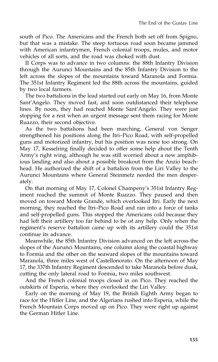south of Pico. The Americans and the French both set off from Spigno, but that was a mistake. The steep tortuous road soon became jammed with American infantrymen, French colonial troops, mules, and motor vehicles of all sorts, and the road was choked with dust.

II Corps was to advance in two columns: the 88th Infantry Division through the Aurunci Mountains and the 85th Infantry Division to the left across the slopes of the mountains toward Maranola and Formia. The 351st Infantry Regiment led the 88th across the mountains, guided by two local farmers.

The two battalions in the lead started out early on May 16, from Monte Sant'Angelo. They moved fast, and soon outdistanced their telephone lines. By noon, they had reached Monte Sant'Angelo. They were just stopping for a rest when an urgent message sent them racing for Monte Ruazzo, their second objective.

As the two battalions had been marching, General von Senger strengthened his positions along the Itri–Pico Road, with self-propelled guns and motorized infantry, but his position was none too strong. On May 17, Kesselring finally decided to offer some help about the Tenth Army's right wing, although he was still worried about a new amphibious landing and also about a possible breakout from the Anzio beachhead. He authorized the shift of a battalion from the Liri Valley to the Aurunci Mountains where General Steinmetz needed the men desperately.

On that morning of May 17, Colonel Champeny's 351st Infantry Regiment reached the summit of Monte Ruazzo. They paused and then moved on toward Monte Grande, which overlooked Itri. Early the next morning, they reached the Itri–Pico Road and ran into a force of tanks and self-propelled guns. This stopped the Americans cold because they had left their artillery too far behind to be of any help. Only when the regiment's reserve battalion came up with its artillery could the 351st continue its advance.

Meanwhile, the 85th Infantry Division advanced on the left across the slopes of the Aurunci Mountains, one column along the coastal highway to Formia and the other on the seaward slopes of the mountains toward Maranola, three miles west of Castellonorato. On the afternoon of May 17, the 337th Infantry Regiment descended to take Maranola before dusk, cutting the only lateral road to Formia, two miles southwest.

And the French colonial troops closed in on Pico. They reached the outskirts of Esperia, where they overlooked the Liri Valley.

Early on the morning of May 19, the British Eighth Army began to race for the Hitler Line, and the Algerians rushed into Esperia, while the French Mountain Corps moved up on Pico. They were right up against the German Hitler Line.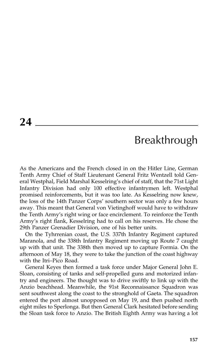# Breakthrough

As the Americans and the French closed in on the Hitler Line, German Tenth Army Chief of Staff Lieutenant General Fritz Wentzell told General Westphal, Field Marshal Kesselring's chief of staff, that the 71st Light Infantry Division had only 100 effective infantrymen left. Westphal promised reinforcements, but it was too late. As Kesselring now knew, the loss of the 14th Panzer Corps' southern sector was only a few hours away. This meant that General von Vietinghoff would have to withdraw the Tenth Army's right wing or face encirclement. To reinforce the Tenth Army's right flank, Kesselring had to call on his reserves. He chose the 29th Panzer Grenadier Division, one of his better units.

On the Tyhrrenian coast, the U.S. 337th Infantry Regiment captured Maranola, and the 338th Infantry Regiment moving up Route 7 caught up with that unit. The 338th then moved up to capture Formia. On the afternoon of May 18, they were to take the junction of the coast highway with the Itri–Pico Road.

General Keyes then formed a task force under Major General John E. Sloan, consisting of tanks and self-propelled guns and motorized infantry and engineers. The thought was to drive swiftly to link up with the Anzio beachhead. Meanwhile, the 91st Reconnaissance Squadron was sent southwest along the coast to the stronghold of Gaeta. The squadron entered the port almost unopposed on May 19, and then pushed north eight miles to Sperlonga. But then General Clark hesitated before sending the Sloan task force to Anzio. The British Eighth Army was having a lot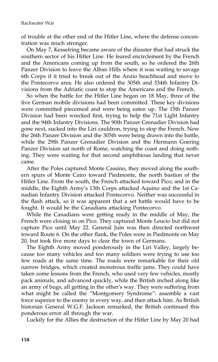of trouble at the other end of the Hitler Line, where the defense concentration was much stronger.

On May 7, Kesselring became aware of the disaster that had struck the southern sector of his Hitler Line. He feared encirclement by the French and the Americans coming up from the south, so he ordered the 26th Panzer Division to leave the Alban Hills where it was waiting to savage 6th Corps if it tried to break out of the Anzio beachhead and move to the Pontecorvo area. He also ordered the 305th and 334th Infantry Divisions from the Adriatic coast to stop the Americans and the French.

So when the battle for the Hitler Line began on 18 May, three of the five German mobile divisions had been committed. These key divisions were committed piecemeal and were being eaten up. The 15th Panzer Division had been wrecked first, trying to help the 71st Light Infantry and the 94th Infantry Divisions. The 90th Panzer Grenadier Division had gone next, sucked into the Liri cauldron, trying to stop the French. Now the 26th Panzer Division and the 305th were being drawn into the battle, while the 29th Panzer Grenadier Division and the Hermann Goering Panzer Division sat north of Rome, watching the coast and doing nothing. They were waiting for that second amphibious landing that never came.

After the Poles captured Monte Cassino, they moved along the southern spurs of Monte Cairo toward Piedmonte, the north bastion of the Hitler Line. From the south, the French attacked toward Pico; and in the middle, the Eighth Army's 13th Corps attacked Aquino and the 1st Canadian Infantry Division attacked Pontecorvo. Neither was successful in the flash attack, so it was apparent that a set battle would have to be fought. It would be the Canadians attacking Pontecorvo.

While the Canadians were getting ready in the middle of May, the French were closing in on Pico. They captured Monte Leucio but did not capture Pico until May 22. General Juin was then directed northwest toward Route 6. On the other flank, the Poles were in Piedmonte on May 20, but took five more days to clear the town of Germans.

The Eighth Army moved ponderously in the Liri Valley, largely because too many vehicles and too many soldiers were trying to use too few roads at the same time. The roads were remarkable for their old narrow bridges, which created monstrous traffic jams. They could have taken some lessons from the French, who used very few vehicles, mostly pack animals, and advanced quickly, while the British inched along like an army of bugs, all getting in the other's way. They were suffering from what might be called the "Montgomery Syndrome": assemble a vast force superior to the enemy in every way, and then attack him. As British historian General W.G.F. Jackson remarked, the British continued this ponderous error all through the war.

Luckily for the Allies the destruction of the Hitler Line by May 20 had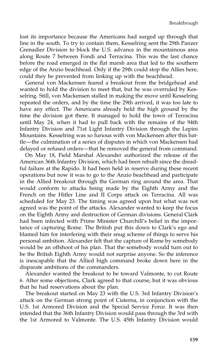lost its importance because the Americans had surged up through that line in the south. To try to contain them, Kesselring sent the 29th Panzer Grenadier Division to block the U.S. advance in the mountainous area along Route 7 between Fondi and Terracina. This was the last chance before the road emerged in the flat marsh area that led to the southern edge of the Anzio beachhead. Only if the 29th could stop the Allies here, could they be prevented from linking up with the beachhead.

General von Mackensen feared a breakout from the bridgehead and wanted to hold the division to meet that, but he was overruled by Kesselring. Still, von Mackensen stalled in making the move until Kesselring repeated the orders, and by the time the 29th arrived, it was too late to have any effect. The Americans already held the high ground by the time the division got there. It managed to hold the town of Terracina until May 24, when it had to pull back with the remains of the 94th Infantry Division and 71st Light Infantry Division through the Lepini Mountains. Kesselring was so furious with von Mackensen after this battle—the culmination of a series of disputes in which von Mackensen had delayed or refused orders—that he removed the general from command.

On May 18, Field Marshal Alexander authorized the release of the American 36th Infantry Division, which had been rebuilt since the dreadful failure at the Rapido. It had been held in reserve during these recent operations but now it was to go to the Anzio beachhead and participate in the Allied breakout through the German ring around the area. That would conform to attacks being made by the Eighth Army and the French on the Hitler Line and II Corps attack on Terracina. All was scheduled for May 23. The timing was agreed upon but what was not agreed was the point of the attacks. Alexander wanted to keep the focus on the Eighth Army and destruction of German divisions. General Clark had been infected with Prime Minister Churchill's belief in the importance of capturing Rome. The British put this down to Clark's ego and blamed him for interfering with their snug scheme of things to serve his personal ambition. Alexander felt that the capture of Rome by somebody would be an offshoot of his plan. That the somebody would turn out to be the British Eighth Army would not surprise anyone. So the inference is inescapable that the Allied high command broke down here in the disparate ambitions of the commanders.

Alexander wanted the breakout to be toward Valmonte, to cut Route 6. After some objections, Clark agreed to that course, but it was obvious that he had reservations about the plan.

The breakout started on May 23 with the U.S. 3rd Infantry Division's attack on the German strong point of Cisterna, in conjunction with the U.S. 1st Armored Division and the Special Service Force. It was then intended that the 36th Infantry Division would pass through the 3rd with the 1st Armored to Valmonte. The U.S. 45th Infantry Division would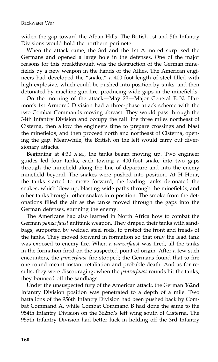widen the gap toward the Alban Hills. The British 1st and 5th Infantry Divisions would hold the northern perimeter.

When the attack came, the 3rd and the 1st Armored surprised the Germans and opened a large hole in the defenses. One of the major reasons for this breakthrough was the destruction of the German minefields by a new weapon in the hands of the Allies. The American engineers had developed the "snake," a 400-foot-length of steel filled with high explosive, which could be pushed into position by tanks, and then detonated by machine-gun fire, producing wide gaps in the minefields.

On the morning of the attack—May 23—Major General E. N. Harmon's 1st Armored Division had a three-phase attack scheme with the two Combat Commands moving abreast. They would pass through the 34th Infantry Division and occupy the rail line three miles northeast of Cisterna, then allow the engineers time to prepare crossings and blast the minefields, and then proceed north and northeast of Cisterna, opening the gap. Meanwhile, the British on the left would carry out diversionary attacks.

Beginning at 4:30 a.m., the tanks began moving up. Two engineer guides led four tanks, each towing a 400-foot snake into two gaps through the minefield along the line of departure and into the enemy minefield beyond. The snakes were pushed into position. At H Hour, the tanks started to move forward, the leading tanks detonated the snakes, which blew up, blasting wide paths through the minefields, and other tanks brought other snakes into position. The smoke from the detonations filled the air as the tanks moved through the gaps into the German defenses, stunning the enemy.

The Americans had also learned in North Africa how to combat the German *panzerfaust* antitank weapon. They draped their tanks with sandbags, supported by welded steel rods, to protect the front and treads of the tanks. They moved forward in formation so that only the lead tank was exposed to enemy fire. When a *panzerfaust* was fired, all the tanks in the formation fired on the suspected point of origin. After a few such encounters, the *panzerfaust* fire stopped; the Germans found that to fire one round meant instant retaliation and probable death. And as for results, they were discouraging; when the *panzerfaust* rounds hit the tanks, they bounced off the sandbags.

Under the unsuspected fury of the American attack, the German 362nd Infantry Division position was penetrated to a depth of a mile. Two battalions of the 956th Infantry Division had been pushed back by Combat Command A, while Combat Command B had done the same to the 954th Infantry Division on the 362nd's left wing south of Cisterna. The 955th Infantry Division had better luck in holding off the 3rd Infantry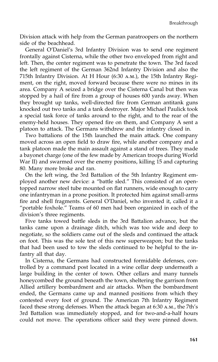Division attack with help from the German paratroopers on the northern side of the beachhead.

General O'Daniel's 3rd Infantry Division was to send one regiment frontally against Cisterna, while the other two enveloped from right and left. Then, the center regiment was to penetrate the town. The 3rd faced the left regiment of the German 362nd Infantry Division and also the 715th Infantry Division. At H Hour (6:30 a.m.), the 15th Infantry Regiment, on the right, moved forward because there were no mines in its area. Company A seized a bridge over the Cisterna Canal but then was stopped by a hail of fire from a group of houses 600 yards away. When they brought up tanks, well-directed fire from German antitank guns knocked out two tanks and a tank destroyer. Major Michael Paulick took a special task force of tanks around to the right, and to the rear of the enemy-held houses. They opened fire on them, and Company A sent a platoon to attack. The Germans withdrew and the infantry closed in.

Two battalions of the 15th launched the main attack. One company moved across an open field to draw fire, while another company and a tank platoon made the main assault against a stand of trees. They made a bayonet charge (one of the few made by American troops during World War II) and swarmed over the enemy positions, killing 15 and capturing 80. Many more broke and ran.

On the left wing, the 3rd Battalion of the 5th Infantry Regiment employed another new device: a "battle sled." This consisted of an opentopped narrow steel tube mounted on flat runners, wide enough to carry one infantryman in a prone position. It protected him against small-arms fire and shell fragments. General O'Daniel, who invented it, called it a "portable foxhole." Teams of 60 men had been organized in each of the division's three regiments.

Five tanks towed battle sleds in the 3rd Battalion advance, but the tanks came upon a drainage ditch, which was too wide and deep to negotiate, so the soldiers came out of the sleds and continued the attack on foot. This was the sole test of this new superweapon; but the tanks that had been used to tow the sleds continued to be helpful to the infantry all that day.

In Cisterna, the Germans had constructed formidable defenses, controlled by a command post located in a wine cellar deep underneath a large building in the center of town. Other cellars and many tunnels honeycombed the ground beneath the town, sheltering the garrison from Allied artillery bombardment and air attacks. When the bombardment ended, the Germans came up and manned positions from which they contested every foot of ground. The American 7th Infantry Regiment faced these strong defenses. When the attack began at 6:30 a.m., the 7th's 3rd Battalion was immediately stopped, and for two-and-a-half hours could not move. The operations officer said they were pinned down.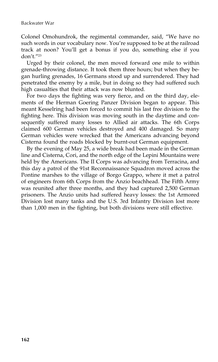Colonel Omohundrok, the regimental commander, said, "We have no such words in our vocabulary now. You're supposed to be at the railroad track at noon? You'll get a bonus if you do, something else if you don't."23

Urged by their colonel, the men moved forward one mile to within grenade-throwing distance. It took them three hours; but when they began hurling grenades, 16 Germans stood up and surrendered. They had penetrated the enemy by a mile, but in doing so they had suffered such high casualties that their attack was now blunted.

For two days the fighting was very fierce, and on the third day, elements of the Herman Goering Panzer Division began to appear. This meant Kesselring had been forced to commit his last free division to the fighting here. This division was moving south in the daytime and consequently suffered many losses to Allied air attacks. The 6th Corps claimed 600 German vehicles destroyed and 400 damaged. So many German vehicles were wrecked that the Americans advancing beyond Cisterna found the roads blocked by burnt-out German equipment.

By the evening of May 25, a wide break had been made in the German line and Cisterna, Cori, and the north edge of the Lepini Mountains were held by the Americans. The II Corps was advancing from Terracina, and this day a patrol of the 91st Reconnaissance Squadron moved across the Pontine marshes to the village of Borgo Grappo, where it met a patrol of engineers from 6th Corps from the Anzio beachhead. The Fifth Army was reunited after three months, and they had captured 2,500 German prisoners. The Anzio units had suffered heavy losses: the 1st Armored Division lost many tanks and the U.S. 3rd Infantry Division lost more than 1,000 men in the fighting, but both divisions were still effective.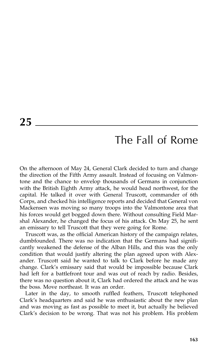## The Fall of Rome

On the afternoon of May 24, General Clark decided to turn and change the direction of the Fifth Army assault. Instead of focusing on Valmontone and the chance to envelop thousands of Germans in conjunction with the British Eighth Army attack, he would head northwest, for the capital. He talked it over with General Truscott, commander of 6th Corps, and checked his intelligence reports and decided that General von Mackensen was moving so many troops into the Valmontone area that his forces would get bogged down there. Without consulting Field Marshal Alexander, he changed the focus of his attack. On May 25, he sent an emissary to tell Truscott that they were going for Rome.

Truscott was, as the official American history of the campaign relates, dumbfounded. There was no indication that the Germans had significantly weakened the defense of the Alban Hills, and this was the only condition that would justify altering the plan agreed upon with Alexander. Truscott said he wanted to talk to Clark before he made any change. Clark's emissary said that would be impossible because Clark had left for a battlefront tour and was out of reach by radio. Besides, there was no question about it, Clark had ordered the attack and he was the boss. Move northeast. It was an order.

Later in the day, to smooth ruffled feathers, Truscott telephoned Clark's headquarters and said he was enthusiastic about the new plan and was moving as fast as possible to meet it, but actually he believed Clark's decision to be wrong. That was not his problem. His problem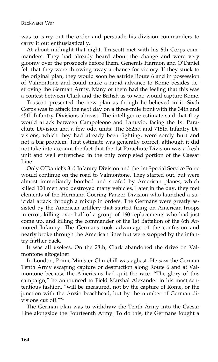was to carry out the order and persuade his division commanders to carry it out enthusiastically.

At about midnight that night, Truscott met with his 6th Corps commanders. They had already heard about the change and were very gloomy over the prospects before them. Generals Harmon and O'Daniel felt that they were throwing away a chance for victory. If they stuck to the original plan, they would soon be astride Route 6 and in possession of Valmontone and could make a rapid advance to Rome besides destroying the German Army. Many of them had the feeling that this was a contest between Clark and the British as to who would capture Rome.

Truscott presented the new plan as though he believed in it. Sixth Corps was to attack the next day on a three-mile front with the 34th and 45th Infantry Divisions abreast. The intelligence estimate said that they would attack between Campoleone and Lanuvio, facing the 1st Parachute Division and a few odd units. The 362nd and 715th Infantry Divisions, which they had already been fighting, were sorely hurt and not a big problem. That estimate was generally correct, although it did not take into account the fact that the 1st Parachute Division was a fresh unit and well entrenched in the only completed portion of the Caesar Line.

Only O'Daniel's 3rd Infantry Division and the 1st Special Service Force would continue on the road to Valmontone. They started out, but were almost immediately bombed and strafed by American planes, which killed 100 men and destroyed many vehicles. Later in the day, they met elements of the Hermann Goering Panzer Division who launched a suicidal attack through a mixup in orders. The Germans were greatly assisted by the American artillery that started firing on American troops in error, killing over half of a group of 160 replacements who had just come up, and killing the commander of the 1st Battalion of the 6th Armored Infantry. The Germans took advantage of the confusion and nearly broke through the American lines but were stopped by the infantry farther back.

It was all useless. On the 28th, Clark abandoned the drive on Valmontone altogether.

In London, Prime Minister Churchill was aghast. He saw the German Tenth Army escaping capture or destruction along Route 6 and at Valmontone because the Americans had quit the race. "The glory of this campaign," he announced to Field Marshal Alexander in his most sententious fashion, "will be measured, not by the capture of Rome, or the junction with the Anzio beachhead, but by the number of German divisions cut off."24

The German plan was to withdraw the Tenth Army into the Caesar Line alongside the Fourteenth Army. To do this, the Germans fought a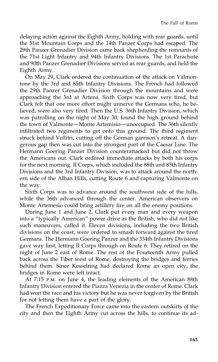delaying action against the Eighth Army, holding with rear guards, until the 51st Mountain Corps and the 14th Panzer Corps had escaped. The 29th Panzer Grenadier Division came back shepherding the remnants of the 71st Light Infantry and 94th Infantry Divisions. The 1st Parachute and 90th Panzer Grenadier Divisions served as rear guards, and held the Eighth Army.

On May 29, Clark ordered the continuation of the attack on Valmontone by the 3rd and 85th Infantry Divisions. The French had followed the 29th Panzer Grenadier Division through the mountains and were approaching the 3rd at Artena. Sixth Corps was now very tired, but Clark felt that one more effort might unnerve the Germans who, he believed, were also very tired. Then the U.S. 36th Infantry Division, which was patrolling on the night of May 30, found the high ground behind the town of Valmonte—Monte Artemisio—unoccupied. The 36th silently infiltrated two regiments to get onto this ground. The third regiment struck behind Vellitri, cutting off the German garrison's retreat. A dangerous gap then was cut into the strongest part of the Caesar Line. The Hermann Goering Panzer Division counterattacked but did not throw the Americans out. Clark ordered immediate attacks by both his corps for the next morning. II Corps, which included the 88th and 85th Infantry Divisions and the 3rd Infantry Division, was to attack around the northern side of the Alban Hills, cutting Route 6 and capturing Valmonte on the way.

Sixth Corps was to advance around the southwest side of the hills, while the 36th advanced through the center. American observers on Monte Artemesio could bring artillery fire on all the enemy positions.

During June 1 and June 2, Clark put every man and every weapon into a "typically American" power drive as the British, who did not like such maneuvers, called it. Eleven divisions, including the two British divisions on the coast, were ordered to smash forward against the tired Germans. The Hermann Goering Panzer and the 334th Infantry Divisions gave way first, letting II Corps through on Route 6. They retired on the night of June 2 east of Rome. The rest of the Fourteenth Army pulled back across the Tiber west of Rome, destroying the bridges and ferries behind them. Since Kesselring had declared Rome an open city, the bridges in Rome were left intact.

At 7:15 p.m. on June 4, the leading elements of the American 88th Infantry Division entered the Piazza Venezia in the center of Rome. Clark had won the race and his victory but he was never forgiven by the British for not letting them have a part of the glory.

The French Expeditionary Force came into the eastern outskirts of the city and then the Eighth Army cut across the hills, to continue its ad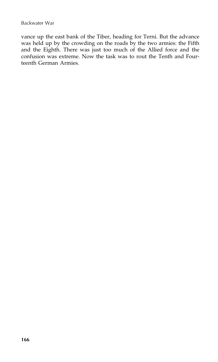vance up the east bank of the Tiber, heading for Terni. But the advance was held up by the crowding on the roads by the two armies: the Fifth and the Eighth. There was just too much of the Allied force and the confusion was extreme. Now the task was to rout the Tenth and Fourteenth German Armies.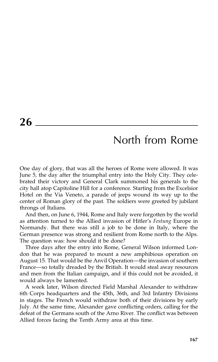#### North from Rome

One day of glory, that was all the heroes of Rome were allowed. It was June 5, the day after the triumphal entry into the Holy City. They celebrated their victory and General Clark summoned his generals to the city hall atop Capitoline Hill for a conference. Starting from the Excelsior Hotel on the Via Veneto, a parade of jeeps wound its way up to the center of Roman glory of the past. The soldiers were greeted by jubilant throngs of Italians.

And then, on June 6, 1944, Rome and Italy were forgotten by the world as attention turned to the Allied invasion of Hitler's *Festung* Europe in Normandy. But there was still a job to be done in Italy, where the German presence was strong and resilient from Rome north to the Alps. The question was: how should it be done?

Three days after the entry into Rome, General Wilson informed London that he was prepared to mount a new amphibious operation on August 15. That would be the Anvil Operation—the invasion of southern France—so totally dreaded by the British. It would steal away resources and men from the Italian campaign, and if this could not be avoided, it would always be lamented.

A week later, Wilson directed Field Marshal Alexander to withdraw 6th Corps headquarters and the 45th, 36th, and 3rd Infantry Divisions in stages. The French would withdraw both of their divisions by early July. At the same time, Alexander gave conflicting orders, calling for the defeat of the Germans south of the Arno River. The conflict was between Allied forces facing the Tenth Army area at this time.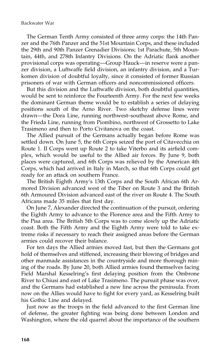The German Tenth Army consisted of three army corps: the 14th Panzer and the 76th Panzer and the 51st Mountain Corps, and these included the 29th and 90th Panzer Grenadier Divisions; 1st Parachute, 5th Mountain, 44th, and 278th Infantry Divisions. On the Adriatic flank another provisional corps was operating—Group Hauck—in reserve were a panzer division, a Luftwaffe field division, an infantry division, and a Turkomen division of doubtful loyalty, since it consisted of former Russian prisoners of war with German officers and noncommissioned officers.

But this division and the Luftwaffe division, both doubtful quantities, would be sent to reinforce the Fourteenth Army. For the next few weeks the dominant German theme would be to establish a series of delaying positions south of the Arno River. Two sketchy defense lines were drawn—the Dora Line, running northwest–southeast above Rome, and the Frieda Line, running from Piombino, northwest of Grossetto to Lake Trasimeno and then to Porto Civitanova on the coast.

The Allied pursuit of the Germans actually began before Rome was settled down. On June 5, the 6th Corps seized the port of Citavecchia on Route 1. II Corps went up Route 2 to take Viterbo and its airfield complex, which would be useful to the Allied air forces. By June 9, both places were captured, and 6th Corps was relieved by the American 4th Corps, which had arrived in Italy in March, so that 6th Corps could get ready for an attack on southern France.

The British Eighth Army's 13th Corps and the South African 6th Armored Division advanced west of the Tiber on Route 3 and the British 6th Armoured Division advanced east of the river on Route 4. The South Africans made 35 miles that first day.

On June 7, Alexander directed the continuation of the pursuit, ordering the Eighth Army to advance to the Florence area and the Fifth Army to the Pisa area. The British 5th Corps was to come slowly up the Adriatic coast. Both the Fifth Army and the Eighth Army were told to take extreme risks if necessary to reach their assigned areas before the German armies could recover their balance.

For ten days the Allied armies moved fast, but then the Germans got hold of themselves and stiffened, increasing their blowing of bridges and other manmade assistances in the countryside and more thorough mining of the roads. By June 20, both Allied armies found themselves facing Field Marshal Kesselring's first delaying position from the Ombrone River to Chiusi and east of Lake Trasimeno. The pursuit phase was over, and the Germans had established a new line across the peninsula. From now on the Allies would have to fight for every yard, as Kesselring built his Gothic Line and delayed.

Just now as the troops in the field advanced to the first German line of defense, the greater fighting was being done between London and Washington, where the old quarrel about the importance of the southern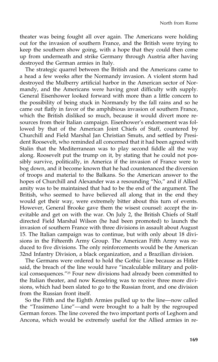North from Rome

theater was being fought all over again. The Americans were holding out for the invasion of southern France, and the British were trying to keep the southern show going, with a hope that they could then come up from underneath and strike Germany through Austria after having destroyed the German armies in Italy.

The strategic quarrel between the British and the Americans came to a head a few weeks after the Normandy invasion. A violent storm had destroyed the Mulberry artificial harbor in the American sector of Normandy, and the Americans were having great difficulty with supply. General Eisenhower looked forward with more than a little concern to the possibility of being stuck in Normandy by the fall rains and so he came out flatly in favor of the amphibious invasion of southern France, which the British disliked so much, because it would divert more resources from their Italian campaign. Eisenhower's endorsement was followed by that of the American Joint Chiefs of Staff, countered by Churchill and Field Marshal Jan Christian Smuts, and settled by President Roosevelt, who reminded all concerned that it had been agreed with Stalin that the Mediterranean was to play second fiddle all the way along. Roosevelt put the trump on it, by stating that he could not possibly survive, politically, in America if the invasion of France were to bog down, and it become known that he had countenanced the diversion of troops and material to the Balkans. So the American answer to the hopes of Churchill and Alexander was a resounding "No," and if Allied amity was to be maintained that had to be the end of the argument. The British, who seemed to have believed all along that in the end they would get their way, were extremely bitter about this turn of events. However, General Brooke gave them the wisest counsel: accept the inevitable and get on with the war. On July 2, the British Chiefs of Staff directed Field Marshal Wilson (he had been promoted) to launch the invasion of southern France with three divisions in assault about August 15. The Italian campaign was to continue, but with only about 18 divisions in the Fifteenth Army Group. The American Fifth Army was reduced to five divisions. The only reinforcements would be the American 32nd Infantry Division, a black organization, and a Brazilian division.

The Germans were ordered to hold the Gothic Line because as Hitler said, the breach of the line would have "incalculable military and political consequences."25 Four new divisions had already been committed to the Italian theater, and now Kesselring was to receive three more divisions, which had been slated to go to the Russian front, and one division from the Russian front itself.

So the Fifth and the Eighth Armies pulled up to the line—now called the "Trasimeno Line"—and were brought to a halt by the regrouped German forces. The line covered the two important ports of Leghorn and Ancona, which would be extremely useful for the Allied armies in re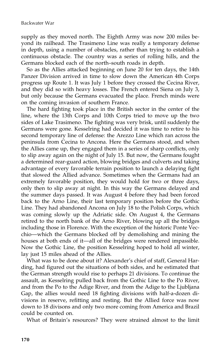supply as they moved north. The Eighth Army was now 200 miles beyond its railhead. The Trasimeno Line was really a temporary defense in depth, using a number of obstacles, rather than trying to establish a continuous obstacle. The country was a series of rolling hills, and the Germans blocked each of the north–south roads in depth.

So as the Allies attacked beginning on June 20 for ten days, the 14th Panzer Division arrived in time to slow down the American 4th Corps progress up Route 1. It was July 1 before they crossed the Cecina River, and they did so with heavy losses. The French entered Siena on July 3, but only because the Germans evacuated the place. French minds were on the coming invasion of southern France.

The hard fighting took place in the British sector in the center of the line, where the 13th Corps and 10th Corps tried to move up the two sides of Lake Trasimeno. The fighting was very brisk, until suddenly the Germans were gone. Kesselring had decided it was time to retire to his second temporary line of defense: the Arezzo Line which ran across the peninsula from Cecina to Ancona. Here the Germans stood, and when the Allies came up, they engaged them in a series of sharp conflicts, only to slip away again on the night of July 15. But now, the Germans fought a determined rear-guard action, blowing bridges and culverts and taking advantage of every favorable terrain position to launch a delaying fight that slowed the Allied advance. Sometimes when the Germans had an extremely favorable position, they would hold for two or three days, only then to slip away at night. In this way the Germans delayed and the summer days passed. It was August 4 before they had been forced back to the Arno Line, their last temporary position before the Gothic Line. They had abandoned Ancona on July 18 to the Polish Corps, which was coming slowly up the Adriatic side. On August 4, the Germans retired to the north bank of the Arno River, blowing up all the bridges including those in Florence. With the exception of the historic Ponte Vecchio—which the Germans blocked off by demolishing and mining the houses at both ends of it—all of the bridges were rendered impassible. Now the Gothic Line, the position Kesselring hoped to hold all winter, lay just 15 miles ahead of the Allies.

What was to be done about it? Alexander's chief of staff, General Harding, had figured out the situations of both sides, and he estimated that the German strength would rise to perhaps 21 divisions. To continue the assault, as Kesselring pulled back from the Gothic Line to the Po River, and from the Po to the Adige River, and from the Adige to the Ljubljana Gap, the allies would need 18 fighting divisions with half-a-dozen divisions in reserve, refitting and resting. But the Allied force was now down to 18 divisons and only two more coming from America and Brazil could be counted on.

What of Britain's resources? They were strained almost to the limit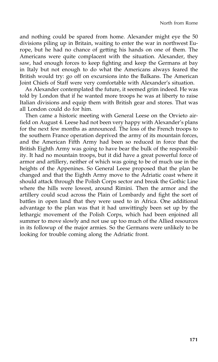and nothing could be spared from home. Alexander might eye the 50 divisions piling up in Britain, waiting to enter the war in northwest Europe, but he had no chance of getting his hands on one of them. The Americans were quite complacent with the situation. Alexander, they saw, had enough forces to keep fighting and keep the Germans at bay in Italy but not enough to do what the Americans always feared the British would try: go off on excursions into the Balkans. The American Joint Chiefs of Staff were very comfortable with Alexander's situation.

As Alexander contemplated the future, it seemed grim indeed. He was told by London that if he wanted more troops he was at liberty to raise Italian divisions and equip them with British gear and stores. That was all London could do for him.

Then came a historic meeting with General Leese on the Orvieto airfield on August 4. Leese had not been very happy with Alexander's plans for the next few months as announced. The loss of the French troops to the southern France operation deprived the army of its mountain forces, and the American Fifth Army had been so reduced in force that the British Eighth Army was going to have bear the bulk of the responsibility. It had no mountain troops, but it did have a great powerful force of armor and artillery, neither of which was going to be of much use in the heights of the Appenines. So General Leese proposed that the plan be changed and that the Eighth Army move to the Adriatic coast where it should attack through the Polish Corps sector and break the Gothic Line where the hills were lowest, around Rimini. Then the armor and the artillery could scud across the Plain of Lombardy and fight the sort of battles in open land that they were used to in Africa. One additional advantage to the plan was that it had unwittingly been set up by the lethargic movement of the Polish Corps, which had been enjoined all summer to move slowly and not use up too much of the Allied resources in its followup of the major armies. So the Germans were unlikely to be looking for trouble coming along the Adriatic front.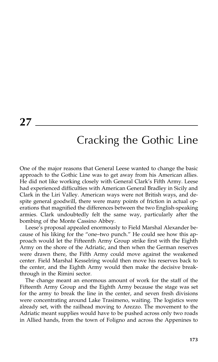### Cracking the Gothic Line

One of the major reasons that General Leese wanted to change the basic approach to the Gothic Line was to get away from his American allies. He did not like working closely with General Clark's Fifth Army. Leese had experienced difficulties with American General Bradley in Sicily and Clark in the Liri Valley. American ways were not British ways, and despite general goodwill, there were many points of friction in actual operations that magnified the differences between the two English-speaking armies. Clark undoubtedly felt the same way, particularly after the bombing of the Monte Cassino Abbey.

Leese's proposal appealed enormously to Field Marshal Alexander because of his liking for the "one–two punch." He could see how this approach would let the Fifteenth Army Group strike first with the Eighth Army on the shore of the Adriatic, and then when the German reserves were drawn there, the Fifth Army could move against the weakened center. Field Marshal Kesselring would then move his reserves back to the center, and the Eighth Army would then make the decisive breakthrough in the Rimini sector.

The change meant an enormous amount of work for the staff of the Fifteenth Army Group and the Eighth Army because the stage was set for the army to break the line in the center, and seven fresh divisions were concentrating around Lake Trasimeno, waiting. The logistics were already set, with the railhead moving to Arezzo. The movement to the Adriatic meant supplies would have to be pushed across only two roads in Allied hands, from the town of Foligno and across the Appenines to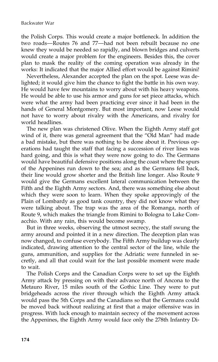the Polish Corps. This would create a major bottleneck. In addition the two roads—Routes 76 and 77—had not been rebuilt because no one knew they would be needed so rapidly, and blown bridges and culverts would create a major problem for the engineers. Besides this, the cover plan to mask the reality of the coming operation was already in the works: It indicated that the major Allied effort would be against Rimini!

Nevertheless, Alexander accepted the plan on the spot. Leese was delighted; it would give him the chance to fight the battle in his own way. He would have few mountains to worry about with his heavy weapons. He would be able to use his armor and guns for set piece attacks, which were what the army had been practicing ever since it had been in the hands of General Montgomery. But most important, now Leese would not have to worry about rivalry with the Americans, and rivalry for world headlines.

The new plan was christened Olive. When the Eighth Army staff got wind of it, there was general agreement that the "Old Man" had made a bad mistake, but there was nothing to be done about it. Previous operations had taught the staff that facing a succession of river lines was hard going, and this is what they were now going to do. The Germans would have beautiful defensive positions along the coast where the spurs of the Appenines run down to the sea; and as the Germans fell back, their line would grow shorter and the British line longer. Also Route 9 would give the Germans excellent lateral communication between the Fifth and the Eighth Army sectors. And, there was something else about which they were soon to learn. When they spoke approvingly of the Plain of Lombardy as good tank country, they did not know what they were talking about. The trap was the area of the Romanga, north of Route 9, which makes the triangle from Rimini to Bologna to Lake Comacchio. With any rain, this would become swamp.

But in three weeks, observing the utmost secrecy, the staff swung the army around and pointed it in a new direction. The deception plan was now changed, to confuse everybody. The Fifth Army buildup was clearly indicated, drawing attention to the central sector of the line, while the guns, ammunition, and supplies for the Adriatic were funneled in secretly, and all that could wait for the last possible moment were made to wait.

The Polish Corps and the Canadian Corps were to set up the Eighth Army attack by pressing on with their advance north of Ancona to the Metauro River, 15 miles south of the Gothic Line. They were to put bridgeheads across the river through which the Eighth Army attack would pass the 5th Corps and the Canadians so that the Germans could be moved back without realizing at first that a major offensive was in progress. With luck enough to maintain secrecy of the movement across the Appenines, the Eighth Army would face only the 278th Infantry Di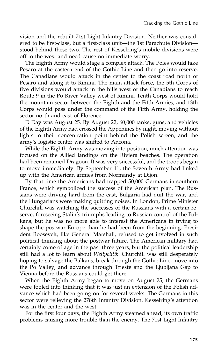vision and the rebuilt 71st Light Infantry Division. Neither was considered to be first-class, but a first-class unit—the 1st Parachute Division stood behind these two. The rest of Kesselring's mobile divisions were off to the west and need cause no immediate worry.

The Eighth Army would stage a complex attack. The Poles would take Pesaro at the eastern end of the Gothic Line and then go into reserve. The Canadians would attack in the center to the coast road north of Pesaro and along it to Rimini. The main attack force, the 5th Corps of five divisions would attack in the hills west of the Canadians to reach Route 9 in the Po River Valley west of Rimini. Tenth Corps would hold the mountain sector between the Eighth and the Fifth Armies, and 13th Corps would pass under the command of the Fifth Army, holding the sector north and east of Florence.

D Day was August 25. By August 22, 60,000 tanks, guns, and vehicles of the Eighth Army had crossed the Appenines by night, moving without lights to their concentration point behind the Polish screen, and the army's logistic center was shifted to Ancona.

While the Eighth Army was moving into position, much attention was focused on the Allied landings on the Riviera beaches. The operation had been renamed Dragoon. It was very successful, and the troops began to move immediately. By September 11, the Seventh Army had linked up with the American armies from Normandy at Dijon.

By that time the Americans had trapped 50,000 Germans in southern France, which symbolized the success of the American plan. The Russians were driving hard from the east, Bulgaria had quit the war, and the Hungarians were making quitting noises. In London, Prime Minister Churchill was watching the successes of the Russians with a certain reserve, foreseeing Stalin's triumphs leading to Russian control of the Balkans, but he was no more able to interest the Americans in trying to shape the postwar Europe than he had been from the beginning. President Roosevelt, like General Marshall, refused to get involved in such political thinking about the postwar future. The American military had certainly come of age in the past three years, but the political leadership still had a lot to learn about *Weltpolitik*. Churchill was still desperately hoping to salvage the Balkans, break through the Gothic Line, move into the Po Valley, and advance through Trieste and the Ljubljana Gap to Vienna before the Russians could get there.

When the Eighth Army began to move on August 25, the Germans were fooled into thinking that it was just an extension of the Polish advance which had been going on for several weeks. The Germans in this sector were relieving the 278th Infantry Division. Kesselring's attention was in the center and the west.

For the first four days, the Eighth Army steamed ahead, its own traffic problems causing more trouble than the enemy. The 71st Light Infantry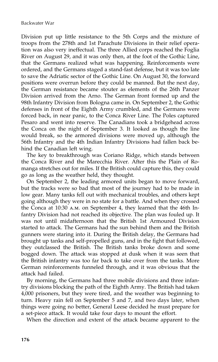Division put up little resistance to the 5th Corps and the mixture of troops from the 278th and 1st Parachute Divisions in their relief operation was also very ineffectual. The three Allied corps reached the Foglia River on August 29, and it was only then, at the foot of the Gothic Line, that the Germans realized what was happening. Reinforcements were ordered, and the Germans staged a stand-fast defense, but it was too late to save the Adriatic sector of the Gothic Line. On August 30, the forward positions were overrun before they could be manned. But the next day, the German resistance became stouter as elements of the 26th Panzer Division arrived from the Arno. The German front formed up and the 98th Infantry Division from Bologna came in. On September 2, the Gothic defenses in front of the Eighth Army crumbled, and the Germans were forced back, in near panic, to the Conca River Line. The Poles captured Pesaro and went into reserve. The Canadians took a bridgehead across the Conca on the night of September 3. It looked as though the line would break, so the armored divisions were moved up, although the 56th Infantry and the 4th Indian Infantry Divisions had fallen back behind the Canadian left wing.

The key to breakthrough was Coriano Ridge, which stands between the Conca River and the Marecchia River. After this the Plain of Romanga stretches out for miles. If the British could capture this, they could go as long as the weather held, they thought.

On September 2, the leading armored units began to move forward, but the tracks were so bad that most of the journey had to be made in low gear. Many tanks fell out with mechanical troubles, and others kept going although they were in no state for a battle. And when they crossed the Conca at 10:30 a.m. on September 4, they learned that the 46th Infantry Division had not reached its objective. The plan was fouled up. It was not until midafternoon that the British 1st Armoured Division started to attack. The Germans had the sun behind them and the British gunners were staring into it. During the British delay, the Germans had brought up tanks and self-propelled guns, and in the fight that followed, they outclassed the British. The British tanks broke down and some bogged down. The attack was stopped at dusk when it was seen that the British infantry was too far back to take over from the tanks. More German reinforcements funneled through, and it was obvious that the attack had failed.

By morning, the Germans had three mobile divisions and three infantry divisions blocking the path of the Eighth Army. The British had taken 4,000 prisoners, but they were tired, and the weather was beginning to turn. Heavy rain fell on September 5 and 7, and two days later, when things were going no better, General Leese decided he must prepare for a set-piece attack. It would take four days to mount the effort.

When the direction and extent of the attack became apparent to the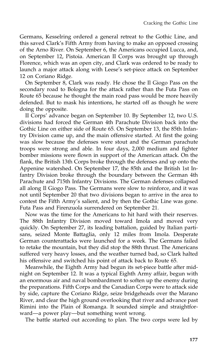Germans, Kesselring ordered a general retreat to the Gothic Line, and this saved Clark's Fifth Army from having to make an opposed crossing of the Arno River. On September 6, the Americans occupied Lucca, and, on September 12, Pistoia. American II Corps was brought up through Florence, which was an open city, and Clark was ordered to be ready to launch a major attack along with Leese's set-piece attack on September 12 on Coriano Ridge.

On September 8, Clark was ready. He chose the Il Giogo Pass on the secondary road to Bologna for the attack rather than the Futa Pass on Route 65 because he thought the main road pass would be more heavily defended. But to mask his intentions, he started off as though he were doing the opposite.

II Corps' advance began on September 10. By September 12, two U.S. divisions had forced the German 4th Parachute Division back into the Gothic Line on either side of Route 65. On September 13, the 85th Infantry Division came up, and the main offensive started. At first the going was slow because the defenses were stout and the German parachute troops were strong and able. In four days, 2,000 medium and fighter bomber missions were flown in support of the American attack. On the flank, the British 13th Corps broke through the defenses and up onto the Appenine watershed. On September 17, the 85th and the British 1st Infantry Division broke through the boundary between the German 4th Parachute and 715th Infantry Divisions. The German defenses collapsed all along Il Giogo Pass. The Germans were slow to reinforce, and it was not until September 20 that two divisions began to arrive in the area to contest the Fifth Army's salient, and by then the Gothic Line was gone. Futa Pass and Firenzuola surrendered on September 21.

Now was the time for the Americans to hit hard with their reserves. The 88th Infantry Division moved toward Imola and moved very quickly. On September 27, its leading battalion, guided by Italian partisans, seized Monte Battaglia, only 12 miles from Imola. Desperate German counterattacks were launched for a week. The Germans failed to retake the mountain, but they did stop the 88th thrust. The Americans suffered very heavy losses, and the weather turned bad, so Clark halted his offensive and switched his point of attack back to Route 65.

Meanwhile, the Eighth Army had begun its set-piece battle after midnight on September 12. It was a typical Eighth Army affair, begun with an enormous air and naval bombardment to soften up the enemy during the preparations. Fifth Corps and the Canadian Corps were to attack side by side, capture the Coriano Ridge, seize bridgeheads over the Marano River, and clear the high ground overlooking that river and advance past Rimini into the Plain of Romanga. It sounded simple and straightforward—a power play—but something went wrong.

The battle started out according to plan. The two corps were led by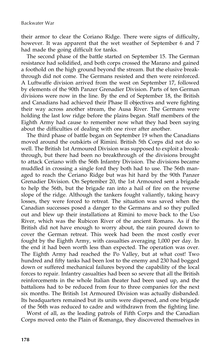their armor to clear the Coriano Ridge. There were signs of difficulty, however. It was apparent that the wet weather of September 6 and 7 had made the going difficult for tanks.

The second phase of the battle started on September 15. The German resistance had solidified, and both corps crossed the Marano and gained a foothold on the high ground beyond the stream. But the elusive breakthrough did not come. The Germans resisted and then were reinforced. A Luftwaffe division arrived from the west on September 17, followed by elements of the 90th Panzer Grenadier Division. Parts of ten German divisions were now in the line. By the end of September 18, the British and Canadians had achieved their Phase II objectives and were fighting their way across another stream, the Ausa River. The Germans were holding the last low ridge before the plains began. Staff members of the Eighth Army had cause to remember now what they had been saying about the difficulties of dealing with one river after another.

The third phase of battle began on September 19 when the Canadians moved around the outskirts of Rimini. British 5th Corps did not do so well. The British 1st Armoured Division was supposed to exploit a breakthrough, but there had been no breakthrough of the divisions brought to attack Ceriano with the 56th Infantry Division. The divisions became muddled in crossing a single ford they both had to use. The 56th managed to reach the Ceriano Ridge but was hit hard by the 90th Panzer Grenadier Division. On September 20, the 1st Armoured sent a brigade to help the 56th, but the brigade ran into a hail of fire on the reverse slope of the ridge. Although the tankers fought valiantly, taking heavy losses, they were forced to retreat. The situation was saved when the Canadian successes posed a danger to the Germans and so they pulled out and blew up their installations at Rimini to move back to the Uso River, which was the Rubicon River of the ancient Romans. As if the British did not have enough to worry about, the rain poured down to cover the German retreat. This week had been the most costly ever fought by the Eighth Army, with casualties averaging 1,000 per day. In the end it had been worth less than expected. The operation was over. The Eighth Army had reached the Po Valley, but at what cost! Two hundred and fifty tanks had been lost to the enemy and 230 had bogged down or suffered mechanical failures beyond the capability of the local forces to repair. Infantry casualties had been so severe that all the British reinforcements in the whole Italian theater had been used up, and the battalions had to be reduced from four to three companies for the next six months. The British 1st Armoured Division was actually disbanded. Its headquarters remained but its units were dispersed, and one brigade of the 56th was reduced to cadre and withdrawn from the fighting line.

Worst of all, as the leading patrols of Fifth Corps and the Canadian Corps moved onto the Plain of Romanga, they discovered themselves in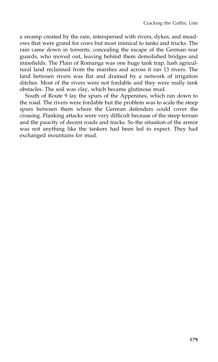a swamp created by the rain, interspersed with rivers, dykes, and meadows that were grand for cows but most inimical to tanks and trucks. The rain came down in torrents, concealing the escape of the German rear guards, who moved out, leaving behind them demolished bridges and minefields. The Plain of Romanga was one huge tank trap, lush agricultural land reclaimed from the marshes and across it ran 13 rivers. The land between rivers was flat and drained by a network of irrigation ditches. Most of the rivers were not fordable and they were really tank obstacles. The soil was clay, which became glutinous mud.

South of Route 9 lay the spurs of the Appenines, which ran down to the road. The rivers were fordable but the problem was to scale the steep spurs between them where the German defenders could cover the crossing. Flanking attacks were very difficult because of the steep terrain and the paucity of decent roads and tracks. So the situation of the armor was not anything like the tankers had been led to expect. They had exchanged mountains for mud.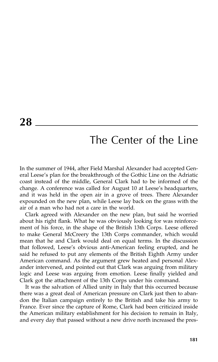### The Center of the Line

In the summer of 1944, after Field Marshal Alexander had accepted General Leese's plan for the breakthrough of the Gothic Line on the Adriatic coast instead of the middle, General Clark had to be informed of the change. A conference was called for August 10 at Leese's headquarters, and it was held in the open air in a grove of trees. There Alexander expounded on the new plan, while Leese lay back on the grass with the air of a man who had not a care in the world.

Clark agreed with Alexander on the new plan, but said he worried about his right flank. What he was obviously looking for was reinforcement of his force, in the shape of the British 13th Corps. Leese offered to make General McCreery the 13th Corps commander, which would mean that he and Clark would deal on equal terms. In the discussion that followed, Leese's obvious anti-American feeling erupted, and he said he refused to put any elements of the British Eighth Army under American command. As the argument grew heated and personal Alexander intervened, and pointed out that Clark was arguing from military logic and Leese was arguing from emotion. Leese finally yielded and Clark got the attachment of the 13th Corps under his command.

It was the salvation of Allied unity in Italy that this occurred because there was a great deal of American pressure on Clark just then to abandon the Italian campaign entirely to the British and take his army to France. Ever since the capture of Rome, Clark had been criticized inside the American military establishment for his decision to remain in Italy, and every day that passed without a new drive north increased the pres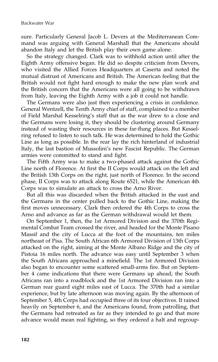sure. Particularly General Jacob L. Devers at the Mediterranean Command was arguing with General Marshall that the Americans should abandon Italy and let the British play their own game alone.

So the strategy changed. Clark was to withhold action until after the Eighth Army offensive began. He did so despite criticism from Devers, who visited the Allied Forces Headquarters at Caserta and noted the mutual distrust of Americans and British. The American feeling that the British would not fight hard enough to make the new plan work and the British concern that the Americans were all going to be withdrawn from Italy, leaving the Eighth Army with a job it could not handle.

The Germans were also just then experiencing a crisis in confidence. General Wentzell, the Tenth Army chief of staff, complained to a member of Field Marshal Kesselring's staff that as the war drew to a close and the Germans were losing it, they should be clustering around Germany instead of wasting their resources in these far-flung places. But Kesselring refused to listen to such talk. He was determined to hold the Gothic Line as long as possible. In the rear lay the rich hinterland of industrial Italy, the last bastion of Mussolini's new Fascist Republic. The German armies were committed to stand and fight.

The Fifth Army was to make a two-phased attack against the Gothic Line north of Florence. At first the II Corps would attack on the left and the British 13th Corps on the right, just north of Florence. In the second phase, II Corps was to attack along Route 6521, while the American 4th Corps was to simulate an attack to cross the Arno River.

But all this was discarded when the British attacked in the east and the Germans in the center pulled back to the Gothic Line, making the first moves unnecessary. Clark then ordered the 4th Corps to cross the Arno and advance as far as the German withdrawal would let them.

On September 1, then, the 1st Armored Division and the 370th Regimental Combat Team crossed the river, and headed for the Monte Pisano Massif and the city of Lucca at the foot of the mountains, ten miles northeast of Pisa. The South African 6th Armored Division of 13th Corps attacked on the right, aiming at the Monte Albano Ridge and the city of Pistoia 16 miles north. The advance was easy until September 3 when the South Africans approached a minefield. The 1st Armored Division also began to encounter some scattered small-arms fire. But on September 4 came indications that there were Germans up ahead; the South Africans ran into a roadblock and the 1st Armored Division ran into a German rear guard eight miles east of Lucca. The 370th had a similar experience, but by late afternoon was moving again. By the afternoon of September 5, 4th Corps had occupied three of its four objectives. It rained heavily on September 6, and the Americans found, from patrolling, that the Germans had retreated as far as they intended to go and that more advance would mean real fighting, so they ordered a halt and regroup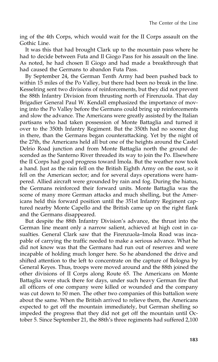ing of the 4th Corps, which would wait for the II Corps assault on the Gothic Line.

It was this that had brought Clark up to the mountain pass where he had to decide between Futa and Il Giogo Pass for his assault on the line. As noted, he had chosen Il Giogo and had made a breakthrough that had caused the Germans to abandon Futa Pass.

By September 24, the German Tenth Army had been pushed back to within 15 miles of the Po Valley, but there had been no break in the line. Kesselring sent two divisions of reinforcements, but they did not prevent the 88th Infantry Division from thrusting north of Firenzuola. That day Brigadier General Paul W. Kendall emphasized the importance of moving into the Po Valley before the Germans could bring up reinforcements and slow the advance. The Americans were greatly assisted by the Italian partisans who had taken possession of Monte Battaglia and turned it over to the 350th Infantry Regiment. But the 350th had no sooner dug in there, than the Germans began counterattacking. Yet by the night of the 27th, the Americans held all but one of the heights around the Castel Delrio Road junction and from Monte Battaglia north the ground descended as the Santerno River threaded its way to join the Po. Elsewhere the II Corps had good progress toward Imola. But the weather now took a hand. Just as the rain fell on the British Eighth Army on the east, so it fell on the American sector; and for several days operations were hampered. Allied aircraft were grounded by rain and fog. During the hiatus, the Germans reinforced their forward units. Monte Battaglia was the scene of many more German attacks and much shelling, but the Americans held this forward position until the 351st Infantry Regiment captured nearby Monte Capello and the British came up on the right flank and the Germans disappeared.

But despite the 88th Infantry Division's advance, the thrust into the German line meant only a narrow salient, achieved at high cost in casualties. General Clark saw that the Firenzuola–Imola Road was incapable of carrying the traffic needed to make a serious advance. What he did not know was that the Germans had run out of reserves and were incapable of holding much longer here. So he abandoned the drive and shifted attention to the left to concentrate on the capture of Bologna by General Keyes. Thus, troops were moved around and the 88th joined the other divisions of II Corps along Route 65. The Americans on Monte Battaglia were stuck there for days, under such heavy German fire that all officers of one company were killed or wounded and the company was cut down to 50 men. The other two companies of this battalion were about the same. When the British arrived to relieve them, the Americans expected to get off the mountain immediately, but German shelling so impeded the progress that they did not get off the mountain until October 5. Since September 21, the 88th's three regiments had suffered 2,100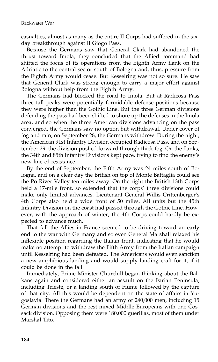casualties, almost as many as the entire II Corps had suffered in the sixday breakthrough against Il Giogo Pass.

Because the Germans saw that General Clark had abandoned the thrust toward Imola, they concluded that the Allied command had shifted the focus of its operations from the Eighth Army flank on the Adriatic to the central sector south of Bologna and, thus, pressure from the Eighth Army would cease. But Kesselring was not so sure. He saw that General Clark was strong enough to carry a major effort against Bologna without help from the Eighth Army.

The Germans had blocked the road to Imola. But at Radicosa Pass three tall peaks were potentially formidable defense positions because they were higher than the Gothic Line. But the three German divisions defending the pass had been shifted to shore up the defenses in the Imola area, and so when the three American divisions advancing on the pass converged, the Germans saw no option but withdrawal. Under cover of fog and rain, on September 28, the Germans withdrew. During the night, the American 91st Infantry Division occupied Radicosa Pass, and on September 29, the division pushed forward through thick fog. On the flanks, the 34th and 85th Infantry Divisions kept pace, trying to find the enemy's new line of resistance.

By the end of September, the Fifth Army was 24 miles south of Bologna, and on a clear day the British on top of Monte Battaglia could see the Po River Valley ten miles away. On the right the British 13th Corps held a 17-mile front, so extended that the corps' three divisions could make only limited advances. Lieutenant General Willis Crittenberger's 4th Corps also held a wide front of 50 miles. All units but the 45th Infantry Division on the coast had passed through the Gothic Line. However, with the approach of winter, the 4th Corps could hardly be expected to advance much.

That fall the Allies in France seemed to be driving toward an early end to the war with Germany and so even General Marshall relaxed his inflexible position regarding the Italian front, indicating that he would make no attempt to withdraw the Fifth Army from the Italian campaign until Kesselring had been defeated. The Americans would even sanction a new amphibious landing and would supply landing craft for it, if it could be done in the fall.

Immediately, Prime Minister Churchill began thinking about the Balkans again and considered either an assault on the Istrian Peninsula, including Trieste, or a landing south of Fiume followed by the capture of that city. All this would be dependent on the state of affairs in Yugoslavia. There the Germans had an army of 240,000 men, including 15 German divisions and the rest mixed Middle Europeans with one Cossack division. Opposing them were 180,000 guerillas, most of them under Marshal Tito.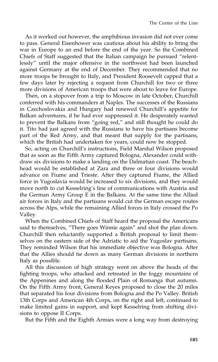As it worked out however, the amphibious invasion did not ever come to pass. General Eisenhower was cautious about his ability to bring the war in Europe to an end before the end of the year. So the Combined Chiefs of Staff suggested that the Italian campaign be pursued "relentlessly" until the major offensive in the northwest had been launched against Germany at the end of December. They recommended that no more troops be brought to Italy, and President Roosevelt capped that a few days later by rejecting a request from Churchill for two or three more divisions of American troops that were about to leave for Europe.

Then, on a stopover from a trip to Moscow in late October, Churchill conferred with his commanders at Naples. The successes of the Russians in Czechoslovakia and Hungary had renewed Churchill's appetite for Balkan adventures, if he had ever suppressed it. He desperately wanted to prevent the Balkans from "going red," and still thought he could do it. Tito had just agreed with the Russians to have his partisans become part of the Red Army, and that meant that supply for the partisans, which the British had undertaken for years, could now be stopped.

So, acting on Churchill's instructions, Field Marshal Wilson proposed that as soon as the Fifth Army captured Bologna, Alexander could withdraw six divisions to make a landing on the Dalmatian coast. The beachhead would be established at Zara and three or four divisions would advance on Fiume and Trieste. After they captured Fiume, the Allied force in Yugoslavia would be increased to six divisions, and they would move north to cut Kesselring's line of communications with Austria and the German Army Group E in the Balkans. At the same time the Allied air forces in Italy and the partisans would cut the German escape routes across the Alps, while the remaining Allied forces in Italy crossed the Po Valley.

When the Combined Chiefs of Staff heard the proposal the Americans said to themselves, "There goes Winnie again" and shot the plan down. Churchill then reluctantly supported a British proposal to limit themselves on the eastern side of the Adriatic to aid the Yugoslav partisans. They reminded Wilson that his immediate objective was Bologna. After that the Allies should tie down as many German divisions in northern Italy as possible.

All this discussion of high strategy went on above the heads of the fighting troops, who attacked and retreated in the foggy mountains of the Appenines and along the flooded Plain of Romanga that autumn. On the Fifth Army front, General Keyes proposed to close the 20 miles that separated his four divisions from Bologna and the Po Valley. British 13th Corps and American 4th Corps, on the right and left, continued to make limited gains in support, and kept Kesselring from shifting divisions to oppose II Corps.

But the Fifth and the Eighth Armies were a long way from destroying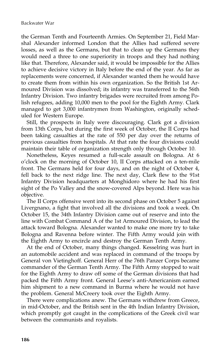the German Tenth and Fourteenth Armies. On September 21, Field Marshal Alexander informed London that the Allies had suffered severe losses, as well as the Germans, but that to clean up the Germans they would need a three to one superiority in troops and they had nothing like that. Therefore, Alexander said, it would be impossible for the Allies to achieve decisive victory in Italy before the end of the year. As far as replacements were concerned, if Alexander wanted them he would have to create them from within his own organization. So the British 1st Armoured Division was dissolved; its infantry was transferred to the 56th Infantry Division. Two infantry brigades were recruited from among Polish refugees, adding 10,000 men to the pool for the Eighth Army. Clark managed to get 3,000 infantrymen from Washington, originally scheduled for Western Europe.

Still, the prospects in Italy were discouraging. Clark got a division from 13th Corps, but during the first week of October, the II Corps had been taking casualties at the rate of 550 per day over the returns of previous casualties from hospitals. At that rate the four divisions could maintain their table of organization strength only through October 10.

Nonetheless, Keyes resumed a full-scale assault on Bologna. At 6 o'clock on the morning of October 10, II Corps attacked on a ten-mile front. The Germans held for four days, and on the night of October 4, fell back to the next ridge line. The next day, Clark flew to the 91st Infantry Division headquarters at Monghidoro where he had his first sight of the Po Valley and the snow-covered Alps beyond. Here was his objective.

The II Corps offensive went into its second phase on October 5 against Livergnano, a fight that involved all the divisions and took a week. On October 15, the 34th Infantry Division came out of reserve and into the line with Combat Command A of the 1st Armoured Division, to lead the attack toward Bologna. Alexander wanted to make one more try to take Bologna and Ravenna before winter. The Fifth Army would join with the Eighth Army to encircle and destroy the German Tenth Army.

At the end of October, many things changed. Kesselring was hurt in an automobile accident and was replaced in command of the troops by General von Vietinghoff. General Herr of the 76th Panzer Corps became commander of the German Tenth Army. The Fifth Army stopped to wait for the Eighth Army to draw off some of the German divisions that had packed the Fifth Army front. General Leese's anti-Americanism earned him shipment to a new command in Burma where he would not have the problem. General McCreery took over the Eighth Army.

There were complications anew. The Germans withdrew from Greece, in mid-October, and the British sent in the 4th Indian Infantry Division, which promptly got caught in the complications of the Greek civil war between the communists and royalists.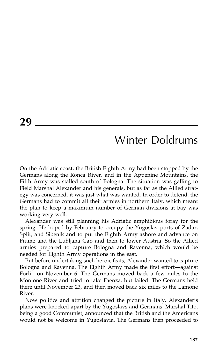### Winter Doldrums

On the Adriatic coast, the British Eighth Army had been stopped by the Germans along the Ronca River, and in the Appenine Mountains, the Fifth Army was stalled south of Bologna. The situation was galling to Field Marshal Alexander and his generals, but as far as the Allied strategy was concerned, it was just what was wanted. In order to defend, the Germans had to commit all their armies in northern Italy, which meant the plan to keep a maximum number of German divisions at bay was working very well.

Alexander was still planning his Adriatic amphibious foray for the spring. He hoped by February to occupy the Yugoslav ports of Zadar, Split, and Sibenik and to put the Eighth Army ashore and advance on Fiume and the Lubljana Gap and then to lower Austria. So the Allied armies prepared to capture Bologna and Ravenna, which would be needed for Eighth Army operations in the east.

But before undertaking such heroic feats, Alexander wanted to capture Bologna and Ravenna. The Eighth Army made the first effort—against Forli—on November 6. The Germans moved back a few miles to the Montone River and tried to take Faenza, but failed. The Germans held there until November 23, and then moved back six miles to the Lamone River.

Now politics and attrition changed the picture in Italy. Alexander's plans were knocked apart by the Yugoslavs and Germans. Marshal Tito, being a good Communist, announced that the British and the Americans would not be welcome in Yugoslavia. The Germans then proceeded to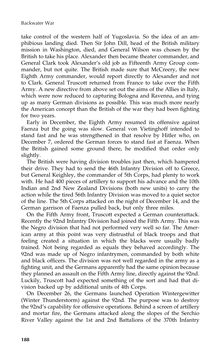take control of the western half of Yugoslavia. So the idea of an amphibious landing died. Then Sir John Dill, head of the British military mission in Washington, died, and General Wilson was chosen by the British to take his place. Alexander then became theater commander, and General Clark took Alexander's old job as Fifteenth Army Group commander, but not quite. The British made sure that McCreery, the new Eighth Army commander, would report directly to Alexander and not to Clark. General Truscott returned from France to take over the Fifth Army. A new directive from above set out the aims of the Allies in Italy, which were now reduced to capturing Bologna and Ravenna, and tying up as many German divisions as possible. This was much more nearly the American concept than the British of the war they had been fighting for two years.

Early in December, the Eighth Army resumed its offensive against Faenza but the going was slow. General von Vietinghoff intended to stand fast and he was strengthened in that resolve by Hitler who, on December 7, ordered the German forces to stand fast at Faenza. When the British gained some ground there, he modified that order only slightly.

The British were having division troubles just then, which hampered their drive. They had to send the 46th Infantry Division off to Greece, but General Keighley, the commander of 5th Corps, had plenty to work with. He had 400 pieces of artillery to support his advance and the 10th Indian and 2nd New Zealand Divisions (both new units) to carry the action while the tired 56th Infantry Division was moved to a quiet sector of the line. The 5th Corps attacked on the night of December 14, and the German garrison of Faenza pulled back, but only three miles.

On the Fifth Army front, Truscott expected a German counterattack. Recently the 92nd Infantry Division had joined the Fifth Army. This was the Negro division that had not performed very well so far. The American army at this point was very distrustful of black troops and that feeling created a situation in which the blacks were usually badly trained. Not being regarded as equals they behaved accordingly. The 92nd was made up of Negro infantrymen, commanded by both white and black officers. The division was not well regarded in the army as a fighting unit, and the Germans apparently had the same opinion because they planned an assault on the Fifth Army line, directly against the 92nd. Luckily, Truscott had expected something of the sort and had that division backed up by additional units of 4th Corps.

On December 26, the Germans launched Operation Wintergewitter (Winter Thunderstorm) against the 92nd. The purpose was to destroy the 92nd's capability for offensive operations. Behind a screen of artillery and mortar fire, the Germans attacked along the slopes of the Serchio River Valley against the 1st and 2nd Battalions of the 370th Infantry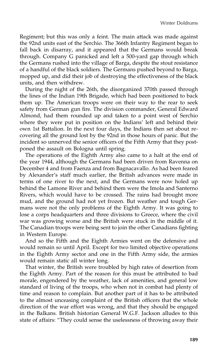Regiment; but this was only a feint. The main attack was made against the 92nd units east of the Serchio. The 366th Infantry Regiment began to fall back in disarray, and it appeared that the Germans would break through. Company G panicked and left a 500-yard gap through which the Germans rushed into the village of Barga, despite the stout resistance of a handful of the black soldiers. The Germans pushed beyond to Barga, mopped up, and did their job of destroying the effectiveness of the black units, and then withdrew.

During the night of the 26th, the disorganized 370th passed through the lines of the Indian 19th Brigade, which had been positioned to back them up. The American troops were on their way to the rear to seek safety from German gun fire. The division commander, General Edward Almond, had them rounded up and taken to a point west of Serchio where they were put in position on the Indians' left and behind their own 1st Battalion. In the next four days, the Indians then set about recovering all the ground lost by the 92nd in those hours of panic. But the incident so unnerved the senior officers of the Fifth Army that they postponed the assault on Bologna until spring.

The operations of the Eighth Army also came to a halt at the end of the year 1944, although the Germans had been driven from Ravenna on December 4 and from Faenza and from Bagnacavallo. As had been feared by Alexander's staff much earlier, the British advances were made in terms of one river to the next, and the Germans were now holed up behind the Lamone River and behind them were the Imola and Santerno Rivers, which would have to be crossed. The rains had brought more mud, and the ground had not yet frozen. But weather and tough Germans were not the only problems of the Eighth Army. It was going to lose a corps headquarters and three divisions to Greece, where the civil war was growing worse and the British were stuck in the middle of it. The Canadian troops were being sent to join the other Canadians fighting in Western Europe.

And so the Fifth and the Eighth Armies went on the defensive and would remain so until April. Except for two limited objective operations in the Eighth Army sector and one in the Fifth Army side, the armies would remain static all winter long.

That winter, the British were troubled by high rates of desertion from the Eighth Army. Part of the reason for this must be attributed to bad morale, engendered by the weather, lack of amenities, and general low standard of living of the troops, who when not in combat had plenty of time and reason to complain. But another part of it has to be attributed to the almost unceasing complaint of the British officers that the whole direction of the war effort was wrong, and that they should be engaged in the Balkans. British historian General W.G.F. Jackson alludes to this state of affairs: "They could sense the uselessness of throwing away their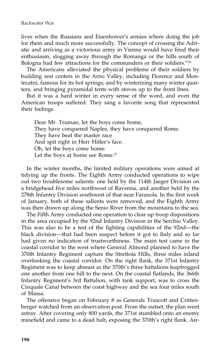lives when the Russians and Eisenhower's armies where doing the job for them and much more successfully. The concept of crossing the Adriatic and arriving as a victorious army in Vienna would have fired their enthusiasm; slogging away through the Romanga or the hills south of Bologna had few attractions for the commanders or their soldiers."26

The Americans alleviated the physical problems of their soldiers by building rest centers in the Arno Valley, including Florence and Montecatni, famous for its hot springs, and by winterizing many winter quarters, and bringing pyramidal tents with stoves up to the front lines.

But it was a hard winter in every sense of the word, and even the American troops suffered. They sang a favorite song that represented their feelings.

Dear Mr. Truman, let the boys come home, They have conquered Naples, they have conquered Rome. They have beat the master race And spit right in Herr Hitler's face. Oh, let the boys come home. Let the boys at home see Rome.<sup>27</sup>

In the winter months, the limited military operations were aimed at tidying up the fronts. The Eighth Army conducted operations to wipe out two troublesome salients: one held by the 114th Jaeger Division on a bridgehead five miles northwest of Ravenna, and another held by the 278th Infantry Division southwest of that near Faranola. In the first week of January, both of these salients were removed, and the Eighth Army was then drawn up along the Senio River from the mountains to the sea.

The Fifth Army conducted one operation to clear up troop dispositions in the area occupied by the 92nd Infantry Division in the Serchio Valley. This was also to be a test of the fighting capabilities of the 92nd—the black division—that had been suspect before it got to Italy and so far had given no indication of trustworthiness. The main test came in the coastal corridor to the west where General Almond planned to have the 370th Infantry Regiment capture the Strettoia Hills, three miles inland overlooking the coastal corridor. On the right flank, the 371st Infantry Regiment was to keep abreast as the 370th's three battalions leapfrogged one another from one hill to the next. On the coastal flatlands, the 366th Infantry Regiment's 3rd Battalion, with tank support, was to cross the Cinquale Canal between the coast highway and the sea four miles south of Massa.

The offensive began on February 8 as Generals Truscott and Crittenberger watched from an observation post. From the outset, the plan went astray. After covering only 800 yards, the 371st stumbled onto an enemy minefield and came to a dead halt, exposing the 370th's right flank. Air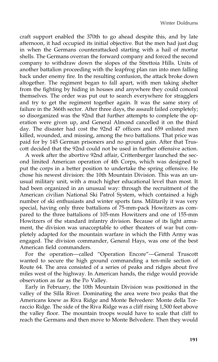craft support enabled the 370th to go ahead despite this, and by late afternoon, it had occupied its initial objective. But the men had just dug in when the Germans counterattacked starting with a hail of mortar shells. The Germans overran the forward company and forced the second company to withdraw down the slopes of the Strettoia Hills. Units of another battalion proceeding with the leapfrog plan ran into men falling back under enemy fire. In the resulting confusion, the attack broke down altogether. The regiment began to fall apart, with men taking shelter from the fighting by hiding in houses and anywhere they could conceal themselves. The order was put out to search everywhere for stragglers and try to get the regiment together again. It was the same story of failure in the 366th sector. After three days, the assault failed completely; so disorganized was the 92nd that further attempts to complete the operation were given up, and General Almond cancelled it on the third day. The disaster had cost the 92nd 47 officers and 659 enlisted men killed, wounded, and missing, among the two battalions. That price was paid for by 145 German prisoners and no ground gain. After that Truscott decided that the 92nd could not be used in further offensive action.

A week after the abortive 92nd affair, Crittenberger launched the second limited American operation of 4th Corps, which was designed to put the corps in a better position to undertake the spring offensive. He chose his newest division: the 10th Mountain Division. This was an unusual military unit, with a much higher educational level than most. It had been organized in an unusual way: through the recruitment of the American civilian National Ski Patrol System, which contained a high number of ski enthusiasts and winter sports fans. Militarily it was very special, having only three battalions of 75-mm-pack Howitzers as compared to the three battalions of 105-mm Howitzers and one of 155-mm Howitzers of the standard infantry division. Because of its light armament, the division was unacceptable to other theaters of war but completely adapted for the mountain warfare in which the Fifth Army was engaged. The division commander, General Hays, was one of the best American field commanders.

For the operation—called "Operation Encore"—General Truscott wanted to secure the high ground commanding a ten-mile section of Route 64. The area consisted of a series of peaks and ridges about five miles west of the highway. In American hands, the ridge would provide observation as far as the Po Valley.

Early in February, the 10th Mountain Division was positioned in the valley of the Silla River. Dominating the area were two peaks that the Americans knew as Riva Ridge and Monte Belvedere: Monte della Torraccio Ridge. The side of the Riva Ridge was a cliff rising 1,500 feet above the valley floor. The mountain troops would have to scale that cliff to reach the Germans and then move to Monte Belvedere. Then they would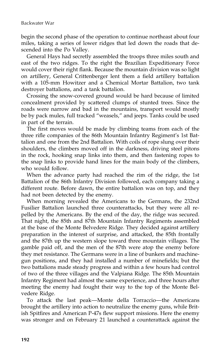begin the second phase of the operation to continue northeast about four miles, taking a series of lower ridges that led down the roads that descended into the Po Valley.

General Hays had secretly assembled the troops three miles south and east of the two ridges. To the right the Brazilian Expeditionary Force would cover their right flank. Because the mountain division was so light on artillery, General Crittenberger lent them a field artillery battalion with a 105-mm Howitzer and a Chemical Mortar Battalion, two tank destroyer battalions, and a tank battalion.

Crossing the snow-covered ground would be hard because of limited concealment provided by scattered clumps of stunted trees. Since the roads were narrow and bad in the mountains, transport would mostly be by pack mules, full tracked "weasels," and jeeps. Tanks could be used in part of the terrain.

The first moves would be made by climbing teams from each of the three rifle companies of the 86th Mountain Infantry Regiment's 1st Battalion and one from the 2nd Battalion. With coils of rope slung over their shoulders, the climbers moved off in the darkness, driving steel pitons in the rock, hooking snap links into them, and then fastening ropes to the snap links to provide hand lines for the main body of the climbers, who would follow.

When the advance party had reached the rim of the ridge, the 1st Battalion of the 86th Infantry Division followed, each company taking a different route. Before dawn, the entire battalion was on top, and they had not been detected by the enemy.

When morning revealed the Americans to the Germans, the 232nd Fusilier Battalion launched three counterattacks, but they were all repelled by the Americans. By the end of the day, the ridge was secured. That night, the 85th and 87th Mountain Infantry Regiments assembled at the base of the Monte Belvedere Ridge. They decided against artillery preparation in the interest of surprise, and attacked, the 85th frontally and the 87th up the western slope toward three mountain villages. The gamble paid off, and the men of the 87th were atop the enemy before they met resistance. The Germans were in a line of bunkers and machinegun positions, and they had installed a number of minefields; but the two battalions made steady progress and within a few hours had control of two of the three villages and the Valpiana Ridge. The 85th Mountain Infantry Regiment had almost the same experience, and three hours after meeting the enemy had fought their way to the top of the Monte Belvedere Ridge.

To attack the last peak—Monte della Torraccio—the Americans brought the artillery into action to neutralize the enemy guns, while British Spitfires and American P-47s flew support missions. Here the enemy was stronger and on February 21 launched a counterattack against the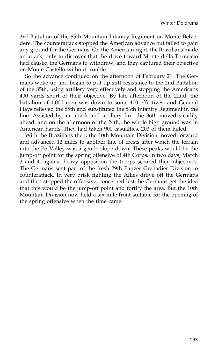3rd Battalion of the 85th Mountain Infantry Regiment on Monte Belvedere. The counterattack stopped the American advance but failed to gain any ground for the Germans. On the American right, the Brazilians made an attack, only to discover that the drive toward Monte della Torraccio had caused the Germans to withdraw, and they captured their objective on Monte Castello without trouble.

So the advance continued on the afternoon of February 21. The Germans woke up and began to put up stiff resistance to the 2nd Battalion of the 85th, using artillery very effectively and stopping the Americans 400 yards short of their objective. By late afternoon of the 22nd, the battalion of 1,000 men was down to some 400 effectives, and General Hays relieved the 85th and substituted the 86th Infantry Regiment in the line. Assisted by air attack and artillery fire, the 86th moved steadily ahead: and on the afternoon of the 24th, the whole high ground was in American hands. They had taken 900 casualties, 203 of them killed.

With the Brazilians then, the 10th Mountain Division moved forward and advanced 12 miles to another line of crests after which the terrain into the Po Valley was a gentle slope down. These peaks would be the jump-off point for the spring offensive of 4th Corps. In two days, March 3 and 4, against heavy opposition the troops secured their objectives. The Germans sent part of the fresh 29th Panzer Grenadier Division to counterattack. In very brisk fighting the Allies drove off the Germans and then stopped the offensive, concerned lest the Germans get the idea that this would be the jump-off point and fortify the area. But the 10th Mountain Division now held a six-mile front suitable for the opening of the spring offensive when the time came.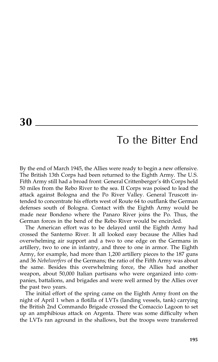## To the Bitter End

By the end of March 1945, the Allies were ready to begin a new offensive. The British 13th Corps had been returned to the Eighth Army. The U.S. Fifth Army still had a broad front: General Crittenberger's 4th Corps held 50 miles from the Rebo River to the sea. II Corps was poised to lead the attack against Bologna and the Po River Valley. General Truscott intended to concentrate his efforts west of Route 64 to outflank the German defenses south of Bologna. Contact with the Eighth Army would be made near Bondeno where the Panaro River joins the Po. Thus, the German forces in the bend of the Rebo River would be encircled.

The American effort was to be delayed until the Eighth Army had crossed the Santerno River. It all looked easy because the Allies had overwhelming air support and a two to one edge on the Germans in artillery, two to one in infantry, and three to one in armor. The Eighth Army, for example, had more than 1,200 artillery pieces to the 187 guns and 36 *Nebelwerfers* of the Germans; the ratio of the Fifth Army was about the same. Besides this overwhelming force, the Allies had another weapon, about 50,000 Italian partisans who were organized into companies, battalions, and brigades and were well armed by the Allies over the past two years.

The initial effort of the spring came on the Eighth Army front on the night of April 1 when a flotilla of LVTs (landing vessels, tank) carrying the British 2nd Commando Brigade crossed the Comaccio Lagoon to set up an amphibious attack on Argenta. There was some difficulty when the LVTs ran aground in the shallows, but the troops were transferred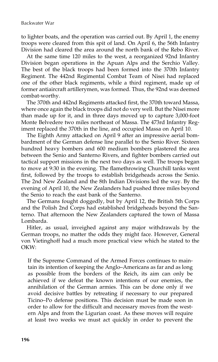to lighter boats, and the operation was carried out. By April 1, the enemy troops were cleared from this spit of land. On April 6, the 56th Infantry Division had cleared the area around the north bank of the Rebo River.

At the same time 120 miles to the west, a reorganized 92nd Infantry Division began operations in the Apuan Alps and the Serchio Valley. The best of the black troops had been formed into the 370th Infantry Regiment. The 442nd Regimental Combat Team of Nisei had replaced one of the other black regiments, while a third regiment, made up of former antiaircraft artillerymen, was formed. Thus, the 92nd was deemed combat-worthy.

The 370th and 442nd Regiments attacked first, the 370th toward Massa, where once again the black troops did not do very well. But the Nisei more than made up for it, and in three days moved up to capture 3,000-foot Monte Belvedere two miles northeast of Massa. The 473rd Infantry Regiment replaced the 370th in the line, and occupied Massa on April 10.

The Eighth Army attacked on April 9 after an impressive aerial bombardment of the German defense line parallel to the Senio River. Sixteen hundred heavy bombers and 600 medium bombers plastered the area between the Senio and Santerno Rivers, and fighter bombers carried out tactical support missions in the next two days as well. The troops began to move at 9:30 in the evening. The flamethrowing Churchill tanks went first, followed by the troops to establish bridgeheads across the Senio. The 2nd New Zealand and the 8th Indian Divisions led the way. By the evening of April 10, the New Zealanders had pushed three miles beyond the Senio to reach the east bank of the Santerno.

The Germans fought doggedly, but by April 12, the British 5th Corps and the Polish 2nd Corps had established bridgeheads beyond the Santerno. That afternoon the New Zealanders captured the town of Massa Lombarda.

Hitler, as usual, inveighed against any major withdrawals by the German troops, no matter the odds they might face. However, General von Vietinghoff had a much more practical view which he stated to the OKW:

If the Supreme Command of the Armed Forces continues to maintain its intention of keeping the Anglo–Americans as far and as long as possible from the borders of the Reich, its aim can only be achieved if we defeat the known intentions of our enemies, the annihilation of the German armies. This can be done only if we avoid decisive battles by retreating if necessary to our prepared Ticino–Po defense positions. This decision must be made soon in order to allow for the difficult and necessary moves from the western Alps and from the Ligurian coast. As these moves will require at least two weeks we must act quickly in order to prevent the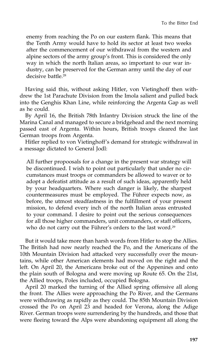enemy from reaching the Po on our eastern flank. This means that the Tenth Army would have to hold its sector at least two weeks after the commencement of our withdrawal from the western and alpine sectors of the army group's front. This is considered the only way in which the north Italian areas, so important to our war industry, can be preserved for the German army until the day of our decisive battle.<sup>28</sup>

Having said this, without asking Hitler, von Vietinghoff then withdrew the 1st Parachute Division from the Imola salient and pulled back into the Genghis Khan Line, while reinforcing the Argenta Gap as well as he could.

By April 16, the British 78th Infantry Division struck the line of the Marina Canal and managed to secure a bridgehead and the next morning passed east of Argenta. Within hours, British troops cleared the last German troops from Argenta.

Hitler replied to von Vietinghoff's demand for strategic withdrawal in a message dictated to General Jodl:

All further propoosals for a change in the present war strategy will be discontinued. I wish to point out particularly that under no circumstances must troops or commanders be allowed to waver or to adopt a defeatist attitude as a result of such ideas, apparently held by your headquarters. Where such danger is likely, the sharpest countermeasures must be employed. The Führer expects now, as before, the utmost steadfastness in the fulfillment of your present mission, to defend every inch of the north Italian areas entrusted to your command. I desire to point out the serious consequences for all those higher commanders, unit commanders, or staff officers, who do not carry out the Führer's orders to the last word.<sup>29</sup>

But it would take more than harsh words from Hitler to stop the Allies. The British had now nearly reached the Po, and the Americans of the 10th Mountain Division had attacked very successfully over the mountains, while other American elements had moved on the right and the left. On April 20, the Americans broke out of the Appenines and onto the plain south of Bologna and were moving up Route 65. On the 21st, the Allied troops, Poles included, occupied Bologna.

April 20 marked the turning of the Allied spring offensive all along the front. The Allies were approaching the Po River, and the Germans were withdrawing as rapidly as they could. The 85th Mountain Division crossed the Po on April 23 and headed for Verona, along the Adige River. German troops were surrendering by the hundreds, and those that were fleeing toward the Alps were abandoning equipment all along the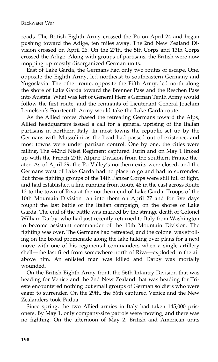roads. The British Eighth Army crossed the Po on April 24 and began pushing toward the Adige, ten miles away. The 2nd New Zealand Division crossed on April 26. On the 27th, the 5th Corps and 13th Corps crossed the Adige. Along with groups of partisans, the British were now mopping up mostly disorganized German units.

East of Lake Garda, the Germans had only two routes of escape. One, opposite the Eighth Army, led northeast to southeastern Germany and Yugoslavia. The other route, opposite the Fifth Army, led north along the shore of Lake Garda toward the Brenner Pass and the Reschen Pass into Austria. What was left of General Herr's German Tenth Army would follow the first route, and the remnants of Lieutenant General Joachim Lemelsen's Fourteenth Army would take the Lake Garda route.

As the Allied forces chased the retreating Germans toward the Alps, Allied headquarters issued a call for a general uprising of the Italian partisans in northern Italy. In most towns the republic set up by the Germans with Mussolini as the head had passed out of existence, and most towns were under partisan control. One by one, the cities were falling. The 442nd Nisei Regiment captured Turin and on May 1 linked up with the French 27th Alpine Division from the southern France theater. As of April 29, the Po Valley's northern exits were closed, and the Germans west of Lake Garda had no place to go and had to surrender. But three fighting groups of the 14th Panzer Corps were still full of fight, and had established a line running from Route 46 in the east across Route 12 to the town of Riva at the northern end of Lake Garda. Troops of the 10th Mountain Division ran into them on April 27 and for five days fought the last battle of the Italian campaign, on the shores of Lake Garda. The end of the battle was marked by the strange death of Colonel William Darby, who had just recently returned to Italy from Washington to become assistant commander of the 10th Mountain Division. The fighting was over. The Germans had retreated, and the colonel was strolling on the broad promenade along the lake talking over plans for a next move with one of his regimental commanders when a single artillery shell—the last fired from somewhere north of Riva—exploded in the air above him. An enlisted man was killed and Darby was mortally wounded.

On the British Eighth Army front, the 56th Infantry Division that was heading for Venice and the 2nd New Zealand that was heading for Trieste encountered nothing but small groups of German soldiers who were eager to surrender. On the 29th, the 56th captured Venice and the New Zealanders took Padua.

Since spring, the two Allied armies in Italy had taken 145,000 prisoners. By May 1, only company-size patrols were moving, and there was no fighting. On the afternoon of May 2, British and American units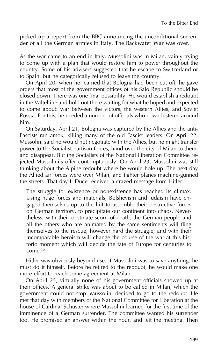picked up a report from the BBC announcing the unconditional surrender of all the German armies in Italy. The Backwater War was over.

As the war came to an end in Italy, Mussolini was in Milan, vainly trying to come up with a plan that would restore him to power throughout the country. Some of his advisers suggested that he escape to Switzerland or to Spain, but he categorically refused to leave the country.

On April 20, when he learned that Bologna had been cut off, he gave orders that most of the government offices of his Salo Republic should be closed down. There was one final possibility. He would establish a redoubt in the Valtelline and hold out there waiting for what he hoped and expected to come about: war between the victors, the western Allies, and Soviet Russia. For this, he needed a number of officials who now clustered around him.

On Saturday, April 21, Bologna was captured by the Allies and the anti-Fascists ran amok, killing many of the old Fascist leaders. On April 22, Mussolini said he would not negotiate with the Allies, but he might transfer power to the Socialist partisan forces, hand over the city of Milan to them, and disappear. But the Socialists of the National Liberation Committee rejected Mussolini's offer contemptuously. On April 23, Mussolini was still thinking about the Alpine redoubt where he would hole up. The next day the Allied air forces were over Milan, and fighter planes machine-gunned the streets. That day Il Duce received a crazed message from Hitler:

The struggle for existence or nonexistence has reached its climax. Using huge forces and materials, Bolshevism and Judaism have engaged themselves up to the hilt to assemble their destructive forces on German territory, to precipitate our continent into chaos. Nevertheless, with their obstinate scorn of death, the German people and all the others who are animated by the same sentiments will fling themselves to the rescue, however hard the struggle, and with their incomparable heroism will change the course of the war at this historic moment which will decide the fate of Europe for centuries to come.30

Hitler was obviously beyond use. If Mussolini was to save anything, he must do it himself. Before he retired to the redoubt, he would make one more effort to reach some agreement at Milan.

On April 25, virtually none of his government officials showed up at their offices. A general strike was about to be called in Milan, which the government could not stop. Mussolini decided to go to the redoubt. He met that day with members of the National Committee for Liberation at the house of Cardinal Schuster where Mussolini learned for the first time of the imminence of a German surrender. The committee wanted his surrender too. He promised an answer within the hour, and left the meeting. Then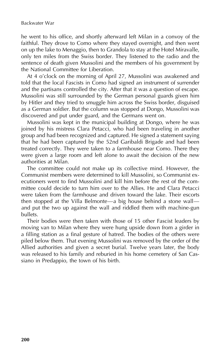#### Backwater War

he went to his office, and shortly afterward left Milan in a convoy of the faithful. They drove to Como where they stayed overnight, and then went on up the lake to Menaggio, then to Grandola to stay at the Hotel Miravalle, only ten miles from the Swiss border. They listened to the radio and the sentence of death given Mussolini and the members of his government by the National Committee for Liberation.

At 4 o'clock on the morning of April 27, Mussolini was awakened and told that the local Fascists in Como had signed an instrument of surrender and the partisans controlled the city. After that it was a question of escape. Mussolini was still surrounded by the German personal guards given him by Hitler and they tried to smuggle him across the Swiss border, disguised as a German soldier. But the column was stopped at Dongo, Mussolini was discovered and put under guard, and the Germans went on.

Mussolini was kept in the municipal building at Dongo, where he was joined by his mistress Clara Petacci, who had been traveling in another group and had been recognized and captured. He signed a statement saying that he had been captured by the 52nd Garibaldi Brigade and had been treated correctly. They were taken to a farmhouse near Como. There they were given a large room and left alone to await the decision of the new authorities at Milan.

The committee could not make up its collective mind. However, the Communist members were determined to kill Mussolini, so Communist executioners went to find Mussolini and kill him before the rest of the committee could decide to turn him over to the Allies. He and Clara Petacci were taken from the farmhouse and driven toward the lake. Their escorts then stopped at the Villa Belmonte—a big house behind a stone wall and put the two up against the wall and riddled them with machine-gun bullets.

Their bodies were then taken with those of 15 other Fascist leaders by moving van to Milan where they were hung upside down from a girder in a filling station as a final gesture of hatred. The bodies of the others were piled below them. That evening Mussolini was removed by the order of the Allied authorities and given a secret burial. Twelve years later, the body was released to his family and reburied in his home cemetery of San Cassiano in Predappio, the town of his birth.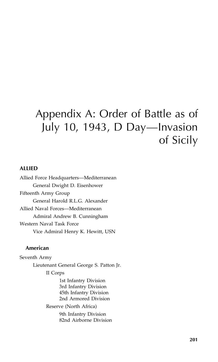# Appendix A: Order of Battle as of July 10, 1943, D Day—Invasion of Sicily

#### **ALLIED**

Allied Force Headquarters—Mediterranean General Dwight D. Eisenhower Fifteenth Army Group General Harold R.L.G. Alexander Allied Naval Forces—Mediterranean Admiral Andrew B. Cunningham Western Naval Task Force Vice Admiral Henry K. Hewitt, USN

#### **American**

Seventh Army Lieutenant General George S. Patton Jr. II Corps 1st Infantry Division 3rd Infantry Division 45th Infantry Division 2nd Armored Division Reserve (North Africa) 9th Infantry Division 82nd Airborne Division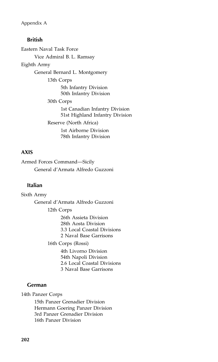Appendix A

#### **British**

Eastern Naval Task Force Vice Admiral B. L. Ramsay Eighth Army General Bernard L. Montgomery 13th Corps 5th Infantry Division 50th Infantry Division 30th Corps 1st Canadian Infantry Division 51st Highland Infantry Division Reserve (North Africa) 1st Airborne Division 78th Infantry Division

#### **AXIS**

Armed Forces Command—Sicily General d'Armata Alfredo Guzzoni

#### **Italian**

Sixth Army

General d'Armata Alfredo Guzzoni

12th Corps

26th Assieta Division 28th Aosta Division 3.3 Local Coastal Divisions 2 Naval Base Garrisons

16th Corps (Rossi)

4th Livorno Division 54th Napoli Division 2.6 Local Coastal Divisions 3 Naval Base Garrisons

#### **German**

14th Panzer Corps

15th Panzer Grenadier Division Hermann Goering Panzer Division 3rd Panzer Grenadier Division 16th Panzer Division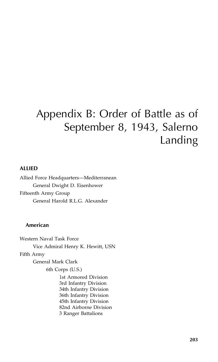# Appendix B: Order of Battle as of September 8, 1943, Salerno Landing

#### **ALLIED**

Allied Force Headquarters—Mediterranean General Dwight D. Eisenhower Fifteenth Army Group General Harold R.L.G. Alexander

#### **American**

Western Naval Task Force Vice Admiral Henry K. Hewitt, USN Fifth Army General Mark Clark 6th Corps (U.S.) 1st Armored Division 3rd Infantry Division 34th Infantry Division 36th Infantry Division 45th Infantry Division 82nd Airborne Division 3 Ranger Battalions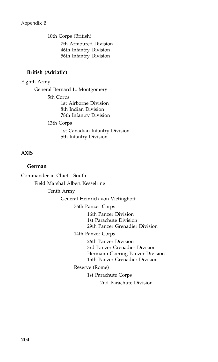10th Corps (British) 7th Armoured Division 46th Infantry Division 56th Infantry Division

#### **British (Adriatic)**

Eighth Army

General Bernard L. Montgomery 5th Corps 1st Airborne Division 8th Indian Division 78th Infantry Division

13th Corps 1st Canadian Infantry Division 5th Infantry Division

#### **AXIS**

#### **German**

Commander in Chief—South

Field Marshal Albert Kesselring

Tenth Army

General Heinrich von Vietinghoff

76th Panzer Corps

16th Panzer Division 1st Parachute Division 29th Panzer Grenadier Division

14th Panzer Corps

26th Panzer Division 3rd Panzer Grenadier Division Hermann Goering Panzer Division 15th Panzer Grenadier Division

Reserve (Rome)

1st Parachute Corps 2nd Parachute Division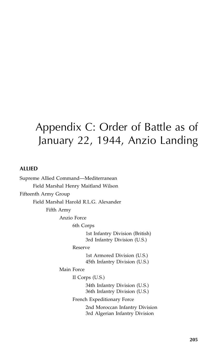# Appendix C: Order of Battle as of January 22, 1944, Anzio Landing

#### **ALLIED**

Supreme Allied Command—Mediterranean Field Marshal Henry Maitland Wilson Fifteenth Army Group Field Marshal Harold R.L.G. Alexander Fifth Army Anzio Force 6th Corps 1st Infantry Division (British) 3rd Infantry Division (U.S.) Reserve 1st Armored Division (U.S.) 45th Infantry Division (U.S.) Main Force II Corps (U.S.) 34th Infantry Division (U.S.) 36th Infantry Division (U.S.) French Expeditionary Force 2nd Moroccan Infantry Division 3rd Algerian Infantry Division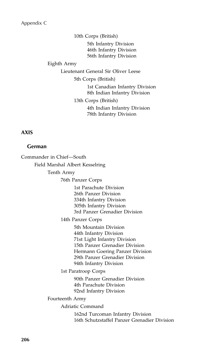10th Corps (British) 5th Infantry Division 46th Infantry Division 56th Infantry Division

#### Eighth Army

Lieutenant General Sir Oliver Leese

5th Corps (British)

1st Canadian Infantry Division 8th Indian Infantry Division

13th Corps (British)

4th Indian Infantry Division 78th Infantry Division

#### **AXIS**

#### **German**

Commander in Chief—South Field Marshal Albert Kesselring Tenth Army 76th Panzer Corps 1st Parachute Division 26th Panzer Division 334th Infantry Division 305th Infantry Division 3rd Panzer Grenadier Division 14th Panzer Corps 5th Mountain Division 44th Infantry Division 71st Light Infantry Division 15th Panzer Grenadier Division Hermann Goering Panzer Division 29th Panzer Grenadier Division 94th Infantry Division 1st Paratroop Corps 90th Panzer Grenadier Division 4th Parachute Division 92nd Infantry Division Fourteenth Army Adriatic Command 162nd Turcoman Infantry Division 16th Schutzstaffel Panzer Grenadier Division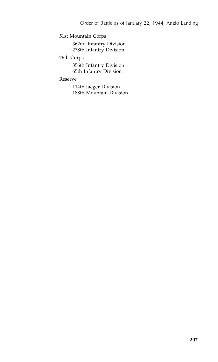51st Mountain Corps

362nd Infantry Division 278th Infantry Division

76th Corps

356th Infantry Division 65th Infantry Division

Reserve

114th Jaeger Division 188th Mountain Division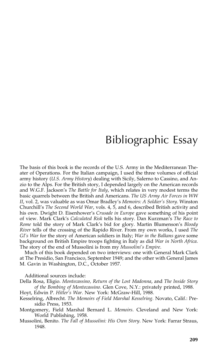## Bibliographic Essay

The basis of this book is the records of the U.S. Army in the Mediterranean Theater of Operations. For the Italian campaign, I used the three volumes of official army history (*U.S. Army History*) dealing with Sicily, Salerno to Cassino, and Anzio to the Alps. For the British story, I depended largely on the American records and W.G.F. Jackson's *The Battle for Italy*, which relates in very modest terms the basic quarrels between the British and Americans. *The US Army Air Forces in WW II*, vol. 2, was valuable as was Omar Bradley's *Memoirs: A Soldier's Story*. Winston Churchill's *The Second World War*, vols. 4, 5, and 6, described British activity and his own. Dwight D. Eisenhower's *Crusade in Europe* gave something of his point of view. Mark Clark's *Calculated Risk* tells his story. Dan Kurzman's *The Race to Rome* told the story of Mark Clark's bid for glory. Martin Blumenson's *Bloody River* tells of the crossing of the Rapido River. From my own works, I used *The GI's War* for the story of American soldiers in Italy; *War in the Balkans* gave some background on British Empire troops fighting in Italy as did *War in North Africa*. The story of the end of Mussolini is from my *Mussolini's Empire*.

Much of this book depended on two interviews: one with General Mark Clark at The Presidio, San Francisco, September 1949; and the other with General James M. Gavin in Washington, D.C., October 1957.

Additional sources include:

Della Rosa, Eligio. *Montecassino, Return of the Lost Madonna*, and *The Inside Story of the Bombing of Montecassino*. Glen Cove, N.Y.: privately printed, 1988. Hoyt, Edwin P. *Hitler's War*. New York: McGraw-Hill, 1988.

Kesselring, Albrecht. *The Memoirs of Field Marshal Kesselring.* Novato, Calif.: Presidio Press, 1953.

Montgomery, Field Marshal Bernard L. *Memoirs*. Cleveland and New York: World Publishing, 1958.

Mussolini, Benito. *The Fall of Mussolini: His Own Story*. New York: Farrar Straus, 1948.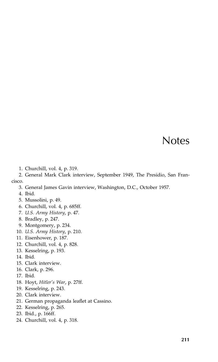### Notes

1. Churchill, vol. 4, p. 319.

2. General Mark Clark interview, September 1949, The Presidio, San Francisco.

3. General James Gavin interview, Washington, D.C., October 1957.

- 4. Ibid.
- 5. Mussolini, p. 49.
- 6. Churchill, vol. 4, p. 685ff.
- 7. *U.S. Army History*, p. 47.
- 8. Bradley, p. 247.
- 9. Montgomery, p. 234.
- 10. *U.S. Army History*, p. 210.
- 11. Eisenhower, p. 187.
- 12. Churchill, vol. 4, p. 828.
- 13. Kesselring, p. 193.
- 14. Ibid.
- 15. Clark interview.
- 16. Clark, p. 296.
- 17. Ibid.
- 18. Hoyt, *Hitler's War*, p. 27ff.
- 19. Kesselring, p. 243.
- 20. Clark interview.
- 21. German propaganda leaflet at Cassino.
- 22. Kesselring, p. 265.
- 23. Ibid., p. 166ff.
- 24. Churchill, vol. 4, p. 318.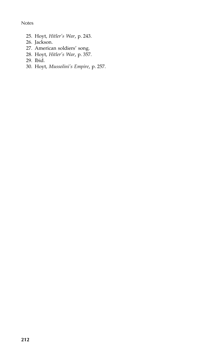Notes

- 25. Hoyt, *Hitler's War*, p. 243.
- 26. Jackson.
- 27. American soldiers' song.
- 28. Hoyt, *Hitler's War*, p. 357.
- 29. Ibid.
- 30. Hoyt, *Mussolini's Empire*, p. 257.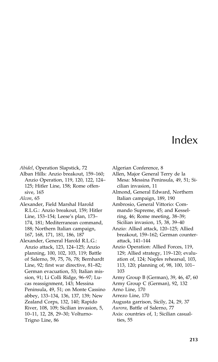## Index

- *Abidel*, Operation Slapstick, 72
- Alban Hills: Anzio breakout, 159–160; Anzio Operation, 119, 120, 122, 124– 125; Hitler Line, 158; Rome offensive, 165

*Alcon*, 65

- Alexander, Field Marshal Harold R.L.G.: Anzio breakout, 159; Hitler Line, 153–154; Leese's plan, 173– 174, 181; Mediterranean command, 188; Northern Italian campaign, 167, 168, 171, 181, 186, 187
- Alexander, General Harold R.L.G.: Anzio attack, 123, 124–125; Anzio planning, 100, 102, 103, 119; Battle of Salerno, 59, 75, 76, 78; Bernhardt Line, 92; first war directive, 81–82; German evacuation, 53; Italian mission, 91; Li Colli Ridge, 96–97; Lucas reassignment, 143; Messina Peninsula, 49, 51; on Monte Cassino abbey, 133–134, 136, 137, 139; New Zealand Corps, 132, 140; Rapido River, 108, 109; Sicilian invasion, 5, 10–11, 12, 28, 29–30; Volturno-Trigno Line, 86
- Algerian Conference, 8
- Allen, Major General Terry de la Mesa: Messina Peninsula, 49, 51; Sicilian invasion, 11
- Almond, General Edward, Northern Italian campaign, 189, 190
- Ambrosio, General Vittorio: Commando Supreme, 45; and Kesselring, 46; Rome meeting, 38–39; Sicilian invasion, 15, 38, 39–40
- Anzio: Allied attack, 120–125; Allied breakout, 159–162; German counterattack, 141–144
- Anzio Operation: Allied Forces, 119, 129; Allied strategy, 119–120; evaluation of, 124; Naples rehearsal, 103, 113, 120; planning of, 98, 100, 101– 103
- Army Group B (German), 39, 46, 47, 60
- Army Group C (German), 92, 132
- Arno Line, 170
- Arrezo Line, 170
- Augusta garrison, Sicily, 24, 29, 37
- *Aurora*, Battle of Salerno, 77
- Axis: countries of, 1; Sicilian casualties, 55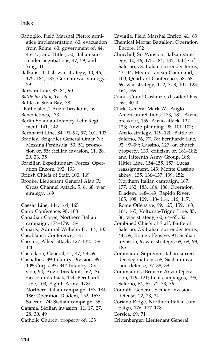- Badoglio, Field Marshal Pietro: armistice implementation, 60; evacuation from Rome, 60; government of, 44, 45- 47; and Hitler, 50; Italian surrender negotiations, 47, 59; and king, 41
- Balkans: British war strategy, 10, 46, 175, 184, 185; German war strategy, 39
- Barbara Line, 83–84, 90
- *Battle for Italy, The*, 6
- Battle of Suva Bay, 78
- "Battle sled," Anzio breakout, 161
- Benedictines, 133
- Berlin-Spandau Infantry Lehr Regiment, 141, 142
- Bernhardt Line, 84, 91–92, 97, 101, 103
- Bradley, Brigadier General Omar N.: Messina Peninsula, 50, 51; promotion of, 55; Sicilian invasion, 11, 28, 29, 33, 35
- Brazilian Expeditionary Forces, Operation Encore, 192, 193
- British Chiefs of Staff, 100, 169
- Brooke, Lieutenant General Alan F.: Cross Channel Attack, 5, 6, 68; war strategy, 169
- Caesar Line, 144, 164, 165
- Cairo Conference, 98, 100
- Canadian Corps, Northern Italian campaign, 174–179, 189
- Canaris, Admiral Wilhelm F., 104, 107
- Casablanca Conference, 4–5
- Cassino, Allied attack, 127–132, 139– 140
- Castellano, General, 41, 47, 58–59
- Casualties: 3rd Infantry Division, 89; 10th Corps, 97; 34th Infantry Division, 90; Anzio breakout, 162; Anzio counterattack, 144; Bernhardt Line, 103; Eighth Army, 178; Northern Italian campaign, 183–184, 186; Operation Diadem, 152, 153; Salerno, 74; Sicilian campaign, 55
- Catania, Sicilian invasion, 11, 17, 27, 28, 30, 49
- Catholic Church, property of, 133
- Caviglia, Field Marshal Enrico, 41, 63
- Chemical Mortar Battalion, Operation Encore, 192
- Churchill, Sir Winston: Balkan strategy, 10, 46, 175, 184, 185; Battle of Salerno, 78; Italian surrender terms, 43- 44; Mediterranean Command, 100; Quadrant Conference, 58, 68, 69; war strategy, 1, 2, 7, 8, 101, 123, 164, 169
- Ciano, Count Costanzo, dissident Fascist, 40–41
- Clark, General Mark W.: Anglo-American relations, 173, 181; Anzio breakout, 159; Anzio attack, 122– 123; Anzio planning, 98, 101–102; Anzio strategy, 119–120; Battle of Salerno, 76, 77, 78; Bernhardt Line, 92, 97–99; Cassino, 127; on church property, 133; criticism of, 181–182; and Fifteenth Army Group, 188; Hitler Line, 154–155, 157; Lucas reassignment, 143; Monte Cassino abbey, 135, 136–137, 139, 152; Northern Italian campaign, 167, 177, 182, 183, 184, 186; Operation Diadem, 148–149; Rapido River, 105, 108, 109, 113- 114, 116, 117; Rome Offensive, 99, 125, 159, 163, 164, 165; Volturno-Trigno Line, 85, 86; war strategy, 60, 64–65, 82
- Combined Chiefs of Staff: Battle of Salerno, 75; Italian surrender terms, 44, 59; Rome offensive, 91; Sicilian invasion, 9; war strategy, 68, 69, 98, 185
- Commando Supremo: Italian surrender negotiations, 58; Sicilian invasion defense, 37–38, 39
- Commandos (British): Anzio Operation, 119, 121; final campaigns, 195; Salerno, 64, 65, 72–73, 76
- Conrath, General, Sicilian invasion defense, 22, 23, 24
- Coriano Ridge, Northern Italian campaign, 176, 177–178
- Corsica, 69, 71
- Crittenberger, Lieutenant General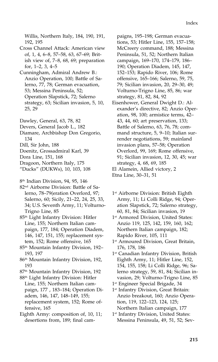Willis, Northern Italy, 184, 190, 191, 192, 195

Cross Channel Attack: American view of, 1, 4, 6–8, 57–58, 63, 67–69; British view of, 7–8, 68, 69; preparation for, 1–2, 3, 4–5

Cunningham, Admiral Andrew B.: Anzio Operation, 100; Battle of Salerno, 77, 78; German evacuation, 53; Messina Peninsula, 52; Operation Slapstick, 72; Salerno strategy, 63; Sicilian invasion, 5, 10, 25, 29

Dawley, General, 63, 78, 82

- Devers, General Jacob L., 182
- Diamare, Archbishop Don Gregorio, 134
- Dill, Sir John, 188
- Doenitz, Grossadmiral Karl, 39
- Dora Line, 151, 168
- Dragoon, Northern Italy, 175
- "Ducks" (DUKWs), 10, 103, 108
- 8th Indian Division, 94, 95, 146
- 82nd Airborne Division: Battle of Salerno, 78–79(eration Overlord, 97; Salerno, 60; Sicily, 21–22, 24, 25, 33, 34; U.S. Seventh Army, 11; Volturno-Trigno Line, 85
- 85th Light Infantry Division: Hitler Line, 155; Northern Italian campaign, 177, 184; Operation Diadem, 146, 147, 151, 155; replacement system, 152; Rome offensive, 165
- 85th Mountain Infantry Division, 192– 193, 197
- 86th Mountain Infantry Division, 192, 193
- 87<sup>th</sup> Mountain Infantry Division, 192
- 88th Light Infantry Division: Hitler Line, 155; Northern Italian campaign, 177 , 183–184; Operation Diadem, 146, 147, 148–149, 155; replacement system, 152; Rome offensive, 165
- Eighth Army: composition of, 10, 11; desertions from, 189; final cam-

paigns, 195–198; German evacuations, 53; Hitler Line, 155, 157–158; McCreery command, 188; Messina Peninsula, 51, 52; Northern Italian campaign, 169–170, 174–179, 186– 190; Operation Diadem, 145, 147, 152–153; Rapido River, 106; Rome offensive, 165–166; Salerno, 59, 75, 79; Sicilian invasion, 20, 29–30, 49; Volturno-Trigno Line, 85, 86; war strategy, 81, 82, 84, 92

- Eisenhower, General Dwight D.: Alexander's directive, 82; Anzio Operation, 98, 100; armistice terms, 42– 43, 44, 60; art preservation, 133; Battle of Salerno, 63, 76, 78; command structure, 5, 9–10; Italian surrender negotiations, 59; mainland invasion plans, 57–58; Operation Overlord, 99, 169; Rome offensive, 91; Sicilian invasion, 12, 30, 45; war strategy, 4, 68, 69, 185
- El Alamein, Allied victory, 2
- Etna Line, 30–31, 51
- 1st Airborne Division: British Eighth Army, 11; Li Colli Ridge, 94; Operation Slapstick, 72; Salerno strategy, 60, 81, 84; Sicilian invasion, 19
- 1<sup>st</sup> Armored Division, United States: Anzio 119, 125, 142, 159, 160, 162; Northern Italian campaign, 182; Rapido River, 105, 111
- 1<sup>st</sup> Armoured Division, Great Britain, 176, 178, 186
- 1<sup>st</sup> Canadian Infantry Division, British Eighth Army, 11; Hitler Line, 152, 154, 155, 158; Li Colli Ridge, 96; Salerno strategy, 59, 81, 84; Sicilian invasion, 29; Volturno-Trigno Line, 85
- 1<sup>st</sup> Engineer Special Brigade, 34
- 1<sup>st</sup> Infantry Division, Great Britain: Anzio breakout, 160; Anzio Operation, 119, 122–123, 124, 125; Northern Italian campaign, 177
- 1<sup>st</sup> Infantry Division, United States: Messina Peninsula, 49, 51, 52; Sev-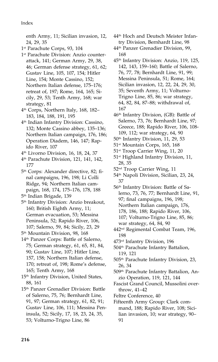enth Army, 11; Sicilian invasion, 12, 24, 29, 35

- 1st Parachute Corps, 93, 104
- 1<sup>st</sup> Parachute Division: Anzio counterattack, 141; German Army, 29, 38, 46; German defense strategy, 61, 62; Gustav Line, 105, 107, 154; Hitler Line, 154; Monte Cassino, 152; Northern Italian defense, 175–176; retreat of, 197; Rome, 164, 165; Sicily, 29, 53; Tenth Army, 168; war strategy, 81
- 4th Corps, Northern Italy, 168, 182– 183, 184, 188, 191, 195
- 4th Indian Infantry Division: Cassino, 132; Monte Cassino abbey, 135–136; Northern Italian campaign, 176, 186; Operation Diadem, 146, 147; Rapido River, 107
- 4th Livorno Division, 16, 18, 24, 37
- 4th Parachute Division, 121, 141, 142, 177
- 5th Corps: Alexander directive, 82; final campaigns, 196, 198; Li Colli Ridge, 94; Northern Italian campaign, 168, 174, 175–176, 178, 188
- 5th Indian Brigade, 139
- 5th Infantry Division: Anzio breakout, 160; British Eighth Army, 11; German evacuation, 53; Messina Peninsula, 52; Rapido River, 106, 107; Salerno, 59, 84; Sicily, 23, 29
- 5th Mountain Division, 98, 168
- 14th Panzer Corps: Battle of Salerno, 75; German strategy, 61, 65, 81, 84, 90; Gustav Line, 107; Hitler Line, 157, 158; Northern Italian defense, 170; retreat of, 198; Rome's defense, 165; Tenth Army, 168
- 15th Infantry Division, United States, 88, 161
- 15th Panzer Grenadier Division: Battle of Salerno, 75, 76; Bernhardt Line, 91, 97; German strategy, 61, 82, 91; Gustav Line, 106, 111; Messina Peninsula, 52; Sicily, 17, 18, 23, 24, 35, 53; Volturno-Trigno Line, 86
- 44th Hoch and Deutsch Meister Infantry Division, Bernhardt Line, 98
- 44th Panzer Grenadier Division, 99, 168
- 45th Infantry Division: Anzio, 119, 125, 142, 143, 159–160; Battle of Salerno, 76, 77, 78; Bernhardt Line, 91, 99; Messina Peninsula, 51; Rome, 164; Sicilian invasion, 12, 22, 24, 29, 30, 35; Seventh Army, 11; Volturno-Trigno Line, 85, 86; war strategy, 64, 82, 84, 87–88; withdrawal of, 167
- 46th Infantry Division, (GB): Battle of Salerno, 73, 76; Bernhardt Line, 97; Greece, 188; Rapido River, 106, 108- 109, 112; war strategy, 64, 90
- 50th Infantry Division, 11, 29, 53
- 51st Mountain Corps, 165, 168
- 51st Troop Carrier Wing, 11, 20
- 51st Highland Infantry Division, 11, 28, 35
- 52nd Troop Carrier Wing, 11
- 54<sup>th</sup> Napoli Division, Sicilian, 23, 24, 37
- 56th Infantry Division: Battle of Salerno, 73, 76, 77; Bernhardt Line, 91, 97; final campaigns, 196, 198; Northern Italian campaign, 176, 178, 186, 188; Rapido River, 106, 107; Volturno-Trigno Line, 85, 86; war strategy, 64, 84, 90
- 442nd Regimental Combat Team, 196, 198
- 473rd Infantry Division, 196
- 504<sup>th</sup> Parachute Infantry Battalion, 119, 121
- 505th Parachute Infantry Division, 23, 26, 34
- 509th Parachute Infantry Battalion, Anzio Operation, 119, 121, 144
- Fascist Grand Council, Mussolini overthrow, 41–42
- Feltre Conference, 40
- Fifteenth Army Group: Clark command, 188; Rapido River, 108; Sicilian invasion, 10; war strategy, 90– 91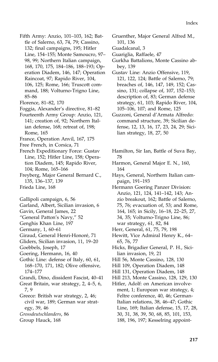- Fifth Army: Anzio, 101–103, 162; Battle of Salerno, 63, 74, 79; Cassino, 132; final campaigns, 195; Hitler Line, 154–155; Monte Samoucro, 97– 98, 99; Northern Italian campaign, 168, 170, 175, 184–186, 188–193; Operation Diadem, 146, 147; Operation Raincoat, 97; Rapido River, 104, 106, 125; Rome, 166; Truscott command, 188; Volturno-Trigno Line, 85–86
- Florence, 81–82, 170
- Foggia, Alexander's directive, 81–82
- Fourteenth Army Group: Anzio, 121, 141; creation of, 92; Northern Italian defense, 168; retreat of, 198; Rome, 165
- France, Operation Anvil, 167, 175
- Free French, in Corsica, 71
- French Expeditionary Force: Gustav Line, 152; Hitler Line, 158; Operation Diadem, 145; Rapido River, 104; Rome, 165–166
- Freyberg, Major General Bernard C., 135, 136–137, 139
- Frieda Line, 168
- Gallipoli campaign, 6, 56
- Garland, Albert, Sicilian invasion, 6
- Gavin, General James, 22
- "General Patton's Navy," 52
- Genghis Khan Line, 197
- Germany, 1, 60–61
- Giraud, General Henri-Honoré, 71
- Gliders, Sicilian invasion, 11, 19–20
- Goebbels, Joseph, 17
- Goering, Hermann, 16, 40
- Gothic Line: defense of Italy, 60, 61, 168–170, 171, 182; Olive offensive, 174–177
- Grandi, Dino, dissident Fascist, 40–41
- Great Britain, war strategy, 2, 4–5, 6, 7, 9
- Greece: British war strategy, 2, 46; civil war, 189; German war strategy, 39, 46
- *Grossdeutschlanders*, 86
- Group Hauck, 168
- Gruenther, Major General Alfred M., 101, 136
- Guadalcanal, 3
- Guariglia, Raffaele, 47
- Gurkha Battalions, Monte Cassino abbey, 139
- Gustav Line: Anzio Offensive, 119, 121, 122, 124; Battle of Salerno, 79; breaches of, 146, 147, 149, 152; Cassino, 131; collapse of, 107, 152–153; description of, 83; German defense strategy, 61, 103; Rapido River, 104, 105–106, 107; and Rome, 125
- Guzzoni, General d'Armata Alfredo: command structure, 39; Sicilian defense, 12, 13, 16, 17, 23, 24, 29; Sicilian strategy, 18, 27, 50
- Hamilton, Sir Ian, Battle of Suva Bay, 78
- Harmon, General Major E. N., 160, 164
- Hays, General, Northern Italian campaign, 191–193
- Hermann Goering Panzer Division: Anzio, 121, 124, 141–142, 143; Anzio breakout, 162; Battle of Salerno, 75, 76; evacuation of, 53; and Rome, 164, 165; in Sicily, 16–18, 22–25, 27, 34, 35; Volturno-Trigno Line, 86; war strategy, 61, 82, 84
- Herr, General, 61, 75, 79, 198
- Hewitt, Vice Admiral Henry K., 64– 65, 76, 77
- Hicks, Brigadier General, P. H., Sicilian invasion, 19, 21
- Hill 56, Monte Cassino, 128, 130
- Hill 109, Operation Diadem, 148
- Hill 131, Operation Diadem, 148
- Hill 213, Monte Cassino, 128, 129, 130
- Hitler, Adolf: on American involvement, 1; European war strategy, 4; Feltre conference, 40, 46; German-Italian relations, 38, 46–47; Gothic Line, 169; Italian defense, 15, 17, 28, 30, 31, 38, 39, 50, 68, 85, 101, 153, 188, 196, 197; Kesselring appoint-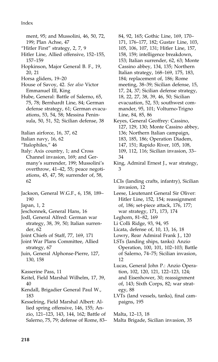Index

- ment, 95; and Mussolini, 46, 50, 72, 199; Plan Achse, 47
- "Hitler First" strategy, 2, 7, 9
- Hitler Line, Allied offensive, 152–155, 157–159
- Hopkinson, Major General B. F., 19, 20, 21
- Horsa gliders, 19–20
- House of Savoy, 42. *See also* Victor Emmanuel III, King
- Hube, General: Battle of Salerno, 65, 75, 78; Bernhardt Line, 84; German defense strategy, 61; German evacuations, 53, 54, 58; Messina Peninsula, 50, 51, 52; Sicilian defense, 38
- Italian airforce, 16, 37, 62
- Italian navy, 16, 62
- "Italophiles," 46
- Italy: Axis country, 1; and Cross Channel invasion, 169; and Germany's surrender, 199; Mussolini's overthrow, 41–42, 55; peace negotiations, 45, 47, 58; surrender of, 58, 62
- Jackson, General W.G.F., 6, 158, 189– 190
- Japan, 1, 2
- Jeschonnek, General Hans, 16
- Jodl, General Alfred: German war strategy, 38, 39, 50; Italian surrender, 62
- Joint Chiefs of Staff, 77, 169, 171
- Joint War Plans Committee, Allied strategy, 67
- Juin, General Alphonse-Pierre, 127, 130, 158
- Kasserine Pass, 11
- Keitel, Field Marshal Wilhelm, 17, 39, 40
- Kendall, Brigadier General Paul W., 183
- Kesselring, Field Marshal Albert: Allied spring offensive, 146, 155; Anzio, 121–123, 143, 144, 162; Battle of Salerno, 75, 79; defense of Rome, 83–
- 84, 92, 165; Gothic Line, 169, 170–
- 171, 176–177, 182; Gustav Line, 103,
- 105, 106, 107, 131; Hitler Line, 157,
- 158, 159; intelligence breakdown,
- 153; Italian surrender, 62, 63; Monte Cassino abbey, 134, 135; Northern Italian strategy, 168–169, 175, 183, 184; replacement of, 186; Rome meeting, 38–39; Sicilian defense, 15, 17, 24, 37; Sicilian defense strategy, 18, 22, 27, 38, 39, 46, 50; Sicilian evacuation, 52, 53; southwest commander, 95, 101; Volturno-Trigno
- Line, 84, 85, 86 Keyes, General Geoffrey: Cassino, 127, 129, 130; Monte Cassino abbey, 136; Northern Italian campaign, 183, 185, 186; Operation Diadem, 147, 151; Rapido River, 105, 108, 109, 112, 116; Sicilian invasion, 33–
- 34 King, Admiral Ernest J., war strategy, 3
- LCIs (landing crafts, infantry), Sicilian invasion, 12

Leese, Lieutenant General Sir Oliver: Hitler Line, 152, 154; reassignment of, 186; set-piece attack, 176, 177; war strategy, 171, 173, 174

- Leghorn, 81–82, 169
- Li Colli Ridge, 93, 94, 95
- Licata, defense of, 10, 13, 16, 18
- Lowry, Rear Admiral Frank J., 120
- LSTs (landing ships, tanks): Anzio Operation, 100, 101, 102–103; Battle of Salerno, 74–75; Sicilian invasion, 12
- Lucas, General John P.: Anzio Operation, 102, 120, 121, 122–123, 124; and Eisenhower, 30; reassignment of, 143; Sixth Corps, 82; war strategy, 88
- LVTs (land vessels, tanks), final campaigns, 195

Malta, 12–13, 18

Malta Brigade, Sicilian invasion, 35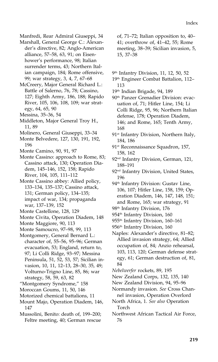- Manfredi, Rear Admiral Giuseppi, 34
- Marshall, General George C.: Alexander's directive, 82; Anglo-American alliance, 57–58, 63, 91; on Eisenhower's performance, 98; Italian surrender terms, 43; Northern Italian campaign, 184; Rome offensive, 99; war strategy, 3, 4, 7, 67–68
- McCreery, Major General Richard L.: Battle of Salerno, 76, 78; Cassino, 127; Eighth Army, 186, 188; Rapido River, 105, 106, 108, 109; war strategy, 64, 65, 90
- Messina, 35–36, 54
- Middleton, Major General Troy H., 11, 89
- Molinero, General Giuseppi, 33–34
- Monte Belvedere, 127, 130, 191, 192, 196
- Monte Camino, 90, 91, 97
- Monte Cassino: approach to Rome, 83; Cassino attack, 130; Operation Diadem, 145–146, 152, 158; Rapido River, 104, 105, 111–112
- Monte Cassino abbey: Allied policy, 133–134, 135–137; Cassino attack, 131; German policy, 134–135; impact of war, 134; propaganda war, 137–139, 152
- Monte Castellone, 128, 129
- Monte Civita, Operation Diadem, 148
- Monte Maggiore, 90, 113
- Monte Samoucro, 97–98, 99, 113
- Montgomery, General Bernard L.: character of, 55–56, 95–96; German evacuation, 53; England, return to, 97; Li Colli Ridge, 93–97; Messina Peninsula, 51, 52, 53, 57; Sicilian invasion, 10, 11, 12–13, 28–30, 35, 49; Volturno-Trigno Line, 85, 86; war strategy, 58, 59, 63, 82
- "Montgomery Syndrome," 158
- Moroccan Goums, 11, 50, 146
- Motorized chemical battalions, 11
- Mount Majo, Operation Diadem, 146, 147
- Mussolini, Benito: death of, 199–200; Feltre meeting, 40; German rescue

of, 71–72; Italian opposition to, 40– 41; overthrow of, 41–42, 55; Rome meeting, 38–39; Sicilian invasion, 5, 15, 37–38

- 9th Infantry Division, 11, 12, 50, 52
- 19th Engineer Combat Battalion, 112– 113
- 19th Indian Brigade, 94, 189

90<sup>th</sup> Panzer Grenadier Division: evacuation of, 71; Hitler Line, 154; Li Colli Ridge, 95, 96; Northern Italian defense, 178; Operation Diadem, 146; and Rome, 165; Tenth Army, 168

- 91st Infantry Division, Northern Italy, 184, 186
- 91st Reconnaissance Squadron, 157, 158, 162
- 92nd Infantry Division, German, 121, 188–191
- 92nd Infantry Division, United States, 196
- 94<sup>th</sup> Infantry Division: Gustav Line, 106, 107; Hitler Line, 158, 159; Operation Diadem, 146, 147, 148, 151; and Rome, 165; war strategy, 91
- 98<sup>th</sup> Infantry Division, 176
- 954<sup>th</sup> Infantry Division, 160
- 955th Infantry Division, 160–161
- 956<sup>th</sup> Infantry Division, 160
- Naples: Alexander's directive, 81–82; Allied invasion strategy, 64; Allied occupation of, 84; Anzio rehearsal, 103, 113, 120; German defense strategy, 61; German destruction of, 81, 84
- *Nebelwerfer* rockets, 89, 195
- New Zealand Corps, 132, 135, 140
- New Zealand Division, 94, 95–96
- Normandy invasion. *See* Cross Channel invasion, Operation Overlord
- North Africa, 1. *See also* Operation Torch
- Northwest African Tactical Air Force, 76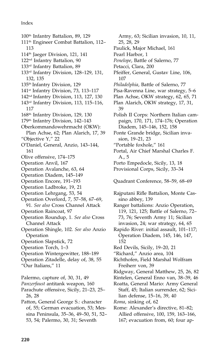- 100th Infantry Battalion, 89, 129 111th Engineer Combat Battalion, 112– 113 114th Jaeger Division, 121, 141 122nd Infantry Battalion, 90 133rd Infantry Battalion, 89 133rd Infantry Division, 128–129, 131, 132, 135 135<sup>th</sup> Infantry Division, 129 141st Infantry Division, 73, 113–117 142nd Infantry Division, 113, 127, 130 143rd Infantry Division, 113, 115–116, 117 168th Infantry Division, 129, 130 179th Infantry Division, 142–143 Oberkommandowehrmacht (OKW): Plan Achse, 62; Plan Alarich, 17, 39 "Objective Y," 22 O'Daniel, General, Anzio, 143–144, 161 Olive offensive, 174–175 Operation Anvil, 167 Operation Avalanche, 63, 64 Operation Diadem, 145–149 Operation Encore, 191–193 Operation Ladbroke, 19, 21 Operation Lehrgang, 53, 54 Operation Overlord, 7, 57–58, 67–69, 91. *See also* Cross Channel Attack Operation Raincoat, 97 Operation Roundup, 1. *See also* Cross Channel Attack Operation Shingle, 102. *See also* Anzio Operation Operation Slapstick, 72 Operation Torch, 1–3 Operation Wintergewitter, 188–189 Operation Zitadelle, delay of, 38, 55 "Our Italians," 11 Palermo, capture of, 30, 31, 49 *Panzerfaust* antitank weapon, 160 Parachute offensive, Sicily, 21–23, 25– 26, 28 Patton, General George S.: character of, 55; German evacuation, 53; Messina Peninsula, 35–36, 49–50, 51, 52– 53, 54; Palermo, 30, 31; Seventh
- Army, 63; Sicilian invasion, 10, 11,
- 25, 28, 29
- Paulick, Major Michael, 161
- Pearl Harbor, 1
- *Penelope*, Battle of Salerno, 77
- Petacci, Clara, 200
- Pfeiffer, General, Gustav Line, 106, 107
- *Philadelphia*, Battle of Salerno, 77
- Pisa-Ravenna Line, war strategy, 5–6
- Plan Achse, OKW strategy, 62, 65, 71
- Plan Alarich, OKW strategy, 17, 31, 39
- Polish II Corps: Northern Italian campaign, 170, 171, 174–176; Operation Diadem, 145–146, 152, 158

Ponte Grande bridge, Sicilian invasion, 19–21, 23

- "Portable foxhole," 161
- Portal, Air Chief Marshal Charles F. A., 5
- Porto Empedocle, Sicily, 13, 18
- Provisional Corps, Sicily, 33–34
- Quadrant Conference, 58–59, 68–69
- Rajputani Rifle Battalion, Monte Cassino abbey, 139
- Ranger battalions: Anzio Operation, 119, 121, 125; Battle of Salerno, 72– 73, 76; Seventh Army 11; Sicilian invasion, 24; war strategy, 64, 65

Rapido River: initial assault, 101–117; Operation Diadem, 145, 146, 147, 152

- Red Devils, Sicily, 19–20, 21
- "Richard," Anzio area, 104
- Richthofen, Field Marshal Wolfram Freiherr von, 39
- Ridgway, General Matthew, 25, 26, 82
- Rintelen, General Enno van, 38–39, 46
- Roatta, General Mario: Army General Staff, 45; Italian surrender, 62; Sicilian defense, 15–16, 39, 40
- *Roma*, sinking of, 62
- Rome: Alexander's directive, 81–82; Allied offensive, 100, 159, 163–166, 167; evacuation from, 60; four ap-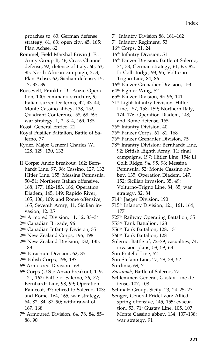proaches to, 83; German defense strategy, 61, 83; open city, 45, 165; Plan Achse, 62

- Rommel, Field Marshal Erwin J. E.: Army Group B, 46; Cross Channel defense, 92; defense of Italy, 60, 63, 85; North African campaign, 2, 3; Plan Achse, 62; Sicilian defense, 15, 17, 37, 39
- Roosevelt, Franklin D.: Anzio Operation, 100; command structure, 9; Italian surrender terms, 42, 43–44; Monte Cassino abbey, 138, 152; Quadrant Conference, 58, 68–69; war strategy, 1, 2, 3–4, 169, 185
- Rossi, General Enrico, 21
- Royal Fusilier Battalion, Battle of Salerno, 77
- Ryder, Major General Charles W., 128, 129, 130, 132
- II Corps: Anzio breakout, 162; Bernhardt Line, 97, 98; Cassino, 127, 132; Hitler Line, 155; Messina Peninsula, 50–51; Northern Italian offensive, 168, 177, 182–183, 186; Operation Diadem, 145, 149; Rapido River, 105, 106, 109; and Rome offensive, 165; Seventh Army, 11; Sicilian invasion, 12, 35
- 2nd Armored Division, 11, 12, 33–34
- 2<sup>nd</sup> Canadian Brigade, 96
- 2nd Canadian Infantry Division, 35
- 2nd New Zealand Corps, 196, 198
- 2nd New Zealand Division, 132, 135, 188
- 2nd Parachute Division, 62, 85
- 2nd Polish Corps, 196, 197
- 6th Armoured Division 168
- 6th Corps (U.S.): Anzio breakout, 119, 121, 162; Battle of Salerno, 76, 77; Bernhardt Line, 98, 99; Operation Raincoat, 97; retired to Salerno, 103; and Rome, 164, 165; war strategy, 64, 82, 84, 87–90; withdrawal of, 167, 168
- 7th Armoured Division, 64, 78, 84, 85– 86, 90
- 7th Infantry Division 88, 161–162
- 7th Infantry Regiment, 53
- 16th Corps, 21, 24
- 16<sup>th</sup> Infantry Division, 51
- 16th Panzer Division: Battle of Salerno, 74, 78; German strategy, 61, 65, 82; Li Colli Ridge, 93, 95; Volturno-Trigno Line, 84, 86
- 16th Panzer Grenadier Division, 153
- $64<sup>th</sup>$  Fighter Wing, 52
- 65th Panzer Division, 95–96, 141
- 71st Light Infantry Division: Hitler Line, 157, 158, 159; Northern Italy, 174–176; Operation Diadem, 148; and Rome defense, 165
- 76th Infantry Division, 40
- 76th Panzer Corps, 61, 81, 168
- 76th Panzer Grenadier Division, 75
- 78th Infantry Division: Bernhardt Line, 92; British Eighth Army, 11; final campaigns, 197; Hitler Line, 154; Li Colli Ridge, 94, 95, 96; Messina Peninsula, 52; Monte Cassino abbey, 135; Operation Diadem, 147, 152; Sicilian invasion, 35, 49; Volturno-Trigno Line, 84, 85; war strategy, 82, 84
- 714th Jaeger Division, 190
- 715th Infantry Division, 121, 161, 164, 177
- 727th Railway Operating Battalion, 35
- 753rd Tank Battalion, 128
- 756th Tank Battalion, 128, 131
- 760th Tank Battalion, 128
- Salerno: Battle of, 72–79; casualties, 74; invasion plans, 58, 59, 63
- San Fratello Line, 52
- San Stefano Line, 27, 28, 38, 52
- Sardinia, 69, 71
- *Savannah*, Battle of Salerno, 77
- Schlemmer, General, Gustav Line defense, 107, 108
- Schmalz Group, Sicily, 23, 24–25, 27
- Senger, General Fridel von: Allied spring offensive, 145, 155; evacuation, 53, 71; Gustav Line, 105, 107; Monte Cassino abbey, 134, 137–138; war strategy, 91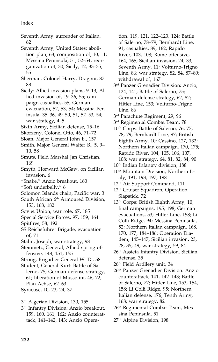- Seventh Army, surrender of Italian, 62
- Seventh Army, United States: abolition plan, 63; composition of, 10, 11; Messina Peninsula, 51, 52–54; reorganization of, 30; Sicily, 12, 33–35, 55
- Sherman, Colonel Harry, Dragoni, 87– 88
- Sicily: Allied invasion plans, 9–13; Allied invasion of, 19–36, 55; campaign casualties, 55; German evacuation, 52, 53, 54; Messina Peninsula, 35–36, 49–50, 51, 52–53, 54; war strategy, 4–5
- Sixth Army, Sicilian defense, 15–16
- Skorzeny, Colonel Otto, 46, 71–72
- Sloan, Major General John E., 157
- Smith, Major General Walter B., 5, 9– 10, 58
- Smuts, Field Marshal Jan Christian, 169
- Smyth, Horward McGaw, on Sicilian invasion, 6
- "Snake," Anzio breakout, 160
- "Soft underbelly," 6
- Solomon Islands chain, Pacific war, 3
- South African 6<sup>th</sup> Armoured Division, 153, 168, 182
- Soviet Union, war role, 67, 185
- Special Service Forces, 97, 159, 164
- Spitfires, 58, 192
- SS Reichsführer Brigade, evacuation of, 71
- Stalin, Joseph, war strategy, 98
- Steinmetz, General, Allied spring offensive, 148, 151, 155
- Strong, Brigadier General W. D., 58
- Student, General Kurt: Battle of Salerno, 75; German defense strategy, 61; liberation of Mussolini, 46, 72; Plan Achse, 62–63
- Syracuse, 10, 23, 24, 37
- 3rd Algerian Division, 130, 155
- 3<sup>rd</sup> Infantry Division: Anzio breakout, 159, 160, 161, 162; Anzio counterattack, 141–142, 143; Anzio Opera-

tion, 119, 121, 122–123, 124; Battle of Salerno, 78–79; Bernhardt Line, 91; casualties, 89, 162; Rapido River, 103, 108; Rome offensive, 164, 165; Sicilian invasion, 24, 33; Seventh Army, 11; Volturno-Trigno Line, 86; war strategy, 82, 84, 87–89; withdrawal of, 167

- 3rd Panzer Grenadier Division: Anzio, 124, 141; Battle of Salerno, 75; German defense strategy, 62, 82; Hitler Line, 153; Volturno-Trigno Line, 86
- 3rd Parachute Regiment, 29, 96
- 3<sup>rd</sup> Regimental Combat Team, 78
- 10th Corps: Battle of Salerno, 76, 77, 78, 79; Bernhardt Line, 97; British Eighth Army, 10; Cassino, 127, 132; Northern Italian campaign, 170, 175; Rapido River, 104, 105, 106, 107, 108; war strategy, 64, 81, 82, 84, 90
- 10<sup>th</sup> Indian Infantry division, 188
- 10th Mountain Division, Northern Italy, 191, 193, 197, 198
- 12th Air Support Command, 111
- 12th Cruiser Squadron, Operation Slapstick, 72
- 13th Corps: British Eighth Army, 10; final campaigns, 195, 198; German evacuations, 53; Hitler Line, 158; Li Colli Ridge, 94; Messina Peninsula, 52; Northern Italian campaign, 168, 170, 177, 184–186; Operation Diadem, 145–147; Sicilian invasion, 23, 28, 35, 49; war strategy, 59, 84
- 26th Assieta Infantry Division, Sicilian defense, 35
- 26<sup>th</sup> Field Artillery unit, 34
- 26th Panzer Grenadier Division: Anzio counterattack, 141, 142–143; Battle of Salerno, 77; Hitler Line, 153, 154, 158; Li Colli Ridge, 95; Northern Italian defense, 176; Tenth Army, 168; war strategy, 82
- 26<sup>th</sup> Regimental Combat Team, Messina Peninsula, 51
- 27th Alpine Division, 198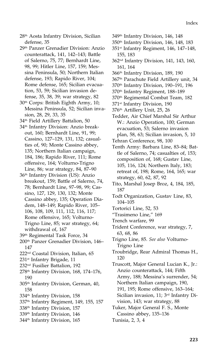- 28th Aosta Infantry Division, Sicilian defense, 35
- 29th Panzer Grenadier Division: Anzio counterattack, 141, 142–143; Battle of Salerno, 75, 77; Bernhardt Line, 98, 99; Hitler Line, 157, 159; Messina Peninsula, 50; Northern Italian defense, 193; Rapido River, 104; Rome defense, 165; Sicilian evacuation, 53, 59; Sicilian invasion defense, 35, 38, 39; war strategy, 82
- 30<sup>th</sup> Corps: British Eighth Army, 10; Messina Peninsula, 52; Sicilian invasion, 28, 29, 33, 35
- 34<sup>th</sup> Field Artillery Battalion, 50
- 34<sup>th</sup> Infantry Division: Anzio breakout, 160; Bernhardt Line, 91, 99; Cassino, 127–129, 131, 132; casualties of, 90; Monte Cassino abbey, 135; Northern Italian campaign, 184, 186; Rapido River, 111; Rome offensive, 164; Volturno-Trigno Line, 86; war strategy, 84, 87–90
- 36th Infantry Division (US): Anzio breakout, 159; Battle of Salerno, 74, 78; Bernhardt Line, 97–98, 99; Cassino, 127, 129, 130, 132; Monte Cassino abbey, 135; Operation Diadem, 148–149; Rapido River, 105– 106, 108, 109, 111, 112, 116, 117; Rome offensive, 165; Volturno-Trigno Line, 85; war strategy, 64; withdrawal of, 167
- 39th Regimental Task Force, 34
- 200th Panzer Grenadier Division, 146– 147
- 222nd Coastal Division, Italian, 65
- 231<sup>st</sup> Infantry Brigade, 11
- 232nd Fusilier Battalion, 192
- 278th Infantry Division, 168, 174–176, 190
- 305th Infantry Division, German, 40, 158
- 334th Infantry Division, 158
- 337th Infantry Regiment, 149, 155, 157
- 338th Infantry Division, 157
- 339th Infantry Division, 146
- 344th Infantry Division, 165
- 349th Infantry Division, 146, 148
- 350th Infantry Division, 146, 148, 183
- 351st Infantry Regiment, 146, 147–148, 155, 183
- 362nd Infantry Division, 141, 143, 160, 161, 164
- 366th Infantry Division, 189, 190
- 367th Parachute Field Artillery unit, 34
- 370th Infantry Division, 190–191, 196
- 370<sup>th</sup> Infantry Regiment, 188-189
- 370<sup>th</sup> Regimental Combat Team, 182
- 371<sup>st</sup> Infantry Division, 190
- 376<sup>th</sup> Artillery Unit, 25, 26
- Tedder, Air Chief Marshal Sir Arthur W.: Anzio Operation, 100; German evacuation, 53; Salerno invasion plan, 58, 63; Sicilian invasion, 5, 10
- Tehran Conference, 98, 100
- Tenth Army: Barbara Line, 83–84; Battle of Salerno, 74; casualties of, 153; composition of, 168; Gustav Line, 105, 116, 124; Northern Italy, 183; retreat of, 198; Rome, 164, 165; war strategy, 60, 62, 87, 92
- Tito, Marshal Josep Broz, 4, 184, 185, 187
- Todt Organization, Gustav Line, 83, 104–105
- Tortorici Line, 52, 53
- "Trasimeno Line," 169
- Trench warfare, 99
- Trident Conference, war strategy, 7, 63, 68, 86
- Trigno Line, 85. *See also* Volturno-Trigno Line
- Troubridge, Rear Admiral Thomas H., 120
- Truscott, Major General Lucian K., Jr.: Anzio counterattack, 144; Fifth Army, 188; Messina's surrender, 54; Northern Italian campaign, 190, 191, 195; Rome offensive, 163–164; Sicilian invasion, 11; 3rd Infantry Division, 143; war strategy, 88
- Tuker, Major General F. S., Monte Cassino abbey, 135–136
- Tunisia, 2, 3, 4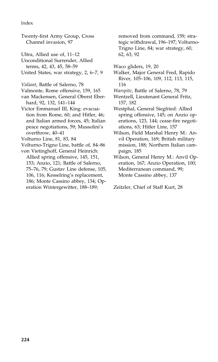Index

- Twenty-first Army Group, Cross Channel invasion, 97
- Ultra, Allied use of, 11–12
- Unconditional Surrender, Allied terms, 42, 43, 45, 58–59 United States, war strategy, 2, 6–7, 9
- *Valiant*, Battle of Salerno, 78
- Valmonte, Rome offensive, 159, 165
- van Mackensen, General Oberst Eberhard, 92, 132, 141–144
- Victor Emmanuel III, King: evacuation from Rome, 60; and Hitler, 46; and Italian armed forces, 45; Italian peace negotiations, 59; Mussolini's overthrow, 40–41
- Volturno Line, 81, 83, 84
- Volturno-Trigno Line, battle of, 84–86
- von Vietinghoff, General Heinrich: Allied spring offensive, 145, 151, 153; Anzio, 121; Battle of Salerno, 75–76, 79; Gustav Line defense, 105, 106, 116; Kesselring's replacement, 186; Monte Cassino abbey, 134; Operation Wintergewitter, 188–189;

removed from command, 159; strategic withdrawal, 196–197; Volturno-Trigno Line, 84; war strategy, 60, 62, 63, 92

- Waco gliders, 19, 20
- Walker, Major General Fred, Rapido River, 105–106, 109, 112, 113, 115, 116
- *Warspite*, Battle of Salerno, 78, 79
- Wentzell, Lieutenant General Fritz, 157, 182

Westphal, General Siegfried: Allied spring offensive, 145; on Anzio operations, 123, 144; cease-fire negotiations, 63; Hitler Line, 157

- Wilson, Field Marshal Henry M.: Anvil Operation, 169; British military mission, 188; Northern Italian campaign, 185
- Wilson, General Henry M.: Anvil Operation, 167; Anzio Operation, 100; Mediterranean command, 99; Monte Cassino abbey, 137

Zeitzler, Chief of Staff Kurt, 28